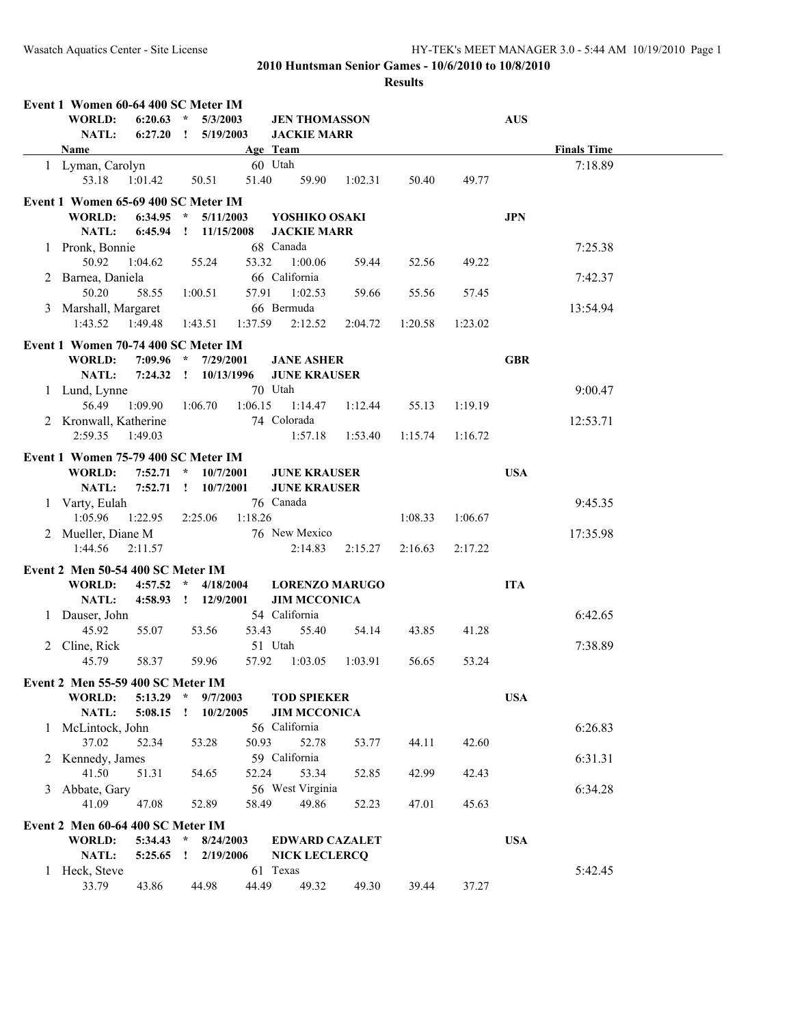| Event 1 Women 60-64 400 SC Meter IM           |              |                                                |                                            |         |         |         |            |                    |  |
|-----------------------------------------------|--------------|------------------------------------------------|--------------------------------------------|---------|---------|---------|------------|--------------------|--|
| WORLD:<br>$6:20.63$ *<br>NATL:                |              | 5/3/2003                                       | <b>JEN THOMASSON</b><br><b>JACKIE MARR</b> |         |         |         | <b>AUS</b> |                    |  |
| Name                                          |              |                                                | Age Team                                   |         |         |         |            | <b>Finals Time</b> |  |
| 1 Lyman, Carolyn                              |              |                                                | 60 Utah                                    |         |         |         |            | 7:18.89            |  |
| 53.18<br>1:01.42                              | 50.51        | 51.40                                          | 59.90                                      | 1:02.31 | 50.40   | 49.77   |            |                    |  |
| Event 1 Women 65-69 400 SC Meter IM           |              |                                                |                                            |         |         |         |            |                    |  |
| <b>WORLD:</b><br>$6:34.95$ *                  |              | 5/11/2003                                      | YOSHIKO OSAKI                              |         |         |         | <b>JPN</b> |                    |  |
| NATL:                                         |              | 6:45.94  !  11/15/2008                         | <b>JACKIE MARR</b>                         |         |         |         |            |                    |  |
| 1 Pronk, Bonnie                               |              |                                                | 68 Canada                                  |         |         |         |            | 7:25.38            |  |
| 50.92<br>1:04.62                              | 55.24        | 53.32                                          | 1:00.06                                    | 59.44   | 52.56   | 49.22   |            |                    |  |
| 2 Barnea, Daniela                             |              |                                                | 66 California                              |         |         |         |            | 7:42.37            |  |
| 50.20<br>58.55                                | 1:00.51      | 57.91                                          | 1:02.53                                    | 59.66   | 55.56   | 57.45   |            |                    |  |
| 3 Marshall, Margaret                          |              |                                                | 66 Bermuda                                 |         |         |         |            | 13:54.94           |  |
| 1:43.52  1:49.48                              | 1:43.51      | 1:37.59                                        | 2:12.52                                    | 2:04.72 | 1:20.58 | 1:23.02 |            |                    |  |
| Event 1 Women 70-74 400 SC Meter IM           |              |                                                |                                            |         |         |         |            |                    |  |
| WORLD:                                        |              | 7:09.96 * 7/29/2001                            | <b>JANE ASHER</b>                          |         |         |         | <b>GBR</b> |                    |  |
| NATL:                                         |              |                                                | <b>JUNE KRAUSER</b>                        |         |         |         |            |                    |  |
| 1 Lund, Lynne                                 |              |                                                | 70 Utah                                    |         |         |         |            | 9:00.47            |  |
| 56.49<br>1:09.90                              | 1:06.70      | 1:06.15                                        | 1:14.47                                    | 1:12.44 | 55.13   | 1:19.19 |            |                    |  |
| 2 Kronwall, Katherine                         |              |                                                | 74 Colorada                                |         |         |         |            | 12:53.71           |  |
| 2:59.35<br>1:49.03                            |              |                                                | 1:57.18                                    | 1:53.40 | 1:15.74 | 1:16.72 |            |                    |  |
|                                               |              |                                                |                                            |         |         |         |            |                    |  |
| Event 1 Women 75-79 400 SC Meter IM<br>WORLD: |              |                                                |                                            |         |         |         | <b>USA</b> |                    |  |
| NATL:                                         |              | $7:52.71$ * $10/7/2001$<br>7:52.71 : 10/7/2001 | <b>JUNE KRAUSER</b><br><b>JUNE KRAUSER</b> |         |         |         |            |                    |  |
| 1 Varty, Eulah                                |              |                                                | 76 Canada                                  |         |         |         |            | 9:45.35            |  |
| 1:05.96<br>1:22.95                            | 2:25.06      | 1:18.26                                        |                                            |         | 1:08.33 | 1:06.67 |            |                    |  |
| 2 Mueller, Diane M                            |              |                                                | 76 New Mexico                              |         |         |         |            | 17:35.98           |  |
| 1:44.56<br>2:11.57                            |              |                                                | 2:14.83                                    | 2:15.27 | 2:16.63 | 2:17.22 |            |                    |  |
|                                               |              |                                                |                                            |         |         |         |            |                    |  |
| Event 2 Men 50-54 400 SC Meter IM             |              |                                                |                                            |         |         |         |            |                    |  |
| WORLD:                                        |              | $4:57.52$ * $4/18/2004$                        | <b>LORENZO MARUGO</b>                      |         |         |         | <b>ITA</b> |                    |  |
| <b>NATL:</b>                                  |              | 4:58.93 ! 12/9/2001                            | <b>JIM MCCONICA</b>                        |         |         |         |            |                    |  |
| 1 Dauser, John                                |              |                                                | 54 California                              |         |         |         |            | 6:42.65            |  |
| 45.92<br>55.07                                | 53.56        | 53.43                                          | 55.40                                      | 54.14   | 43.85   | 41.28   |            |                    |  |
| 2 Cline, Rick                                 |              |                                                | 51 Utah<br>1:03.05                         |         |         |         |            | 7:38.89            |  |
| 45.79<br>58.37                                | 59.96        | 57.92                                          |                                            | 1:03.91 | 56.65   | 53.24   |            |                    |  |
| Event 2 Men 55-59 400 SC Meter IM             |              |                                                |                                            |         |         |         |            |                    |  |
| WORLD:<br>5:13.29                             | $\star$      | 9/7/2003                                       | <b>TOD SPIEKER</b>                         |         |         |         | <b>USA</b> |                    |  |
| NATL:<br>5:08.15                              | $\mathbf{I}$ | 10/2/2005                                      | <b>JIM MCCONICA</b>                        |         |         |         |            |                    |  |
| 1 McLintock, John                             |              |                                                | 56 California                              |         |         |         |            | 6:26.83            |  |
| 37.02<br>52.34                                | 53.28        | 50.93                                          | 52.78                                      | 53.77   | 44.11   | 42.60   |            |                    |  |
| 2 Kennedy, James                              |              |                                                | 59 California                              |         |         |         |            | 6:31.31            |  |
| 41.50<br>51.31                                | 54.65        | 52.24                                          | 53.34                                      | 52.85   | 42.99   | 42.43   |            |                    |  |
| 3 Abbate, Gary                                |              |                                                | 56 West Virginia                           |         |         |         |            | 6:34.28            |  |
| 41.09<br>47.08                                | 52.89        | 58.49                                          | 49.86                                      | 52.23   | 47.01   | 45.63   |            |                    |  |
| Event 2 Men 60-64 400 SC Meter IM             |              |                                                |                                            |         |         |         |            |                    |  |
| WORLD:<br>$5:34.43$ *                         |              | 8/24/2003                                      | <b>EDWARD CAZALET</b>                      |         |         |         | <b>USA</b> |                    |  |
| NATL:<br>$5:25.65$ !                          |              | 2/19/2006                                      | <b>NICK LECLERCQ</b>                       |         |         |         |            |                    |  |
| 1 Heck, Steve                                 |              |                                                | 61 Texas                                   |         |         |         |            | 5:42.45            |  |
| 33.79<br>43.86                                | 44.98        | 44.49                                          | 49.32                                      | 49.30   | 39.44   | 37.27   |            |                    |  |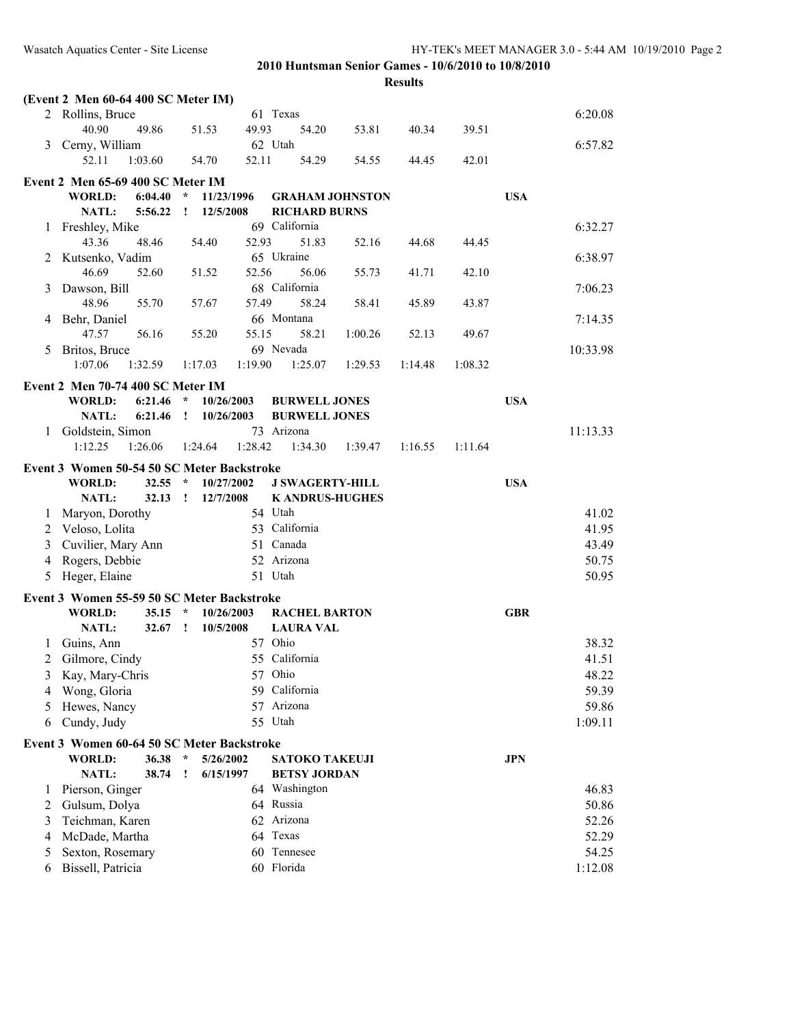|   | (Event 2 Men 60-64 400 SC Meter IM)        |         |               |            |         |                           |         |         |         |            |                  |
|---|--------------------------------------------|---------|---------------|------------|---------|---------------------------|---------|---------|---------|------------|------------------|
|   | 2 Rollins, Bruce                           |         |               |            |         | 61 Texas                  |         |         |         |            | 6:20.08          |
|   | 40.90                                      | 49.86   |               | 51.53      | 49.93   | 54.20                     | 53.81   | 40.34   | 39.51   |            |                  |
| 3 | Cerny, William                             |         |               |            |         | 62 Utah                   |         |         |         |            | 6:57.82          |
|   | 52.11                                      | 1:03.60 |               | 54.70      | 52.11   | 54.29                     | 54.55   | 44.45   | 42.01   |            |                  |
|   | Event 2 Men 65-69 400 SC Meter IM          |         |               |            |         |                           |         |         |         |            |                  |
|   | <b>WORLD:</b>                              | 6:04.40 | $\star$       | 11/23/1996 |         | <b>GRAHAM JOHNSTON</b>    |         |         |         | <b>USA</b> |                  |
|   | NATL:                                      | 5:56.22 | Ţ.            | 12/5/2008  |         | <b>RICHARD BURNS</b>      |         |         |         |            |                  |
| 1 | Freshley, Mike                             |         |               |            |         | 69 California             |         |         |         |            | 6:32.27          |
|   | 43.36                                      | 48.46   |               | 54.40      | 52.93   | 51.83                     | 52.16   | 44.68   | 44.45   |            |                  |
| 2 | Kutsenko, Vadim                            |         |               |            |         | 65 Ukraine                |         |         |         |            | 6:38.97          |
|   | 46.69                                      | 52.60   |               | 51.52      | 52.56   | 56.06                     | 55.73   | 41.71   | 42.10   |            |                  |
| 3 | Dawson, Bill                               |         |               |            |         | 68 California             |         |         |         |            | 7:06.23          |
|   | 48.96                                      | 55.70   |               | 57.67      | 57.49   | 58.24                     | 58.41   | 45.89   | 43.87   |            |                  |
| 4 | Behr, Daniel                               |         |               |            |         | 66 Montana                |         |         |         |            | 7:14.35          |
|   | 47.57                                      | 56.16   |               | 55.20      | 55.15   | 58.21                     | 1:00.26 | 52.13   | 49.67   |            |                  |
| 5 | Britos, Bruce                              |         |               |            |         | 69 Nevada                 |         |         |         |            | 10:33.98         |
|   | 1:07.06                                    | 1:32.59 |               | 1:17.03    | 1:19.90 | 1:25.07                   | 1:29.53 | 1:14.48 | 1:08.32 |            |                  |
|   |                                            |         |               |            |         |                           |         |         |         |            |                  |
|   | Event 2 Men 70-74 400 SC Meter IM          |         |               |            |         |                           |         |         |         |            |                  |
|   | <b>WORLD:</b>                              | 6:21.46 | $\star$       | 10/26/2003 |         | <b>BURWELL JONES</b>      |         |         |         | <b>USA</b> |                  |
|   | NATL:                                      | 6:21.46 | Ţ.            | 10/26/2003 |         | <b>BURWELL JONES</b>      |         |         |         |            |                  |
| 1 | Goldstein, Simon<br>1:12.25                | 1:26.06 |               | 1:24.64    | 1:28.42 | 73 Arizona<br>1:34.30     |         |         | 1:11.64 |            | 11:13.33         |
|   |                                            |         |               |            |         |                           | 1:39.47 | 1:16.55 |         |            |                  |
|   | Event 3 Women 50-54 50 SC Meter Backstroke |         |               |            |         |                           |         |         |         |            |                  |
|   | <b>WORLD:</b>                              | 32.55   | $\mathcal{A}$ | 10/27/2002 |         | <b>J SWAGERTY-HILL</b>    |         |         |         | <b>USA</b> |                  |
|   | NATL:                                      | 32.13   | Ţ             | 12/7/2008  |         | <b>K ANDRUS-HUGHES</b>    |         |         |         |            |                  |
| 1 | Maryon, Dorothy                            |         |               |            |         | 54 Utah                   |         |         |         |            | 41.02            |
| 2 | Veloso, Lolita                             |         |               |            |         | 53 California             |         |         |         |            | 41.95            |
| 3 | Cuvilier, Mary Ann                         |         |               |            |         | 51 Canada                 |         |         |         |            | 43.49            |
| 4 | Rogers, Debbie                             |         |               |            |         | 52 Arizona                |         |         |         |            | 50.75            |
| 5 | Heger, Elaine                              |         |               |            |         | 51 Utah                   |         |         |         |            | 50.95            |
|   | Event 3 Women 55-59 50 SC Meter Backstroke |         |               |            |         |                           |         |         |         |            |                  |
|   | <b>WORLD:</b>                              | 35.15   | $\star$       | 10/26/2003 |         | <b>RACHEL BARTON</b>      |         |         |         | <b>GBR</b> |                  |
|   | NATL:                                      | 32.67   | $\mathbf{I}$  | 10/5/2008  |         | <b>LAURA VAL</b>          |         |         |         |            |                  |
| 1 | Guins, Ann                                 |         |               |            |         | 57 Ohio                   |         |         |         |            | 38.32            |
| 2 | Gilmore, Cindy                             |         |               |            |         | 55 California             |         |         |         |            | 41.51            |
| 3 | Kay, Mary-Chris                            |         |               |            |         | 57 Ohio                   |         |         |         |            | 48.22            |
| 4 | Wong, Gloria                               |         |               |            |         | 59 California             |         |         |         |            | 59.39            |
| 5 | Hewes, Nancy                               |         |               |            |         | 57 Arizona                |         |         |         |            | 59.86            |
| 6 | Cundy, Judy                                |         |               |            |         | 55 Utah                   |         |         |         |            | 1:09.11          |
|   |                                            |         |               |            |         |                           |         |         |         |            |                  |
|   | Event 3 Women 60-64 50 SC Meter Backstroke |         |               |            |         |                           |         |         |         |            |                  |
|   | <b>WORLD:</b>                              | 36.38   | $\star$       | 5/26/2002  |         | <b>SATOKO TAKEUJI</b>     |         |         |         | <b>JPN</b> |                  |
|   | NATL:                                      | 38.74   | Ţ             | 6/15/1997  |         | <b>BETSY JORDAN</b>       |         |         |         |            |                  |
| 1 | Pierson, Ginger                            |         |               |            |         | 64 Washington             |         |         |         |            | 46.83            |
| 2 | Gulsum, Dolya                              |         |               |            |         | 64 Russia                 |         |         |         |            | 50.86            |
| 3 | Teichman, Karen                            |         |               |            |         | 62 Arizona                |         |         |         |            | 52.26            |
|   |                                            |         |               |            |         |                           |         |         |         |            |                  |
| 4 | McDade, Martha                             |         |               |            |         | 64 Texas                  |         |         |         |            | 52.29            |
| 5 | Sexton, Rosemary<br>Bissell, Patricia      |         |               |            |         | 60 Tennesee<br>60 Florida |         |         |         |            | 54.25<br>1:12.08 |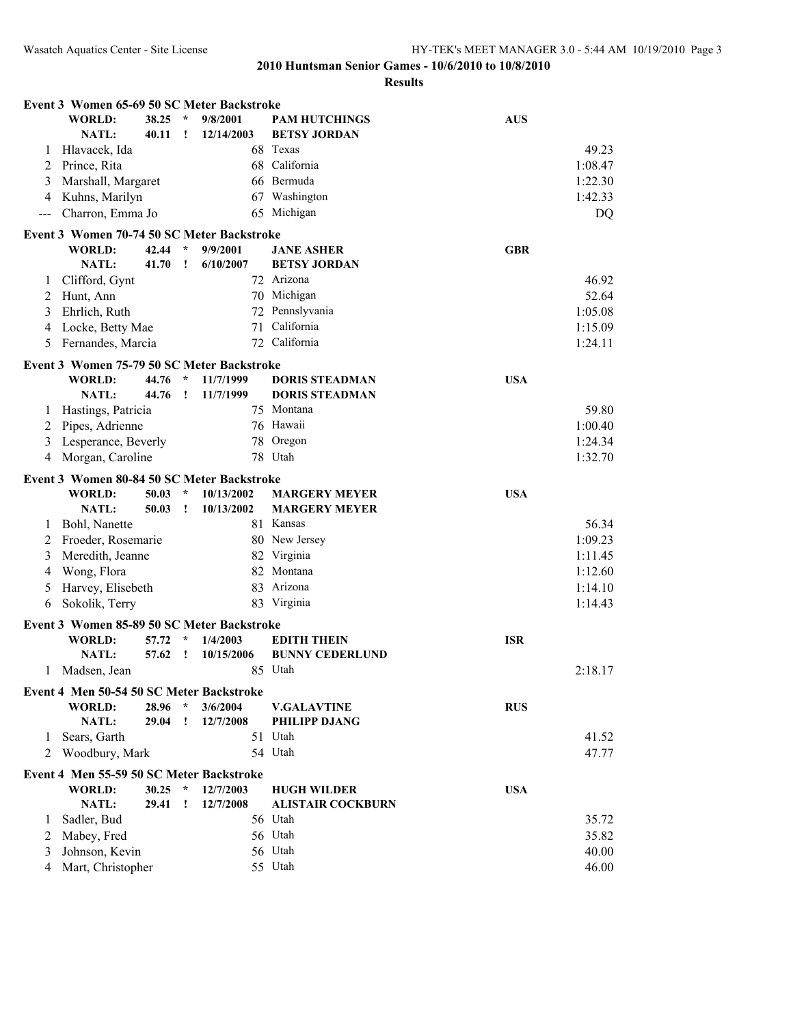|       | Event 3 Women 65-69 50 SC Meter Backstroke |       |              |            |                                     |            |                |
|-------|--------------------------------------------|-------|--------------|------------|-------------------------------------|------------|----------------|
|       | <b>WORLD:</b>                              | 38.25 | $\star$      | 9/8/2001   | <b>PAM HUTCHINGS</b>                | <b>AUS</b> |                |
|       | <b>NATL:</b>                               | 40.11 | Ţ            | 12/14/2003 | <b>BETSY JORDAN</b>                 |            |                |
| 1     | Hlavacek, Ida                              |       |              |            | 68 Texas                            |            | 49.23          |
| 2     | Prince, Rita                               |       |              |            | 68 California                       |            | 1:08.47        |
| 3     | Marshall, Margaret                         |       |              |            | 66 Bermuda                          |            | 1:22.30        |
| 4     | Kuhns, Marilyn                             |       |              |            | 67 Washington                       |            | 1:42.33        |
| $---$ | Charron, Emma Jo                           |       |              |            | 65 Michigan                         |            | DQ             |
|       | Event 3 Women 70-74 50 SC Meter Backstroke |       |              |            |                                     |            |                |
|       | WORLD:                                     | 42.44 | $\star$      | 9/9/2001   | <b>JANE ASHER</b>                   | <b>GBR</b> |                |
|       | <b>NATL:</b>                               | 41.70 | T            | 6/10/2007  | <b>BETSY JORDAN</b>                 |            |                |
| 1     | Clifford, Gynt                             |       |              |            | 72 Arizona                          |            | 46.92          |
| 2     | Hunt, Ann                                  |       |              |            | 70 Michigan                         |            | 52.64          |
| 3     | Ehrlich, Ruth                              |       |              |            | 72 Pennslyvania                     |            | 1:05.08        |
| 4     | Locke, Betty Mae                           |       |              |            | 71 California                       |            | 1:15.09        |
| 5     | Fernandes, Marcia                          |       |              |            | 72 California                       |            | 1:24.11        |
|       |                                            |       |              |            |                                     |            |                |
|       | Event 3 Women 75-79 50 SC Meter Backstroke |       |              |            |                                     |            |                |
|       | <b>WORLD:</b>                              | 44.76 | $\star$<br>Ţ | 11/7/1999  | <b>DORIS STEADMAN</b>               | <b>USA</b> |                |
|       | <b>NATL:</b>                               | 44.76 |              | 11/7/1999  | <b>DORIS STEADMAN</b><br>75 Montana |            |                |
| 1     | Hastings, Patricia                         |       |              |            | 76 Hawaii                           |            | 59.80          |
| 2     | Pipes, Adrienne                            |       |              |            |                                     |            | 1:00.40        |
| 3     | Lesperance, Beverly                        |       |              |            | 78 Oregon                           |            | 1:24.34        |
| 4     | Morgan, Caroline                           |       |              |            | 78 Utah                             |            | 1:32.70        |
|       | Event 3 Women 80-84 50 SC Meter Backstroke |       |              |            |                                     |            |                |
|       |                                            |       |              |            |                                     |            |                |
|       | <b>WORLD:</b>                              | 50.03 | $\star$      | 10/13/2002 | <b>MARGERY MEYER</b>                | <b>USA</b> |                |
|       | NATL:                                      | 50.03 | T            | 10/13/2002 | <b>MARGERY MEYER</b>                |            |                |
| 1     | Bohl, Nanette                              |       |              |            | 81 Kansas                           |            | 56.34          |
| 2     | Froeder, Rosemarie                         |       |              |            | 80 New Jersey                       |            | 1:09.23        |
| 3     | Meredith, Jeanne                           |       |              |            | 82 Virginia                         |            | 1:11.45        |
| 4     | Wong, Flora                                |       |              |            | 82 Montana                          |            | 1:12.60        |
| 5     | Harvey, Elisebeth                          |       |              |            | 83 Arizona                          |            | 1:14.10        |
| 6     | Sokolik, Terry                             |       |              |            | 83 Virginia                         |            | 1:14.43        |
|       |                                            |       |              |            |                                     |            |                |
|       | Event 3 Women 85-89 50 SC Meter Backstroke |       | $\star$      |            |                                     |            |                |
|       | <b>WORLD:</b><br>NATL:                     | 57.72 | Ţ            | 1/4/2003   | <b>EDITH THEIN</b>                  | <b>ISR</b> |                |
|       |                                            | 57.62 |              | 10/15/2006 | <b>BUNNY CEDERLUND</b>              |            |                |
| 1     | Madsen, Jean                               |       |              |            | 85 Utah                             |            | 2:18.17        |
|       | Event 4 Men 50-54 50 SC Meter Backstroke   |       |              |            |                                     |            |                |
|       | <b>WORLD:</b>                              | 28.96 | $\star$      | 3/6/2004   | <b>V.GALAVTINE</b>                  | <b>RUS</b> |                |
|       | NATL:                                      | 29.04 | Ţ            | 12/7/2008  | PHILIPP DJANG                       |            |                |
| 1     | Sears, Garth                               |       |              |            | 51 Utah                             |            | 41.52          |
| 2     | Woodbury, Mark                             |       |              |            | 54 Utah                             |            | 47.77          |
|       | Event 4 Men 55-59 50 SC Meter Backstroke   |       |              |            |                                     |            |                |
|       | <b>WORLD:</b>                              | 30.25 | $\star$      | 12/7/2003  | <b>HUGH WILDER</b>                  | <b>USA</b> |                |
|       | NATL:                                      | 29.41 | ı            | 12/7/2008  | <b>ALISTAIR COCKBURN</b>            |            |                |
| 1     | Sadler, Bud                                |       |              |            | 56 Utah                             |            | 35.72          |
| 2     | Mabey, Fred                                |       |              |            | 56 Utah                             |            | 35.82          |
| 3     | Johnson, Kevin<br>Mart, Christopher        |       |              |            | 56 Utah<br>55 Utah                  |            | 40.00<br>46.00 |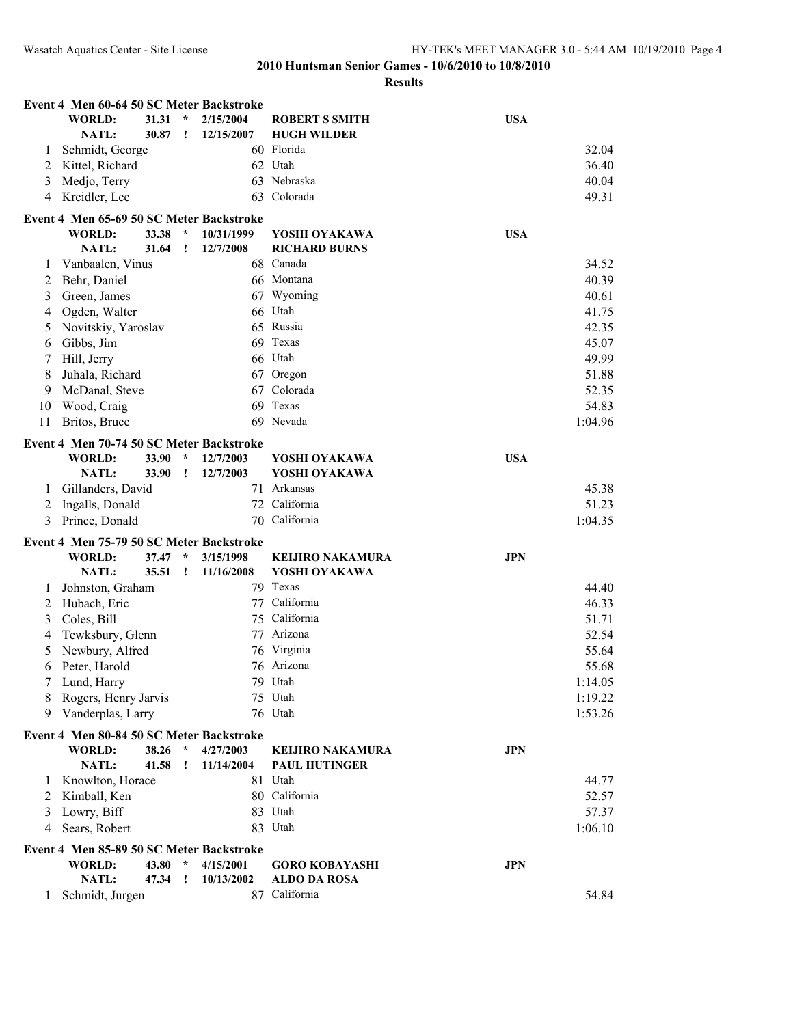|    | Event 4 Men 60-64 50 SC Meter Backstroke                  |       |              |            |                         |            |         |
|----|-----------------------------------------------------------|-------|--------------|------------|-------------------------|------------|---------|
|    | <b>WORLD:</b>                                             | 31.31 | $\star$      | 2/15/2004  | <b>ROBERT S SMITH</b>   | <b>USA</b> |         |
|    | NATL:                                                     | 30.87 | Ţ            | 12/15/2007 | <b>HUGH WILDER</b>      |            |         |
| 1  | Schmidt, George                                           |       |              |            | 60 Florida              |            | 32.04   |
| 2  | Kittel, Richard                                           |       |              |            | 62 Utah                 |            | 36.40   |
| 3  | Medjo, Terry                                              |       |              |            | 63 Nebraska             |            | 40.04   |
| 4  | Kreidler, Lee                                             |       |              | 63         | Colorada                |            | 49.31   |
|    | Event 4 Men 65-69 50 SC Meter Backstroke                  |       |              |            |                         |            |         |
|    | <b>WORLD:</b>                                             | 33.38 | $\star$      | 10/31/1999 | YOSHI OYAKAWA           | <b>USA</b> |         |
|    | NATL:                                                     | 31.64 | Ţ            | 12/7/2008  | <b>RICHARD BURNS</b>    |            |         |
| 1  | Vanbaalen, Vinus                                          |       |              |            | 68 Canada               |            | 34.52   |
| 2  | Behr, Daniel                                              |       |              |            | 66 Montana              |            | 40.39   |
| 3  | Green, James                                              |       |              |            | 67 Wyoming              |            | 40.61   |
| 4  | Ogden, Walter                                             |       |              |            | 66 Utah                 |            | 41.75   |
| 5  | Novitskiy, Yaroslav                                       |       |              |            | 65 Russia               |            | 42.35   |
| 6  | Gibbs, Jim                                                |       |              |            | 69 Texas                |            | 45.07   |
| 7  | Hill, Jerry                                               |       |              |            | 66 Utah                 |            | 49.99   |
| 8  | Juhala, Richard                                           |       |              |            | 67 Oregon               |            | 51.88   |
|    |                                                           |       |              | 67         | Colorada                |            |         |
| 9  | McDanal, Steve                                            |       |              |            |                         |            | 52.35   |
| 10 | Wood, Craig                                               |       |              | 69         | Texas                   |            | 54.83   |
| 11 | Britos, Bruce                                             |       |              |            | 69 Nevada               |            | 1:04.96 |
|    | Event 4 Men 70-74 50 SC Meter Backstroke                  |       |              |            |                         |            |         |
|    | <b>WORLD:</b>                                             | 33.90 | $\star$      | 12/7/2003  | YOSHI OYAKAWA           | <b>USA</b> |         |
|    | NATL:                                                     | 33.90 | Ţ            | 12/7/2003  | YOSHI OYAKAWA           |            |         |
| 1  | Gillanders, David                                         |       |              |            | 71 Arkansas             |            | 45.38   |
| 2  | Ingalls, Donald                                           |       |              |            | 72 California           |            | 51.23   |
| 3  | Prince, Donald                                            |       |              | 70         | California              |            | 1:04.35 |
|    | Event 4 Men 75-79 50 SC Meter Backstroke                  |       |              |            |                         |            |         |
|    | <b>WORLD:</b>                                             | 37.47 | $\star$      | 3/15/1998  | <b>KEIJIRO NAKAMURA</b> | <b>JPN</b> |         |
|    | <b>NATL:</b>                                              | 35.51 | Ţ            | 11/16/2008 | YOSHI OYAKAWA           |            |         |
| 1  | Johnston, Graham                                          |       |              |            | 79 Texas                |            | 44.40   |
| 2  | Hubach, Eric                                              |       |              |            | 77 California           |            | 46.33   |
| 3  | Coles, Bill                                               |       |              | 75         | California              |            | 51.71   |
| 4  | Tewksbury, Glenn                                          |       |              |            | 77 Arizona              |            | 52.54   |
| 5  | Newbury, Alfred                                           |       |              |            | 76 Virginia             |            | 55.64   |
| 6  | Peter, Harold                                             |       |              |            | 76 Arizona              |            | 55.68   |
|    | Lund, Harry                                               |       |              |            | 79 Utah                 |            | 1:14.05 |
| 8  | Rogers, Henry Jarvis                                      |       |              |            | 75 Utah                 |            | 1:19.22 |
| 9  | Vanderplas, Larry                                         |       |              |            | 76 Utah                 |            | 1:53.26 |
|    |                                                           |       |              |            |                         |            |         |
|    | Event 4 Men 80-84 50 SC Meter Backstroke<br><b>WORLD:</b> | 38.26 | $\star$      | 4/27/2003  | <b>KEIJIRO NAKAMURA</b> | <b>JPN</b> |         |
|    | <b>NATL:</b>                                              | 41.58 | Ţ            | 11/14/2004 | <b>PAUL HUTINGER</b>    |            |         |
|    |                                                           |       |              |            | 81 Utah                 |            |         |
| 1  | Knowlton, Horace                                          |       |              |            |                         |            | 44.77   |
| 2  | Kimball, Ken                                              |       |              |            | 80 California           |            | 52.57   |
| 3  | Lowry, Biff                                               |       |              |            | 83 Utah                 |            | 57.37   |
| 4  | Sears, Robert                                             |       |              |            | 83 Utah                 |            | 1:06.10 |
|    | Event 4 Men 85-89 50 SC Meter Backstroke                  |       |              |            |                         |            |         |
|    | <b>WORLD:</b>                                             | 43.80 | $\star$      | 4/15/2001  | <b>GORO KOBAYASHI</b>   | <b>JPN</b> |         |
|    | NATL:                                                     | 47.34 | $\mathbf{I}$ | 10/13/2002 | <b>ALDO DA ROSA</b>     |            |         |
| 1  | Schmidt, Jurgen                                           |       |              |            | 87 California           |            | 54.84   |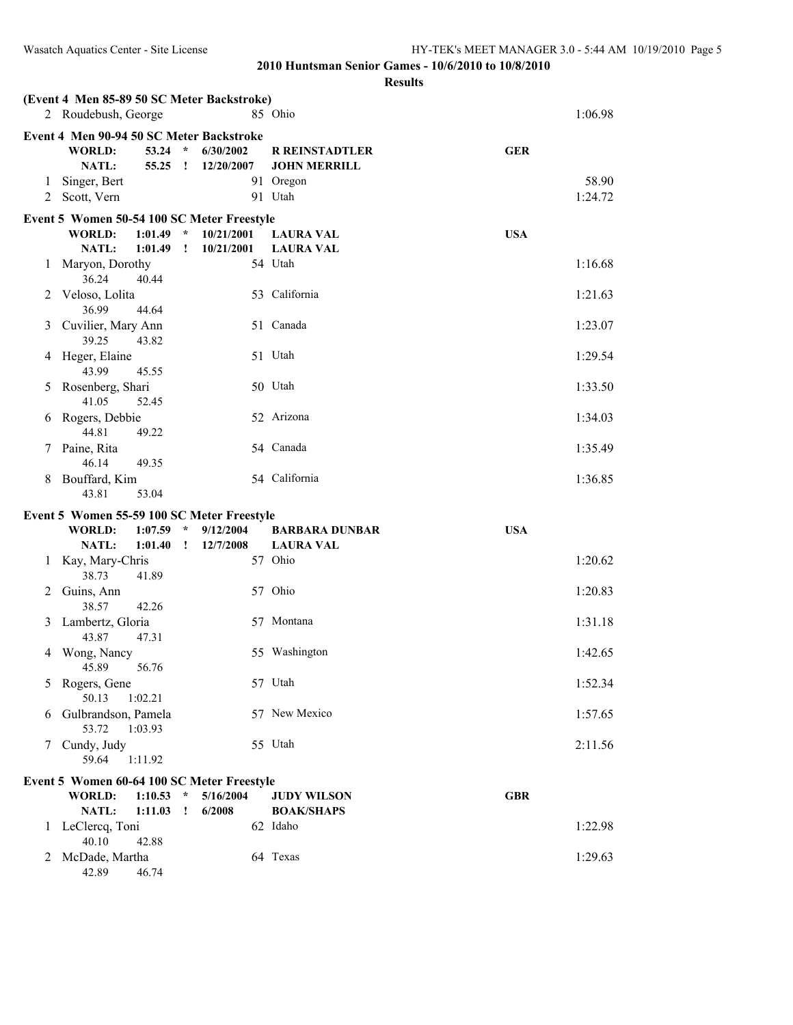|                                           | (Event 4 Men 85-89 50 SC Meter Backstroke)   |                             |                          |                                         |            |  |  |  |  |  |
|-------------------------------------------|----------------------------------------------|-----------------------------|--------------------------|-----------------------------------------|------------|--|--|--|--|--|
| 85 Ohio<br>2 Roudebush, George<br>1:06.98 |                                              |                             |                          |                                         |            |  |  |  |  |  |
|                                           | Event 4 Men 90-94 50 SC Meter Backstroke     |                             |                          |                                         |            |  |  |  |  |  |
|                                           | <b>WORLD:</b>                                | $\mathcal{R}$<br>53.24      | 6/30/2002                | <b>R REINSTADTLER</b>                   | <b>GER</b> |  |  |  |  |  |
|                                           | NATL:                                        | $55.25$ !                   | 12/20/2007               | <b>JOHN MERRILL</b>                     |            |  |  |  |  |  |
| 1                                         | Singer, Bert                                 |                             |                          | 91 Oregon                               | 58.90      |  |  |  |  |  |
|                                           | 2 Scott, Vern                                |                             |                          | 91 Utah                                 | 1:24.72    |  |  |  |  |  |
|                                           | Event 5 Women 50-54 100 SC Meter Freestyle   |                             |                          |                                         |            |  |  |  |  |  |
|                                           | WORLD:<br>NATL:<br>1:01.49                   | $1:01.49$ *<br>$\mathbf{I}$ | 10/21/2001<br>10/21/2001 | <b>LAURA VAL</b><br><b>LAURA VAL</b>    | <b>USA</b> |  |  |  |  |  |
| 1                                         | Maryon, Dorothy                              |                             |                          | 54 Utah                                 | 1:16.68    |  |  |  |  |  |
|                                           | 36.24<br>40.44                               |                             |                          |                                         |            |  |  |  |  |  |
| 2                                         | Veloso, Lolita<br>36.99<br>44.64             |                             |                          | 53 California                           | 1:21.63    |  |  |  |  |  |
| 3                                         | Cuvilier, Mary Ann                           |                             |                          | 51 Canada                               | 1:23.07    |  |  |  |  |  |
|                                           | 39.25<br>43.82                               |                             |                          |                                         |            |  |  |  |  |  |
| 4                                         | Heger, Elaine                                |                             |                          | 51 Utah                                 | 1:29.54    |  |  |  |  |  |
|                                           | 43.99<br>45.55                               |                             |                          |                                         |            |  |  |  |  |  |
| 5                                         | Rosenberg, Shari                             |                             |                          | 50 Utah                                 | 1:33.50    |  |  |  |  |  |
|                                           | 41.05<br>52.45                               |                             |                          |                                         |            |  |  |  |  |  |
| 6                                         | Rogers, Debbie<br>44.81<br>49.22             |                             |                          | 52 Arizona                              | 1:34.03    |  |  |  |  |  |
| 7                                         | Paine, Rita                                  |                             |                          | 54 Canada                               | 1:35.49    |  |  |  |  |  |
|                                           | 46.14<br>49.35                               |                             |                          |                                         |            |  |  |  |  |  |
| 8                                         | Bouffard, Kim                                |                             |                          | 54 California                           | 1:36.85    |  |  |  |  |  |
|                                           | 43.81<br>53.04                               |                             |                          |                                         |            |  |  |  |  |  |
|                                           | Event 5 Women 55-59 100 SC Meter Freestyle   |                             |                          |                                         |            |  |  |  |  |  |
|                                           |                                              |                             |                          |                                         |            |  |  |  |  |  |
|                                           | <b>WORLD:</b><br>1:07.59                     | $\mathcal{A}$               | 9/12/2004                | <b>BARBARA DUNBAR</b>                   | <b>USA</b> |  |  |  |  |  |
|                                           | NATL:<br>1:01.40                             | $\mathbf{I}$                | 12/7/2008                | <b>LAURA VAL</b>                        |            |  |  |  |  |  |
| 1                                         | Kay, Mary-Chris<br>38.73<br>41.89            |                             |                          | 57 Ohio                                 | 1:20.62    |  |  |  |  |  |
| 2                                         | Guins, Ann                                   |                             |                          | 57 Ohio                                 | 1:20.83    |  |  |  |  |  |
|                                           | 38.57<br>42.26                               |                             |                          |                                         |            |  |  |  |  |  |
| 3                                         | Lambertz, Gloria                             |                             |                          | 57 Montana                              | 1:31.18    |  |  |  |  |  |
|                                           | 43.87<br>47.31                               |                             |                          |                                         |            |  |  |  |  |  |
| 4                                         | Wong, Nancy<br>45.89<br>56.76                |                             |                          | 55 Washington                           | 1:42.65    |  |  |  |  |  |
| 5                                         | Rogers, Gene                                 |                             |                          | 57 Utah                                 | 1:52.34    |  |  |  |  |  |
|                                           | 50.13<br>1:02.21                             |                             |                          |                                         |            |  |  |  |  |  |
| 6                                         | Gulbrandson, Pamela                          |                             |                          | 57 New Mexico                           | 1:57.65    |  |  |  |  |  |
|                                           | 53.72<br>1:03.93                             |                             |                          |                                         |            |  |  |  |  |  |
| 7                                         | Cundy, Judy                                  |                             |                          | 55 Utah                                 | 2:11.56    |  |  |  |  |  |
|                                           | 59.64<br>1:11.92                             |                             |                          |                                         |            |  |  |  |  |  |
|                                           | Event 5 Women 60-64 100 SC Meter Freestyle   |                             |                          |                                         |            |  |  |  |  |  |
|                                           | <b>WORLD:</b><br>1:10.53<br>NATL:<br>1:11.03 | $\star$<br>$\mathbf{I}$     | 5/16/2004<br>6/2008      | <b>JUDY WILSON</b><br><b>BOAK/SHAPS</b> | <b>GBR</b> |  |  |  |  |  |
| 1                                         | LeClercq, Toni                               |                             |                          | 62 Idaho                                | 1:22.98    |  |  |  |  |  |
| 2                                         | 40.10<br>42.88<br>McDade, Martha             |                             |                          | 64 Texas                                | 1:29.63    |  |  |  |  |  |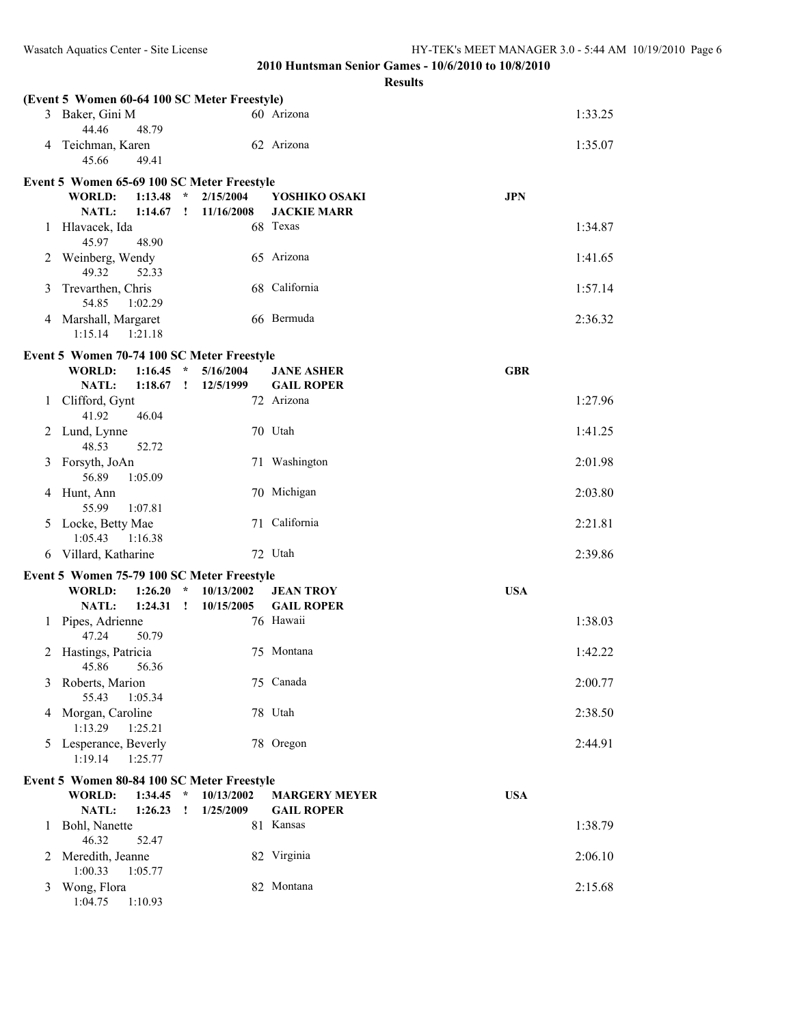|   | (Event 5 Women 60-64 100 SC Meter Freestyle)<br>3 Baker, Gini M |              |            | 60 Arizona           | 1:33.25    |
|---|-----------------------------------------------------------------|--------------|------------|----------------------|------------|
|   | 44.46<br>48.79<br>4 Teichman, Karen                             |              |            | 62 Arizona           | 1:35.07    |
|   | 45.66<br>49.41                                                  |              |            |                      |            |
|   | Event 5 Women 65-69 100 SC Meter Freestyle                      |              |            |                      |            |
|   | <b>WORLD:</b><br>1:13.48                                        | $\star$      | 2/15/2004  | YOSHIKO OSAKI        | <b>JPN</b> |
|   | <b>NATL:</b><br>1:14.67                                         | $\mathbf{I}$ | 11/16/2008 | <b>JACKIE MARR</b>   |            |
| 1 | Hlavacek, Ida<br>45.97<br>48.90                                 |              |            | 68 Texas             | 1:34.87    |
| 2 | Weinberg, Wendy<br>49.32<br>52.33                               |              |            | 65 Arizona           | 1:41.65    |
| 3 | Trevarthen, Chris<br>54.85<br>1:02.29                           |              |            | 68 California        | 1:57.14    |
|   | 4 Marshall, Margaret<br>1:15.14<br>1:21.18                      |              |            | 66 Bermuda           | 2:36.32    |
|   | Event 5 Women 70-74 100 SC Meter Freestyle                      |              |            |                      |            |
|   | WORLD:<br>1:16.45                                               | $\star$      | 5/16/2004  | <b>JANE ASHER</b>    | <b>GBR</b> |
|   | <b>NATL:</b><br>1:18.67                                         | $\mathbf{r}$ | 12/5/1999  | <b>GAIL ROPER</b>    |            |
| 1 | Clifford, Gynt<br>46.04<br>41.92                                |              |            | 72 Arizona           | 1:27.96    |
| 2 | Lund, Lynne<br>48.53<br>52.72                                   |              |            | 70 Utah              | 1:41.25    |
| 3 | Forsyth, JoAn<br>56.89<br>1:05.09                               |              |            | 71 Washington        | 2:01.98    |
| 4 | Hunt, Ann<br>55.99<br>1:07.81                                   |              |            | 70 Michigan          | 2:03.80    |
| 5 | Locke, Betty Mae<br>1:05.43<br>1:16.38                          |              |            | 71 California        | 2:21.81    |
| 6 | Villard, Katharine                                              |              |            | 72 Utah              | 2:39.86    |
|   | Event 5 Women 75-79 100 SC Meter Freestyle                      |              |            |                      |            |
|   | <b>WORLD:</b><br>1:26.20                                        | $\star$      | 10/13/2002 | <b>JEAN TROY</b>     | <b>USA</b> |
|   | NATL:<br>1:24.31                                                | $\mathbf{I}$ | 10/15/2005 | <b>GAIL ROPER</b>    |            |
| 1 | Pipes, Adrienne<br>47.24<br>50.79                               |              |            | 76 Hawaii            | 1:38.03    |
| 2 | Hastings, Patricia<br>45.86 56.36                               |              |            | 75 Montana           | 1:42.22    |
| 3 | Roberts, Marion<br>55.43<br>1:05.34                             |              |            | 75 Canada            | 2:00.77    |
|   | 4 Morgan, Caroline<br>1:13.29<br>1:25.21                        |              |            | 78 Utah              | 2:38.50    |
| 5 | Lesperance, Beverly<br>1:19.14<br>1:25.77                       |              |            | 78 Oregon            | 2:44.91    |
|   | Event 5 Women 80-84 100 SC Meter Freestyle                      |              |            |                      |            |
|   | <b>WORLD:</b><br>1:34.45                                        | $\star$      | 10/13/2002 | <b>MARGERY MEYER</b> | <b>USA</b> |
|   | NATL:<br>1:26.23                                                | $\mathbf{I}$ | 1/25/2009  | <b>GAIL ROPER</b>    |            |
| 1 | Bohl, Nanette<br>46.32<br>52.47                                 |              |            | 81 Kansas            | 1:38.79    |
| 2 | Meredith, Jeanne<br>1:00.33<br>1:05.77                          |              |            | 82 Virginia          | 2:06.10    |
| 3 | Wong, Flora<br>1:04.75<br>1:10.93                               |              |            | 82 Montana           | 2:15.68    |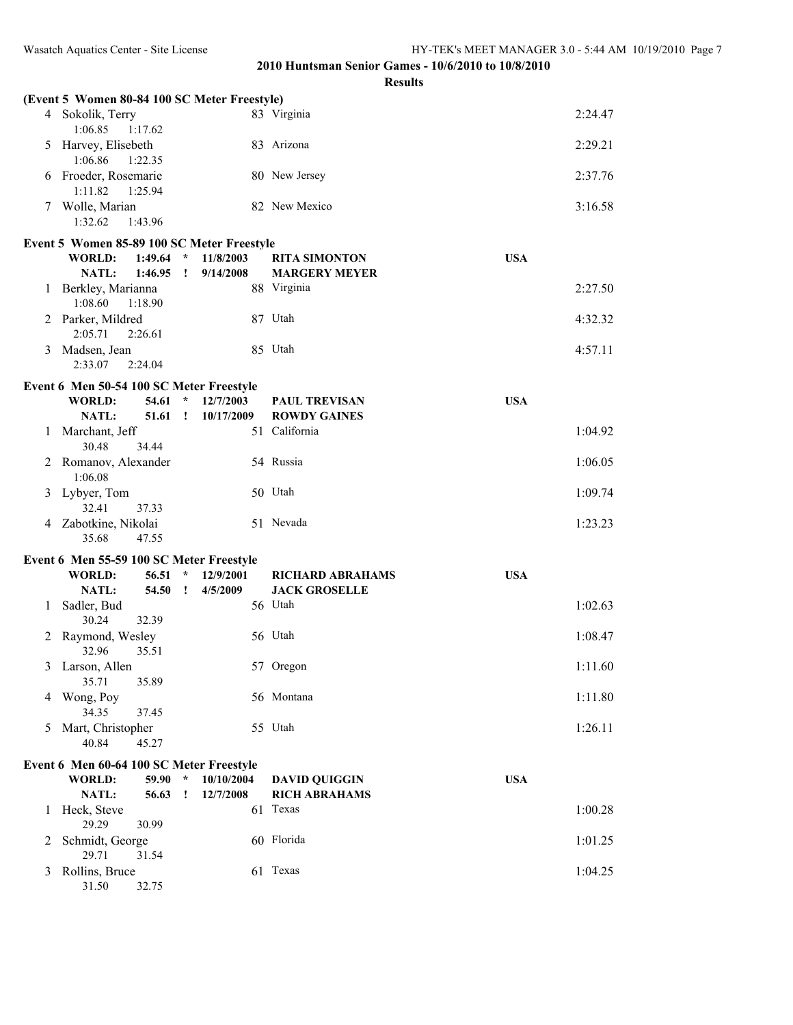|   | (Event 5 Women 80-84 100 SC Meter Freestyle) |              |            |                                 |            |         |
|---|----------------------------------------------|--------------|------------|---------------------------------|------------|---------|
|   | 4 Sokolik, Terry<br>1:17.62<br>1:06.85       |              |            | 83 Virginia                     |            | 2:24.47 |
| 5 | Harvey, Elisebeth<br>1:06.86<br>1:22.35      |              |            | 83 Arizona                      |            | 2:29.21 |
|   | Froeder, Rosemarie<br>1:11.82<br>1:25.94     |              |            | 80 New Jersey                   |            | 2:37.76 |
|   | 7 Wolle, Marian<br>1:32.62<br>1:43.96        |              |            | 82 New Mexico                   |            | 3:16.58 |
|   | Event 5 Women 85-89 100 SC Meter Freestyle   |              |            |                                 |            |         |
|   | <b>WORLD:</b><br>$1:49.64$ *                 |              | 11/8/2003  | <b>RITA SIMONTON</b>            | <b>USA</b> |         |
|   | NATL:<br>$1:46.95$ !                         |              | 9/14/2008  | <b>MARGERY MEYER</b>            |            |         |
| 1 | Berkley, Marianna<br>1:08.60<br>1:18.90      |              |            | 88 Virginia                     |            | 2:27.50 |
|   | 2 Parker, Mildred<br>2:05.71<br>2:26.61      |              |            | 87 Utah                         |            | 4:32.32 |
|   | 3 Madsen, Jean<br>2:33.07<br>2:24.04         |              |            | 85 Utah                         |            | 4:57.11 |
|   | Event 6 Men 50-54 100 SC Meter Freestyle     |              |            |                                 |            |         |
|   | <b>WORLD:</b><br>54.61                       | $\star$      | 12/7/2003  | <b>PAUL TREVISAN</b>            | <b>USA</b> |         |
|   | 51.61<br><b>NATL:</b>                        | $\mathbf{r}$ | 10/17/2009 | <b>ROWDY GAINES</b>             |            |         |
| 1 | Marchant, Jeff<br>30.48<br>34.44             |              |            | 51 California                   |            | 1:04.92 |
|   | 2 Romanov, Alexander<br>1:06.08              |              |            | 54 Russia                       |            | 1:06.05 |
|   | 3 Lybyer, Tom<br>32.41<br>37.33              |              |            | 50 Utah                         |            | 1:09.74 |
|   | 4 Zabotkine, Nikolai<br>35.68<br>47.55       |              |            | 51 Nevada                       |            | 1:23.23 |
|   |                                              |              |            |                                 |            |         |
|   | Event 6 Men 55-59 100 SC Meter Freestyle     |              |            |                                 |            |         |
|   | <b>WORLD:</b><br>56.51                       | $\star$      | 12/9/2001  | <b>RICHARD ABRAHAMS</b>         | <b>USA</b> |         |
| 1 | NATL:<br>54.50<br>Sadler, Bud                | $\mathbf{r}$ | 4/5/2009   | <b>JACK GROSELLE</b><br>56 Utah |            | 1:02.63 |
|   | 30.24<br>32.39                               |              |            |                                 |            |         |
|   | 2 Raymond, Wesley<br>32.96<br>35.51          |              |            | 56 Utah                         |            | 1:08.47 |
|   | 3 Larson, Allen<br>35.71<br>35.89            |              |            | 57 Oregon                       |            | 1:11.60 |
| 4 | Wong, Poy<br>34.35<br>37.45                  |              |            | 56 Montana                      |            | 1:11.80 |
| 5 | Mart, Christopher<br>40.84<br>45.27          |              |            | 55 Utah                         |            | 1:26.11 |
|   | Event 6 Men 60-64 100 SC Meter Freestyle     |              |            |                                 |            |         |
|   | <b>WORLD:</b><br>59.90                       | $\star$      | 10/10/2004 | <b>DAVID QUIGGIN</b>            | <b>USA</b> |         |
|   | NATL:<br>56.63                               | $\cdot$      | 12/7/2008  | <b>RICH ABRAHAMS</b>            |            |         |
| 1 | Heck, Steve<br>29.29<br>30.99                |              |            | 61 Texas                        |            | 1:00.28 |
| 2 | Schmidt, George<br>29.71<br>31.54            |              |            | 60 Florida                      |            | 1:01.25 |
| 3 | Rollins, Bruce<br>31.50<br>32.75             |              |            | 61 Texas                        |            | 1:04.25 |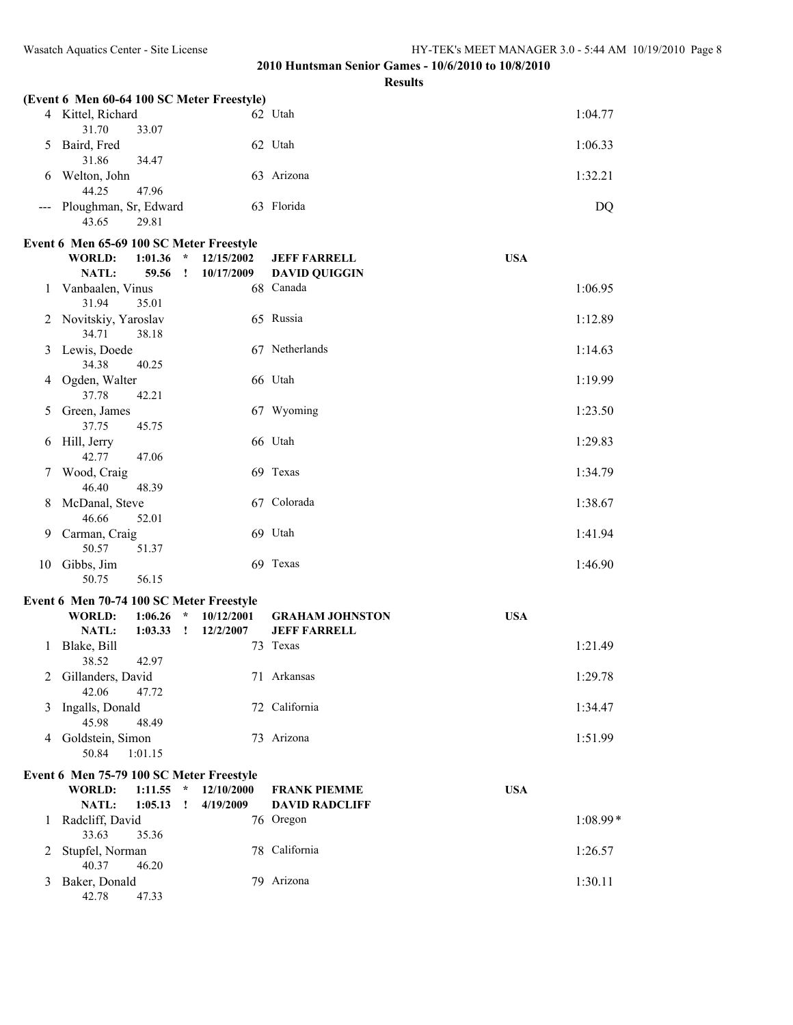|               | (Event 6 Men 60-64 100 SC Meter Freestyle) |                             |                        |            |          |
|---------------|--------------------------------------------|-----------------------------|------------------------|------------|----------|
|               | 4 Kittel, Richard<br>31.70<br>33.07        |                             | 62 Utah                |            | 1:04.77  |
| 5             | Baird, Fred<br>31.86<br>34.47              |                             | 62 Utah                |            | 1:06.33  |
| 6             | Welton, John<br>44.25<br>47.96             |                             | 63 Arizona             |            | 1:32.21  |
|               | Ploughman, Sr, Edward<br>43.65<br>29.81    |                             | 63 Florida             |            | DQ       |
|               | Event 6 Men 65-69 100 SC Meter Freestyle   |                             |                        |            |          |
|               | <b>WORLD:</b><br>1:01.36                   | $\star$<br>12/15/2002       | <b>JEFF FARRELL</b>    | <b>USA</b> |          |
|               | NATL:<br>59.56                             | $\cdot$<br>10/17/2009       | <b>DAVID QUIGGIN</b>   |            |          |
| 1             |                                            |                             | 68 Canada              |            | 1:06.95  |
|               | Vanbaalen, Vinus<br>31.94<br>35.01         |                             |                        |            |          |
| 2             | Novitskiy, Yaroslav                        |                             | 65 Russia              |            | 1:12.89  |
|               | 34.71<br>38.18                             |                             |                        |            |          |
| 3             | Lewis, Doede<br>34.38<br>40.25             |                             | 67 Netherlands         |            | 1:14.63  |
| 4             | Ogden, Walter                              |                             | 66 Utah                |            | 1:19.99  |
|               | 37.78<br>42.21                             |                             |                        |            |          |
| 5             | Green, James                               |                             | 67 Wyoming             |            | 1:23.50  |
|               | 37.75<br>45.75                             |                             |                        |            |          |
| 6             | Hill, Jerry                                |                             | 66 Utah                |            | 1:29.83  |
|               | 42.77<br>47.06<br>Wood, Craig              |                             | 69 Texas               |            | 1:34.79  |
| $\mathcal{L}$ | 46.40<br>48.39                             |                             |                        |            |          |
| 8             | McDanal, Steve                             |                             | 67 Colorada            |            | 1:38.67  |
|               | 46.66<br>52.01                             |                             |                        |            |          |
| 9             | Carman, Craig                              |                             | 69 Utah                |            | 1:41.94  |
|               | 50.57<br>51.37                             |                             | 69 Texas               |            |          |
| 10            | Gibbs, Jim<br>50.75<br>56.15               |                             |                        |            | 1:46.90  |
|               | Event 6 Men 70-74 100 SC Meter Freestyle   |                             |                        |            |          |
|               | 1:06.26                                    | $\star$<br>10/12/2001       |                        |            |          |
|               | <b>WORLD:</b>                              |                             | <b>GRAHAM JOHNSTON</b> | <b>USA</b> |          |
|               | NATL:<br>1:03.33                           | $\mathbf{I}$<br>12/2/2007   | <b>JEFF FARRELL</b>    |            |          |
| 1             | Blake, Bill<br>38.52<br>42.97              |                             | 73 Texas               |            | 1:21.49  |
| 2             | Gillanders, David                          |                             | 71 Arkansas            |            | 1:29.78  |
|               | 42.06<br>47.72                             |                             |                        |            |          |
| 3             | Ingalls, Donald                            |                             | 72 California          |            | 1:34.47  |
|               | 45.98<br>48.49                             |                             |                        |            |          |
| 4             | Goldstein, Simon                           |                             | 73 Arizona             |            | 1:51.99  |
|               | 50.84<br>1:01.15                           |                             |                        |            |          |
|               | Event 6 Men 75-79 100 SC Meter Freestyle   |                             |                        |            |          |
|               | <b>WORLD:</b><br>1:11.55                   | $\mathcal{R}$<br>12/10/2000 | <b>FRANK PIEMME</b>    | <b>USA</b> |          |
|               | NATL:<br>1:05.13                           | 4/19/2009<br>$\cdot$        | <b>DAVID RADCLIFF</b>  |            |          |
| 1             | Radcliff, David                            |                             | 76 Oregon              |            | 1:08.99* |
|               | 33.63<br>35.36                             |                             |                        |            |          |
| 2             | Stupfel, Norman<br>40.37<br>46.20          |                             | 78 California          |            | 1:26.57  |
| 3             | Baker, Donald                              |                             | 79 Arizona             |            | 1:30.11  |
|               | 42.78<br>47.33                             |                             |                        |            |          |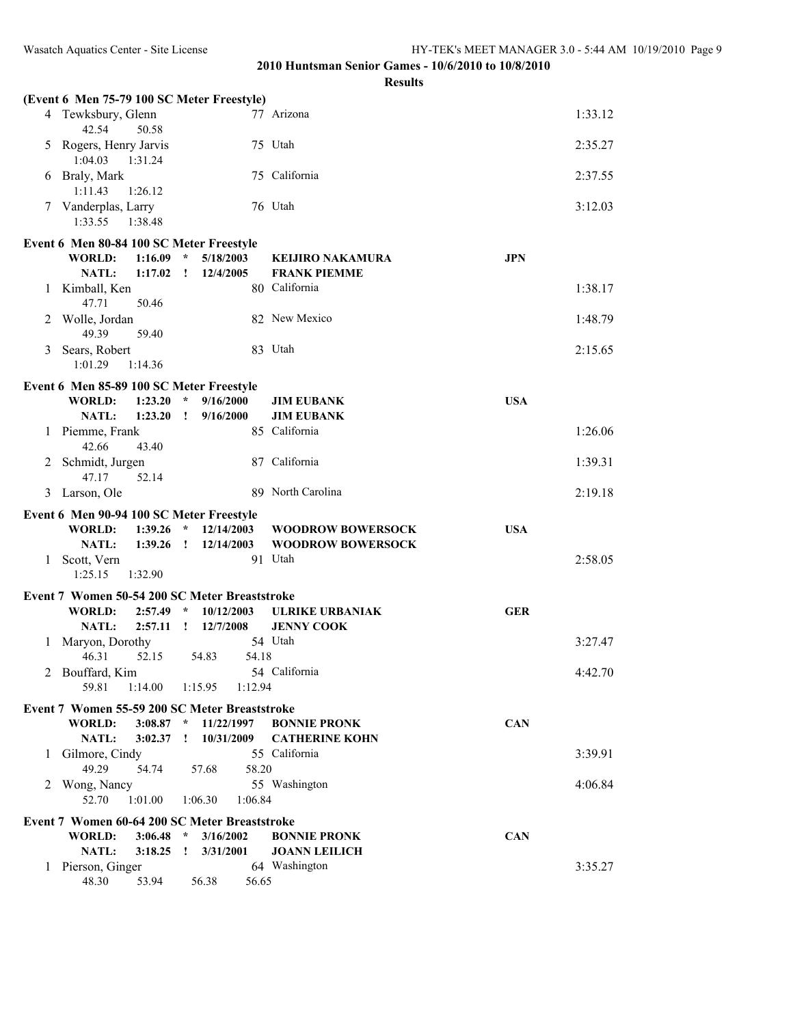|   | (Event 6 Men 75-79 100 SC Meter Freestyle)                                |                             |                          |            |         |
|---|---------------------------------------------------------------------------|-----------------------------|--------------------------|------------|---------|
|   | 4 Tewksbury, Glenn<br>42.54<br>50.58                                      |                             | 77 Arizona               |            | 1:33.12 |
| 5 | Rogers, Henry Jarvis<br>1:04.03<br>1:31.24                                |                             | 75 Utah                  |            | 2:35.27 |
| 6 | Braly, Mark<br>1:11.43<br>1:26.12                                         |                             | 75 California            |            | 2:37.55 |
|   | 7 Vanderplas, Larry<br>1:33.55<br>1:38.48                                 |                             | 76 Utah                  |            | 3:12.03 |
|   | Event 6 Men 80-84 100 SC Meter Freestyle                                  |                             |                          |            |         |
|   | <b>WORLD:</b><br>1:16.09                                                  | $\mathcal{R}$<br>5/18/2003  | <b>KEIJIRO NAKAMURA</b>  | <b>JPN</b> |         |
|   | <b>NATL:</b><br>1:17.02                                                   | $\mathbf{I}$<br>12/4/2005   | <b>FRANK PIEMME</b>      |            |         |
| 1 | Kimball, Ken<br>47.71<br>50.46                                            |                             | 80 California            |            | 1:38.17 |
| 2 | Wolle, Jordan<br>49.39<br>59.40                                           |                             | 82 New Mexico            |            | 1:48.79 |
| 3 | Sears, Robert<br>1:01.29<br>1:14.36                                       |                             | 83 Utah                  |            | 2:15.65 |
|   | Event 6 Men 85-89 100 SC Meter Freestyle                                  |                             |                          |            |         |
|   | <b>WORLD:</b><br>1:23.20                                                  | $\star$<br>9/16/2000        | <b>JIM EUBANK</b>        | <b>USA</b> |         |
|   | 1:23.20<br><b>NATL:</b>                                                   | 9/16/2000<br>$\mathbf{I}$   | <b>JIM EUBANK</b>        |            |         |
| 1 | Piemme, Frank<br>42.66<br>43.40                                           |                             | 85 California            |            | 1:26.06 |
| 2 | Schmidt, Jurgen<br>47.17<br>52.14                                         |                             | 87 California            |            | 1:39.31 |
|   | 3 Larson, Ole                                                             |                             | 89 North Carolina        |            | 2:19.18 |
|   | Event 6 Men 90-94 100 SC Meter Freestyle                                  |                             |                          |            |         |
|   | <b>WORLD:</b><br>1:39.26                                                  | $\star$<br>12/14/2003       | <b>WOODROW BOWERSOCK</b> | <b>USA</b> |         |
|   | NATL:<br>1:39.26                                                          | 12/14/2003<br>$\mathbf{r}$  | <b>WOODROW BOWERSOCK</b> |            |         |
|   | 1 Scott, Vern<br>1:25.15<br>1:32.90                                       |                             | 91 Utah                  |            | 2:58.05 |
|   | Event 7 Women 50-54 200 SC Meter Breaststroke                             |                             |                          |            |         |
|   | <b>WORLD:</b><br>2:57.49                                                  | $\mathcal{R}$<br>10/12/2003 | <b>ULRIKE URBANIAK</b>   | <b>GER</b> |         |
|   | <b>NATL:</b><br>2:57.11                                                   | $\mathbf{I}$<br>12/7/2008   | <b>JENNY COOK</b>        |            |         |
| 1 | Maryon, Dorothy<br>46.31<br>52.15                                         | 54.83<br>54.18              | 54 Utah                  |            | 3:27.47 |
|   | 2 Bouffard, Kim<br>59.81                                                  | 1:12.94                     | 54 California            |            | 4:42.70 |
|   | 1:14.00                                                                   | 1:15.95                     |                          |            |         |
|   | Event 7 Women 55-59 200 SC Meter Breaststroke                             |                             |                          |            |         |
|   | <b>WORLD:</b><br>$3:08.87$ *                                              | 11/22/1997                  | <b>BONNIE PRONK</b>      | <b>CAN</b> |         |
|   | NATL:<br>3:02.37                                                          | 10/31/2009<br>$\mathbf{I}$  | <b>CATHERINE KOHN</b>    |            |         |
| 1 | Gilmore, Cindy                                                            |                             | 55 California            |            | 3:39.91 |
|   | 49.29<br>54.74                                                            | 57.68<br>58.20              |                          |            |         |
|   | 2 Wong, Nancy<br>1:01.00<br>52.70                                         | 1:06.30<br>1:06.84          | 55 Washington            |            | 4:06.84 |
|   |                                                                           |                             |                          |            |         |
|   | Event 7 Women 60-64 200 SC Meter Breaststroke<br><b>WORLD:</b><br>3:06.48 | $\mathcal{A}$<br>3/16/2002  | <b>BONNIE PRONK</b>      | <b>CAN</b> |         |
|   | <b>NATL:</b><br>3:18.25                                                   | 3/31/2001<br>$\,$ !         | <b>JOANN LEILICH</b>     |            |         |
| 1 | Pierson, Ginger                                                           |                             | 64 Washington            |            | 3:35.27 |
|   | 48.30<br>53.94                                                            | 56.38<br>56.65              |                          |            |         |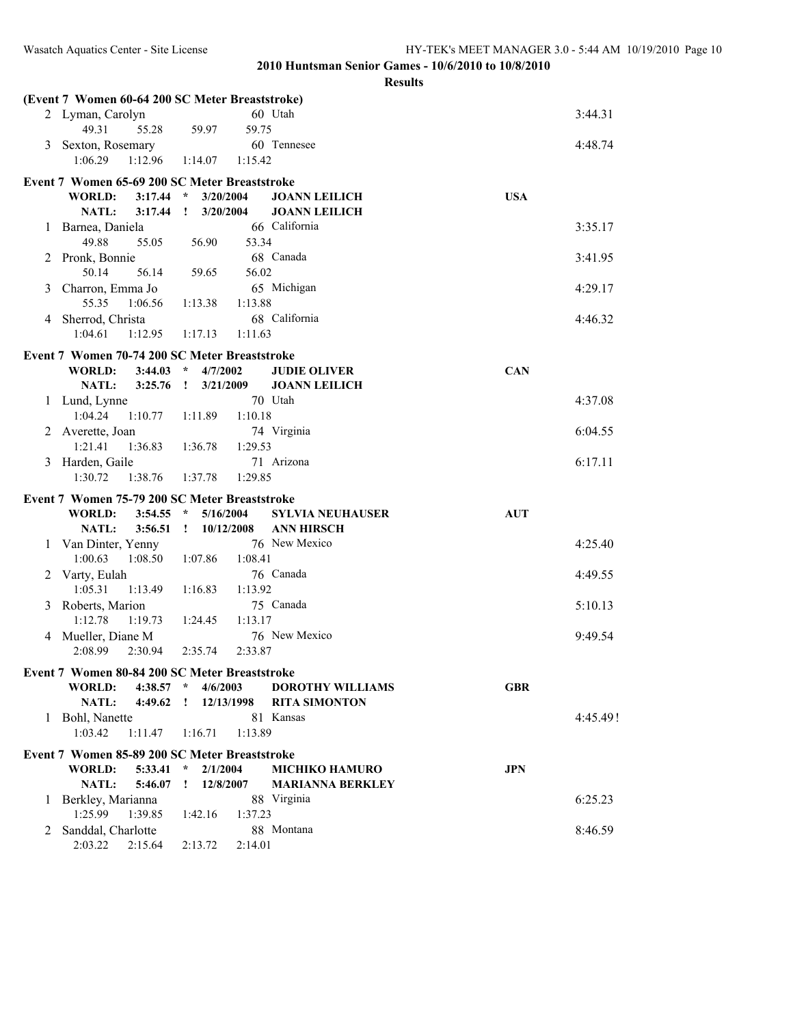|   | (Event 7 Women 60-64 200 SC Meter Breaststroke) |             |              |            |                         |            |          |
|---|-------------------------------------------------|-------------|--------------|------------|-------------------------|------------|----------|
|   | 2 Lyman, Carolyn                                |             |              |            | 60 Utah                 |            | 3:44.31  |
|   | 49.31                                           | 55.28       | 59.97        | 59.75      |                         |            |          |
| 3 | Sexton, Rosemary                                |             |              |            | 60 Tennesee             |            | 4:48.74  |
|   | 1:06.29                                         | 1:12.96     | 1:14.07      | 1:15.42    |                         |            |          |
|   | Event 7 Women 65-69 200 SC Meter Breaststroke   |             |              |            |                         |            |          |
|   | <b>WORLD:</b>                                   | $3:17.44$ * |              | 3/20/2004  | <b>JOANN LEILICH</b>    | <b>USA</b> |          |
|   | NATL:                                           | 3:17.44     | $\mathbf{I}$ | 3/20/2004  | <b>JOANN LEILICH</b>    |            |          |
| 1 | Barnea, Daniela                                 |             |              |            | 66 California           |            | 3:35.17  |
|   | 49.88                                           | 55.05       | 56.90        | 53.34      |                         |            |          |
| 2 | Pronk, Bonnie                                   |             |              |            | 68 Canada               |            | 3:41.95  |
|   | 50.14                                           | 56.14       | 59.65        | 56.02      |                         |            |          |
| 3 | Charron, Emma Jo                                |             |              |            | 65 Michigan             |            | 4:29.17  |
|   | 55.35                                           | 1:06.56     | 1:13.38      | 1:13.88    |                         |            |          |
|   | 4 Sherrod, Christa                              |             |              |            | 68 California           |            | 4:46.32  |
|   | 1:04.61                                         | 1:12.95     | 1:17.13      | 1:11.63    |                         |            |          |
|   | Event 7 Women 70-74 200 SC Meter Breaststroke   |             |              |            |                         |            |          |
|   | <b>WORLD:</b>                                   | $3:44.03$ * |              | 4/7/2002   | <b>JUDIE OLIVER</b>     | <b>CAN</b> |          |
|   | <b>NATL:</b>                                    | 3:25.76     | $\mathbf{I}$ | 3/21/2009  | <b>JOANN LEILICH</b>    |            |          |
|   | 1 Lund, Lynne                                   |             |              |            | 70 Utah                 |            | 4:37.08  |
|   | 1:04.24                                         | 1:10.77     | 1:11.89      | 1:10.18    |                         |            |          |
|   | 2 Averette, Joan                                |             |              |            | 74 Virginia             |            | 6:04.55  |
|   | 1:21.41                                         | 1:36.83     | 1:36.78      | 1:29.53    |                         |            |          |
|   | 3 Harden, Gaile                                 |             |              |            | 71 Arizona              |            | 6:17.11  |
|   | 1:30.72                                         | 1:38.76     | 1:37.78      | 1:29.85    |                         |            |          |
|   | Event 7 Women 75-79 200 SC Meter Breaststroke   |             |              |            |                         |            |          |
|   | <b>WORLD:</b>                                   | $3:54.55$ * |              | 5/16/2004  | <b>SYLVIA NEUHAUSER</b> | <b>AUT</b> |          |
|   | NATL:                                           | 3:56.51     | $\mathbf{I}$ | 10/12/2008 | <b>ANN HIRSCH</b>       |            |          |
| 1 | Van Dinter, Yenny                               |             |              |            | 76 New Mexico           |            | 4:25.40  |
|   | 1:00.63                                         | 1:08.50     | 1:07.86      | 1:08.41    |                         |            |          |
|   | 2 Varty, Eulah                                  |             |              |            | 76 Canada               |            | 4:49.55  |
|   | 1:05.31                                         | 1:13.49     | 1:16.83      | 1:13.92    |                         |            |          |
|   | 3 Roberts, Marion                               |             |              |            | 75 Canada               |            | 5:10.13  |
|   | 1:12.78                                         | 1:19.73     | 1:24.45      | 1:13.17    |                         |            |          |
|   | 4 Mueller, Diane M                              |             |              |            | 76 New Mexico           |            | 9:49.54  |
|   | 2:08.99                                         | 2:30.94     | 2:35.74      | 2:33.87    |                         |            |          |
|   | Event 7 Women 80-84 200 SC Meter Breaststroke   |             |              |            |                         |            |          |
|   | <b>WORLD:</b>                                   | $4:38.57$ * |              | 4/6/2003   | <b>DOROTHY WILLIAMS</b> | <b>GBR</b> |          |
|   | NATL:                                           | 4:49.62     | $\mathbf{r}$ | 12/13/1998 | <b>RITA SIMONTON</b>    |            |          |
|   | 1 Bohl, Nanette                                 |             |              |            | 81 Kansas               |            | 4:45.49! |
|   | 1:03.42                                         | 1:11.47     | 1:16.71      | 1:13.89    |                         |            |          |
|   | Event 7 Women 85-89 200 SC Meter Breaststroke   |             |              |            |                         |            |          |
|   | <b>WORLD:</b>                                   | 5:33.41     | $\star$      | 2/1/2004   | <b>MICHIKO HAMURO</b>   | <b>JPN</b> |          |
|   | <b>NATL:</b>                                    | 5:46.07     | $\mathbf{I}$ | 12/8/2007  | <b>MARIANNA BERKLEY</b> |            |          |
| 1 | Berkley, Marianna                               |             |              |            | 88 Virginia             |            | 6:25.23  |
|   | 1:25.99                                         | 1:39.85     | 1:42.16      | 1:37.23    |                         |            |          |
|   | 2 Sanddal, Charlotte                            |             |              |            | 88 Montana              |            | 8:46.59  |
|   | 2:03.22                                         | 2:15.64     | 2:13.72      | 2:14.01    |                         |            |          |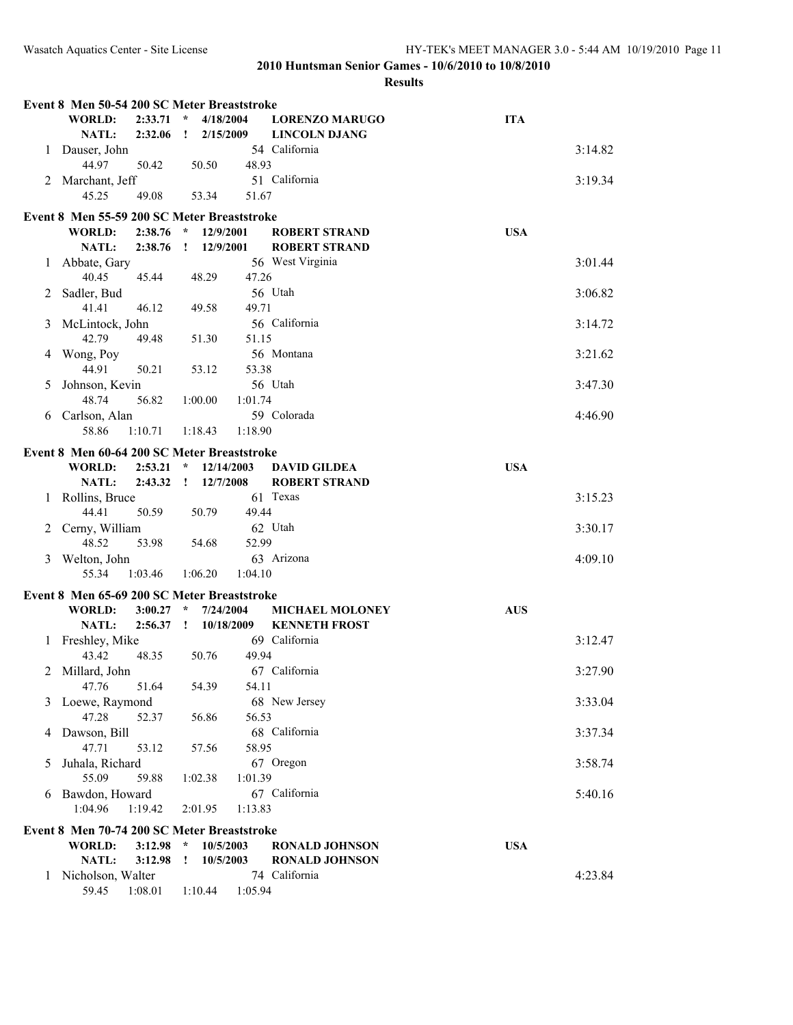|   | Event 8 Men 50-54 200 SC Meter Breaststroke                  |         |              |            |         |                                        |            |         |
|---|--------------------------------------------------------------|---------|--------------|------------|---------|----------------------------------------|------------|---------|
|   | <b>WORLD:</b>                                                | 2:33.71 | $\star$      | 4/18/2004  |         | <b>LORENZO MARUGO</b>                  | <b>ITA</b> |         |
|   | NATL:                                                        | 2:32.06 | $\mathbf{I}$ | 2/15/2009  |         | <b>LINCOLN DJANG</b>                   |            |         |
| 1 | Dauser, John                                                 |         |              |            |         | 54 California                          |            | 3:14.82 |
| 2 | 44.97<br>Marchant, Jeff                                      | 50.42   |              | 50.50      | 48.93   | 51 California                          |            | 3:19.34 |
|   | 45.25                                                        | 49.08   |              | 53.34      | 51.67   |                                        |            |         |
|   |                                                              |         |              |            |         |                                        |            |         |
|   | Event 8 Men 55-59 200 SC Meter Breaststroke<br><b>WORLD:</b> | 2:38.76 | $\star$      | 12/9/2001  |         | <b>ROBERT STRAND</b>                   | <b>USA</b> |         |
|   | <b>NATL:</b>                                                 | 2:38.76 | $\mathbf{I}$ | 12/9/2001  |         | <b>ROBERT STRAND</b>                   |            |         |
| 1 | Abbate, Gary                                                 |         |              |            |         | 56 West Virginia                       |            | 3:01.44 |
|   | 40.45                                                        | 45.44   |              | 48.29      | 47.26   |                                        |            |         |
| 2 | Sadler, Bud                                                  |         |              |            |         | 56 Utah                                |            | 3:06.82 |
|   | 41.41                                                        | 46.12   |              | 49.58      | 49.71   |                                        |            |         |
| 3 | McLintock, John                                              |         |              |            |         | 56 California                          |            | 3:14.72 |
|   | 42.79                                                        | 49.48   |              | 51.30      | 51.15   |                                        |            |         |
| 4 | Wong, Poy<br>44.91                                           | 50.21   |              | 53.12      | 53.38   | 56 Montana                             |            | 3:21.62 |
| 5 | Johnson, Kevin                                               |         |              |            |         | 56 Utah                                |            | 3:47.30 |
|   | 48.74                                                        | 56.82   |              | 1:00.00    | 1:01.74 |                                        |            |         |
| 6 | Carlson, Alan                                                |         |              |            |         | 59 Colorada                            |            | 4:46.90 |
|   | 58.86                                                        | 1:10.71 |              | 1:18.43    | 1:18.90 |                                        |            |         |
|   | Event 8 Men 60-64 200 SC Meter Breaststroke                  |         |              |            |         |                                        |            |         |
|   | <b>WORLD:</b>                                                | 2:53.21 | $\star$      | 12/14/2003 |         | <b>DAVID GILDEA</b>                    | <b>USA</b> |         |
|   | <b>NATL:</b>                                                 | 2:43.32 | $\mathbf{I}$ | 12/7/2008  |         | <b>ROBERT STRAND</b>                   |            |         |
| 1 | Rollins, Bruce                                               |         |              |            |         | 61 Texas                               |            | 3:15.23 |
|   | 44.41                                                        | 50.59   |              | 50.79      | 49.44   |                                        |            |         |
| 2 | Cerny, William<br>48.52                                      | 53.98   |              | 54.68      | 52.99   | 62 Utah                                |            | 3:30.17 |
| 3 | Welton, John                                                 |         |              |            |         | 63 Arizona                             |            | 4:09.10 |
|   | 55.34                                                        | 1:03.46 |              | 1:06.20    | 1:04.10 |                                        |            |         |
|   | Event 8 Men 65-69 200 SC Meter Breaststroke                  |         |              |            |         |                                        |            |         |
|   | <b>WORLD:</b>                                                | 3:00.27 | $\star$      | 7/24/2004  |         | <b>MICHAEL MOLONEY</b>                 | <b>AUS</b> |         |
|   | NATL:                                                        | 2:56.37 | $\mathbf{I}$ | 10/18/2009 |         | <b>KENNETH FROST</b>                   |            |         |
| 1 | Freshley, Mike                                               |         |              |            |         | 69 California                          |            | 3:12.47 |
|   | 43.42                                                        | 48.35   |              | 50.76      | 49.94   |                                        |            |         |
|   | 2 Millard, John                                              |         |              |            |         | 67 California                          |            | 3:27.90 |
|   | 47.76                                                        | 51.64   |              | 54.39      | 54.11   |                                        |            |         |
| 3 | Loewe, Raymond<br>47.28                                      | 52.37   |              |            | 56.53   | 68 New Jersey                          |            | 3:33.04 |
| 4 | Dawson, Bill                                                 |         |              | 56.86      |         | 68 California                          |            | 3:37.34 |
|   | 47.71                                                        | 53.12   |              | 57.56      | 58.95   |                                        |            |         |
| 5 | Juhala, Richard                                              |         |              |            |         | 67 Oregon                              |            | 3:58.74 |
|   | 55.09                                                        | 59.88   |              | 1:02.38    | 1:01.39 |                                        |            |         |
| 6 | Bawdon, Howard                                               |         |              |            |         | 67 California                          |            | 5:40.16 |
|   | 1:04.96                                                      | 1:19.42 |              | 2:01.95    | 1:13.83 |                                        |            |         |
|   | Event 8 Men 70-74 200 SC Meter Breaststroke                  |         |              |            |         |                                        |            |         |
|   | <b>WORLD:</b>                                                | 3:12.98 | $\star$      | 10/5/2003  |         | <b>RONALD JOHNSON</b>                  | <b>USA</b> |         |
|   | <b>NATL:</b>                                                 | 3:12.98 | I            | 10/5/2003  |         | <b>RONALD JOHNSON</b><br>74 California |            | 4:23.84 |
| 1 | Nicholson, Walter<br>59.45                                   | 1:08.01 |              | 1:10.44    | 1:05.94 |                                        |            |         |
|   |                                                              |         |              |            |         |                                        |            |         |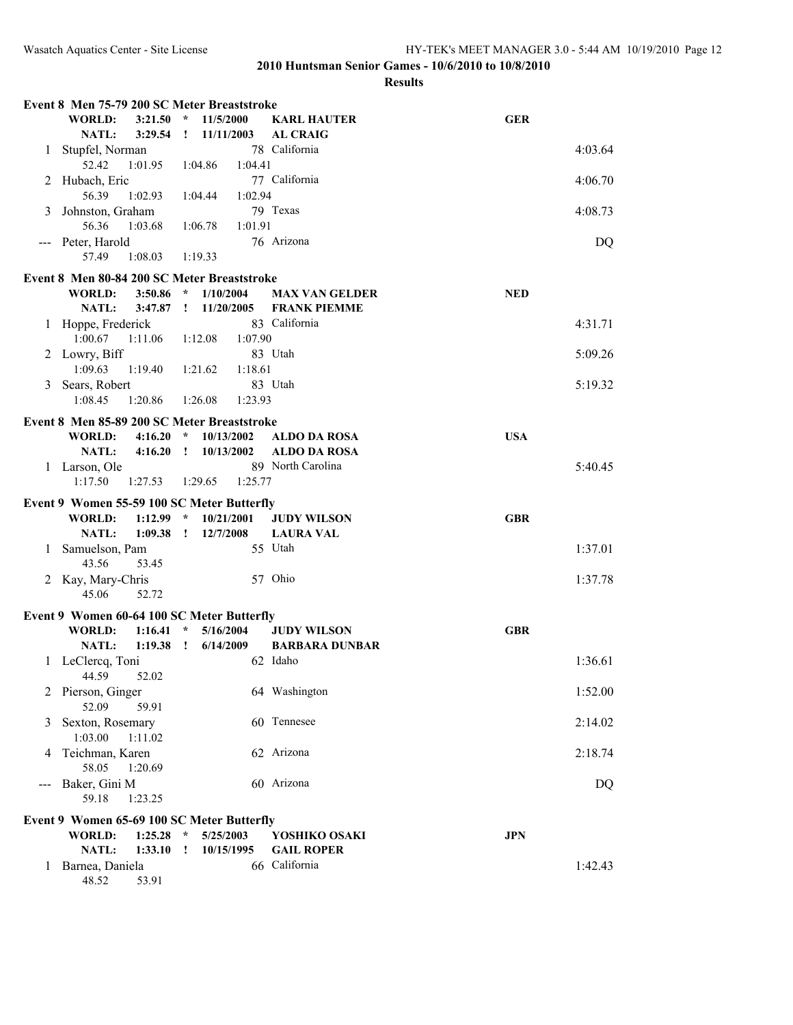|     | Event 8 Men 75-79 200 SC Meter Breaststroke |                    |                    |                         |          |                                    |            |         |
|-----|---------------------------------------------|--------------------|--------------------|-------------------------|----------|------------------------------------|------------|---------|
|     | <b>WORLD:</b>                               | 3:21.50            | $\star$            | 11/5/2000               |          | <b>KARL HAUTER</b>                 | <b>GER</b> |         |
|     | <b>NATL:</b>                                | 3:29.54            | $\mathbf{I}$       | 11/11/2003              |          | <b>AL CRAIG</b>                    |            |         |
| 1   | Stupfel, Norman                             |                    |                    |                         |          | 78 California                      |            | 4:03.64 |
| 2   | 52.42<br>Hubach, Eric                       | 1:01.95            |                    | 1:04.86<br>1:04.41      |          | 77 California                      |            | 4:06.70 |
|     | 56.39                                       | 1:02.93            |                    | 1:04.44<br>1:02.94      |          |                                    |            |         |
| 3   | Johnston, Graham                            |                    |                    |                         | 79 Texas |                                    |            | 4:08.73 |
|     | 56.36                                       | 1:03.68            |                    | 1:06.78<br>1:01.91      |          |                                    |            |         |
| --- | Peter, Harold                               |                    |                    |                         |          | 76 Arizona                         |            | DQ      |
|     | 57.49                                       | 1:08.03            |                    | 1:19.33                 |          |                                    |            |         |
|     | Event 8 Men 80-84 200 SC Meter Breaststroke |                    |                    |                         |          |                                    |            |         |
|     | <b>WORLD:</b>                               | 3:50.86            | $\star$            | 1/10/2004               |          | <b>MAX VAN GELDER</b>              | <b>NED</b> |         |
|     | NATL:                                       | 3:47.87            | $\mathbf{I}$       | 11/20/2005              |          | <b>FRANK PIEMME</b>                |            |         |
| 1   | Hoppe, Frederick<br>1:00.67                 | 1:11.06            |                    | 1:07.90<br>1:12.08      |          | 83 California                      |            | 4:31.71 |
|     | 2 Lowry, Biff                               |                    |                    |                         | 83 Utah  |                                    |            | 5:09.26 |
|     | 1:09.63                                     | 1:19.40            |                    | 1:18.61<br>1:21.62      |          |                                    |            |         |
| 3   | Sears, Robert                               |                    |                    |                         | 83 Utah  |                                    |            | 5:19.32 |
|     | 1:08.45                                     | 1:20.86            |                    | 1:23.93<br>1:26.08      |          |                                    |            |         |
|     | Event 8 Men 85-89 200 SC Meter Breaststroke |                    |                    |                         |          |                                    |            |         |
|     | <b>WORLD:</b>                               | 4:16.20            | $\star$            | 10/13/2002              |          | <b>ALDO DA ROSA</b>                | <b>USA</b> |         |
|     | NATL:                                       | 4:16.20            | $\mathbf{I}$       | 10/13/2002              |          | <b>ALDO DA ROSA</b>                |            |         |
|     | 1 Larson, Ole                               |                    |                    |                         |          | 89 North Carolina                  |            | 5:40.45 |
|     | 1:17.50                                     | 1:27.53            |                    | 1:29.65<br>1:25.77      |          |                                    |            |         |
|     | Event 9 Women 55-59 100 SC Meter Butterfly  |                    |                    |                         |          |                                    |            |         |
|     | <b>WORLD:</b>                               | 1:12.99            | $\mathcal{R}$      | 10/21/2001              |          | <b>JUDY WILSON</b>                 | <b>GBR</b> |         |
| 1   | NATL:<br>Samuelson, Pam                     | 1:09.38            | $\mathbf{I}$       | 12/7/2008               | 55 Utah  | <b>LAURA VAL</b>                   |            | 1:37.01 |
|     | 43.56                                       | 53.45              |                    |                         |          |                                    |            |         |
|     | 2 Kay, Mary-Chris                           |                    |                    |                         | 57 Ohio  |                                    |            | 1:37.78 |
|     | 45.06                                       | 52.72              |                    |                         |          |                                    |            |         |
|     | Event 9 Women 60-64 100 SC Meter Butterfly  |                    |                    |                         |          |                                    |            |         |
|     | <b>WORLD:</b>                               | 1:16.41            | $\star$            | 5/16/2004               |          | <b>JUDY WILSON</b>                 | <b>GBR</b> |         |
|     | NATL:                                       | 1:19.38            | $\mathbf{I}$       | 6/14/2009               |          | <b>BARBARA DUNBAR</b>              |            |         |
|     | 1 LeClercq, Toni<br>44.59                   | 52.02              |                    |                         | 62 Idaho |                                    |            | 1:36.61 |
|     | 2 Pierson, Ginger<br>52.09                  | 59.91              |                    |                         |          | 64 Washington                      |            | 1:52.00 |
| 3   | Sexton, Rosemary                            |                    |                    |                         |          | 60 Tennesee                        |            | 2:14.02 |
|     | 1:03.00                                     | 1:11.02            |                    |                         |          |                                    |            |         |
| 4   | Teichman, Karen                             |                    |                    |                         |          | 62 Arizona                         |            | 2:18.74 |
|     | 58.05                                       | 1:20.69            |                    |                         |          |                                    |            |         |
| --- | Baker, Gini M<br>59.18                      | 1:23.25            |                    |                         |          | 60 Arizona                         |            | DQ      |
|     |                                             |                    |                    |                         |          |                                    |            |         |
|     | Event 9 Women 65-69 100 SC Meter Butterfly  |                    |                    |                         |          |                                    |            |         |
|     | <b>WORLD:</b><br>NATL:                      | 1:25.28<br>1:33.10 | $\star$<br>$\cdot$ | 5/25/2003<br>10/15/1995 |          | YOSHIKO OSAKI<br><b>GAIL ROPER</b> | <b>JPN</b> |         |
| 1   | Barnea, Daniela                             |                    |                    |                         |          | 66 California                      |            | 1:42.43 |
|     | 48.52                                       | 53.91              |                    |                         |          |                                    |            |         |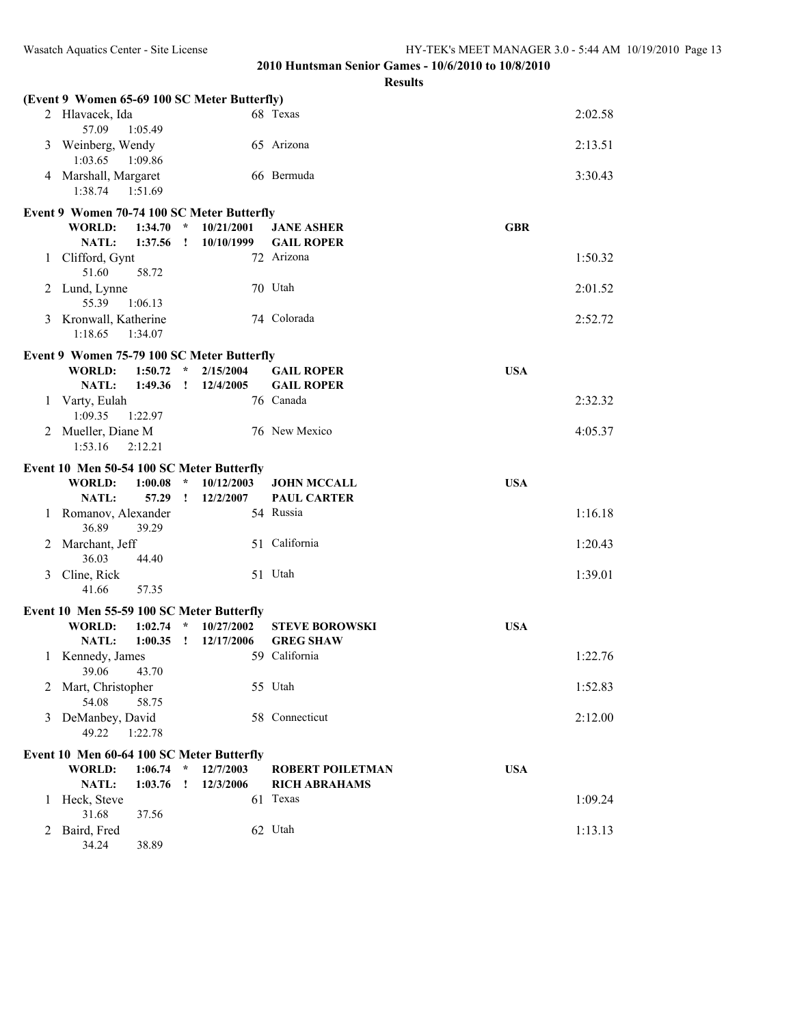|              |                                              |                            |         | results                 |            |         |
|--------------|----------------------------------------------|----------------------------|---------|-------------------------|------------|---------|
|              | (Event 9 Women 65-69 100 SC Meter Butterfly) |                            |         |                         |            |         |
|              | 2 Hlavacek, Ida<br>57.09<br>1:05.49          |                            |         | 68 Texas                |            | 2:02.58 |
| 3            | Weinberg, Wendy<br>1:03.65<br>1:09.86        |                            |         | 65 Arizona              |            | 2:13.51 |
|              | 4 Marshall, Margaret<br>1:38.74<br>1:51.69   |                            |         | 66 Bermuda              |            | 3:30.43 |
|              |                                              |                            |         |                         |            |         |
|              | Event 9 Women 70-74 100 SC Meter Butterfly   |                            |         |                         |            |         |
|              | <b>WORLD:</b><br>1:34.70                     | $\star$<br>10/21/2001      |         | <b>JANE ASHER</b>       | <b>GBR</b> |         |
|              | NATL:<br>1:37.56                             | 10/10/1999<br>$\mathbf{r}$ |         | <b>GAIL ROPER</b>       |            |         |
| $\mathbf{1}$ | Clifford, Gynt<br>51.60<br>58.72             |                            |         | 72 Arizona              |            | 1:50.32 |
| 2            | Lund, Lynne<br>55.39<br>1:06.13              |                            | 70 Utah |                         |            | 2:01.52 |
|              | 3 Kronwall, Katherine<br>1:18.65<br>1:34.07  |                            |         | 74 Colorada             |            | 2:52.72 |
|              |                                              |                            |         |                         |            |         |
|              | Event 9 Women 75-79 100 SC Meter Butterfly   |                            |         |                         |            |         |
|              | 1:50.72<br><b>WORLD:</b>                     | $\star$<br>2/15/2004       |         | <b>GAIL ROPER</b>       | <b>USA</b> |         |
|              | NATL:<br>1:49.36                             | 12/4/2005<br>$\mathbf{I}$  |         | <b>GAIL ROPER</b>       |            |         |
| 1            | Varty, Eulah<br>1:09.35<br>1:22.97           |                            |         | 76 Canada               |            | 2:32.32 |
| 2            | Mueller, Diane M                             |                            |         | 76 New Mexico           |            | 4:05.37 |
|              | 1:53.16<br>2:12.21                           |                            |         |                         |            |         |
|              |                                              |                            |         |                         |            |         |
|              | Event 10 Men 50-54 100 SC Meter Butterfly    |                            |         |                         |            |         |
|              | <b>WORLD:</b><br>1:00.08                     | $\star$<br>10/12/2003      |         | <b>JOHN MCCALL</b>      | <b>USA</b> |         |
|              | <b>NATL:</b><br>57.29                        | 12/2/2007<br>$\mathbf{r}$  |         | <b>PAUL CARTER</b>      |            |         |
| 1            | Romanov, Alexander<br>36.89<br>39.29         |                            |         | 54 Russia               |            | 1:16.18 |
| 2            | Marchant, Jeff<br>36.03<br>44.40             |                            |         | 51 California           |            | 1:20.43 |
| 3            | Cline, Rick                                  |                            | 51 Utah |                         |            | 1:39.01 |
|              | 41.66<br>57.35                               |                            |         |                         |            |         |
|              | Event 10 Men 55-59 100 SC Meter Butterfly    |                            |         |                         |            |         |
|              | <b>WORLD:</b><br>1:02.74                     | $\star$<br>10/27/2002      |         | <b>STEVE BOROWSKI</b>   | <b>USA</b> |         |
|              | NATL:<br>1:00.35                             | $\mathbf{r}$<br>12/17/2006 |         | <b>GREG SHAW</b>        |            |         |
|              | 1 Kennedy, James<br>39.06<br>43.70           |                            |         | 59 California           |            | 1:22.76 |
| 2            | Mart, Christopher<br>54.08<br>58.75          |                            | 55 Utah |                         |            | 1:52.83 |
| 3            | DeManbey, David<br>49.22<br>1:22.78          |                            |         | 58 Connecticut          |            | 2:12.00 |
|              |                                              |                            |         |                         |            |         |
|              | Event 10 Men 60-64 100 SC Meter Butterfly    |                            |         |                         |            |         |
|              | <b>WORLD:</b><br>1:06.74                     | 12/7/2003<br>$\star$       |         | <b>ROBERT POILETMAN</b> | <b>USA</b> |         |
|              | <b>NATL:</b><br>1:03.76                      | 12/3/2006                  |         | <b>RICH ABRAHAMS</b>    |            |         |
| 1            | Heck, Steve                                  |                            |         | 61 Texas                |            | 1:09.24 |
|              | 31.68<br>37.56                               |                            |         |                         |            |         |
| 2            | Baird, Fred                                  |                            | 62 Utah |                         |            | 1:13.13 |
|              | 34.24<br>38.89                               |                            |         |                         |            |         |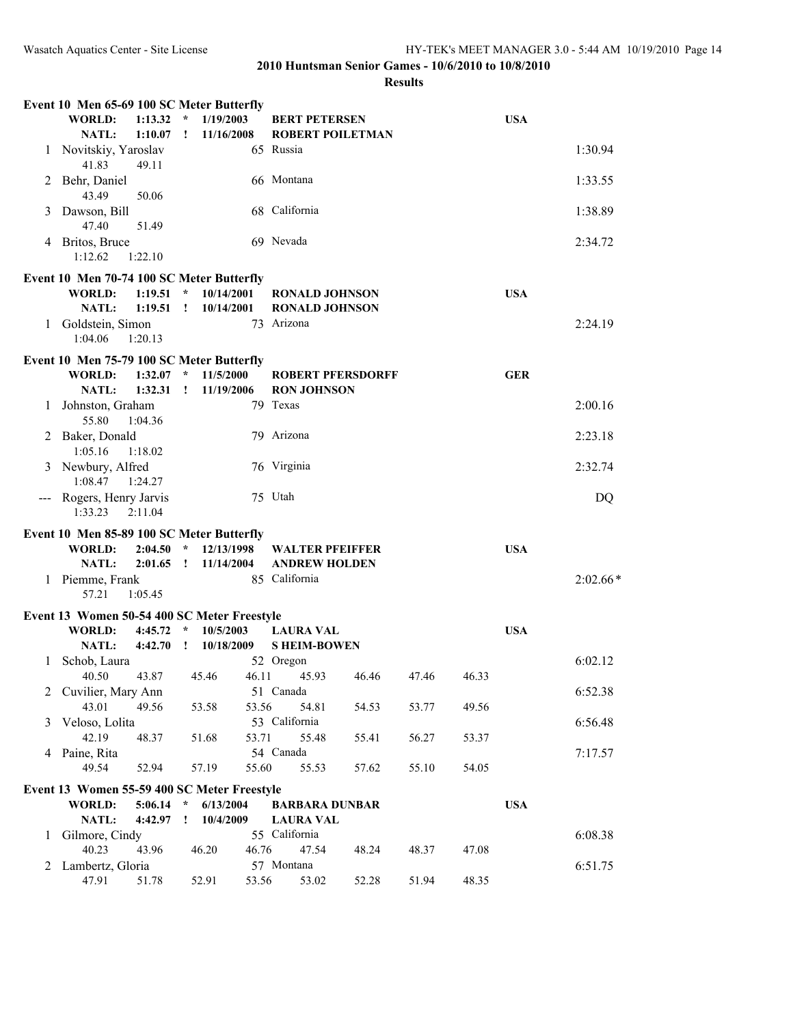|                                           | Event 10 Men 65-69 100 SC Meter Butterfly           |                                      |                                         |                |            |  |  |  |  |  |
|-------------------------------------------|-----------------------------------------------------|--------------------------------------|-----------------------------------------|----------------|------------|--|--|--|--|--|
|                                           | WORLD:<br>1:13.32                                   | $\star$<br>1/19/2003                 | <b>BERT PETERSEN</b>                    |                | <b>USA</b> |  |  |  |  |  |
|                                           | NATL:<br>1:10.07                                    | 11/16/2008<br>Ţ.                     | <b>ROBERT POILETMAN</b>                 |                |            |  |  |  |  |  |
|                                           | 1 Novitskiy, Yaroslav<br>41.83<br>49.11             |                                      | 65 Russia                               |                | 1:30.94    |  |  |  |  |  |
| 2                                         | Behr, Daniel                                        |                                      | 66 Montana                              |                | 1:33.55    |  |  |  |  |  |
|                                           | 43.49<br>50.06                                      |                                      |                                         |                |            |  |  |  |  |  |
| 3                                         | Dawson, Bill                                        |                                      | 68 California                           |                | 1:38.89    |  |  |  |  |  |
| 4                                         | 47.40<br>51.49<br>Britos, Bruce                     |                                      | 69 Nevada                               |                | 2:34.72    |  |  |  |  |  |
|                                           | 1:12.62<br>1:22.10                                  |                                      |                                         |                |            |  |  |  |  |  |
|                                           | Event 10 Men 70-74 100 SC Meter Butterfly           |                                      |                                         |                |            |  |  |  |  |  |
|                                           | WORLD:<br>1:19.51                                   | $\star$<br>10/14/2001                | <b>RONALD JOHNSON</b>                   |                | <b>USA</b> |  |  |  |  |  |
|                                           | NATL:<br>1:19.51                                    | 10/14/2001<br>$\mathbf{1}$           | <b>RONALD JOHNSON</b>                   |                |            |  |  |  |  |  |
|                                           | 1 Goldstein, Simon<br>1:04.06<br>1:20.13            |                                      | 73 Arizona                              |                | 2:24.19    |  |  |  |  |  |
| Event 10 Men 75-79 100 SC Meter Butterfly |                                                     |                                      |                                         |                |            |  |  |  |  |  |
|                                           | <b>WORLD:</b><br>1:32.07                            | $\star$<br>11/5/2000                 | <b>ROBERT PFERSDORFF</b>                |                | <b>GER</b> |  |  |  |  |  |
|                                           | <b>NATL:</b><br>1:32.31                             | 11/19/2006<br>$\mathbf{I}$           | <b>RON JOHNSON</b><br>79 Texas          |                | 2:00.16    |  |  |  |  |  |
| 1                                         | Johnston, Graham<br>55.80<br>1:04.36                |                                      |                                         |                |            |  |  |  |  |  |
| 2                                         | Baker, Donald<br>1:05.16<br>1:18.02                 |                                      | 79 Arizona                              |                | 2:23.18    |  |  |  |  |  |
| 3                                         | Newbury, Alfred                                     |                                      | 76 Virginia                             |                | 2:32.74    |  |  |  |  |  |
|                                           | 1:08.47<br>1:24.27                                  |                                      | 75 Utah                                 |                |            |  |  |  |  |  |
| $\frac{1}{2}$                             | Rogers, Henry Jarvis<br>1:33.23<br>2:11.04          |                                      |                                         |                | DQ         |  |  |  |  |  |
|                                           | Event 10 Men 85-89 100 SC Meter Butterfly           |                                      |                                         |                |            |  |  |  |  |  |
|                                           | <b>WORLD:</b><br>2:04.50                            | $\star$<br>12/13/1998                | <b>WALTER PFEIFFER</b>                  |                | <b>USA</b> |  |  |  |  |  |
|                                           | NATL:<br>2:01.65                                    | 11/14/2004<br>$\mathbf{r}$           | <b>ANDREW HOLDEN</b>                    |                |            |  |  |  |  |  |
| 1                                         | Piemme, Frank<br>57.21<br>1:05.45                   |                                      | 85 California                           |                | $2:02.66*$ |  |  |  |  |  |
|                                           | Event 13 Women 50-54 400 SC Meter Freestyle         |                                      |                                         |                |            |  |  |  |  |  |
|                                           | <b>WORLD:</b><br>4:45.72<br><b>NATL:</b><br>4:42.70 | $\star$<br>10/5/2003<br>$\mathbf{r}$ | <b>LAURA VAL</b><br><b>S HEIM-BOWEN</b> |                | <b>USA</b> |  |  |  |  |  |
| 1                                         | Schob, Laura                                        | 10/18/2009                           | 52 Oregon                               |                | 6:02.12    |  |  |  |  |  |
|                                           | 43.87<br>40.50                                      | 45.46<br>46.11                       | 45.93<br>46.46                          | 47.46<br>46.33 |            |  |  |  |  |  |
| 2                                         | Cuvilier, Mary Ann                                  |                                      | 51 Canada                               |                | 6:52.38    |  |  |  |  |  |
|                                           | 43.01<br>49.56                                      | 53.58<br>53.56                       | 54.81<br>54.53                          | 49.56<br>53.77 |            |  |  |  |  |  |
| 3                                         | Veloso, Lolita<br>42.19<br>48.37                    | 53.71<br>51.68                       | 53 California<br>55.48<br>55.41         | 56.27<br>53.37 | 6:56.48    |  |  |  |  |  |
| 4                                         | Paine, Rita                                         |                                      | 54 Canada                               |                | 7:17.57    |  |  |  |  |  |
|                                           | 49.54<br>52.94                                      | 55.60<br>57.19                       | 55.53<br>57.62                          | 55.10<br>54.05 |            |  |  |  |  |  |
|                                           | Event 13 Women 55-59 400 SC Meter Freestyle         |                                      |                                         |                |            |  |  |  |  |  |
|                                           | 5:06.14<br>WORLD:                                   | 6/13/2004<br>$\lambda$               | <b>BARBARA DUNBAR</b>                   |                | <b>USA</b> |  |  |  |  |  |
|                                           | 4:42.97<br>NATL:                                    | 10/4/2009<br>$\mathbf{I}$            | <b>LAURA VAL</b>                        |                |            |  |  |  |  |  |
| 1                                         | Gilmore, Cindy<br>40.23<br>43.96                    | 46.20<br>46.76                       | 55 California<br>47.54<br>48.24         | 48.37<br>47.08 | 6:08.38    |  |  |  |  |  |
| 2                                         | Lambertz, Gloria                                    |                                      | 57 Montana                              |                | 6:51.75    |  |  |  |  |  |
|                                           | 47.91<br>51.78                                      | 52.91<br>53.56                       | 53.02<br>52.28                          | 48.35<br>51.94 |            |  |  |  |  |  |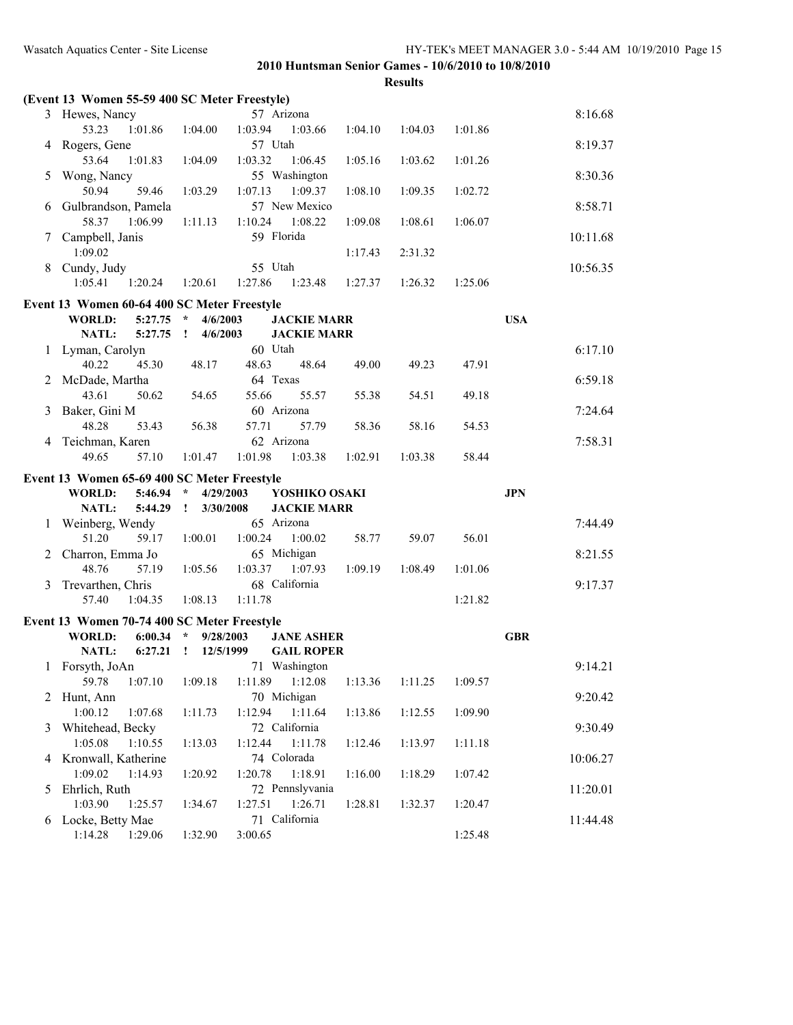|   | (Event 13 Women 55-59 400 SC Meter Freestyle) |                            |             |                    |         |         |         |            |          |
|---|-----------------------------------------------|----------------------------|-------------|--------------------|---------|---------|---------|------------|----------|
|   | 3 Hewes, Nancy                                |                            | 57 Arizona  |                    |         |         |         |            | 8:16.68  |
|   | 53.23<br>1:01.86                              | 1:04.00                    | 1:03.94     | 1:03.66            | 1:04.10 | 1:04.03 | 1:01.86 |            |          |
| 4 | Rogers, Gene                                  |                            | 57 Utah     |                    |         |         |         |            | 8:19.37  |
|   | 53.64<br>1:01.83                              | 1:04.09                    | 1:03.32     | 1:06.45            | 1:05.16 | 1:03.62 | 1:01.26 |            |          |
| 5 | Wong, Nancy                                   |                            |             | 55 Washington      |         |         |         |            | 8:30.36  |
|   | 50.94<br>59.46                                | 1:03.29                    | 1:07.13     | 1:09.37            | 1:08.10 | 1:09.35 | 1:02.72 |            |          |
| 6 | Gulbrandson, Pamela                           |                            |             | 57 New Mexico      |         |         |         |            | 8:58.71  |
|   | 58.37<br>1:06.99                              | 1:11.13                    | 1:10.24     | 1:08.22            | 1:09.08 | 1:08.61 | 1:06.07 |            |          |
| 7 | Campbell, Janis                               |                            | 59 Florida  |                    |         |         |         |            | 10:11.68 |
|   | 1:09.02                                       |                            |             |                    | 1:17.43 | 2:31.32 |         |            |          |
| 8 | Cundy, Judy                                   |                            | 55 Utah     |                    |         |         |         |            | 10:56.35 |
|   | 1:05.41<br>1:20.24                            | 1:20.61                    | 1:27.86     | 1:23.48            | 1:27.37 | 1:26.32 | 1:25.06 |            |          |
|   |                                               |                            |             |                    |         |         |         |            |          |
|   | Event 13 Women 60-64 400 SC Meter Freestyle   |                            |             |                    |         |         |         |            |          |
|   | $5:27.75$ *<br>WORLD:                         | 4/6/2003                   |             | <b>JACKIE MARR</b> |         |         |         | <b>USA</b> |          |
|   | <b>NATL:</b><br>$5:27.75$ !                   | 4/6/2003                   |             | <b>JACKIE MARR</b> |         |         |         |            |          |
|   | 1 Lyman, Carolyn                              |                            | 60 Utah     |                    |         |         |         |            | 6:17.10  |
|   | 40.22<br>45.30                                | 48.17                      | 48.63       | 48.64              | 49.00   | 49.23   | 47.91   |            |          |
| 2 | McDade, Martha                                |                            | 64 Texas    |                    |         |         |         |            | 6:59.18  |
|   | 43.61<br>50.62                                | 54.65                      | 55.66       | 55.57              | 55.38   | 54.51   | 49.18   |            |          |
| 3 | Baker, Gini M                                 |                            | 60 Arizona  |                    |         |         |         |            | 7:24.64  |
|   | 48.28<br>53.43                                | 56.38                      | 57.71       | 57.79              | 58.36   | 58.16   | 54.53   |            |          |
| 4 | Teichman, Karen                               |                            | 62 Arizona  |                    |         |         |         |            | 7:58.31  |
|   | 49.65<br>57.10                                | 1:01.47                    | 1:01.98     | 1:03.38            | 1:02.91 | 1:03.38 | 58.44   |            |          |
|   | Event 13 Women 65-69 400 SC Meter Freestyle   |                            |             |                    |         |         |         |            |          |
|   | 5:46.94<br>WORLD:                             | $\mathcal{R}$<br>4/29/2003 |             | YOSHIKO OSAKI      |         |         |         | <b>JPN</b> |          |
|   | NATL:<br>5:44.29                              | $\mathbf{I}$<br>3/30/2008  |             | <b>JACKIE MARR</b> |         |         |         |            |          |
|   | 1 Weinberg, Wendy                             |                            | 65 Arizona  |                    |         |         |         |            | 7:44.49  |
|   | 51.20<br>59.17                                | 1:00.01                    | 1:00.24     | 1:00.02            | 58.77   | 59.07   | 56.01   |            |          |
| 2 | Charron, Emma Jo                              |                            | 65 Michigan |                    |         |         |         |            | 8:21.55  |
|   | 48.76<br>57.19                                | 1:05.56                    | 1:03.37     | 1:07.93            | 1:09.19 | 1:08.49 | 1:01.06 |            |          |
| 3 | Trevarthen, Chris                             |                            |             | 68 California      |         |         |         |            | 9:17.37  |
|   | 1:04.35<br>57.40                              | 1:08.13                    | 1:11.78     |                    |         |         | 1:21.82 |            |          |
|   |                                               |                            |             |                    |         |         |         |            |          |
|   | Event 13 Women 70-74 400 SC Meter Freestyle   |                            |             |                    |         |         |         |            |          |
|   | <b>WORLD:</b><br>$6:00.34$ *                  | 9/28/2003                  |             | <b>JANE ASHER</b>  |         |         |         | <b>GBR</b> |          |
|   | 6:27.21<br>NATL:                              | 12/5/1999<br>$\mathbf{r}$  |             | <b>GAIL ROPER</b>  |         |         |         |            |          |
|   | 1 Forsyth, JoAn                               |                            |             | 71 Washington      |         |         |         |            | 9:14.21  |
|   | 59.78<br>1:07.10                              | 1:09.18                    | 1:11.89     | 1:12.08            | 1:13.36 | 1:11.25 | 1:09.57 |            |          |
| 2 | Hunt, Ann                                     |                            | 70 Michigan |                    |         |         |         |            | 9:20.42  |
|   | 1:00.12<br>1:07.68                            | 1:11.73                    | 1:12.94     | 1:11.64            | 1:13.86 | 1:12.55 | 1:09.90 |            |          |
| 3 | Whitehead, Becky                              |                            |             | 72 California      |         |         |         |            | 9:30.49  |
|   | 1:05.08<br>1:10.55                            | 1:13.03                    | 1:12.44     | 1:11.78            | 1:12.46 | 1:13.97 | 1:11.18 |            |          |
|   |                                               |                            |             |                    |         |         |         |            |          |
| 4 | Kronwall, Katherine                           |                            | 74 Colorada |                    |         |         |         |            | 10:06.27 |
|   | 1:09.02<br>1:14.93                            | 1:20.92                    | 1:20.78     | 1:18.91            | 1:16.00 | 1:18.29 | 1:07.42 |            |          |
| 5 | Ehrlich, Ruth                                 |                            |             | 72 Pennslyvania    |         |         |         |            | 11:20.01 |
|   | 1:03.90<br>1:25.57                            | 1:34.67                    | 1:27.51     | 1:26.71            | 1:28.81 | 1:32.37 | 1:20.47 |            |          |
| 6 | Locke, Betty Mae<br>1:14.28  1:29.06          | 1:32.90                    | 3:00.65     | 71 California      |         |         | 1:25.48 |            | 11:44.48 |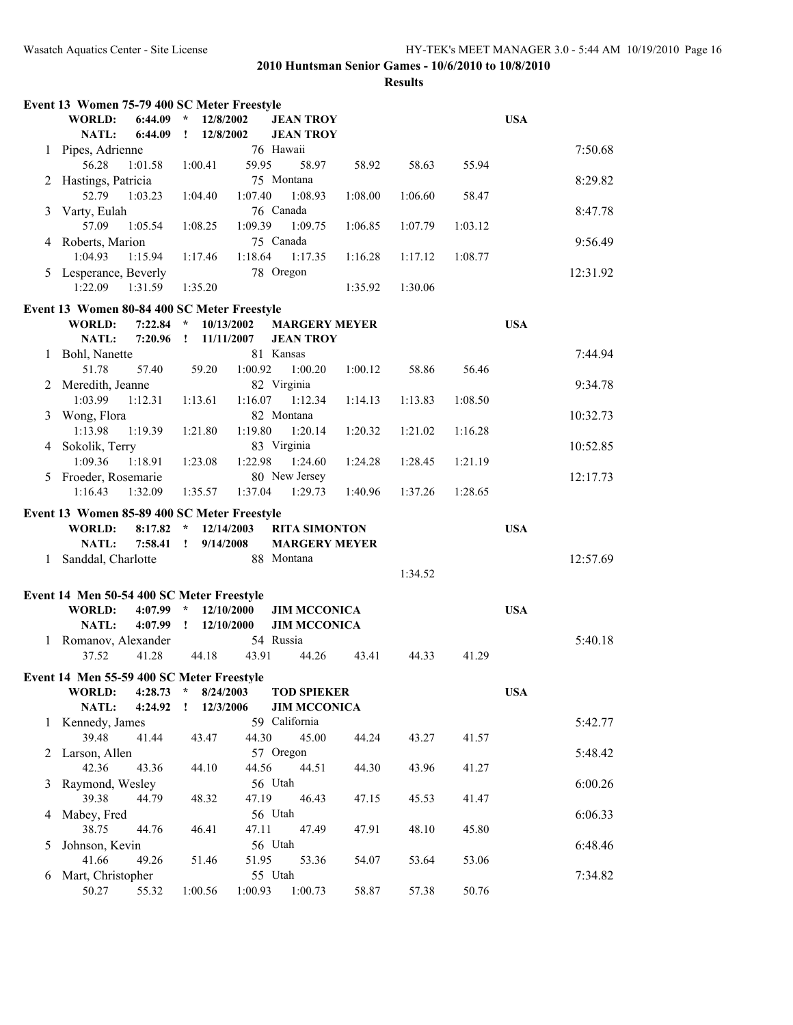|              | Event 13 Women 75-79 400 SC Meter Freestyle |                             |                      |         |         |         |            |
|--------------|---------------------------------------------|-----------------------------|----------------------|---------|---------|---------|------------|
|              | 6:44.09<br>WORLD:                           | $\star$<br>12/8/2002        | <b>JEAN TROY</b>     |         |         |         | <b>USA</b> |
|              | <b>NATL:</b><br>6:44.09                     | 12/8/2002<br>$\mathbf{I}$   | <b>JEAN TROY</b>     |         |         |         |            |
| 1            | Pipes, Adrienne                             |                             | 76 Hawaii            |         |         |         | 7:50.68    |
|              | 56.28<br>1:01.58                            | 1:00.41                     | 59.95<br>58.97       | 58.92   | 58.63   | 55.94   |            |
| 2            | Hastings, Patricia                          |                             | 75 Montana           |         |         |         | 8:29.82    |
|              | 52.79<br>1:03.23                            | 1:04.40                     | 1:08.93<br>1:07.40   | 1:08.00 | 1:06.60 | 58.47   |            |
| 3            | Varty, Eulah                                |                             | 76 Canada            |         |         |         | 8:47.78    |
|              | 57.09<br>1:05.54                            | 1:08.25                     | 1:09.39<br>1:09.75   | 1:06.85 | 1:07.79 | 1:03.12 |            |
|              | 4 Roberts, Marion                           |                             | 75 Canada            |         |         |         | 9:56.49    |
|              | 1:04.93<br>1:15.94                          | 1:17.46                     | 1:18.64<br>1:17.35   | 1:16.28 | 1:17.12 | 1:08.77 |            |
| 5            | Lesperance, Beverly                         |                             | 78 Oregon            |         |         |         | 12:31.92   |
|              | 1:22.09<br>1:31.59                          | 1:35.20                     |                      | 1:35.92 | 1:30.06 |         |            |
|              | Event 13 Women 80-84 400 SC Meter Freestyle |                             |                      |         |         |         |            |
|              | 7:22.84<br><b>WORLD:</b>                    | $\star$<br>10/13/2002       | <b>MARGERY MEYER</b> |         |         |         | <b>USA</b> |
|              | <b>NATL:</b><br>7:20.96                     | 11/11/2007<br>$\mathbf{r}$  | <b>JEAN TROY</b>     |         |         |         |            |
| 1            | Bohl, Nanette                               |                             | 81 Kansas            |         |         |         | 7:44.94    |
|              | 51.78<br>57.40                              | 59.20                       | 1:00.20<br>1:00.92   | 1:00.12 | 58.86   | 56.46   |            |
| 2            | Meredith, Jeanne                            |                             | 82 Virginia          |         |         |         | 9:34.78    |
|              | 1:03.99<br>1:12.31                          | 1:13.61                     | 1:16.07<br>1:12.34   | 1:14.13 | 1:13.83 | 1:08.50 |            |
| 3            | Wong, Flora                                 |                             | 82 Montana           |         |         |         | 10:32.73   |
|              | 1:13.98<br>1:19.39                          | 1:21.80                     | 1:19.80<br>1:20.14   | 1:20.32 | 1:21.02 | 1:16.28 |            |
|              |                                             |                             | 83 Virginia          |         |         |         |            |
| 4            | Sokolik, Terry<br>1:09.36<br>1:18.91        | 1:23.08                     | 1:22.98<br>1:24.60   | 1:24.28 | 1:28.45 | 1:21.19 | 10:52.85   |
| 5            | Froeder, Rosemarie                          |                             | 80 New Jersey        |         |         |         | 12:17.73   |
|              | 1:16.43<br>1:32.09                          | 1:35.57                     | 1:37.04<br>1:29.73   | 1:40.96 | 1:37.26 | 1:28.65 |            |
|              |                                             |                             |                      |         |         |         |            |
|              | Event 13 Women 85-89 400 SC Meter Freestyle |                             |                      |         |         |         |            |
|              | <b>WORLD:</b><br>8:17.82                    | $\mathcal{R}$<br>12/14/2003 | <b>RITA SIMONTON</b> |         |         |         | <b>USA</b> |
|              | <b>NATL:</b><br>$7:58.41$ !                 | 9/14/2008                   | <b>MARGERY MEYER</b> |         |         |         |            |
| $\mathbf{1}$ | Sanddal, Charlotte                          |                             | 88 Montana           |         |         |         | 12:57.69   |
|              |                                             |                             |                      |         | 1:34.52 |         |            |
|              | Event 14 Men 50-54 400 SC Meter Freestyle   |                             |                      |         |         |         |            |
|              | $4:07.99$ *<br>WORLD:                       | 12/10/2000                  | <b>JIM MCCONICA</b>  |         |         |         | <b>USA</b> |
|              | $4:07.99$ !<br>NATL:                        | 12/10/2000                  | <b>JIM MCCONICA</b>  |         |         |         |            |
|              | 1 Romanov, Alexander                        |                             | 54 Russia            |         |         |         | 5:40.18    |
|              | 37.52<br>41.28                              | 44.18                       | 43.91<br>44.26       | 43.41   | 44.33   | 41.29   |            |
|              | Event 14 Men 55-59 400 SC Meter Freestyle   |                             |                      |         |         |         |            |
|              | WORLD:<br>$4:28.73$ *                       | 8/24/2003                   | <b>TOD SPIEKER</b>   |         |         |         | <b>USA</b> |
|              | NATL:<br>4:24.92                            | 12/3/2006<br>Ţ              | <b>JIM MCCONICA</b>  |         |         |         |            |
| 1            | Kennedy, James                              |                             | 59 California        |         |         |         | 5:42.77    |
|              | 39.48<br>41.44                              | 43.47                       | 44.30<br>45.00       | 44.24   | 43.27   | 41.57   |            |
| 2            | Larson, Allen                               |                             | 57 Oregon            |         |         |         | 5:48.42    |
|              | 42.36<br>43.36                              | 44.10                       | 44.56<br>44.51       | 44.30   | 43.96   | 41.27   |            |
| 3            | Raymond, Wesley                             |                             | 56 Utah              |         |         |         | 6:00.26    |
|              | 39.38<br>44.79                              | 48.32                       | 47.19<br>46.43       | 47.15   | 45.53   | 41.47   |            |
|              | Mabey, Fred                                 |                             | 56 Utah              |         |         |         | 6:06.33    |
| 4            | 38.75<br>44.76                              | 46.41                       | 47.11<br>47.49       | 47.91   | 48.10   | 45.80   |            |
| 5            | Johnson, Kevin                              |                             | 56 Utah              |         |         |         | 6:48.46    |
|              | 41.66<br>49.26                              | 51.46                       | 51.95<br>53.36       | 54.07   | 53.64   | 53.06   |            |
| 6            | Mart, Christopher                           |                             | 55 Utah              |         |         |         | 7:34.82    |
|              | 50.27<br>55.32                              | 1:00.56                     | 1:00.93 1:00.73      | 58.87   | 57.38   | 50.76   |            |
|              |                                             |                             |                      |         |         |         |            |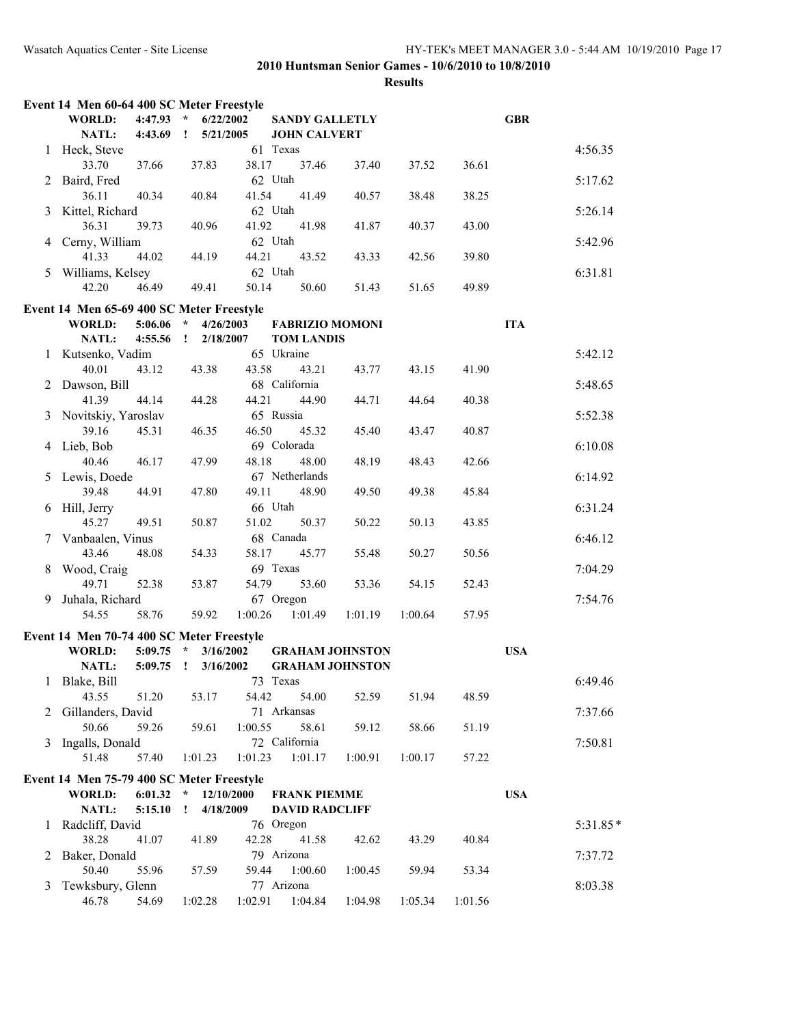|                | Event 14 Men 60-64 400 SC Meter Freestyle |             |                                        |           |                        |         |         |         |            |            |
|----------------|-------------------------------------------|-------------|----------------------------------------|-----------|------------------------|---------|---------|---------|------------|------------|
|                | <b>WORLD:</b>                             | $4:47.93$ * | 6/22/2002                              |           | <b>SANDY GALLETLY</b>  |         |         |         | <b>GBR</b> |            |
|                | <b>NATL:</b>                              | 4:43.69     | $\mathbf{1}$<br>5/21/2005              |           | <b>JOHN CALVERT</b>    |         |         |         |            |            |
| 1              | Heck, Steve                               |             |                                        | 61 Texas  |                        |         |         |         |            | 4:56.35    |
|                | 33.70                                     | 37.66       | 37.83                                  | 38.17     | 37.46                  | 37.40   | 37.52   | 36.61   |            |            |
| $\overline{2}$ | Baird, Fred                               |             |                                        | 62 Utah   |                        |         |         |         |            | 5:17.62    |
|                | 36.11                                     | 40.34       | 40.84                                  | 41.54     | 41.49                  | 40.57   | 38.48   | 38.25   |            |            |
| 3              | Kittel, Richard                           |             |                                        | 62 Utah   |                        |         |         |         |            | 5:26.14    |
|                | 36.31                                     | 39.73       | 40.96                                  | 41.92     | 41.98                  | 41.87   | 40.37   | 43.00   |            |            |
| 4              | Cerny, William                            |             |                                        | 62 Utah   |                        |         |         |         |            | 5:42.96    |
|                | 41.33                                     | 44.02       | 44.19                                  | 44.21     | 43.52                  | 43.33   | 42.56   | 39.80   |            |            |
|                | 5 Williams, Kelsey                        |             |                                        | 62 Utah   |                        |         |         |         |            | 6:31.81    |
|                | 42.20                                     | 46.49       | 49.41                                  | 50.14     | 50.60                  | 51.43   | 51.65   | 49.89   |            |            |
|                |                                           |             |                                        |           |                        |         |         |         |            |            |
|                | Event 14 Men 65-69 400 SC Meter Freestyle |             |                                        |           |                        |         |         |         |            |            |
|                | WORLD:                                    | 5:06.06     | $\star$<br>4/26/2003                   |           | <b>FABRIZIO MOMONI</b> |         |         |         | <b>ITA</b> |            |
|                | <b>NATL:</b>                              | 4:55.56     | $\mathbf{I}$<br>2/18/2007              |           | <b>TOM LANDIS</b>      |         |         |         |            |            |
|                | 1 Kutsenko, Vadim                         |             |                                        |           | 65 Ukraine             |         |         |         |            | 5:42.12    |
|                | 40.01                                     | 43.12       | 43.38                                  | 43.58     | 43.21                  | 43.77   | 43.15   | 41.90   |            |            |
| 2              | Dawson, Bill                              |             |                                        |           | 68 California          |         |         |         |            | 5:48.65    |
|                | 41.39                                     | 44.14       | 44.28                                  | 44.21     | 44.90                  | 44.71   | 44.64   | 40.38   |            |            |
| 3              | Novitskiy, Yaroslav                       |             |                                        | 65 Russia |                        |         |         |         |            | 5:52.38    |
|                | 39.16                                     | 45.31       | 46.35                                  | 46.50     | 45.32                  | 45.40   | 43.47   | 40.87   |            |            |
|                | 4 Lieb, Bob                               |             |                                        |           | 69 Colorada            |         |         |         |            | 6:10.08    |
|                | 40.46                                     | 46.17       | 47.99                                  | 48.18     | 48.00                  | 48.19   | 48.43   | 42.66   |            |            |
| 5.             | Lewis, Doede                              |             |                                        |           | 67 Netherlands         |         |         |         |            | 6:14.92    |
|                | 39.48                                     | 44.91       | 47.80                                  | 49.11     | 48.90                  | 49.50   | 49.38   | 45.84   |            |            |
|                | 6 Hill, Jerry                             |             |                                        | 66 Utah   |                        |         |         |         |            | 6:31.24    |
|                | 45.27                                     | 49.51       | 50.87                                  | 51.02     | 50.37                  | 50.22   | 50.13   | 43.85   |            |            |
|                | 7 Vanbaalen, Vinus                        |             |                                        |           | 68 Canada              |         |         |         |            | 6:46.12    |
|                | 43.46                                     | 48.08       | 54.33                                  | 58.17     | 45.77                  | 55.48   | 50.27   | 50.56   |            |            |
| 8              | Wood, Craig                               |             |                                        | 69 Texas  |                        |         |         |         |            | 7:04.29    |
|                | 49.71                                     | 52.38       | 53.87                                  | 54.79     | 53.60                  | 53.36   | 54.15   | 52.43   |            |            |
| 9              | Juhala, Richard                           |             |                                        |           | 67 Oregon              |         |         |         |            | 7:54.76    |
|                | 54.55                                     | 58.76       | 59.92                                  | 1:00.26   | 1:01.49                | 1:01.19 | 1:00.64 | 57.95   |            |            |
|                |                                           |             |                                        |           |                        |         |         |         |            |            |
|                | Event 14 Men 70-74 400 SC Meter Freestyle |             |                                        |           |                        |         |         |         |            |            |
|                | <b>WORLD:</b>                             | 5:09.75     | $\mathcal{R}$<br>3/16/2002             |           | <b>GRAHAM JOHNSTON</b> |         |         |         | <b>USA</b> |            |
|                | NATL:                                     | $5:09.75$ ! | 3/16/2002                              |           | <b>GRAHAM JOHNSTON</b> |         |         |         |            |            |
|                | 1 Blake, Bill                             |             |                                        | 73 Texas  |                        |         |         |         |            | 6:49.46    |
|                | 43.55                                     | 51.20       | 53.17                                  | 54.42     | 54.00                  | 52.59   | 51.94   | 48.59   |            |            |
| 2              | Gillanders, David                         |             |                                        |           | 71 Arkansas            |         |         |         |            | 7:37.66    |
|                | 50.66                                     | 59.26       | 59.61                                  | 1:00.55   | 58.61                  | 59.12   | 58.66   | 51.19   |            |            |
| 3              | Ingalls, Donald                           |             |                                        |           | 72 California          |         |         |         |            | 7:50.81    |
|                | 51.48                                     | 57.40       | 1:01.23                                | 1:01.23   | 1:01.17                | 1:00.91 | 1:00.17 | 57.22   |            |            |
|                | Event 14 Men 75-79 400 SC Meter Freestyle |             |                                        |           |                        |         |         |         |            |            |
|                | WORLD:                                    | 6:01.32     | $\mathcal{R}_\mathrm{c}$<br>12/10/2000 |           | <b>FRANK PIEMME</b>    |         |         |         | <b>USA</b> |            |
|                | NATL:                                     | 5:15.10     | $\mathbf{I}$<br>4/18/2009              |           | <b>DAVID RADCLIFF</b>  |         |         |         |            |            |
| 1              | Radcliff, David                           |             |                                        |           | 76 Oregon              |         |         |         |            | $5:31.85*$ |
|                | 38.28                                     | 41.07       | 41.89                                  | 42.28     | 41.58                  | 42.62   | 43.29   | 40.84   |            |            |
| 2              | Baker, Donald                             |             |                                        |           | 79 Arizona             |         |         |         |            | 7:37.72    |
|                | 50.40                                     | 55.96       | 57.59                                  | 59.44     | 1:00.60                | 1:00.45 | 59.94   | 53.34   |            |            |
|                |                                           |             |                                        |           | 77 Arizona             |         |         |         |            |            |
| 3              | Tewksbury, Glenn                          |             |                                        |           |                        |         |         |         |            | 8:03.38    |
|                | 46.78                                     | 54.69       | 1:02.28                                | 1:02.91   | 1:04.84                | 1:04.98 | 1:05.34 | 1:01.56 |            |            |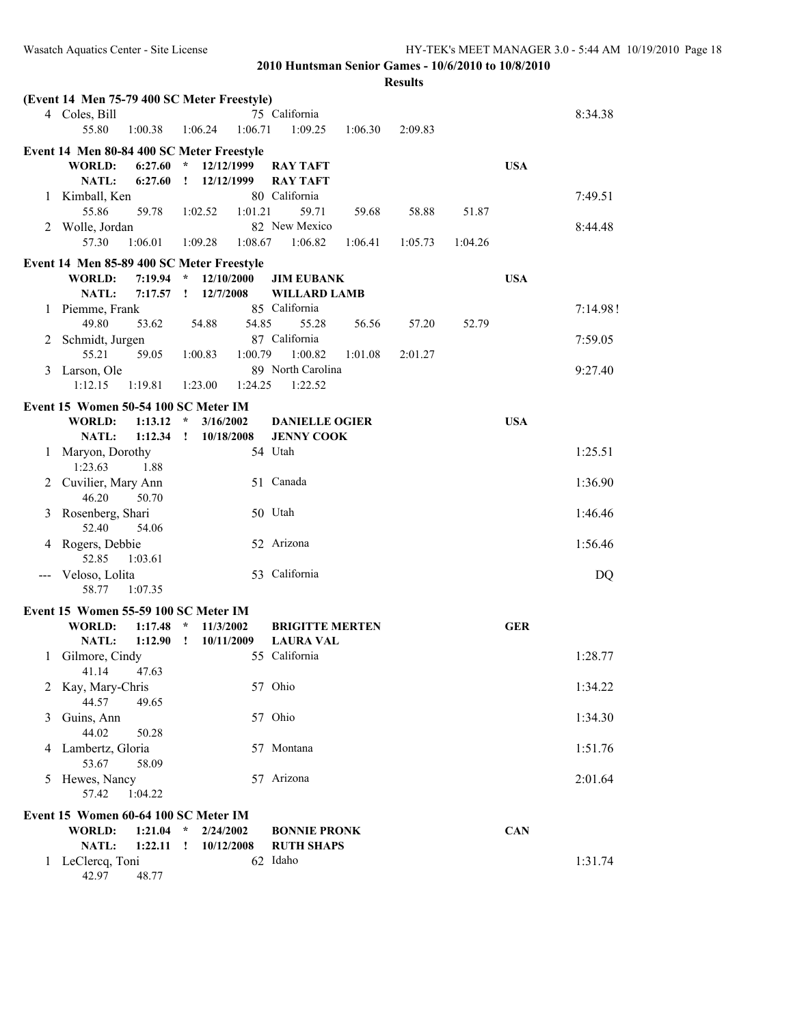|                                      | (Event 14 Men 75-79 400 SC Meter Freestyle) |                             |                                  |                    |            |  |  |  |  |  |
|--------------------------------------|---------------------------------------------|-----------------------------|----------------------------------|--------------------|------------|--|--|--|--|--|
|                                      | 4 Coles, Bill                               |                             | 75 California                    |                    | 8:34.38    |  |  |  |  |  |
|                                      | 55.80<br>1:00.38                            | 1:06.71<br>1:06.24          | 1:09.25<br>1:06.30               | 2:09.83            |            |  |  |  |  |  |
|                                      | Event 14 Men 80-84 400 SC Meter Freestyle   |                             |                                  |                    |            |  |  |  |  |  |
|                                      | WORLD:<br>6:27.60                           | $\star$<br>12/12/1999       | <b>RAY TAFT</b>                  |                    | <b>USA</b> |  |  |  |  |  |
| 1                                    | <b>NATL:</b><br>6:27.60<br>Kimball, Ken     | 12/12/1999<br>$\mathbf{I}$  | <b>RAY TAFT</b><br>80 California |                    | 7:49.51    |  |  |  |  |  |
|                                      | 55.86<br>59.78                              | 1:01.21<br>1:02.52          | 59.71<br>59.68                   | 58.88<br>51.87     |            |  |  |  |  |  |
|                                      | 2 Wolle, Jordan                             |                             | 82 New Mexico                    |                    | 8:44.48    |  |  |  |  |  |
|                                      | 57.30<br>1:06.01                            | 1:09.28<br>1:08.67          | 1:06.82<br>1:06.41               | 1:05.73<br>1:04.26 |            |  |  |  |  |  |
|                                      | Event 14 Men 85-89 400 SC Meter Freestyle   |                             |                                  |                    |            |  |  |  |  |  |
|                                      | 7:19.94<br><b>WORLD:</b>                    | $\mathcal{R}$<br>12/10/2000 | <b>JIM EUBANK</b>                |                    | <b>USA</b> |  |  |  |  |  |
|                                      | <b>NATL:</b><br>7:17.57                     | 12/7/2008<br>$\mathbf{I}$   | <b>WILLARD LAMB</b>              |                    |            |  |  |  |  |  |
|                                      | 1 Piemme, Frank<br>49.80<br>53.62           | 54.85<br>54.88              | 85 California<br>55.28<br>56.56  | 57.20<br>52.79     | 7:14.98!   |  |  |  |  |  |
| 2                                    | Schmidt, Jurgen                             |                             | 87 California                    |                    | 7:59.05    |  |  |  |  |  |
|                                      | 55.21<br>59.05                              | 1:00.83<br>1:00.79          | 1:00.82<br>1:01.08               | 2:01.27            |            |  |  |  |  |  |
| 3                                    | Larson, Ole                                 |                             | 89 North Carolina                |                    | 9:27.40    |  |  |  |  |  |
|                                      | 1:12.15<br>1:19.81                          | 1:23.00<br>1:24.25          | 1:22.52                          |                    |            |  |  |  |  |  |
| Event 15 Women 50-54 100 SC Meter IM |                                             |                             |                                  |                    |            |  |  |  |  |  |
|                                      | <b>WORLD:</b><br>1:13.12                    | $\star$<br>3/16/2002        | <b>DANIELLE OGIER</b>            |                    | <b>USA</b> |  |  |  |  |  |
| 1                                    | 1:12.34<br>NATL:<br>Maryon, Dorothy         | $\mathbf{r}$<br>10/18/2008  | <b>JENNY COOK</b><br>54 Utah     |                    | 1:25.51    |  |  |  |  |  |
|                                      | 1:23.63<br>1.88                             |                             |                                  |                    |            |  |  |  |  |  |
| 2                                    | Cuvilier, Mary Ann                          |                             | 51 Canada                        |                    | 1:36.90    |  |  |  |  |  |
|                                      | 46.20<br>50.70                              |                             |                                  |                    |            |  |  |  |  |  |
| 3                                    | Rosenberg, Shari                            |                             | 50 Utah                          |                    | 1:46.46    |  |  |  |  |  |
|                                      | 52.40<br>54.06                              |                             | 52 Arizona                       |                    | 1:56.46    |  |  |  |  |  |
| 4                                    | Rogers, Debbie<br>52.85<br>1:03.61          |                             |                                  |                    |            |  |  |  |  |  |
|                                      | Veloso, Lolita                              |                             | 53 California                    |                    | DQ         |  |  |  |  |  |
|                                      | 58.77<br>1:07.35                            |                             |                                  |                    |            |  |  |  |  |  |
|                                      | Event 15 Women 55-59 100 SC Meter IM        |                             |                                  |                    |            |  |  |  |  |  |
|                                      | <b>WORLD:</b><br>1:17.48                    | $\star$<br>11/3/2002        | <b>BRIGITTE MERTEN</b>           |                    | <b>GER</b> |  |  |  |  |  |
|                                      | NATL:<br>1:12.90                            | $\mathbf{I}$<br>10/11/2009  | <b>LAURA VAL</b>                 |                    |            |  |  |  |  |  |
| 1                                    | Gilmore, Cindy<br>47.63                     |                             | 55 California                    |                    | 1:28.77    |  |  |  |  |  |
| $\overline{2}$                       | 41.14<br>Kay, Mary-Chris                    |                             | 57 Ohio                          |                    | 1:34.22    |  |  |  |  |  |
|                                      | 44.57<br>49.65                              |                             |                                  |                    |            |  |  |  |  |  |
| 3                                    | Guins, Ann                                  |                             | 57 Ohio                          |                    | 1:34.30    |  |  |  |  |  |
|                                      | 44.02<br>50.28                              |                             |                                  |                    |            |  |  |  |  |  |
| 4                                    | Lambertz, Gloria                            |                             | 57 Montana                       |                    | 1:51.76    |  |  |  |  |  |
| 5                                    | 53.67<br>58.09<br>Hewes, Nancy              |                             | 57 Arizona                       |                    | 2:01.64    |  |  |  |  |  |
|                                      | 57.42<br>1:04.22                            |                             |                                  |                    |            |  |  |  |  |  |
|                                      | Event 15 Women 60-64 100 SC Meter IM        |                             |                                  |                    |            |  |  |  |  |  |
|                                      | <b>WORLD:</b><br>1:21.04                    | 2/24/2002<br>$\star$        | <b>BONNIE PRONK</b>              |                    | <b>CAN</b> |  |  |  |  |  |
|                                      | NATL:<br>1:22.11                            | 10/12/2008<br>$\mathbf{I}$  | <b>RUTH SHAPS</b>                |                    |            |  |  |  |  |  |
|                                      | 1 LeClercq, Toni<br>42.97<br>48.77          |                             | 62 Idaho                         |                    | 1:31.74    |  |  |  |  |  |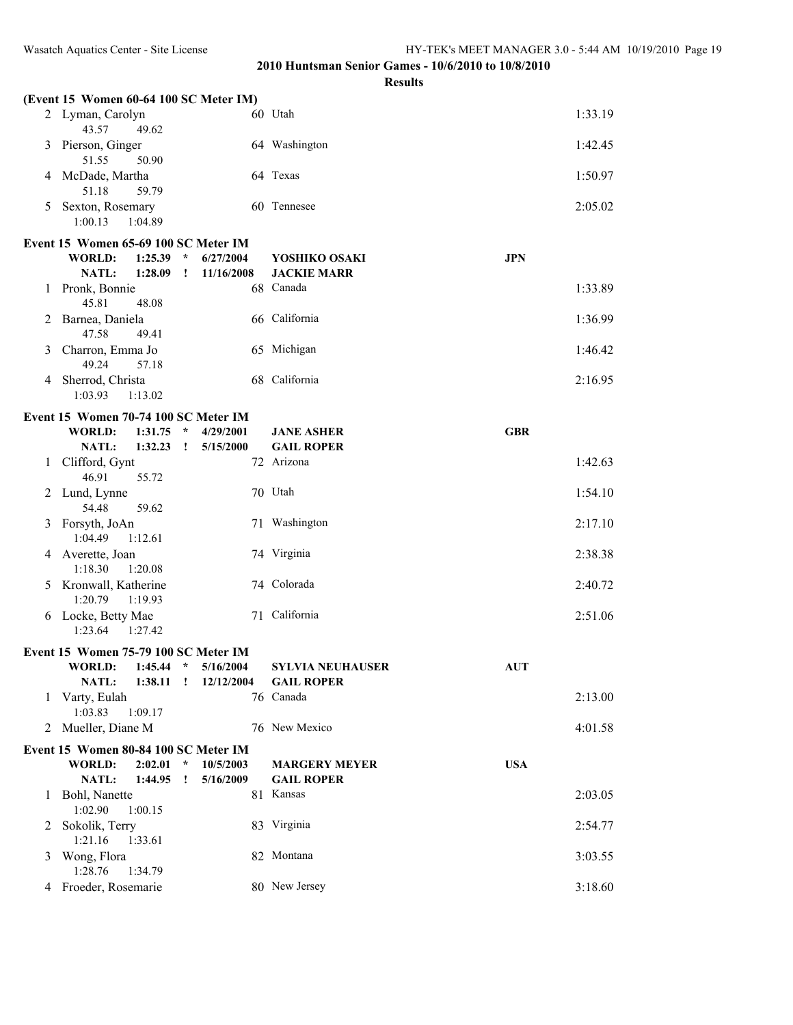|   | (Event 15 Women 60-64 100 SC Meter IM)      |                      |                         |            |
|---|---------------------------------------------|----------------------|-------------------------|------------|
|   | 2 Lyman, Carolyn<br>43.57<br>49.62          |                      | 60 Utah                 | 1:33.19    |
| 3 | Pierson, Ginger<br>51.55<br>50.90           |                      | 64 Washington           | 1:42.45    |
| 4 | McDade, Martha<br>51.18<br>59.79            |                      | 64 Texas                | 1:50.97    |
| 5 | Sexton, Rosemary<br>1:00.13<br>1:04.89      |                      | 60 Tennesee             | 2:05.02    |
|   | Event 15 Women 65-69 100 SC Meter IM        |                      |                         |            |
|   | $\star$<br><b>WORLD:</b><br>1:25.39         | 6/27/2004            | YOSHIKO OSAKI           | <b>JPN</b> |
|   | NATL:<br>1:28.09<br>$\mathbf{I}$            | 11/16/2008           | <b>JACKIE MARR</b>      |            |
| 1 | Pronk, Bonnie<br>45.81<br>48.08             |                      | 68 Canada               | 1:33.89    |
| 2 | Barnea, Daniela<br>47.58<br>49.41           |                      | 66 California           | 1:36.99    |
|   | 3 Charron, Emma Jo<br>49.24<br>57.18        |                      | 65 Michigan             | 1:46.42    |
| 4 | Sherrod, Christa<br>1:03.93<br>1:13.02      |                      | 68 California           | 2:16.95    |
|   | Event 15 Women 70-74 100 SC Meter IM        |                      |                         |            |
|   | <b>WORLD:</b><br>1:31.75<br>$\star$         | 4/29/2001            | <b>JANE ASHER</b>       | <b>GBR</b> |
|   | NATL:<br>1:32.23<br>$\cdot$                 | 5/15/2000            | <b>GAIL ROPER</b>       |            |
| 1 | Clifford, Gynt<br>46.91<br>55.72            |                      | 72 Arizona              | 1:42.63    |
|   | 2 Lund, Lynne<br>54.48<br>59.62             |                      | 70 Utah                 | 1:54.10    |
|   | 3 Forsyth, JoAn<br>1:04.49<br>1:12.61       |                      | 71 Washington           | 2:17.10    |
|   | 4 Averette, Joan<br>1:18.30<br>1:20.08      |                      | 74 Virginia             | 2:38.38    |
|   | 5 Kronwall, Katherine<br>1:20.79<br>1:19.93 |                      | 74 Colorada             | 2:40.72    |
|   | 6 Locke, Betty Mae<br>1:23.64<br>1:27.42    |                      | 71 California           | 2:51.06    |
|   | Event 15 Women 75-79 100 SC Meter IM        |                      |                         |            |
|   | WORLD: 1:45.44 * 5/16/2004                  |                      | <b>SYLVIA NEUHAUSER</b> | <b>AUT</b> |
|   | NATL:                                       | 1:38.11 ! 12/12/2004 | <b>GAIL ROPER</b>       |            |
| 1 | Varty, Eulah<br>1:03.83<br>1:09.17          |                      | 76 Canada               | 2:13.00    |
|   | 2 Mueller, Diane M                          |                      | 76 New Mexico           | 4:01.58    |
|   | Event 15 Women 80-84 100 SC Meter IM        |                      |                         |            |
|   | <b>WORLD:</b><br>2:02.01<br>$\star$         | 10/5/2003            | <b>MARGERY MEYER</b>    | <b>USA</b> |
|   | NATL:<br>1:44.95<br><u>!</u>                | 5/16/2009            | <b>GAIL ROPER</b>       |            |
| 1 | Bohl, Nanette<br>1:02.90<br>1:00.15         |                      | 81 Kansas               | 2:03.05    |
|   | 2 Sokolik, Terry<br>1:21.16<br>1:33.61      |                      | 83 Virginia             | 2:54.77    |
|   | 3 Wong, Flora<br>1:28.76<br>1:34.79         |                      | 82 Montana              | 3:03.55    |
|   | 4 Froeder, Rosemarie                        |                      | 80 New Jersey           | 3:18.60    |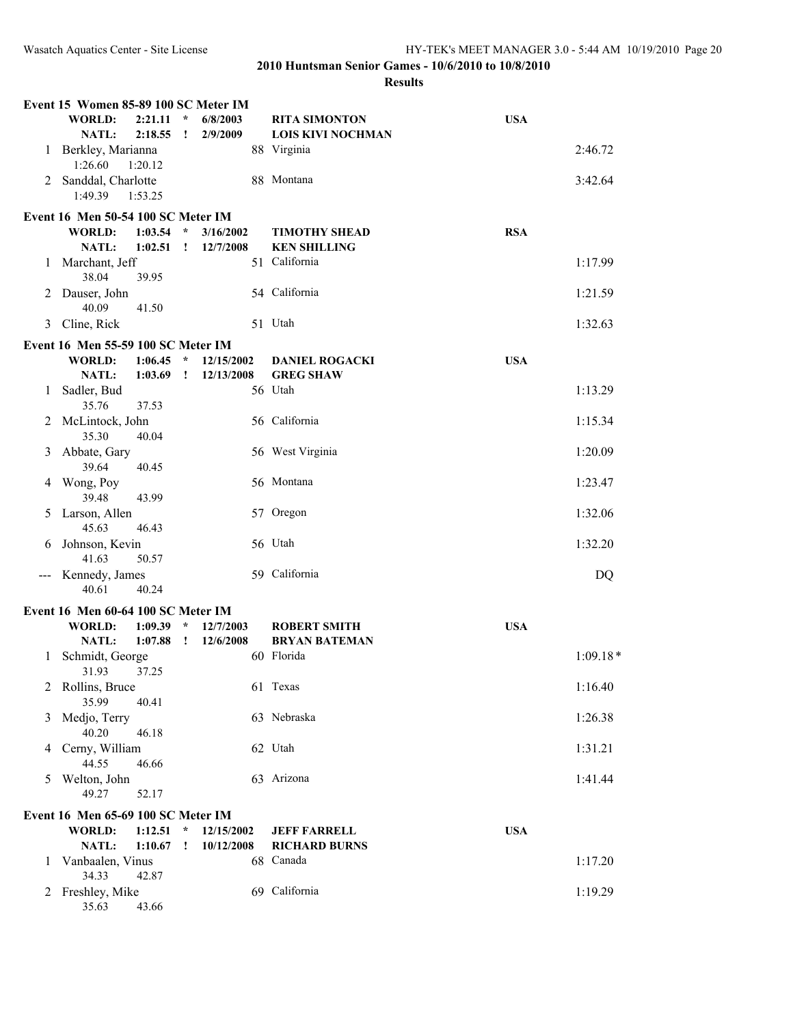|               | Event 15 Women 85-89 100 SC Meter IM |                    |                         |                      |                                                  |            |            |
|---------------|--------------------------------------|--------------------|-------------------------|----------------------|--------------------------------------------------|------------|------------|
|               | <b>WORLD:</b><br>NATL:               | 2:21.11<br>2:18.55 | $\star$<br>$\mathbf{I}$ | 6/8/2003<br>2/9/2009 | <b>RITA SIMONTON</b><br><b>LOIS KIVI NOCHMAN</b> | <b>USA</b> |            |
| 1             | Berkley, Marianna<br>1:26.60         | 1:20.12            |                         |                      | 88 Virginia                                      |            | 2:46.72    |
| 2             | Sanddal, Charlotte<br>1:49.39        | 1:53.25            |                         |                      | 88 Montana                                       |            | 3:42.64    |
|               | Event 16 Men 50-54 100 SC Meter IM   |                    |                         |                      |                                                  |            |            |
|               | <b>WORLD:</b>                        | 1:03.54            | $\star$                 | 3/16/2002            | <b>TIMOTHY SHEAD</b>                             | <b>RSA</b> |            |
|               | NATL:                                | 1:02.51            | $\mathbf{r}$            | 12/7/2008            | <b>KEN SHILLING</b>                              |            |            |
| 1             | Marchant, Jeff<br>38.04              | 39.95              |                         |                      | 51 California                                    |            | 1:17.99    |
| 2             | Dauser, John<br>40.09                | 41.50              |                         |                      | 54 California                                    |            | 1:21.59    |
| 3             | Cline, Rick                          |                    |                         |                      | 51 Utah                                          |            | 1:32.63    |
|               | Event 16 Men 55-59 100 SC Meter IM   |                    |                         |                      |                                                  |            |            |
|               | <b>WORLD:</b>                        | 1:06.45            | $\star$                 | 12/15/2002           | <b>DANIEL ROGACKI</b>                            | <b>USA</b> |            |
|               | NATL:                                | 1:03.69            | $\mathbf{I}$            | 12/13/2008           | <b>GREG SHAW</b>                                 |            |            |
| 1             | Sadler, Bud<br>35.76                 | 37.53              |                         |                      | 56 Utah                                          |            | 1:13.29    |
| 2             | McLintock, John<br>35.30             | 40.04              |                         |                      | 56 California                                    |            | 1:15.34    |
| 3             | Abbate, Gary<br>39.64                | 40.45              |                         |                      | 56 West Virginia                                 |            | 1:20.09    |
| 4             | Wong, Poy<br>39.48                   | 43.99              |                         |                      | 56 Montana                                       |            | 1:23.47    |
| 5             | Larson, Allen<br>45.63               | 46.43              |                         |                      | 57 Oregon                                        |            | 1:32.06    |
| 6             | Johnson, Kevin<br>41.63              | 50.57              |                         |                      | 56 Utah                                          |            | 1:32.20    |
| $\sim$ $\sim$ | Kennedy, James<br>40.61              | 40.24              |                         |                      | 59 California                                    |            | DQ         |
|               | Event 16 Men 60-64 100 SC Meter IM   |                    |                         |                      |                                                  |            |            |
|               | <b>WORLD:</b>                        | 1:09.39            | $\star$                 | 12/7/2003            | <b>ROBERT SMITH</b>                              | <b>USA</b> |            |
|               | NATL:                                | 1:07.88            | $\mathbf{I}$            | 12/6/2008            | <b>BRYAN BATEMAN</b>                             |            |            |
| 1             | Schmidt, George<br>31.93             | 37.25              |                         |                      | 60 Florida                                       |            | $1:09.18*$ |
|               | Rollins, Bruce<br>35.99              | 40.41              |                         |                      | 61 Texas                                         |            | 1:16.40    |
| 3             | Medjo, Terry<br>40.20                | 46.18              |                         |                      | 63 Nebraska                                      |            | 1:26.38    |
| 4             | Cerny, William<br>44.55              | 46.66              |                         |                      | 62 Utah                                          |            | 1:31.21    |
| 5             | Welton, John<br>49.27                | 52.17              |                         |                      | 63 Arizona                                       |            | 1:41.44    |
|               | Event 16 Men 65-69 100 SC Meter IM   |                    |                         |                      |                                                  |            |            |
|               | <b>WORLD:</b>                        | 1:12.51            | $\star$                 | 12/15/2002           | <b>JEFF FARRELL</b>                              | <b>USA</b> |            |
|               | <b>NATL:</b>                         | 1:10.67            | T                       | 10/12/2008           | <b>RICHARD BURNS</b>                             |            |            |
| 1             | Vanbaalen, Vinus<br>34.33            | 42.87              |                         |                      | 68 Canada                                        |            | 1:17.20    |
| 2             | Freshley, Mike<br>35.63              | 43.66              |                         |                      | 69 California                                    |            | 1:19.29    |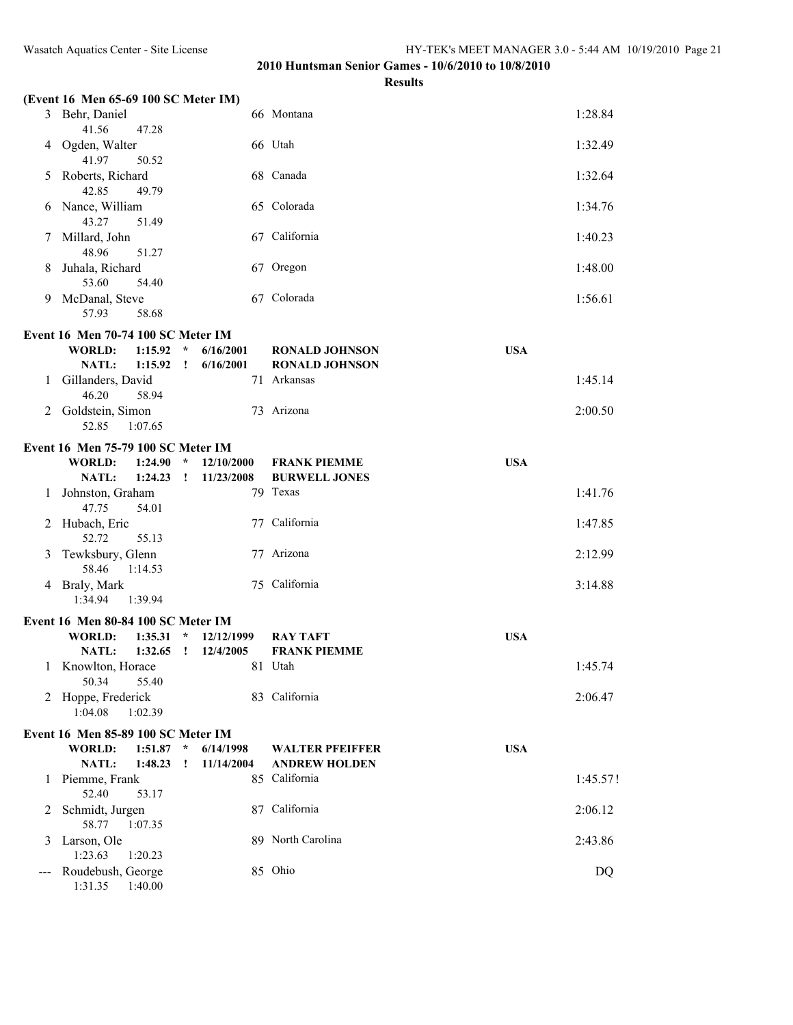|   | (Event 16 Men 65-69 100 SC Meter IM)      |              |            |                        |            |          |
|---|-------------------------------------------|--------------|------------|------------------------|------------|----------|
|   | 3 Behr, Daniel<br>41.56<br>47.28          |              |            | 66 Montana             |            | 1:28.84  |
| 4 | Ogden, Walter<br>41.97<br>50.52           |              |            | 66 Utah                |            | 1:32.49  |
| 5 | Roberts, Richard<br>42.85<br>49.79        |              |            | 68 Canada              |            | 1:32.64  |
| 6 | Nance, William<br>43.27<br>51.49          |              |            | 65 Colorada            |            | 1:34.76  |
|   | Millard, John<br>48.96<br>51.27           |              |            | 67 California          |            | 1:40.23  |
| 8 | Juhala, Richard<br>53.60<br>54.40         |              |            | 67 Oregon              |            | 1:48.00  |
| 9 | McDanal, Steve<br>57.93<br>58.68          |              |            | 67 Colorada            |            | 1:56.61  |
|   | Event 16 Men 70-74 100 SC Meter IM        |              |            |                        |            |          |
|   | <b>WORLD:</b><br>1:15.92                  | $\star$      | 6/16/2001  | <b>RONALD JOHNSON</b>  | <b>USA</b> |          |
|   | <b>NATL:</b><br>1:15.92                   | $\mathbf{I}$ | 6/16/2001  | <b>RONALD JOHNSON</b>  |            |          |
| 1 | Gillanders, David                         |              |            | 71 Arkansas            |            | 1:45.14  |
|   | 46.20<br>58.94                            |              |            |                        |            |          |
| 2 | Goldstein, Simon<br>52.85<br>1:07.65      |              |            | 73 Arizona             |            | 2:00.50  |
|   | <b>Event 16 Men 75-79 100 SC Meter IM</b> |              |            |                        |            |          |
|   | WORLD:<br>1:24.90                         | $\star$      | 12/10/2000 | <b>FRANK PIEMME</b>    | <b>USA</b> |          |
|   | NATL:<br>$1:24.23$ !                      |              | 11/23/2008 | <b>BURWELL JONES</b>   |            |          |
| 1 | Johnston, Graham<br>47.75<br>54.01        |              |            | 79 Texas               |            | 1:41.76  |
| 2 | Hubach, Eric<br>52.72<br>55.13            |              |            | 77 California          |            | 1:47.85  |
| 3 | Tewksbury, Glenn<br>58.46<br>1:14.53      |              |            | 77 Arizona             |            | 2:12.99  |
|   | 4 Braly, Mark<br>1:34.94<br>1:39.94       |              |            | 75 California          |            | 3:14.88  |
|   | Event 16 Men 80-84 100 SC Meter IM        |              |            |                        |            |          |
|   | <b>WORLD:</b><br>1:35.31                  | $\star$      | 12/12/1999 | <b>RAY TAFT</b>        | <b>USA</b> |          |
|   | <b>NATL:</b><br>1:32.65                   | $\mathbf{I}$ | 12/4/2005  | <b>FRANK PIEMME</b>    |            |          |
|   | 1 Knowlton, Horace<br>50.34<br>55.40      |              |            | 81 Utah                |            | 1:45.74  |
| 2 | Hoppe, Frederick<br>1:04.08<br>1:02.39    |              |            | 83 California          |            | 2:06.47  |
|   | Event 16 Men 85-89 100 SC Meter IM        |              |            |                        |            |          |
|   | <b>WORLD:</b><br>1:51.87                  | $\star$      | 6/14/1998  | <b>WALTER PFEIFFER</b> | <b>USA</b> |          |
|   | NATL:<br>1:48.23                          | Ţ            | 11/14/2004 | <b>ANDREW HOLDEN</b>   |            |          |
| 1 | Piemme, Frank                             |              |            | 85 California          |            | 1:45.57! |
| 2 | 52.40<br>53.17<br>Schmidt, Jurgen         |              |            | 87 California          |            | 2:06.12  |
| 3 | 58.77<br>1:07.35<br>Larson, Ole           |              |            | 89 North Carolina      |            | 2:43.86  |
|   | 1:23.63<br>1:20.23<br>Roudebush, George   |              |            | 85 Ohio                |            | DQ       |
|   | 1:31.35<br>1:40.00                        |              |            |                        |            |          |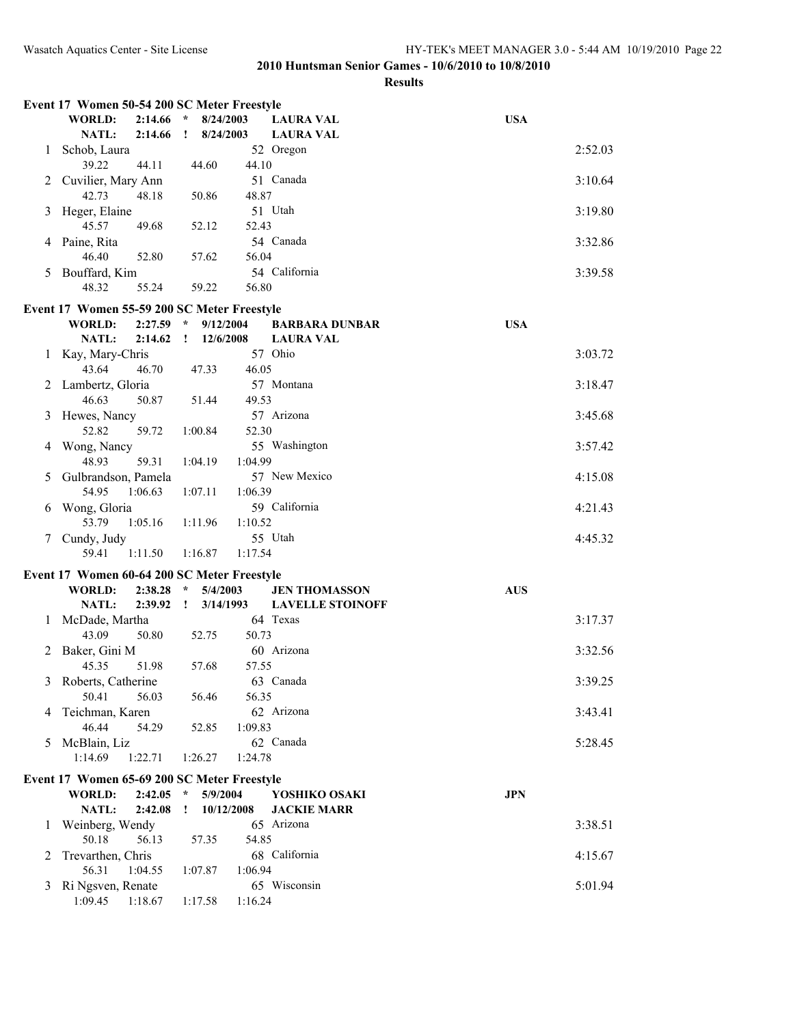|   | Event 17 Women 50-54 200 SC Meter Freestyle |         |               |                    |                         |            |
|---|---------------------------------------------|---------|---------------|--------------------|-------------------------|------------|
|   | <b>WORLD:</b>                               | 2:14.66 | $\star$       | 8/24/2003          | <b>LAURA VAL</b>        | <b>USA</b> |
|   | <b>NATL:</b>                                | 2:14.66 | $\mathbf{I}$  | 8/24/2003          | <b>LAURA VAL</b>        |            |
| 1 | Schob, Laura                                |         |               |                    | 52 Oregon               | 2:52.03    |
|   | 39.22                                       | 44.11   |               | 44.10<br>44.60     |                         |            |
|   | Cuvilier, Mary Ann                          |         |               |                    | 51 Canada               | 3:10.64    |
|   | 42.73                                       | 48.18   |               | 48.87<br>50.86     |                         |            |
| 3 | Heger, Elaine                               |         |               |                    | 51 Utah                 | 3:19.80    |
|   | 45.57                                       | 49.68   |               | 52.12<br>52.43     |                         |            |
| 4 | Paine, Rita                                 |         |               |                    | 54 Canada               | 3:32.86    |
|   | 46.40                                       | 52.80   |               | 56.04<br>57.62     |                         |            |
| 5 | Bouffard, Kim                               |         |               |                    | 54 California           | 3:39.58    |
|   | 48.32                                       | 55.24   |               | 59.22<br>56.80     |                         |            |
|   |                                             |         |               |                    |                         |            |
|   | Event 17 Women 55-59 200 SC Meter Freestyle |         |               |                    |                         |            |
|   | <b>WORLD:</b>                               | 2:27.59 | $\mathcal{R}$ | 9/12/2004          | <b>BARBARA DUNBAR</b>   | <b>USA</b> |
|   | NATL:                                       | 2:14.62 | $\mathbf{I}$  | 12/6/2008          | <b>LAURA VAL</b>        |            |
| 1 | Kay, Mary-Chris                             |         |               |                    | 57 Ohio                 | 3:03.72    |
|   | 43.64                                       | 46.70   |               | 46.05<br>47.33     |                         |            |
| 2 | Lambertz, Gloria                            |         |               |                    | 57 Montana              | 3:18.47    |
|   | 46.63                                       | 50.87   |               | 51.44<br>49.53     |                         |            |
| 3 | Hewes, Nancy                                |         |               |                    | 57 Arizona              | 3:45.68    |
|   | 52.82                                       | 59.72   |               | 52.30<br>1:00.84   |                         |            |
| 4 | Wong, Nancy                                 |         |               |                    | 55 Washington           | 3:57.42    |
|   | 48.93                                       | 59.31   |               | 1:04.99<br>1:04.19 |                         |            |
| 5 | Gulbrandson, Pamela                         |         |               |                    | 57 New Mexico           | 4:15.08    |
|   | 54.95                                       | 1:06.63 |               | 1:06.39<br>1:07.11 |                         |            |
| 6 | Wong, Gloria                                |         |               |                    | 59 California           | 4:21.43    |
|   | 53.79                                       | 1:05.16 |               | 1:11.96<br>1:10.52 |                         |            |
| 7 | Cundy, Judy                                 |         |               |                    | 55 Utah                 | 4:45.32    |
|   | 59.41                                       | 1:11.50 |               | 1:16.87<br>1:17.54 |                         |            |
|   | Event 17 Women 60-64 200 SC Meter Freestyle |         |               |                    |                         |            |
|   | <b>WORLD:</b>                               | 2:38.28 | $\star$       | 5/4/2003           | <b>JEN THOMASSON</b>    | <b>AUS</b> |
|   | NATL:                                       | 2:39.92 | $\mathbf{I}$  | 3/14/1993          | <b>LAVELLE STOINOFF</b> |            |
| 1 | McDade, Martha                              |         |               |                    | 64 Texas                | 3:17.37    |
|   | 43.09                                       | 50.80   |               | 52.75<br>50.73     |                         |            |
|   | 2 Baker, Gini M                             |         |               |                    | 60 Arizona              | 3:32.56    |
|   | 45.35                                       | 51.98   |               | 57.55<br>57.68     |                         |            |
|   | 3 Roberts, Catherine                        |         |               |                    | 63 Canada               | 3:39.25    |
|   | 50.41                                       | 56.03   |               | 56.46<br>56.35     |                         |            |
| 4 | Teichman, Karen                             |         |               |                    | 62 Arizona              | 3:43.41    |
|   | 46.44                                       | 54.29   |               | 1:09.83<br>52.85   |                         |            |
| 5 | McBlain, Liz                                |         |               |                    | 62 Canada               | 5:28.45    |
|   | 1:14.69                                     | 1:22.71 |               | 1:26.27<br>1:24.78 |                         |            |
|   | Event 17 Women 65-69 200 SC Meter Freestyle |         |               |                    |                         |            |
|   | <b>WORLD:</b>                               | 2:42.05 | $\star$       | 5/9/2004           | YOSHIKO OSAKI           | <b>JPN</b> |
|   | NATL:                                       | 2:42.08 | $\mathbf{I}$  | 10/12/2008         | <b>JACKIE MARR</b>      |            |
| 1 | Weinberg, Wendy                             |         |               |                    | 65 Arizona              | 3:38.51    |
|   | 50.18                                       | 56.13   |               | 57.35<br>54.85     |                         |            |
| 2 | Trevarthen, Chris                           |         |               |                    | 68 California           | 4:15.67    |
|   | 56.31                                       | 1:04.55 |               | 1:07.87<br>1:06.94 |                         |            |
| 3 | Ri Ngsven, Renate                           |         |               |                    | 65 Wisconsin            | 5:01.94    |
|   | 1:09.45                                     | 1:18.67 |               | 1:17.58<br>1:16.24 |                         |            |
|   |                                             |         |               |                    |                         |            |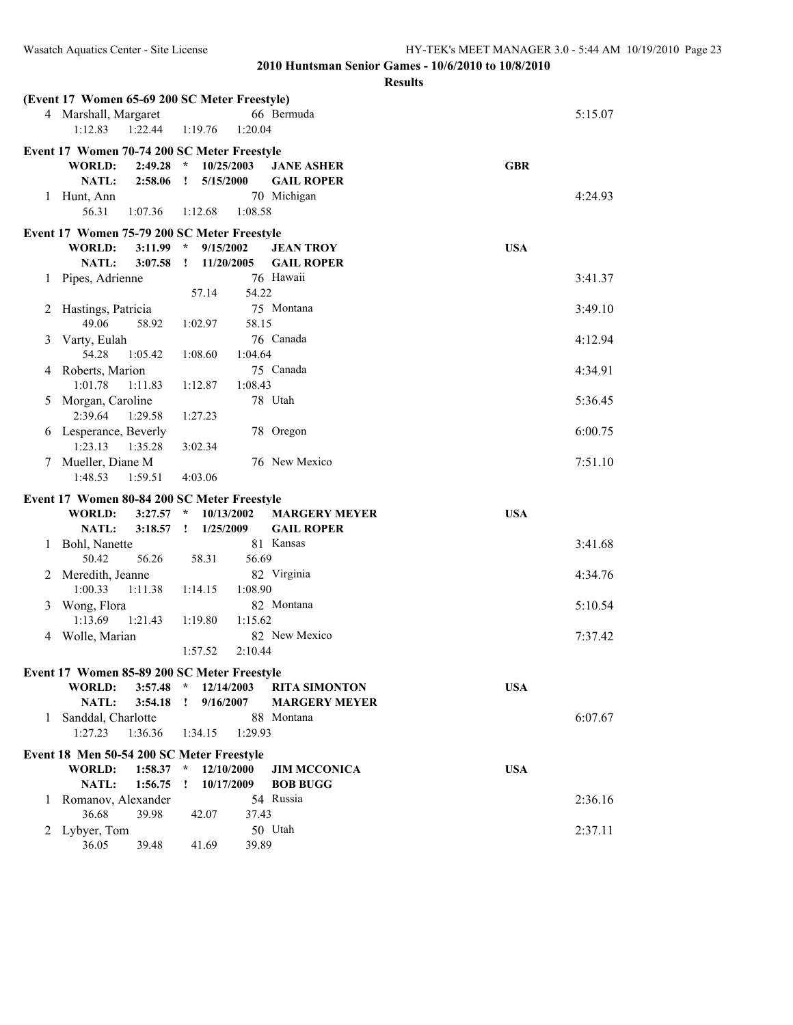|         | (Event 17 Women 65-69 200 SC Meter Freestyle)                             |                            |                      |            |
|---------|---------------------------------------------------------------------------|----------------------------|----------------------|------------|
|         | 4 Marshall, Margaret                                                      |                            | 66 Bermuda           | 5:15.07    |
|         | 1:12.83<br>1:22.44                                                        | 1:19.76<br>1:20.04         |                      |            |
|         | Event 17 Women 70-74 200 SC Meter Freestyle                               |                            |                      |            |
|         | <b>WORLD:</b><br>2:49.28                                                  | $\star$<br>10/25/2003      | <b>JANE ASHER</b>    | <b>GBR</b> |
|         | NATL:<br>2:58.06                                                          | 5/15/2000<br>$\mathbf{r}$  | <b>GAIL ROPER</b>    |            |
| 1       | Hunt, Ann                                                                 |                            | 70 Michigan          | 4:24.93    |
|         | 56.31<br>1:07.36                                                          | 1:08.58<br>1:12.68         |                      |            |
|         | Event 17 Women 75-79 200 SC Meter Freestyle                               |                            |                      |            |
|         | WORLD:<br>$3:11.99$ *                                                     | 9/15/2002                  | <b>JEAN TROY</b>     | <b>USA</b> |
|         | NATL:<br>3:07.58                                                          | 11/20/2005<br>$\mathbf{I}$ | <b>GAIL ROPER</b>    |            |
| 1       | Pipes, Adrienne                                                           |                            | 76 Hawaii            | 3:41.37    |
|         |                                                                           | 54.22<br>57.14             |                      |            |
| 2       | Hastings, Patricia                                                        |                            | 75 Montana           | 3:49.10    |
|         | 49.06<br>58.92                                                            | 58.15<br>1:02.97           |                      |            |
| 3       | Varty, Eulah                                                              |                            | 76 Canada            | 4:12.94    |
|         | 54.28<br>1:05.42                                                          | 1:04.64<br>1:08.60         |                      |            |
| 4       | Roberts, Marion                                                           |                            | 75 Canada            | 4:34.91    |
|         | 1:01.78<br>1:11.83                                                        | 1:08.43<br>1:12.87         |                      |            |
| 5       | Morgan, Caroline                                                          |                            | 78 Utah              | 5:36.45    |
|         | 2:39.64<br>1:29.58                                                        | 1:27.23                    |                      |            |
|         | 6 Lesperance, Beverly                                                     |                            | 78 Oregon            | 6:00.75    |
|         | 1:23.13<br>1:35.28                                                        | 3:02.34                    |                      |            |
|         | 7 Mueller, Diane M                                                        |                            | 76 New Mexico        | 7:51.10    |
|         | 1:48.53<br>1:59.51                                                        | 4:03.06                    |                      |            |
|         | Event 17 Women 80-84 200 SC Meter Freestyle                               |                            |                      |            |
|         | <b>WORLD:</b><br>3:27.57                                                  | $\star$<br>10/13/2002      | <b>MARGERY MEYER</b> | <b>USA</b> |
|         |                                                                           |                            | <b>GAIL ROPER</b>    |            |
|         | NATL:<br>3:18.57                                                          | 1/25/2009<br>$\mathbf{I}$  |                      |            |
| 1       | Bohl, Nanette                                                             |                            | 81 Kansas            | 3:41.68    |
|         | 50.42<br>56.26                                                            | 56.69<br>58.31             |                      |            |
| 2       | Meredith, Jeanne                                                          |                            | 82 Virginia          | 4:34.76    |
|         | 1:00.33<br>1:11.38                                                        | 1:14.15<br>1:08.90         |                      |            |
| 3       | Wong, Flora                                                               |                            | 82 Montana           | 5:10.54    |
|         | 1:21.43<br>1:13.69                                                        | 1:19.80<br>1:15.62         |                      |            |
| 4       | Wolle, Marian                                                             |                            | 82 New Mexico        | 7:37.42    |
|         |                                                                           | 1:57.52<br>2:10.44         |                      |            |
|         | Event 17 Women 85-89 200 SC Meter Freestyle                               |                            |                      |            |
|         | WORLD:                                                                    | $3:57.48$ * $12/14/2003$   | <b>RITA SIMONTON</b> | <b>USA</b> |
|         | NATL:<br>3:54.18                                                          | 9/16/2007<br>$\mathbf{I}$  | <b>MARGERY MEYER</b> |            |
| 1       | Sanddal, Charlotte                                                        |                            | 88 Montana           | 6:07.67    |
|         | 1:27.23<br>1:36.36                                                        | 1:34.15<br>1:29.93         |                      |            |
|         |                                                                           |                            |                      |            |
|         | Event 18 Men 50-54 200 SC Meter Freestyle<br>$1:58.37$ *<br><b>WORLD:</b> | 12/10/2000                 | <b>JIM MCCONICA</b>  | <b>USA</b> |
|         | <b>NATL:</b><br>1:56.75                                                   | 10/17/2009<br>$\mathbf{I}$ | <b>BOB BUGG</b>      |            |
| $\perp$ | Romanov, Alexander                                                        |                            | 54 Russia            | 2:36.16    |
|         | 36.68<br>39.98                                                            | 37.43<br>42.07             |                      |            |
| 2       | Lybyer, Tom                                                               | 39.89                      | 50 Utah              | 2:37.11    |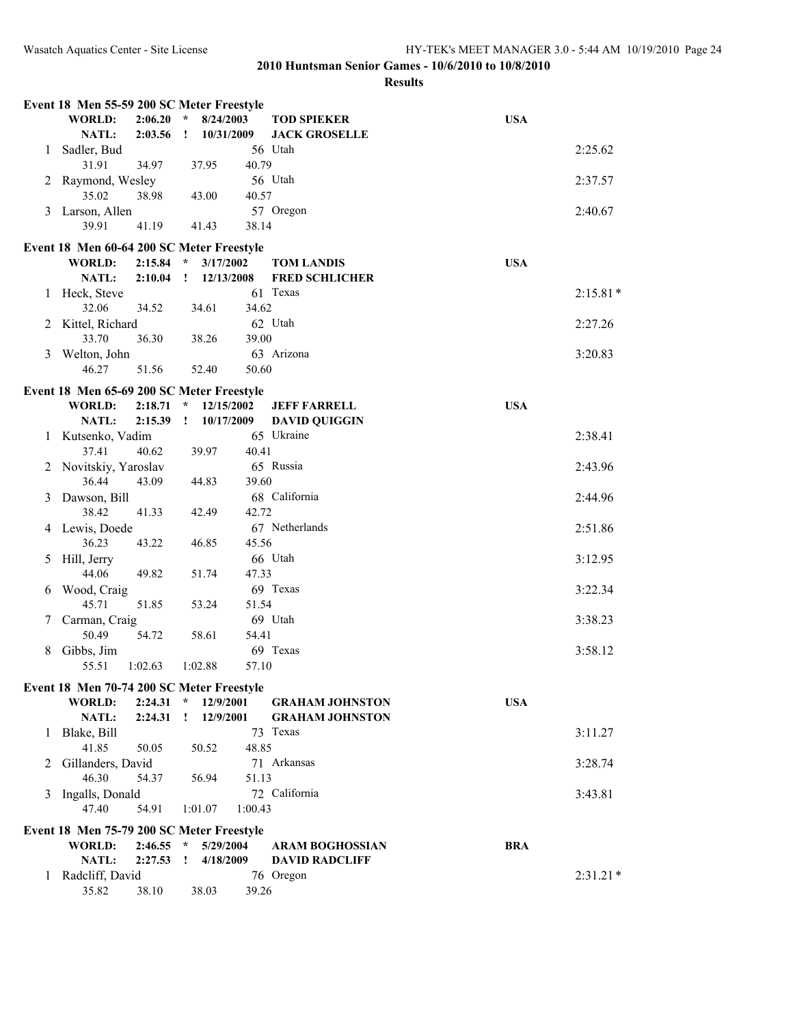|   | Event 18 Men 55-59 200 SC Meter Freestyle |                    |                         |                         |         |                                            |            |            |  |  |
|---|-------------------------------------------|--------------------|-------------------------|-------------------------|---------|--------------------------------------------|------------|------------|--|--|
|   | <b>WORLD:</b><br>NATL:                    | 2:06.20<br>2:03.56 | $\star$<br>$\mathbf{I}$ | 8/24/2003<br>10/31/2009 |         | <b>TOD SPIEKER</b><br><b>JACK GROSELLE</b> | <b>USA</b> |            |  |  |
| 1 | Sadler, Bud                               |                    |                         |                         |         | 56 Utah                                    |            | 2:25.62    |  |  |
|   | 31.91                                     | 34.97              |                         | 37.95                   | 40.79   |                                            |            |            |  |  |
|   | 2 Raymond, Wesley                         |                    |                         |                         |         | 56 Utah                                    |            | 2:37.57    |  |  |
| 3 | 35.02<br>Larson, Allen                    | 38.98              |                         | 43.00                   | 40.57   | 57 Oregon                                  |            | 2:40.67    |  |  |
|   | 39.91                                     | 41.19              |                         | 41.43                   | 38.14   |                                            |            |            |  |  |
|   | Event 18 Men 60-64 200 SC Meter Freestyle |                    |                         |                         |         |                                            |            |            |  |  |
|   | <b>WORLD:</b>                             | 2:15.84            | $\mathcal{R}$           | 3/17/2002               |         | <b>TOM LANDIS</b>                          | <b>USA</b> |            |  |  |
|   | <b>NATL:</b>                              | 2:10.04            | $\mathbf{I}$            | 12/13/2008              |         | <b>FRED SCHLICHER</b>                      |            |            |  |  |
|   | 1 Heck, Steve                             |                    |                         |                         |         | 61 Texas                                   |            | $2:15.81*$ |  |  |
|   | 32.06                                     | 34.52              |                         | 34.61                   | 34.62   |                                            |            |            |  |  |
| 2 | Kittel, Richard                           |                    |                         |                         |         | 62 Utah                                    |            | 2:27.26    |  |  |
|   | 33.70                                     | 36.30              |                         | 38.26                   | 39.00   | 63 Arizona                                 |            |            |  |  |
| 3 | Welton, John<br>46.27                     | 51.56              |                         | 52.40                   | 50.60   |                                            |            | 3:20.83    |  |  |
|   | Event 18 Men 65-69 200 SC Meter Freestyle |                    |                         |                         |         |                                            |            |            |  |  |
|   | <b>WORLD:</b>                             | 2:18.71            | $\star$                 | 12/15/2002              |         | <b>JEFF FARRELL</b>                        | <b>USA</b> |            |  |  |
|   | <b>NATL:</b>                              | 2:15.39            | $\mathbf{I}$            | 10/17/2009              |         | <b>DAVID QUIGGIN</b>                       |            |            |  |  |
|   | 1 Kutsenko, Vadim                         |                    |                         |                         |         | 65 Ukraine                                 |            | 2:38.41    |  |  |
|   | 37.41                                     | 40.62              |                         | 39.97                   | 40.41   |                                            |            |            |  |  |
|   | 2 Novitskiy, Yaroslav                     |                    |                         |                         |         | 65 Russia                                  |            | 2:43.96    |  |  |
|   | 36.44                                     | 43.09              |                         | 44.83                   | 39.60   |                                            |            |            |  |  |
| 3 | Dawson, Bill                              |                    |                         |                         |         | 68 California                              |            | 2:44.96    |  |  |
|   | 38.42                                     | 41.33              |                         | 42.49                   | 42.72   |                                            |            |            |  |  |
|   | 4 Lewis, Doede                            |                    |                         |                         |         | 67 Netherlands                             |            | 2:51.86    |  |  |
|   | 36.23                                     | 43.22              |                         | 46.85                   | 45.56   |                                            |            |            |  |  |
| 5 | Hill, Jerry                               |                    |                         |                         |         | 66 Utah                                    |            | 3:12.95    |  |  |
|   | 44.06                                     | 49.82              |                         | 51.74                   | 47.33   |                                            |            |            |  |  |
| 6 | Wood, Craig                               |                    |                         |                         |         | 69 Texas                                   |            | 3:22.34    |  |  |
|   | 45.71                                     | 51.85              |                         | 53.24                   | 51.54   |                                            |            |            |  |  |
| 7 | Carman, Craig<br>50.49                    | 54.72              |                         | 58.61                   | 54.41   | 69 Utah                                    |            | 3:38.23    |  |  |
| 8 | Gibbs, Jim                                |                    |                         |                         |         | 69 Texas                                   |            | 3:58.12    |  |  |
|   | 55.51                                     | 1:02.63            |                         | 1:02.88                 | 57.10   |                                            |            |            |  |  |
|   | Event 18 Men 70-74 200 SC Meter Freestyle |                    |                         |                         |         |                                            |            |            |  |  |
|   | <b>WORLD:</b>                             | 2:24.31            | $\star$                 | 12/9/2001               |         | <b>GRAHAM JOHNSTON</b>                     | <b>USA</b> |            |  |  |
|   | NATL:                                     | 2:24.31            | Ţ.                      | 12/9/2001               |         | <b>GRAHAM JOHNSTON</b>                     |            |            |  |  |
| 1 | Blake, Bill                               |                    |                         |                         |         | 73 Texas                                   |            | 3:11.27    |  |  |
|   | 41.85                                     | 50.05              |                         | 50.52                   | 48.85   |                                            |            |            |  |  |
| 2 | Gillanders, David                         |                    |                         |                         |         | 71 Arkansas                                |            | 3:28.74    |  |  |
|   | 46.30                                     | 54.37              |                         | 56.94                   | 51.13   |                                            |            |            |  |  |
| 3 | Ingalls, Donald                           |                    |                         |                         |         | 72 California                              |            | 3:43.81    |  |  |
|   | 47.40                                     | 54.91              |                         | 1:01.07                 | 1:00.43 |                                            |            |            |  |  |
|   | Event 18 Men 75-79 200 SC Meter Freestyle |                    |                         |                         |         |                                            |            |            |  |  |
|   | <b>WORLD:</b>                             | 2:46.55            | $\star$                 | 5/29/2004               |         | <b>ARAM BOGHOSSIAN</b>                     | <b>BRA</b> |            |  |  |
|   | NATL:                                     | 2:27.53            | T                       | 4/18/2009               |         | <b>DAVID RADCLIFF</b>                      |            |            |  |  |
| 1 | Radcliff, David                           |                    |                         |                         |         | 76 Oregon                                  |            | $2:31.21*$ |  |  |
|   | 35.82                                     | 38.10              |                         | 38.03                   | 39.26   |                                            |            |            |  |  |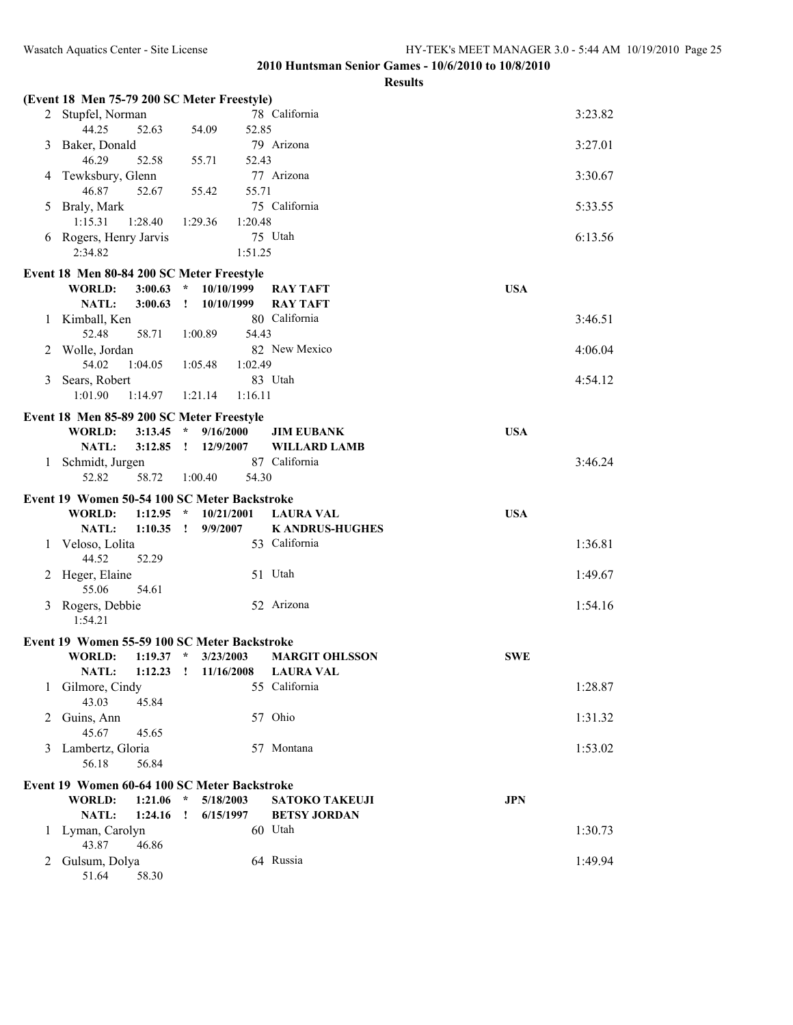|   | (Event 18 Men 75-79 200 SC Meter Freestyle)                           |                            |                        |            |
|---|-----------------------------------------------------------------------|----------------------------|------------------------|------------|
|   | 2 Stupfel, Norman                                                     |                            | 78 California          | 3:23.82    |
|   | 44.25<br>52.63                                                        | 54.09<br>52.85             |                        |            |
| 3 | Baker, Donald                                                         |                            | 79 Arizona             | 3:27.01    |
|   | 46.29<br>52.58                                                        | 55.71<br>52.43             |                        |            |
| 4 | Tewksbury, Glenn                                                      |                            | 77 Arizona             | 3:30.67    |
|   | 46.87<br>52.67                                                        | 55.71<br>55.42             | 75 California          |            |
| 5 | Braly, Mark<br>1:15.31<br>1:28.40                                     | 1:20.48<br>1:29.36         |                        | 5:33.55    |
| 6 | Rogers, Henry Jarvis                                                  |                            | 75 Utah                | 6:13.56    |
|   | 2:34.82                                                               | 1:51.25                    |                        |            |
|   |                                                                       |                            |                        |            |
|   | Event 18 Men 80-84 200 SC Meter Freestyle<br><b>WORLD:</b><br>3:00.63 | 10/10/1999<br>$\star$      | <b>RAY TAFT</b>        | <b>USA</b> |
|   | NATL:<br>3:00.63                                                      | 10/10/1999<br>$\mathbf{r}$ | <b>RAY TAFT</b>        |            |
|   | 1 Kimball, Ken                                                        |                            | 80 California          | 3:46.51    |
|   | 52.48<br>58.71                                                        | 54.43<br>1:00.89           |                        |            |
|   | 2 Wolle, Jordan                                                       |                            | 82 New Mexico          | 4:06.04    |
|   | 54.02<br>1:04.05                                                      | 1:05.48<br>1:02.49         |                        |            |
| 3 | Sears, Robert                                                         |                            | 83 Utah                | 4:54.12    |
|   | 1:01.90<br>1:14.97                                                    | 1:21.14<br>1:16.11         |                        |            |
|   | Event 18 Men 85-89 200 SC Meter Freestyle                             |                            |                        |            |
|   | WORLD:                                                                | $3:13.45$ * $9/16/2000$    | <b>JIM EUBANK</b>      | <b>USA</b> |
|   | NATL:                                                                 | $3:12.85$ $12/9/2007$      | <b>WILLARD LAMB</b>    |            |
|   | 1 Schmidt, Jurgen                                                     |                            | 87 California          | 3:46.24    |
|   | 52.82<br>58.72                                                        | 54.30<br>1:00.40           |                        |            |
|   | Event 19 Women 50-54 100 SC Meter Backstroke                          |                            |                        |            |
|   | <b>WORLD:</b><br>$1:12.95$ *                                          | 10/21/2001                 | <b>LAURA VAL</b>       | <b>USA</b> |
|   | NATL:<br>$1:10.35$ !                                                  | 9/9/2007                   | <b>K ANDRUS-HUGHES</b> |            |
|   | 1 Veloso, Lolita                                                      |                            | 53 California          | 1:36.81    |
|   | 44.52<br>52.29                                                        |                            | 51 Utah                | 1:49.67    |
| 2 | Heger, Elaine<br>55.06<br>54.61                                       |                            |                        |            |
| 3 | Rogers, Debbie                                                        |                            | 52 Arizona             | 1:54.16    |
|   | 1:54.21                                                               |                            |                        |            |
|   | Event 19 Women 55-59 100 SC Meter Backstroke                          |                            |                        |            |
|   | WORLD:                                                                | $1:19.37$ * $3/23/2003$    | <b>MARGIT OHLSSON</b>  | <b>SWE</b> |
|   | NATL: 1:12.23 ! 11/16/2008 LAURA VAL                                  |                            |                        |            |
| 1 | Gilmore, Cindy                                                        |                            | 55 California          | 1:28.87    |
|   | 43.03<br>45.84                                                        |                            |                        |            |
| 2 | Guins, Ann                                                            |                            | 57 Ohio                | 1:31.32    |
|   | 45.67<br>45.65                                                        |                            |                        |            |
| 3 | Lambertz, Gloria                                                      |                            | 57 Montana             | 1:53.02    |
|   | 56.18<br>56.84                                                        |                            |                        |            |
|   | Event 19 Women 60-64 100 SC Meter Backstroke                          |                            |                        |            |
|   | <b>WORLD:</b><br>1:21.06                                              | $\star$<br>5/18/2003       | <b>SATOKO TAKEUJI</b>  | <b>JPN</b> |
|   | NATL:<br>1:24.16                                                      | 6/15/1997<br>$\mathbf{I}$  | <b>BETSY JORDAN</b>    |            |
|   | 1 Lyman, Carolyn<br>46.86<br>43.87                                    |                            | 60 Utah                | 1:30.73    |
|   |                                                                       |                            |                        |            |
| 2 | Gulsum, Dolya                                                         |                            | 64 Russia              | 1:49.94    |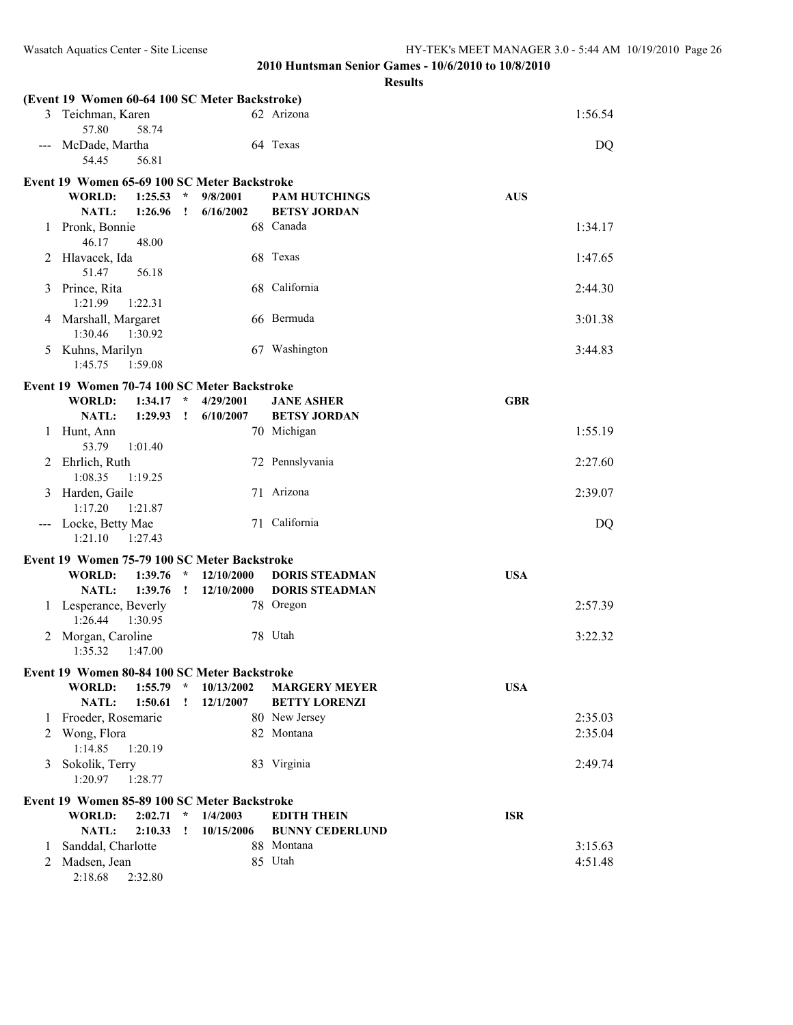|                     | (Event 19 Women 60-64 100 SC Meter Backstroke) |              |                         |                        |            |
|---------------------|------------------------------------------------|--------------|-------------------------|------------------------|------------|
| 3                   | Teichman, Karen                                |              |                         | 62 Arizona             | 1:56.54    |
| $\qquad \qquad - -$ | 57.80<br>58.74<br>McDade, Martha               |              |                         | 64 Texas               | DQ         |
|                     | 54.45<br>56.81                                 |              |                         |                        |            |
|                     | Event 19 Women 65-69 100 SC Meter Backstroke   |              |                         |                        |            |
|                     | WORLD:<br>1:25.53                              | $\star$      | 9/8/2001                | <b>PAM HUTCHINGS</b>   | <b>AUS</b> |
|                     | NATL:<br>1:26.96                               | $\mathbf{I}$ | 6/16/2002               | <b>BETSY JORDAN</b>    |            |
| 1                   | Pronk, Bonnie<br>46.17<br>48.00                |              |                         | 68 Canada              | 1:34.17    |
| 2                   | Hlavacek, Ida<br>51.47<br>56.18                |              |                         | 68 Texas               | 1:47.65    |
| 3                   | Prince, Rita<br>1:21.99<br>1:22.31             |              |                         | 68 California          | 2:44.30    |
|                     | 4 Marshall, Margaret<br>1:30.46<br>1:30.92     |              |                         | 66 Bermuda             | 3:01.38    |
| 5                   | Kuhns, Marilyn<br>1:45.75<br>1:59.08           |              |                         | 67 Washington          | 3:44.83    |
|                     | Event 19 Women 70-74 100 SC Meter Backstroke   |              |                         |                        |            |
|                     | <b>WORLD:</b><br>1:34.17                       | $\star$      | 4/29/2001               | <b>JANE ASHER</b>      | <b>GBR</b> |
|                     | 1:29.93<br><b>NATL:</b>                        | $\mathbf{r}$ | 6/10/2007               | <b>BETSY JORDAN</b>    |            |
| 1                   | Hunt, Ann<br>53.79<br>1:01.40                  |              |                         | 70 Michigan            | 1:55.19    |
| 2                   | Ehrlich, Ruth<br>1:08.35<br>1:19.25            |              |                         | 72 Pennslyvania        | 2:27.60    |
| 3                   | Harden, Gaile<br>1:17.20<br>1:21.87            |              |                         | 71 Arizona             | 2:39.07    |
| $\qquad \qquad -$   | Locke, Betty Mae<br>1:21.10<br>1:27.43         |              |                         | 71 California          | DQ         |
|                     | Event 19 Women 75-79 100 SC Meter Backstroke   |              |                         |                        |            |
|                     | 1:39.76<br><b>WORLD:</b>                       | $\star$      | 12/10/2000              | <b>DORIS STEADMAN</b>  | <b>USA</b> |
|                     | 1:39.76<br><b>NATL:</b>                        | $\mathbf{r}$ | 12/10/2000              | <b>DORIS STEADMAN</b>  |            |
|                     | 1 Lesperance, Beverly<br>1:26.44<br>1:30.95    |              |                         | 78 Oregon              | 2:57.39    |
| 2                   | Morgan, Caroline<br>1:35.32<br>1:47.00         |              |                         | 78 Utah                | 3:22.32    |
|                     |                                                |              |                         |                        |            |
|                     | Event 19 Women 80-84 100 SC Meter Backstroke   |              |                         |                        |            |
|                     | <b>WORLD:</b><br>$1:55.79$ *                   |              | 10/13/2002<br>12/1/2007 | <b>MARGERY MEYER</b>   | <b>USA</b> |
|                     | NATL:<br>1:50.61                               | $\cdot$      |                         | <b>BETTY LORENZI</b>   |            |
| 1                   | Froeder, Rosemarie                             |              |                         | 80 New Jersey          | 2:35.03    |
| 2                   | Wong, Flora<br>1:14.85<br>1:20.19              |              |                         | 82 Montana             | 2:35.04    |
| 3                   | Sokolik, Terry<br>1:20.97<br>1:28.77           |              |                         | 83 Virginia            | 2:49.74    |
|                     | Event 19 Women 85-89 100 SC Meter Backstroke   |              |                         |                        |            |
|                     | <b>WORLD:</b><br>2:02.71                       | $\star$      | 1/4/2003                | <b>EDITH THEIN</b>     | <b>ISR</b> |
|                     | NATL:<br>2:10.33                               | $\cdot$      | 10/15/2006              | <b>BUNNY CEDERLUND</b> |            |
| 1                   | Sanddal, Charlotte                             |              |                         | 88 Montana             | 3:15.63    |
| 2                   | Madsen, Jean                                   |              |                         | 85 Utah                | 4:51.48    |
|                     | 2:18.68<br>2:32.80                             |              |                         |                        |            |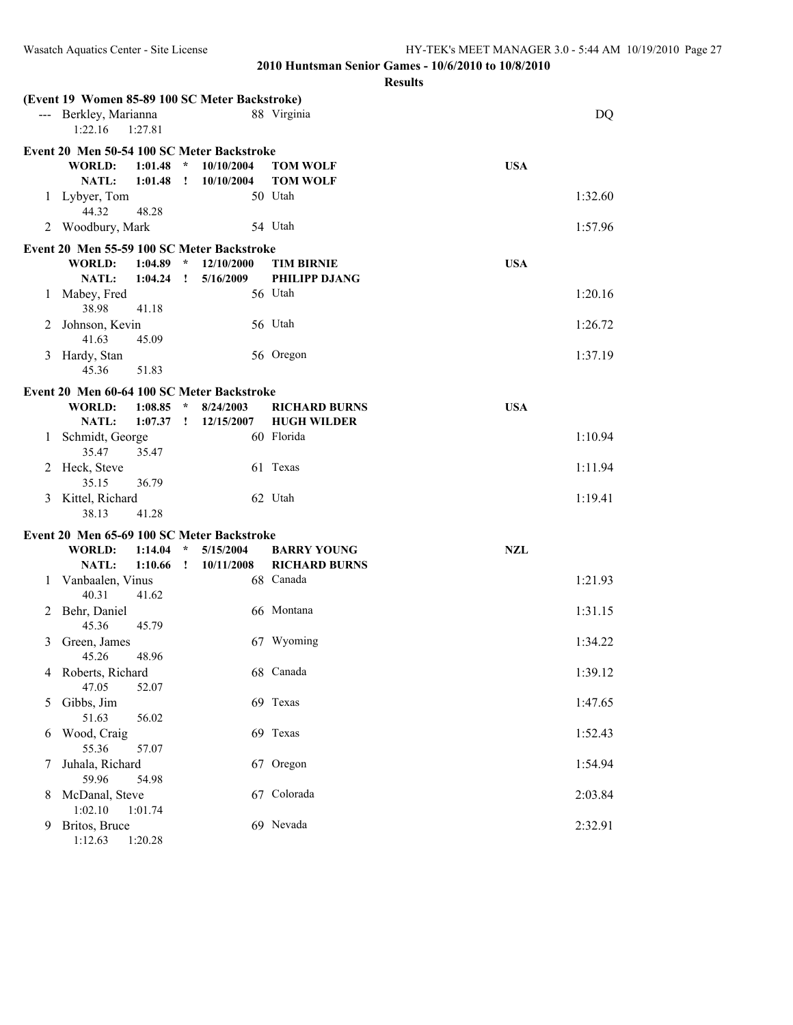| --- Berkley, Marianna<br>88 Virginia<br>DQ<br>1:22.16<br>1:27.81<br>Event 20 Men 50-54 100 SC Meter Backstroke<br><b>WORLD:</b><br>1:01.48<br>$\star$<br>10/10/2004<br><b>USA</b><br><b>TOM WOLF</b><br>NATL:<br>1:01.48<br>10/10/2004<br><b>TOM WOLF</b><br>$\cdot$<br>50 Utah<br>1:32.60<br>Lybyer, Tom<br>1<br>44.32<br>48.28<br>54 Utah<br>2 Woodbury, Mark<br>1:57.96<br>Event 20 Men 55-59 100 SC Meter Backstroke<br><b>USA</b><br>WORLD:<br>1:04.89<br>$\mathcal{R}$<br>12/10/2000<br><b>TIM BIRNIE</b><br>NATL:<br>1:04.24<br>$\mathbf{I}$<br>5/16/2009<br>PHILIPP DJANG<br>56 Utah<br>1:20.16<br>Mabey, Fred<br>1<br>38.98<br>41.18<br>56 Utah<br>Johnson, Kevin<br>1:26.72<br>2<br>41.63<br>45.09<br>Hardy, Stan<br>56 Oregon<br>1:37.19<br>3<br>45.36<br>51.83<br>Event 20 Men 60-64 100 SC Meter Backstroke<br><b>WORLD:</b><br>1:08.85<br>$\star$<br>8/24/2003<br><b>RICHARD BURNS</b><br><b>USA</b><br><b>HUGH WILDER</b><br>NATL:<br>1:07.37<br>12/15/2007<br>$\cdot$<br>60 Florida<br>Schmidt, George<br>1:10.94<br>1<br>35.47<br>35.47<br>61 Texas<br>Heck, Steve<br>1:11.94<br>2<br>36.79<br>35.15<br>62 Utah<br>Kittel, Richard<br>1:19.41<br>3<br>38.13<br>41.28<br>Event 20 Men 65-69 100 SC Meter Backstroke<br>WORLD:<br>1:14.04<br>$\star$<br><b>NZL</b><br>5/15/2004<br><b>BARRY YOUNG</b><br>NATL:<br>1:10.66<br>$\mathbf{I}$<br>10/11/2008<br><b>RICHARD BURNS</b><br>68 Canada<br>Vanbaalen, Vinus<br>1:21.93<br>1<br>40.31<br>41.62<br>66 Montana<br>Behr, Daniel<br>1:31.15<br>2<br>45.36<br>45.79<br>Green, James<br>67 Wyoming<br>1:34.22<br>3<br>45.26<br>48.96<br>4 Roberts, Richard<br>68 Canada<br>1:39.12<br>47.05<br>52.07<br>Gibbs, Jim<br>69 Texas<br>1:47.65<br>$\mathcal{L}$<br>51.63<br>56.02<br>69 Texas<br>Wood, Craig<br>1:52.43<br>6<br>55.36<br>57.07<br>Juhala, Richard<br>67 Oregon<br>1:54.94<br>59.96<br>54.98<br>67 Colorada<br>McDanal, Steve<br>2:03.84<br>8<br>1:02.10<br>1:01.74<br>69 Nevada<br>Britos, Bruce<br>2:32.91<br>9<br>1:12.63<br>1:20.28 | (Event 19 Women 85-89 100 SC Meter Backstroke) |  |  |  |
|----------------------------------------------------------------------------------------------------------------------------------------------------------------------------------------------------------------------------------------------------------------------------------------------------------------------------------------------------------------------------------------------------------------------------------------------------------------------------------------------------------------------------------------------------------------------------------------------------------------------------------------------------------------------------------------------------------------------------------------------------------------------------------------------------------------------------------------------------------------------------------------------------------------------------------------------------------------------------------------------------------------------------------------------------------------------------------------------------------------------------------------------------------------------------------------------------------------------------------------------------------------------------------------------------------------------------------------------------------------------------------------------------------------------------------------------------------------------------------------------------------------------------------------------------------------------------------------------------------------------------------------------------------------------------------------------------------------------------------------------------------------------------------------------------------------------------------------------------------------------------------------------------------------------------------------------------------------------------------------------------------------|------------------------------------------------|--|--|--|
|                                                                                                                                                                                                                                                                                                                                                                                                                                                                                                                                                                                                                                                                                                                                                                                                                                                                                                                                                                                                                                                                                                                                                                                                                                                                                                                                                                                                                                                                                                                                                                                                                                                                                                                                                                                                                                                                                                                                                                                                                |                                                |  |  |  |
|                                                                                                                                                                                                                                                                                                                                                                                                                                                                                                                                                                                                                                                                                                                                                                                                                                                                                                                                                                                                                                                                                                                                                                                                                                                                                                                                                                                                                                                                                                                                                                                                                                                                                                                                                                                                                                                                                                                                                                                                                |                                                |  |  |  |
|                                                                                                                                                                                                                                                                                                                                                                                                                                                                                                                                                                                                                                                                                                                                                                                                                                                                                                                                                                                                                                                                                                                                                                                                                                                                                                                                                                                                                                                                                                                                                                                                                                                                                                                                                                                                                                                                                                                                                                                                                |                                                |  |  |  |
|                                                                                                                                                                                                                                                                                                                                                                                                                                                                                                                                                                                                                                                                                                                                                                                                                                                                                                                                                                                                                                                                                                                                                                                                                                                                                                                                                                                                                                                                                                                                                                                                                                                                                                                                                                                                                                                                                                                                                                                                                |                                                |  |  |  |
|                                                                                                                                                                                                                                                                                                                                                                                                                                                                                                                                                                                                                                                                                                                                                                                                                                                                                                                                                                                                                                                                                                                                                                                                                                                                                                                                                                                                                                                                                                                                                                                                                                                                                                                                                                                                                                                                                                                                                                                                                |                                                |  |  |  |
|                                                                                                                                                                                                                                                                                                                                                                                                                                                                                                                                                                                                                                                                                                                                                                                                                                                                                                                                                                                                                                                                                                                                                                                                                                                                                                                                                                                                                                                                                                                                                                                                                                                                                                                                                                                                                                                                                                                                                                                                                |                                                |  |  |  |
|                                                                                                                                                                                                                                                                                                                                                                                                                                                                                                                                                                                                                                                                                                                                                                                                                                                                                                                                                                                                                                                                                                                                                                                                                                                                                                                                                                                                                                                                                                                                                                                                                                                                                                                                                                                                                                                                                                                                                                                                                |                                                |  |  |  |
|                                                                                                                                                                                                                                                                                                                                                                                                                                                                                                                                                                                                                                                                                                                                                                                                                                                                                                                                                                                                                                                                                                                                                                                                                                                                                                                                                                                                                                                                                                                                                                                                                                                                                                                                                                                                                                                                                                                                                                                                                |                                                |  |  |  |
|                                                                                                                                                                                                                                                                                                                                                                                                                                                                                                                                                                                                                                                                                                                                                                                                                                                                                                                                                                                                                                                                                                                                                                                                                                                                                                                                                                                                                                                                                                                                                                                                                                                                                                                                                                                                                                                                                                                                                                                                                |                                                |  |  |  |
|                                                                                                                                                                                                                                                                                                                                                                                                                                                                                                                                                                                                                                                                                                                                                                                                                                                                                                                                                                                                                                                                                                                                                                                                                                                                                                                                                                                                                                                                                                                                                                                                                                                                                                                                                                                                                                                                                                                                                                                                                |                                                |  |  |  |
|                                                                                                                                                                                                                                                                                                                                                                                                                                                                                                                                                                                                                                                                                                                                                                                                                                                                                                                                                                                                                                                                                                                                                                                                                                                                                                                                                                                                                                                                                                                                                                                                                                                                                                                                                                                                                                                                                                                                                                                                                |                                                |  |  |  |
|                                                                                                                                                                                                                                                                                                                                                                                                                                                                                                                                                                                                                                                                                                                                                                                                                                                                                                                                                                                                                                                                                                                                                                                                                                                                                                                                                                                                                                                                                                                                                                                                                                                                                                                                                                                                                                                                                                                                                                                                                |                                                |  |  |  |
|                                                                                                                                                                                                                                                                                                                                                                                                                                                                                                                                                                                                                                                                                                                                                                                                                                                                                                                                                                                                                                                                                                                                                                                                                                                                                                                                                                                                                                                                                                                                                                                                                                                                                                                                                                                                                                                                                                                                                                                                                |                                                |  |  |  |
|                                                                                                                                                                                                                                                                                                                                                                                                                                                                                                                                                                                                                                                                                                                                                                                                                                                                                                                                                                                                                                                                                                                                                                                                                                                                                                                                                                                                                                                                                                                                                                                                                                                                                                                                                                                                                                                                                                                                                                                                                |                                                |  |  |  |
|                                                                                                                                                                                                                                                                                                                                                                                                                                                                                                                                                                                                                                                                                                                                                                                                                                                                                                                                                                                                                                                                                                                                                                                                                                                                                                                                                                                                                                                                                                                                                                                                                                                                                                                                                                                                                                                                                                                                                                                                                |                                                |  |  |  |
|                                                                                                                                                                                                                                                                                                                                                                                                                                                                                                                                                                                                                                                                                                                                                                                                                                                                                                                                                                                                                                                                                                                                                                                                                                                                                                                                                                                                                                                                                                                                                                                                                                                                                                                                                                                                                                                                                                                                                                                                                |                                                |  |  |  |
|                                                                                                                                                                                                                                                                                                                                                                                                                                                                                                                                                                                                                                                                                                                                                                                                                                                                                                                                                                                                                                                                                                                                                                                                                                                                                                                                                                                                                                                                                                                                                                                                                                                                                                                                                                                                                                                                                                                                                                                                                |                                                |  |  |  |
|                                                                                                                                                                                                                                                                                                                                                                                                                                                                                                                                                                                                                                                                                                                                                                                                                                                                                                                                                                                                                                                                                                                                                                                                                                                                                                                                                                                                                                                                                                                                                                                                                                                                                                                                                                                                                                                                                                                                                                                                                |                                                |  |  |  |
|                                                                                                                                                                                                                                                                                                                                                                                                                                                                                                                                                                                                                                                                                                                                                                                                                                                                                                                                                                                                                                                                                                                                                                                                                                                                                                                                                                                                                                                                                                                                                                                                                                                                                                                                                                                                                                                                                                                                                                                                                |                                                |  |  |  |
|                                                                                                                                                                                                                                                                                                                                                                                                                                                                                                                                                                                                                                                                                                                                                                                                                                                                                                                                                                                                                                                                                                                                                                                                                                                                                                                                                                                                                                                                                                                                                                                                                                                                                                                                                                                                                                                                                                                                                                                                                |                                                |  |  |  |
|                                                                                                                                                                                                                                                                                                                                                                                                                                                                                                                                                                                                                                                                                                                                                                                                                                                                                                                                                                                                                                                                                                                                                                                                                                                                                                                                                                                                                                                                                                                                                                                                                                                                                                                                                                                                                                                                                                                                                                                                                |                                                |  |  |  |
|                                                                                                                                                                                                                                                                                                                                                                                                                                                                                                                                                                                                                                                                                                                                                                                                                                                                                                                                                                                                                                                                                                                                                                                                                                                                                                                                                                                                                                                                                                                                                                                                                                                                                                                                                                                                                                                                                                                                                                                                                |                                                |  |  |  |
|                                                                                                                                                                                                                                                                                                                                                                                                                                                                                                                                                                                                                                                                                                                                                                                                                                                                                                                                                                                                                                                                                                                                                                                                                                                                                                                                                                                                                                                                                                                                                                                                                                                                                                                                                                                                                                                                                                                                                                                                                |                                                |  |  |  |
|                                                                                                                                                                                                                                                                                                                                                                                                                                                                                                                                                                                                                                                                                                                                                                                                                                                                                                                                                                                                                                                                                                                                                                                                                                                                                                                                                                                                                                                                                                                                                                                                                                                                                                                                                                                                                                                                                                                                                                                                                |                                                |  |  |  |
|                                                                                                                                                                                                                                                                                                                                                                                                                                                                                                                                                                                                                                                                                                                                                                                                                                                                                                                                                                                                                                                                                                                                                                                                                                                                                                                                                                                                                                                                                                                                                                                                                                                                                                                                                                                                                                                                                                                                                                                                                |                                                |  |  |  |
|                                                                                                                                                                                                                                                                                                                                                                                                                                                                                                                                                                                                                                                                                                                                                                                                                                                                                                                                                                                                                                                                                                                                                                                                                                                                                                                                                                                                                                                                                                                                                                                                                                                                                                                                                                                                                                                                                                                                                                                                                |                                                |  |  |  |
|                                                                                                                                                                                                                                                                                                                                                                                                                                                                                                                                                                                                                                                                                                                                                                                                                                                                                                                                                                                                                                                                                                                                                                                                                                                                                                                                                                                                                                                                                                                                                                                                                                                                                                                                                                                                                                                                                                                                                                                                                |                                                |  |  |  |
|                                                                                                                                                                                                                                                                                                                                                                                                                                                                                                                                                                                                                                                                                                                                                                                                                                                                                                                                                                                                                                                                                                                                                                                                                                                                                                                                                                                                                                                                                                                                                                                                                                                                                                                                                                                                                                                                                                                                                                                                                |                                                |  |  |  |
|                                                                                                                                                                                                                                                                                                                                                                                                                                                                                                                                                                                                                                                                                                                                                                                                                                                                                                                                                                                                                                                                                                                                                                                                                                                                                                                                                                                                                                                                                                                                                                                                                                                                                                                                                                                                                                                                                                                                                                                                                |                                                |  |  |  |
|                                                                                                                                                                                                                                                                                                                                                                                                                                                                                                                                                                                                                                                                                                                                                                                                                                                                                                                                                                                                                                                                                                                                                                                                                                                                                                                                                                                                                                                                                                                                                                                                                                                                                                                                                                                                                                                                                                                                                                                                                |                                                |  |  |  |
|                                                                                                                                                                                                                                                                                                                                                                                                                                                                                                                                                                                                                                                                                                                                                                                                                                                                                                                                                                                                                                                                                                                                                                                                                                                                                                                                                                                                                                                                                                                                                                                                                                                                                                                                                                                                                                                                                                                                                                                                                |                                                |  |  |  |
|                                                                                                                                                                                                                                                                                                                                                                                                                                                                                                                                                                                                                                                                                                                                                                                                                                                                                                                                                                                                                                                                                                                                                                                                                                                                                                                                                                                                                                                                                                                                                                                                                                                                                                                                                                                                                                                                                                                                                                                                                |                                                |  |  |  |
|                                                                                                                                                                                                                                                                                                                                                                                                                                                                                                                                                                                                                                                                                                                                                                                                                                                                                                                                                                                                                                                                                                                                                                                                                                                                                                                                                                                                                                                                                                                                                                                                                                                                                                                                                                                                                                                                                                                                                                                                                |                                                |  |  |  |
|                                                                                                                                                                                                                                                                                                                                                                                                                                                                                                                                                                                                                                                                                                                                                                                                                                                                                                                                                                                                                                                                                                                                                                                                                                                                                                                                                                                                                                                                                                                                                                                                                                                                                                                                                                                                                                                                                                                                                                                                                |                                                |  |  |  |
|                                                                                                                                                                                                                                                                                                                                                                                                                                                                                                                                                                                                                                                                                                                                                                                                                                                                                                                                                                                                                                                                                                                                                                                                                                                                                                                                                                                                                                                                                                                                                                                                                                                                                                                                                                                                                                                                                                                                                                                                                |                                                |  |  |  |
|                                                                                                                                                                                                                                                                                                                                                                                                                                                                                                                                                                                                                                                                                                                                                                                                                                                                                                                                                                                                                                                                                                                                                                                                                                                                                                                                                                                                                                                                                                                                                                                                                                                                                                                                                                                                                                                                                                                                                                                                                |                                                |  |  |  |
|                                                                                                                                                                                                                                                                                                                                                                                                                                                                                                                                                                                                                                                                                                                                                                                                                                                                                                                                                                                                                                                                                                                                                                                                                                                                                                                                                                                                                                                                                                                                                                                                                                                                                                                                                                                                                                                                                                                                                                                                                |                                                |  |  |  |
|                                                                                                                                                                                                                                                                                                                                                                                                                                                                                                                                                                                                                                                                                                                                                                                                                                                                                                                                                                                                                                                                                                                                                                                                                                                                                                                                                                                                                                                                                                                                                                                                                                                                                                                                                                                                                                                                                                                                                                                                                |                                                |  |  |  |
|                                                                                                                                                                                                                                                                                                                                                                                                                                                                                                                                                                                                                                                                                                                                                                                                                                                                                                                                                                                                                                                                                                                                                                                                                                                                                                                                                                                                                                                                                                                                                                                                                                                                                                                                                                                                                                                                                                                                                                                                                |                                                |  |  |  |
|                                                                                                                                                                                                                                                                                                                                                                                                                                                                                                                                                                                                                                                                                                                                                                                                                                                                                                                                                                                                                                                                                                                                                                                                                                                                                                                                                                                                                                                                                                                                                                                                                                                                                                                                                                                                                                                                                                                                                                                                                |                                                |  |  |  |
|                                                                                                                                                                                                                                                                                                                                                                                                                                                                                                                                                                                                                                                                                                                                                                                                                                                                                                                                                                                                                                                                                                                                                                                                                                                                                                                                                                                                                                                                                                                                                                                                                                                                                                                                                                                                                                                                                                                                                                                                                |                                                |  |  |  |
|                                                                                                                                                                                                                                                                                                                                                                                                                                                                                                                                                                                                                                                                                                                                                                                                                                                                                                                                                                                                                                                                                                                                                                                                                                                                                                                                                                                                                                                                                                                                                                                                                                                                                                                                                                                                                                                                                                                                                                                                                |                                                |  |  |  |
|                                                                                                                                                                                                                                                                                                                                                                                                                                                                                                                                                                                                                                                                                                                                                                                                                                                                                                                                                                                                                                                                                                                                                                                                                                                                                                                                                                                                                                                                                                                                                                                                                                                                                                                                                                                                                                                                                                                                                                                                                |                                                |  |  |  |
|                                                                                                                                                                                                                                                                                                                                                                                                                                                                                                                                                                                                                                                                                                                                                                                                                                                                                                                                                                                                                                                                                                                                                                                                                                                                                                                                                                                                                                                                                                                                                                                                                                                                                                                                                                                                                                                                                                                                                                                                                |                                                |  |  |  |
|                                                                                                                                                                                                                                                                                                                                                                                                                                                                                                                                                                                                                                                                                                                                                                                                                                                                                                                                                                                                                                                                                                                                                                                                                                                                                                                                                                                                                                                                                                                                                                                                                                                                                                                                                                                                                                                                                                                                                                                                                |                                                |  |  |  |
|                                                                                                                                                                                                                                                                                                                                                                                                                                                                                                                                                                                                                                                                                                                                                                                                                                                                                                                                                                                                                                                                                                                                                                                                                                                                                                                                                                                                                                                                                                                                                                                                                                                                                                                                                                                                                                                                                                                                                                                                                |                                                |  |  |  |
|                                                                                                                                                                                                                                                                                                                                                                                                                                                                                                                                                                                                                                                                                                                                                                                                                                                                                                                                                                                                                                                                                                                                                                                                                                                                                                                                                                                                                                                                                                                                                                                                                                                                                                                                                                                                                                                                                                                                                                                                                |                                                |  |  |  |
|                                                                                                                                                                                                                                                                                                                                                                                                                                                                                                                                                                                                                                                                                                                                                                                                                                                                                                                                                                                                                                                                                                                                                                                                                                                                                                                                                                                                                                                                                                                                                                                                                                                                                                                                                                                                                                                                                                                                                                                                                |                                                |  |  |  |
|                                                                                                                                                                                                                                                                                                                                                                                                                                                                                                                                                                                                                                                                                                                                                                                                                                                                                                                                                                                                                                                                                                                                                                                                                                                                                                                                                                                                                                                                                                                                                                                                                                                                                                                                                                                                                                                                                                                                                                                                                |                                                |  |  |  |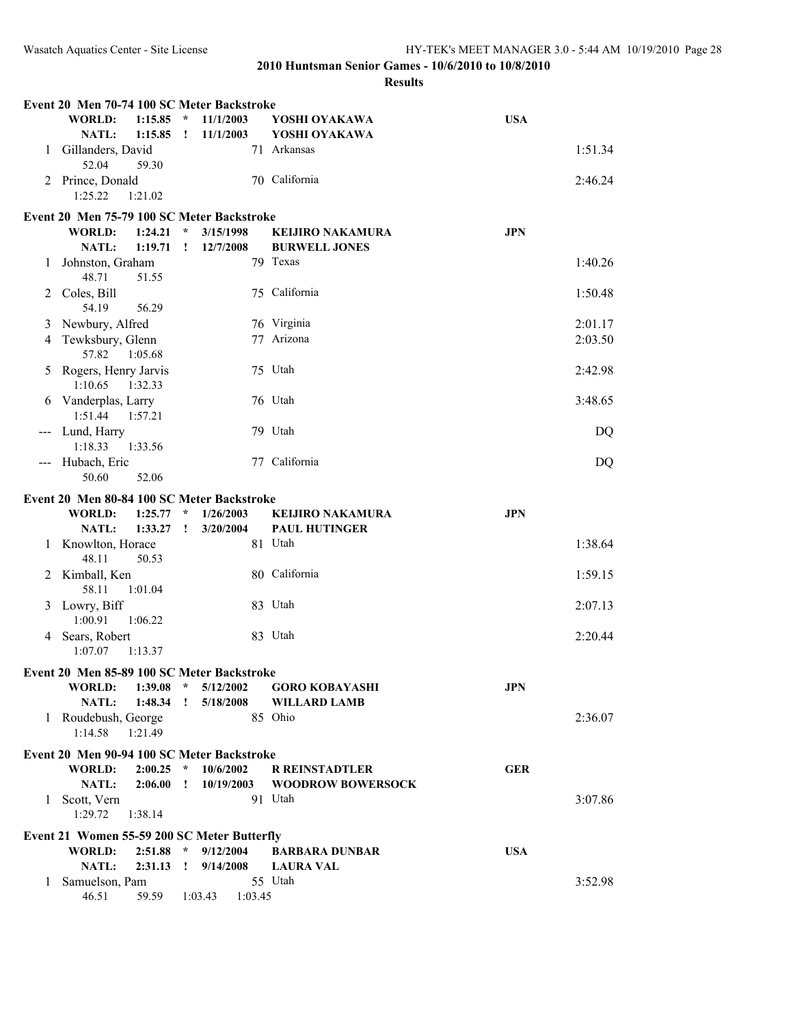|                                          | Event 20 Men 70-74 100 SC Meter Backstroke   |                             |                        |                                |            |
|------------------------------------------|----------------------------------------------|-----------------------------|------------------------|--------------------------------|------------|
|                                          | <b>WORLD:</b><br>1:15.85<br>NATL:<br>1:15.85 | $\star$<br>$\mathbf{I}$     | 11/1/2003<br>11/1/2003 | YOSHI OYAKAWA<br>YOSHI OYAKAWA | <b>USA</b> |
| 1                                        | Gillanders, David<br>52.04<br>59.30          |                             |                        | 71 Arkansas                    | 1:51.34    |
| 2                                        | Prince, Donald<br>1:25.22<br>1:21.02         |                             |                        | 70 California                  | 2:46.24    |
|                                          | Event 20 Men 75-79 100 SC Meter Backstroke   |                             |                        |                                |            |
|                                          | <b>WORLD:</b><br>1:24.21                     | $\star$                     | 3/15/1998              | <b>KEIJIRO NAKAMURA</b>        | <b>JPN</b> |
|                                          | NATL:<br>1:19.71                             | $\mathbf{I}$                | 12/7/2008              | <b>BURWELL JONES</b>           |            |
| 1                                        | Johnston, Graham<br>48.71<br>51.55           |                             |                        | 79 Texas                       | 1:40.26    |
| 2                                        | Coles, Bill<br>54.19<br>56.29                |                             |                        | 75 California                  | 1:50.48    |
| 3                                        | Newbury, Alfred                              |                             |                        | 76 Virginia                    | 2:01.17    |
| 4                                        | Tewksbury, Glenn<br>57.82<br>1:05.68         |                             |                        | 77 Arizona                     | 2:03.50    |
| 5                                        | Rogers, Henry Jarvis<br>1:10.65<br>1:32.33   |                             |                        | 75 Utah                        | 2:42.98    |
|                                          | Vanderplas, Larry<br>1:51.44<br>1:57.21      |                             |                        | 76 Utah                        | 3:48.65    |
| $\hspace{0.05cm} \ldots \hspace{0.05cm}$ | Lund, Harry<br>1:18.33<br>1:33.56            |                             |                        | 79 Utah                        | DQ         |
|                                          | --- Hubach, Eric<br>50.60<br>52.06           |                             |                        | 77 California                  | DQ         |
|                                          | Event 20 Men 80-84 100 SC Meter Backstroke   |                             |                        |                                |            |
|                                          | <b>WORLD:</b><br>1:25.77                     | $\star$                     | 1/26/2003              | <b>KEIJIRO NAKAMURA</b>        | <b>JPN</b> |
|                                          | NATL:<br>1:33.27                             | I.                          | 3/20/2004              | <b>PAUL HUTINGER</b>           |            |
| 1                                        | Knowlton, Horace<br>48.11<br>50.53           |                             |                        | 81 Utah                        | 1:38.64    |
| 2                                        | Kimball, Ken<br>58.11<br>1:01.04             |                             |                        | 80 California                  | 1:59.15    |
|                                          | 3 Lowry, Biff<br>1:00.91<br>1:06.22          |                             |                        | 83 Utah                        | 2:07.13    |
|                                          | 4 Sears, Robert<br>1:07.07<br>1:13.37        |                             |                        | 83 Utah                        | 2:20.44    |
|                                          | Event 20 Men 85-89 100 SC Meter Backstroke   |                             |                        |                                |            |
|                                          | 1:39.08<br><b>WORLD:</b>                     | $\mathcal{R}$               | 5/12/2002              | <b>GORO KOBAYASHI</b>          | <b>JPN</b> |
|                                          | NATL:<br>1:48.34                             | $\mathbf{I}$                | 5/18/2008              | <b>WILLARD LAMB</b>            |            |
|                                          | 1 Roudebush, George<br>1:14.58<br>1:21.49    |                             |                        | 85 Ohio                        | 2:36.07    |
|                                          | Event 20 Men 90-94 100 SC Meter Backstroke   |                             |                        |                                |            |
|                                          | <b>WORLD:</b><br>2:00.25                     | $\star$                     | 10/6/2002              | <b>R REINSTADTLER</b>          | <b>GER</b> |
|                                          | NATL:<br>2:06.00                             | $\mathbf{I}$                | 10/19/2003             | <b>WOODROW BOWERSOCK</b>       |            |
|                                          | 1 Scott, Vern<br>1:29.72<br>1:38.14          |                             |                        | 91 Utah                        | 3:07.86    |
|                                          | Event 21 Women 55-59 200 SC Meter Butterfly  |                             |                        |                                |            |
|                                          | <b>WORLD:</b><br>2:51.88                     | $\mathcal{R}_{\mathcal{A}}$ | 9/12/2004              | <b>BARBARA DUNBAR</b>          | <b>USA</b> |
|                                          | 2:31.13<br>NATL:                             | $\mathbf{I}$                | 9/14/2008              | <b>LAURA VAL</b>               |            |
|                                          | 1 Samuelson, Pam<br>46.51<br>59.59           |                             | 1:03.43<br>1:03.45     | 55 Utah                        | 3:52.98    |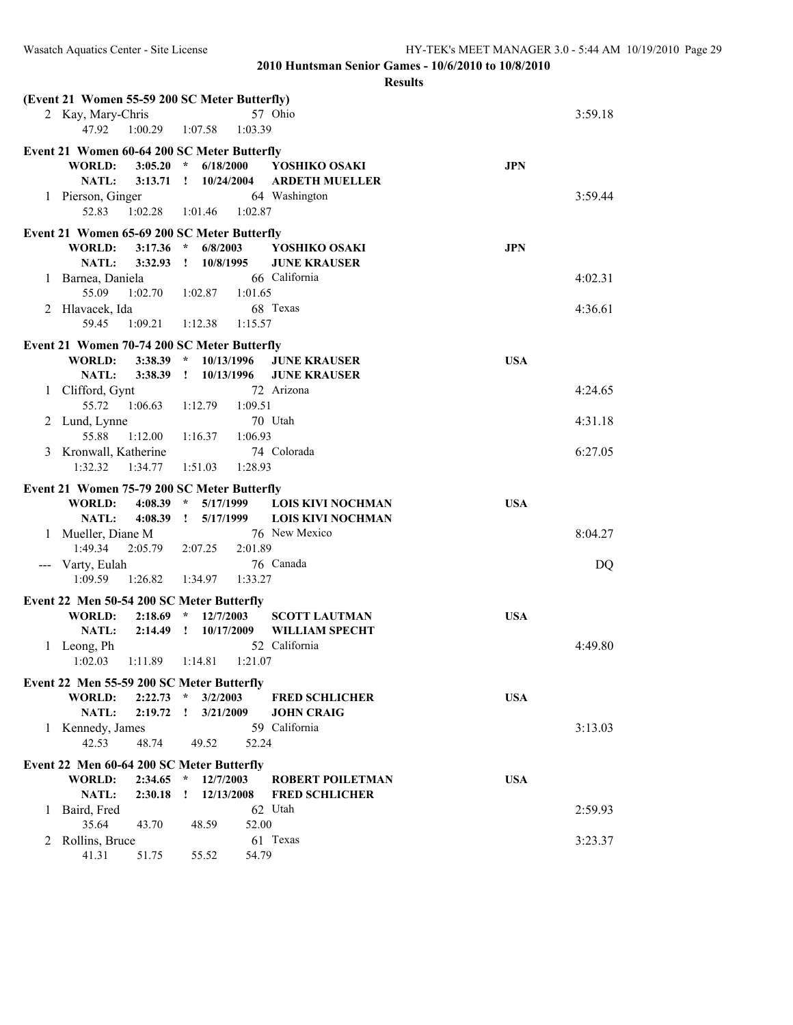|                                             | (Event 21 Women 55-59 200 SC Meter Butterfly) |                             |                          |            |         |  |  |  |  |
|---------------------------------------------|-----------------------------------------------|-----------------------------|--------------------------|------------|---------|--|--|--|--|
|                                             | 2 Kay, Mary-Chris                             |                             | 57 Ohio                  |            | 3:59.18 |  |  |  |  |
|                                             | 47.92<br>1:00.29                              | 1:03.39<br>1:07.58          |                          |            |         |  |  |  |  |
|                                             |                                               |                             |                          |            |         |  |  |  |  |
|                                             | Event 21 Women 60-64 200 SC Meter Butterfly   |                             |                          |            |         |  |  |  |  |
|                                             | <b>WORLD:</b><br>3:05.20                      | $\star$<br>6/18/2000        | YOSHIKO OSAKI            | <b>JPN</b> |         |  |  |  |  |
|                                             | <b>NATL:</b><br>3:13.71                       | 10/24/2004<br>$\mathbf{r}$  | <b>ARDETH MUELLER</b>    |            |         |  |  |  |  |
| 1                                           | Pierson, Ginger                               |                             | 64 Washington            |            | 3:59.44 |  |  |  |  |
|                                             | 52.83<br>1:02.28                              | 1:02.87<br>1:01.46          |                          |            |         |  |  |  |  |
|                                             | Event 21 Women 65-69 200 SC Meter Butterfly   |                             |                          |            |         |  |  |  |  |
|                                             | <b>WORLD:</b><br>3:17.36                      | $\star$<br>6/8/2003         | YOSHIKO OSAKI            | <b>JPN</b> |         |  |  |  |  |
|                                             | <b>NATL:</b><br>3:32.93                       | $\mathbf{I}$<br>10/8/1995   | <b>JUNE KRAUSER</b>      |            |         |  |  |  |  |
| 1                                           | Barnea, Daniela                               |                             | 66 California            |            | 4:02.31 |  |  |  |  |
|                                             | 55.09<br>1:02.70                              | 1:02.87<br>1:01.65          |                          |            |         |  |  |  |  |
| 2                                           | Hlavacek, Ida                                 |                             | 68 Texas                 |            | 4:36.61 |  |  |  |  |
|                                             | 59.45<br>1:09.21                              | 1:12.38<br>1:15.57          |                          |            |         |  |  |  |  |
|                                             |                                               |                             |                          |            |         |  |  |  |  |
|                                             | Event 21 Women 70-74 200 SC Meter Butterfly   |                             |                          |            |         |  |  |  |  |
|                                             | <b>WORLD:</b><br>3:38.39                      | 10/13/1996<br>$\mathcal{R}$ | <b>JUNE KRAUSER</b>      | <b>USA</b> |         |  |  |  |  |
|                                             | <b>NATL:</b><br>3:38.39                       | 10/13/1996<br>$\mathbf{r}$  | <b>JUNE KRAUSER</b>      |            |         |  |  |  |  |
| 1                                           | Clifford, Gynt                                |                             | 72 Arizona               |            | 4:24.65 |  |  |  |  |
|                                             | 55.72<br>1:06.63                              | 1:09.51<br>1:12.79          |                          |            |         |  |  |  |  |
| 2                                           | Lund, Lynne                                   |                             | 70 Utah                  |            | 4:31.18 |  |  |  |  |
|                                             | 55.88<br>1:12.00                              | 1:06.93<br>1:16.37          |                          |            |         |  |  |  |  |
| 3                                           | Kronwall, Katherine                           |                             | 74 Colorada              |            | 6:27.05 |  |  |  |  |
|                                             | 1:32.32<br>1:34.77                            | 1:28.93<br>1:51.03          |                          |            |         |  |  |  |  |
| Event 21 Women 75-79 200 SC Meter Butterfly |                                               |                             |                          |            |         |  |  |  |  |
|                                             |                                               |                             |                          |            |         |  |  |  |  |
|                                             |                                               | $\mathcal{R}$               |                          |            |         |  |  |  |  |
|                                             | <b>WORLD:</b><br>4:08.39                      | 5/17/1999                   | <b>LOIS KIVI NOCHMAN</b> | <b>USA</b> |         |  |  |  |  |
|                                             | <b>NATL:</b><br>4:08.39                       | 5/17/1999<br>$\mathbf{I}$   | <b>LOIS KIVI NOCHMAN</b> |            |         |  |  |  |  |
| 1                                           | Mueller, Diane M                              |                             | 76 New Mexico            |            | 8:04.27 |  |  |  |  |
|                                             | 1:49.34<br>2:05.79                            | 2:01.89<br>2:07.25          |                          |            |         |  |  |  |  |
| ---                                         | Varty, Eulah                                  |                             | 76 Canada                |            | DQ      |  |  |  |  |
|                                             | 1:09.59<br>1:26.82                            | 1:33.27<br>1:34.97          |                          |            |         |  |  |  |  |
|                                             | Event 22 Men 50-54 200 SC Meter Butterfly     |                             |                          |            |         |  |  |  |  |
|                                             | <b>WORLD:</b><br>2:18.69                      | 12/7/2003                   | <b>SCOTT LAUTMAN</b>     | <b>USA</b> |         |  |  |  |  |
|                                             | <b>NATL:</b><br>2:14.49                       | 10/17/2009<br>$\mathbf{r}$  | <b>WILLIAM SPECHT</b>    |            |         |  |  |  |  |
| 1                                           | Leong, Ph                                     |                             | 52 California            |            | 4:49.80 |  |  |  |  |
|                                             | 1:02.03<br>1:11.89                            | 1:14.81<br>1:21.07          |                          |            |         |  |  |  |  |
|                                             |                                               |                             |                          |            |         |  |  |  |  |
|                                             | Event 22 Men 55-59 200 SC Meter Butterfly     |                             |                          |            |         |  |  |  |  |
|                                             | <b>WORLD:</b><br>2:22.73                      | 3/2/2003<br>$\star$         | <b>FRED SCHLICHER</b>    | <b>USA</b> |         |  |  |  |  |
|                                             | <b>NATL:</b><br>2:19.72                       | 3/21/2009<br>Ţ              | <b>JOHN CRAIG</b>        |            |         |  |  |  |  |
| $\mathbf{1}$                                | Kennedy, James                                |                             | 59 California            |            | 3:13.03 |  |  |  |  |
|                                             | 42.53<br>48.74                                | 52.24<br>49.52              |                          |            |         |  |  |  |  |
|                                             | Event 22 Men 60-64 200 SC Meter Butterfly     |                             |                          |            |         |  |  |  |  |
|                                             | <b>WORLD:</b><br>2:34.65                      | 12/7/2003<br>$\star$        | <b>ROBERT POILETMAN</b>  | <b>USA</b> |         |  |  |  |  |
|                                             | NATL:<br>2:30.18                              | 12/13/2008<br>÷             | <b>FRED SCHLICHER</b>    |            |         |  |  |  |  |
| 1                                           | Baird, Fred                                   |                             | 62 Utah                  |            | 2:59.93 |  |  |  |  |
|                                             | 35.64<br>43.70                                | 52.00<br>48.59              |                          |            |         |  |  |  |  |
| 2                                           | Rollins, Bruce                                |                             | 61 Texas                 |            | 3:23.37 |  |  |  |  |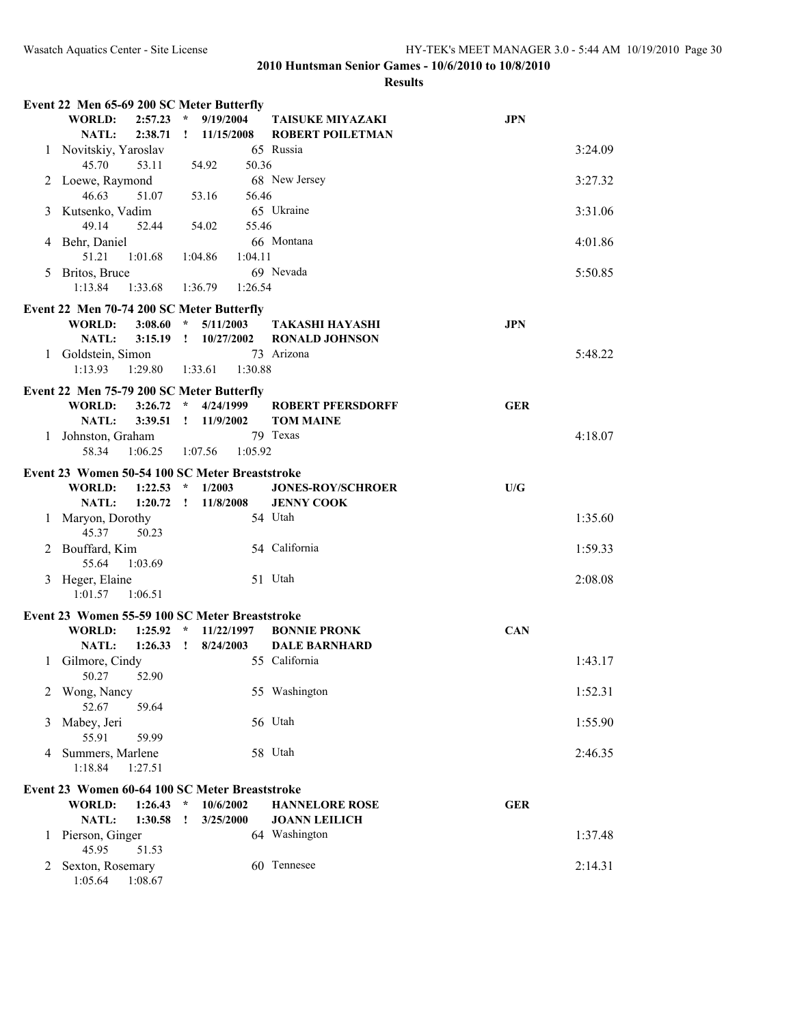|    | Event 22 Men 65-69 200 SC Meter Butterfly                             |                             |                                       |            |
|----|-----------------------------------------------------------------------|-----------------------------|---------------------------------------|------------|
|    | <b>WORLD:</b><br>2:57.23                                              | $\star$<br>9/19/2004        | <b>TAISUKE MIYAZAKI</b>               | <b>JPN</b> |
|    | <b>NATL:</b><br>2:38.71                                               | 11/15/2008<br>$\mathbf{I}$  | <b>ROBERT POILETMAN</b>               |            |
|    | 1 Novitskiy, Yaroslav                                                 |                             | 65 Russia                             | 3:24.09    |
|    | 45.70<br>53.11                                                        | 50.36<br>54.92              |                                       |            |
|    | 2 Loewe, Raymond                                                      |                             | 68 New Jersey                         | 3:27.32    |
|    | 46.63<br>51.07                                                        | 56.46<br>53.16              |                                       |            |
|    | 3 Kutsenko, Vadim<br>49.14<br>52.44                                   | 55.46<br>54.02              | 65 Ukraine                            | 3:31.06    |
|    | 4 Behr, Daniel                                                        |                             | 66 Montana                            | 4:01.86    |
|    | 51.21<br>1:01.68                                                      | 1:04.86<br>1:04.11          |                                       |            |
| 5. | Britos, Bruce                                                         |                             | 69 Nevada                             | 5:50.85    |
|    | 1:13.84<br>1:33.68                                                    | 1:36.79<br>1:26.54          |                                       |            |
|    |                                                                       |                             |                                       |            |
|    | Event 22 Men 70-74 200 SC Meter Butterfly<br>3:08.60<br><b>WORLD:</b> | $\mathcal{R}$<br>5/11/2003  | TAKASHI HAYASHI                       | <b>JPN</b> |
|    | <b>NATL:</b><br>3:15.19                                               | $\mathbf{1}$<br>10/27/2002  | <b>RONALD JOHNSON</b>                 |            |
|    | 1 Goldstein, Simon                                                    |                             | 73 Arizona                            | 5:48.22    |
|    | 1:13.93<br>1:29.80                                                    | 1:33.61<br>1:30.88          |                                       |            |
|    |                                                                       |                             |                                       |            |
|    | Event 22 Men 75-79 200 SC Meter Butterfly<br><b>WORLD:</b><br>3:26.72 | $\star$<br>4/24/1999        | <b>ROBERT PFERSDORFF</b>              | <b>GER</b> |
|    | 3:39.51<br><b>NATL:</b>                                               | 11/9/2002<br>$\mathbf{1}$   | <b>TOM MAINE</b>                      |            |
|    | 1 Johnston, Graham                                                    |                             | 79 Texas                              | 4:18.07    |
|    | 58.34<br>1:06.25                                                      | 1:05.92<br>1:07.56          |                                       |            |
|    | Event 23 Women 50-54 100 SC Meter Breaststroke                        |                             |                                       |            |
|    | <b>WORLD:</b><br>1:22.53                                              | $\star$<br>1/2003           | <b>JONES-ROY/SCHROER</b>              | U/G        |
|    | <b>NATL:</b><br>1:20.72                                               | $\mathbf{I}$<br>11/8/2008   | <b>JENNY COOK</b>                     |            |
| 1  | Maryon, Dorothy                                                       |                             | 54 Utah                               | 1:35.60    |
|    | 45.37<br>50.23                                                        |                             |                                       |            |
|    | 2 Bouffard, Kim                                                       |                             | 54 California                         | 1:59.33    |
|    | 55.64<br>1:03.69                                                      |                             |                                       |            |
|    | 3 Heger, Elaine                                                       |                             | 51 Utah                               | 2:08.08    |
|    | 1:01.57<br>1:06.51                                                    |                             |                                       |            |
|    | Event 23 Women 55-59 100 SC Meter Breaststroke                        |                             |                                       |            |
|    | <b>WORLD:</b><br>1:25.92                                              | 11/22/1997<br>$\mathcal{R}$ | <b>BONNIE PRONK</b>                   | <b>CAN</b> |
|    | NATL:<br>1:26.33                                                      | 8/24/2003<br>$\mathbf{r}$   | <b>DALE BARNHARD</b>                  |            |
| 1  | Gilmore, Cindy                                                        |                             | 55 California                         | 1:43.17    |
|    | 50.27<br>52.90                                                        |                             |                                       |            |
|    | Wong, Nancy                                                           |                             | 55 Washington                         | 1:52.31    |
|    | 52.67<br>59.64                                                        |                             |                                       |            |
| 3  | Mabey, Jeri                                                           |                             | 56 Utah                               | 1:55.90    |
|    | 55.91<br>59.99                                                        |                             |                                       |            |
| 4  | Summers, Marlene<br>1:18.84<br>1:27.51                                |                             | 58 Utah                               | 2:46.35    |
|    |                                                                       |                             |                                       |            |
|    | Event 23 Women 60-64 100 SC Meter Breaststroke                        |                             |                                       |            |
|    | <b>WORLD:</b><br>1:26.43                                              | $\star$<br>10/6/2002        | <b>HANNELORE ROSE</b>                 | <b>GER</b> |
| 1  | NATL:<br>1:30.58<br>Pierson, Ginger                                   | 3/25/2000<br>$\mathbf{I}$   | <b>JOANN LEILICH</b><br>64 Washington | 1:37.48    |
|    | 45.95<br>51.53                                                        |                             |                                       |            |
| 2  | Sexton, Rosemary                                                      |                             | 60 Tennesee                           | 2:14.31    |
|    | 1:05.64<br>1:08.67                                                    |                             |                                       |            |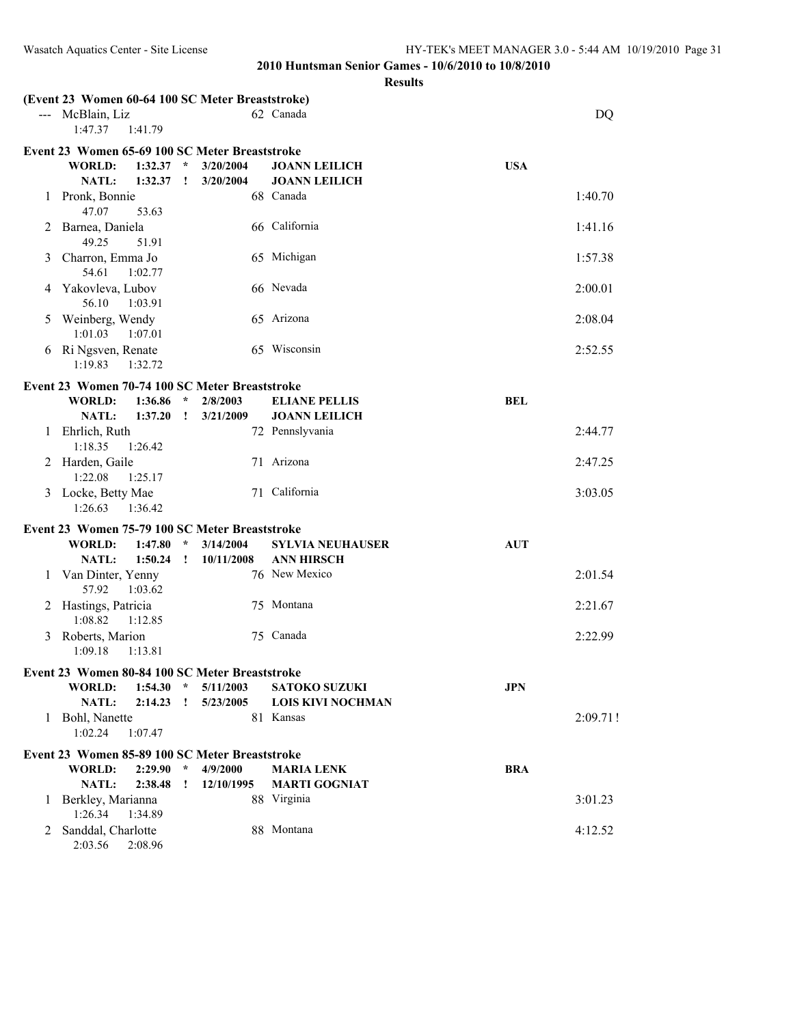| 62 Canada<br>--- McBlain, Liz<br><b>DQ</b><br>1:47.37<br>1:41.79<br>Event 23 Women 65-69 100 SC Meter Breaststroke<br>WORLD:<br>1:32.37<br>3/20/2004<br><b>JOANN LEILICH</b><br><b>USA</b><br>$\star$<br>NATL:<br>1:32.37<br><b>JOANN LEILICH</b><br>$\mathbf{r}$<br>3/20/2004<br>68 Canada<br>1 Pronk, Bonnie<br>1:40.70<br>47.07<br>53.63<br>66 California<br>Barnea, Daniela<br>1:41.16<br>2<br>49.25<br>51.91<br>65 Michigan<br>Charron, Emma Jo<br>1:57.38<br>3<br>54.61<br>1:02.77<br>66 Nevada<br>Yakovleva, Lubov<br>2:00.01<br>4<br>56.10<br>1:03.91<br>Weinberg, Wendy<br>65 Arizona<br>2:08.04<br>5<br>1:01.03<br>1:07.01<br>65 Wisconsin<br>6 Ri Ngsven, Renate<br>2:52.55<br>1:19.83<br>1:32.72<br>Event 23 Women 70-74 100 SC Meter Breaststroke<br><b>BEL</b><br>WORLD:<br>1:36.86<br>$\star$<br>2/8/2003<br><b>ELIANE PELLIS</b><br>NATL:<br>1:37.20<br>3/21/2009<br><b>JOANN LEILICH</b><br>$\mathbf{I}$<br>Ehrlich, Ruth<br>72 Pennslyvania<br>2:44.77<br>1<br>1:18.35<br>1:26.42<br>71 Arizona<br>2 Harden, Gaile<br>2:47.25<br>1:22.08<br>1:25.17<br>3 Locke, Betty Mae<br>71 California<br>3:03.05<br>1:26.63<br>1:36.42<br>Event 23 Women 75-79 100 SC Meter Breaststroke<br><b>WORLD:</b><br>3/14/2004<br>1:47.80<br>$\star$<br><b>SYLVIA NEUHAUSER</b><br><b>AUT</b><br>1:50.24<br>NATL:<br>10/11/2008<br><b>ANN HIRSCH</b><br>$\mathbf{I}$<br>76 New Mexico<br>1 Van Dinter, Yenny<br>2:01.54<br>57.92<br>1:03.62<br>75 Montana<br>2 Hastings, Patricia<br>2:21.67<br>1:08.82<br>1:12.85<br>75 Canada<br>3 Roberts, Marion<br>2:22.99<br>1:09.18<br>1:13.81<br>Event 23 Women 80-84 100 SC Meter Breaststroke<br>5/11/2003<br><b>JPN</b><br>WORLD:<br>$1:54.30$ *<br><b>SATOKO SUZUKI</b><br><b>NATL:</b><br>$2:14.23$ !<br>5/23/2005<br><b>LOIS KIVI NOCHMAN</b><br>Bohl, Nanette<br>81 Kansas<br>2:09.71!<br>1<br>1:02.24<br>1:07.47<br>Event 23 Women 85-89 100 SC Meter Breaststroke<br>$\star$<br><b>WORLD:</b><br>2:29.90<br>4/9/2000<br><b>BRA</b><br><b>MARIA LENK</b><br><b>NATL:</b><br><b>MARTI GOGNIAT</b><br>2:38.48<br>12/10/1995<br>$\mathbf{I}$<br>88 Virginia<br>3:01.23<br>Berkley, Marianna<br>1<br>1:26.34<br>1:34.89<br>88 Montana<br>2 Sanddal, Charlotte<br>4:12.52<br>2:03.56<br>2:08.96 |  | (Event 23 Women 60-64 100 SC Meter Breaststroke) |  |  |  |
|-------------------------------------------------------------------------------------------------------------------------------------------------------------------------------------------------------------------------------------------------------------------------------------------------------------------------------------------------------------------------------------------------------------------------------------------------------------------------------------------------------------------------------------------------------------------------------------------------------------------------------------------------------------------------------------------------------------------------------------------------------------------------------------------------------------------------------------------------------------------------------------------------------------------------------------------------------------------------------------------------------------------------------------------------------------------------------------------------------------------------------------------------------------------------------------------------------------------------------------------------------------------------------------------------------------------------------------------------------------------------------------------------------------------------------------------------------------------------------------------------------------------------------------------------------------------------------------------------------------------------------------------------------------------------------------------------------------------------------------------------------------------------------------------------------------------------------------------------------------------------------------------------------------------------------------------------------------------------------------------------------------------------------------------------------------------------------------------------------------------------------------------------------------------------------------------------------------------------------------------|--|--------------------------------------------------|--|--|--|
|                                                                                                                                                                                                                                                                                                                                                                                                                                                                                                                                                                                                                                                                                                                                                                                                                                                                                                                                                                                                                                                                                                                                                                                                                                                                                                                                                                                                                                                                                                                                                                                                                                                                                                                                                                                                                                                                                                                                                                                                                                                                                                                                                                                                                                           |  |                                                  |  |  |  |
|                                                                                                                                                                                                                                                                                                                                                                                                                                                                                                                                                                                                                                                                                                                                                                                                                                                                                                                                                                                                                                                                                                                                                                                                                                                                                                                                                                                                                                                                                                                                                                                                                                                                                                                                                                                                                                                                                                                                                                                                                                                                                                                                                                                                                                           |  |                                                  |  |  |  |
|                                                                                                                                                                                                                                                                                                                                                                                                                                                                                                                                                                                                                                                                                                                                                                                                                                                                                                                                                                                                                                                                                                                                                                                                                                                                                                                                                                                                                                                                                                                                                                                                                                                                                                                                                                                                                                                                                                                                                                                                                                                                                                                                                                                                                                           |  |                                                  |  |  |  |
|                                                                                                                                                                                                                                                                                                                                                                                                                                                                                                                                                                                                                                                                                                                                                                                                                                                                                                                                                                                                                                                                                                                                                                                                                                                                                                                                                                                                                                                                                                                                                                                                                                                                                                                                                                                                                                                                                                                                                                                                                                                                                                                                                                                                                                           |  |                                                  |  |  |  |
|                                                                                                                                                                                                                                                                                                                                                                                                                                                                                                                                                                                                                                                                                                                                                                                                                                                                                                                                                                                                                                                                                                                                                                                                                                                                                                                                                                                                                                                                                                                                                                                                                                                                                                                                                                                                                                                                                                                                                                                                                                                                                                                                                                                                                                           |  |                                                  |  |  |  |
|                                                                                                                                                                                                                                                                                                                                                                                                                                                                                                                                                                                                                                                                                                                                                                                                                                                                                                                                                                                                                                                                                                                                                                                                                                                                                                                                                                                                                                                                                                                                                                                                                                                                                                                                                                                                                                                                                                                                                                                                                                                                                                                                                                                                                                           |  |                                                  |  |  |  |
|                                                                                                                                                                                                                                                                                                                                                                                                                                                                                                                                                                                                                                                                                                                                                                                                                                                                                                                                                                                                                                                                                                                                                                                                                                                                                                                                                                                                                                                                                                                                                                                                                                                                                                                                                                                                                                                                                                                                                                                                                                                                                                                                                                                                                                           |  |                                                  |  |  |  |
|                                                                                                                                                                                                                                                                                                                                                                                                                                                                                                                                                                                                                                                                                                                                                                                                                                                                                                                                                                                                                                                                                                                                                                                                                                                                                                                                                                                                                                                                                                                                                                                                                                                                                                                                                                                                                                                                                                                                                                                                                                                                                                                                                                                                                                           |  |                                                  |  |  |  |
|                                                                                                                                                                                                                                                                                                                                                                                                                                                                                                                                                                                                                                                                                                                                                                                                                                                                                                                                                                                                                                                                                                                                                                                                                                                                                                                                                                                                                                                                                                                                                                                                                                                                                                                                                                                                                                                                                                                                                                                                                                                                                                                                                                                                                                           |  |                                                  |  |  |  |
|                                                                                                                                                                                                                                                                                                                                                                                                                                                                                                                                                                                                                                                                                                                                                                                                                                                                                                                                                                                                                                                                                                                                                                                                                                                                                                                                                                                                                                                                                                                                                                                                                                                                                                                                                                                                                                                                                                                                                                                                                                                                                                                                                                                                                                           |  |                                                  |  |  |  |
|                                                                                                                                                                                                                                                                                                                                                                                                                                                                                                                                                                                                                                                                                                                                                                                                                                                                                                                                                                                                                                                                                                                                                                                                                                                                                                                                                                                                                                                                                                                                                                                                                                                                                                                                                                                                                                                                                                                                                                                                                                                                                                                                                                                                                                           |  |                                                  |  |  |  |
|                                                                                                                                                                                                                                                                                                                                                                                                                                                                                                                                                                                                                                                                                                                                                                                                                                                                                                                                                                                                                                                                                                                                                                                                                                                                                                                                                                                                                                                                                                                                                                                                                                                                                                                                                                                                                                                                                                                                                                                                                                                                                                                                                                                                                                           |  |                                                  |  |  |  |
|                                                                                                                                                                                                                                                                                                                                                                                                                                                                                                                                                                                                                                                                                                                                                                                                                                                                                                                                                                                                                                                                                                                                                                                                                                                                                                                                                                                                                                                                                                                                                                                                                                                                                                                                                                                                                                                                                                                                                                                                                                                                                                                                                                                                                                           |  |                                                  |  |  |  |
|                                                                                                                                                                                                                                                                                                                                                                                                                                                                                                                                                                                                                                                                                                                                                                                                                                                                                                                                                                                                                                                                                                                                                                                                                                                                                                                                                                                                                                                                                                                                                                                                                                                                                                                                                                                                                                                                                                                                                                                                                                                                                                                                                                                                                                           |  |                                                  |  |  |  |
|                                                                                                                                                                                                                                                                                                                                                                                                                                                                                                                                                                                                                                                                                                                                                                                                                                                                                                                                                                                                                                                                                                                                                                                                                                                                                                                                                                                                                                                                                                                                                                                                                                                                                                                                                                                                                                                                                                                                                                                                                                                                                                                                                                                                                                           |  |                                                  |  |  |  |
|                                                                                                                                                                                                                                                                                                                                                                                                                                                                                                                                                                                                                                                                                                                                                                                                                                                                                                                                                                                                                                                                                                                                                                                                                                                                                                                                                                                                                                                                                                                                                                                                                                                                                                                                                                                                                                                                                                                                                                                                                                                                                                                                                                                                                                           |  |                                                  |  |  |  |
|                                                                                                                                                                                                                                                                                                                                                                                                                                                                                                                                                                                                                                                                                                                                                                                                                                                                                                                                                                                                                                                                                                                                                                                                                                                                                                                                                                                                                                                                                                                                                                                                                                                                                                                                                                                                                                                                                                                                                                                                                                                                                                                                                                                                                                           |  |                                                  |  |  |  |
|                                                                                                                                                                                                                                                                                                                                                                                                                                                                                                                                                                                                                                                                                                                                                                                                                                                                                                                                                                                                                                                                                                                                                                                                                                                                                                                                                                                                                                                                                                                                                                                                                                                                                                                                                                                                                                                                                                                                                                                                                                                                                                                                                                                                                                           |  |                                                  |  |  |  |
|                                                                                                                                                                                                                                                                                                                                                                                                                                                                                                                                                                                                                                                                                                                                                                                                                                                                                                                                                                                                                                                                                                                                                                                                                                                                                                                                                                                                                                                                                                                                                                                                                                                                                                                                                                                                                                                                                                                                                                                                                                                                                                                                                                                                                                           |  |                                                  |  |  |  |
|                                                                                                                                                                                                                                                                                                                                                                                                                                                                                                                                                                                                                                                                                                                                                                                                                                                                                                                                                                                                                                                                                                                                                                                                                                                                                                                                                                                                                                                                                                                                                                                                                                                                                                                                                                                                                                                                                                                                                                                                                                                                                                                                                                                                                                           |  |                                                  |  |  |  |
|                                                                                                                                                                                                                                                                                                                                                                                                                                                                                                                                                                                                                                                                                                                                                                                                                                                                                                                                                                                                                                                                                                                                                                                                                                                                                                                                                                                                                                                                                                                                                                                                                                                                                                                                                                                                                                                                                                                                                                                                                                                                                                                                                                                                                                           |  |                                                  |  |  |  |
|                                                                                                                                                                                                                                                                                                                                                                                                                                                                                                                                                                                                                                                                                                                                                                                                                                                                                                                                                                                                                                                                                                                                                                                                                                                                                                                                                                                                                                                                                                                                                                                                                                                                                                                                                                                                                                                                                                                                                                                                                                                                                                                                                                                                                                           |  |                                                  |  |  |  |
|                                                                                                                                                                                                                                                                                                                                                                                                                                                                                                                                                                                                                                                                                                                                                                                                                                                                                                                                                                                                                                                                                                                                                                                                                                                                                                                                                                                                                                                                                                                                                                                                                                                                                                                                                                                                                                                                                                                                                                                                                                                                                                                                                                                                                                           |  |                                                  |  |  |  |
|                                                                                                                                                                                                                                                                                                                                                                                                                                                                                                                                                                                                                                                                                                                                                                                                                                                                                                                                                                                                                                                                                                                                                                                                                                                                                                                                                                                                                                                                                                                                                                                                                                                                                                                                                                                                                                                                                                                                                                                                                                                                                                                                                                                                                                           |  |                                                  |  |  |  |
|                                                                                                                                                                                                                                                                                                                                                                                                                                                                                                                                                                                                                                                                                                                                                                                                                                                                                                                                                                                                                                                                                                                                                                                                                                                                                                                                                                                                                                                                                                                                                                                                                                                                                                                                                                                                                                                                                                                                                                                                                                                                                                                                                                                                                                           |  |                                                  |  |  |  |
|                                                                                                                                                                                                                                                                                                                                                                                                                                                                                                                                                                                                                                                                                                                                                                                                                                                                                                                                                                                                                                                                                                                                                                                                                                                                                                                                                                                                                                                                                                                                                                                                                                                                                                                                                                                                                                                                                                                                                                                                                                                                                                                                                                                                                                           |  |                                                  |  |  |  |
|                                                                                                                                                                                                                                                                                                                                                                                                                                                                                                                                                                                                                                                                                                                                                                                                                                                                                                                                                                                                                                                                                                                                                                                                                                                                                                                                                                                                                                                                                                                                                                                                                                                                                                                                                                                                                                                                                                                                                                                                                                                                                                                                                                                                                                           |  |                                                  |  |  |  |
|                                                                                                                                                                                                                                                                                                                                                                                                                                                                                                                                                                                                                                                                                                                                                                                                                                                                                                                                                                                                                                                                                                                                                                                                                                                                                                                                                                                                                                                                                                                                                                                                                                                                                                                                                                                                                                                                                                                                                                                                                                                                                                                                                                                                                                           |  |                                                  |  |  |  |
|                                                                                                                                                                                                                                                                                                                                                                                                                                                                                                                                                                                                                                                                                                                                                                                                                                                                                                                                                                                                                                                                                                                                                                                                                                                                                                                                                                                                                                                                                                                                                                                                                                                                                                                                                                                                                                                                                                                                                                                                                                                                                                                                                                                                                                           |  |                                                  |  |  |  |
|                                                                                                                                                                                                                                                                                                                                                                                                                                                                                                                                                                                                                                                                                                                                                                                                                                                                                                                                                                                                                                                                                                                                                                                                                                                                                                                                                                                                                                                                                                                                                                                                                                                                                                                                                                                                                                                                                                                                                                                                                                                                                                                                                                                                                                           |  |                                                  |  |  |  |
|                                                                                                                                                                                                                                                                                                                                                                                                                                                                                                                                                                                                                                                                                                                                                                                                                                                                                                                                                                                                                                                                                                                                                                                                                                                                                                                                                                                                                                                                                                                                                                                                                                                                                                                                                                                                                                                                                                                                                                                                                                                                                                                                                                                                                                           |  |                                                  |  |  |  |
|                                                                                                                                                                                                                                                                                                                                                                                                                                                                                                                                                                                                                                                                                                                                                                                                                                                                                                                                                                                                                                                                                                                                                                                                                                                                                                                                                                                                                                                                                                                                                                                                                                                                                                                                                                                                                                                                                                                                                                                                                                                                                                                                                                                                                                           |  |                                                  |  |  |  |
|                                                                                                                                                                                                                                                                                                                                                                                                                                                                                                                                                                                                                                                                                                                                                                                                                                                                                                                                                                                                                                                                                                                                                                                                                                                                                                                                                                                                                                                                                                                                                                                                                                                                                                                                                                                                                                                                                                                                                                                                                                                                                                                                                                                                                                           |  |                                                  |  |  |  |
|                                                                                                                                                                                                                                                                                                                                                                                                                                                                                                                                                                                                                                                                                                                                                                                                                                                                                                                                                                                                                                                                                                                                                                                                                                                                                                                                                                                                                                                                                                                                                                                                                                                                                                                                                                                                                                                                                                                                                                                                                                                                                                                                                                                                                                           |  |                                                  |  |  |  |
|                                                                                                                                                                                                                                                                                                                                                                                                                                                                                                                                                                                                                                                                                                                                                                                                                                                                                                                                                                                                                                                                                                                                                                                                                                                                                                                                                                                                                                                                                                                                                                                                                                                                                                                                                                                                                                                                                                                                                                                                                                                                                                                                                                                                                                           |  |                                                  |  |  |  |
|                                                                                                                                                                                                                                                                                                                                                                                                                                                                                                                                                                                                                                                                                                                                                                                                                                                                                                                                                                                                                                                                                                                                                                                                                                                                                                                                                                                                                                                                                                                                                                                                                                                                                                                                                                                                                                                                                                                                                                                                                                                                                                                                                                                                                                           |  |                                                  |  |  |  |
|                                                                                                                                                                                                                                                                                                                                                                                                                                                                                                                                                                                                                                                                                                                                                                                                                                                                                                                                                                                                                                                                                                                                                                                                                                                                                                                                                                                                                                                                                                                                                                                                                                                                                                                                                                                                                                                                                                                                                                                                                                                                                                                                                                                                                                           |  |                                                  |  |  |  |
|                                                                                                                                                                                                                                                                                                                                                                                                                                                                                                                                                                                                                                                                                                                                                                                                                                                                                                                                                                                                                                                                                                                                                                                                                                                                                                                                                                                                                                                                                                                                                                                                                                                                                                                                                                                                                                                                                                                                                                                                                                                                                                                                                                                                                                           |  |                                                  |  |  |  |
|                                                                                                                                                                                                                                                                                                                                                                                                                                                                                                                                                                                                                                                                                                                                                                                                                                                                                                                                                                                                                                                                                                                                                                                                                                                                                                                                                                                                                                                                                                                                                                                                                                                                                                                                                                                                                                                                                                                                                                                                                                                                                                                                                                                                                                           |  |                                                  |  |  |  |
|                                                                                                                                                                                                                                                                                                                                                                                                                                                                                                                                                                                                                                                                                                                                                                                                                                                                                                                                                                                                                                                                                                                                                                                                                                                                                                                                                                                                                                                                                                                                                                                                                                                                                                                                                                                                                                                                                                                                                                                                                                                                                                                                                                                                                                           |  |                                                  |  |  |  |
|                                                                                                                                                                                                                                                                                                                                                                                                                                                                                                                                                                                                                                                                                                                                                                                                                                                                                                                                                                                                                                                                                                                                                                                                                                                                                                                                                                                                                                                                                                                                                                                                                                                                                                                                                                                                                                                                                                                                                                                                                                                                                                                                                                                                                                           |  |                                                  |  |  |  |
|                                                                                                                                                                                                                                                                                                                                                                                                                                                                                                                                                                                                                                                                                                                                                                                                                                                                                                                                                                                                                                                                                                                                                                                                                                                                                                                                                                                                                                                                                                                                                                                                                                                                                                                                                                                                                                                                                                                                                                                                                                                                                                                                                                                                                                           |  |                                                  |  |  |  |
|                                                                                                                                                                                                                                                                                                                                                                                                                                                                                                                                                                                                                                                                                                                                                                                                                                                                                                                                                                                                                                                                                                                                                                                                                                                                                                                                                                                                                                                                                                                                                                                                                                                                                                                                                                                                                                                                                                                                                                                                                                                                                                                                                                                                                                           |  |                                                  |  |  |  |
|                                                                                                                                                                                                                                                                                                                                                                                                                                                                                                                                                                                                                                                                                                                                                                                                                                                                                                                                                                                                                                                                                                                                                                                                                                                                                                                                                                                                                                                                                                                                                                                                                                                                                                                                                                                                                                                                                                                                                                                                                                                                                                                                                                                                                                           |  |                                                  |  |  |  |
|                                                                                                                                                                                                                                                                                                                                                                                                                                                                                                                                                                                                                                                                                                                                                                                                                                                                                                                                                                                                                                                                                                                                                                                                                                                                                                                                                                                                                                                                                                                                                                                                                                                                                                                                                                                                                                                                                                                                                                                                                                                                                                                                                                                                                                           |  |                                                  |  |  |  |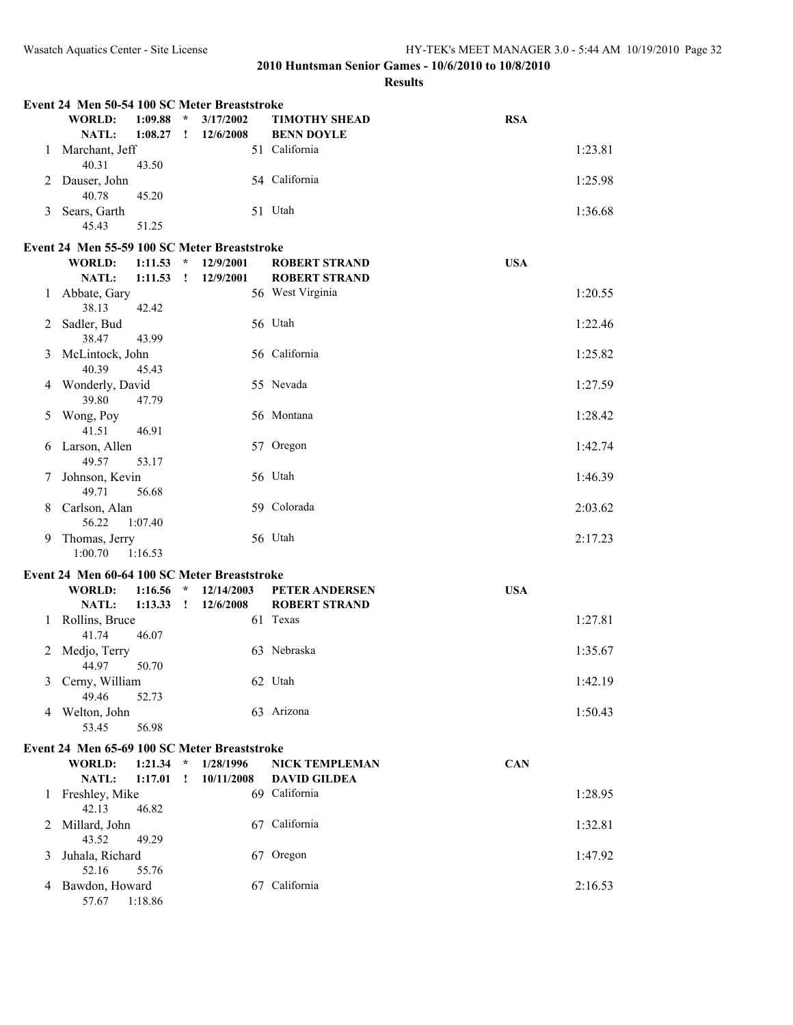|   | Event 24 Men 50-54 100 SC Meter Breaststroke                  |         |                                                                                                                                                                                                                                                                                                                                                                                                                                                                                    |            |                       |            |
|---|---------------------------------------------------------------|---------|------------------------------------------------------------------------------------------------------------------------------------------------------------------------------------------------------------------------------------------------------------------------------------------------------------------------------------------------------------------------------------------------------------------------------------------------------------------------------------|------------|-----------------------|------------|
|   | <b>WORLD:</b>                                                 | 1:09.88 | $\star$                                                                                                                                                                                                                                                                                                                                                                                                                                                                            | 3/17/2002  | <b>TIMOTHY SHEAD</b>  | <b>RSA</b> |
|   | NATL:                                                         | 1:08.27 | ÷                                                                                                                                                                                                                                                                                                                                                                                                                                                                                  | 12/6/2008  | <b>BENN DOYLE</b>     |            |
| 1 | Marchant, Jeff<br>40.31                                       | 43.50   |                                                                                                                                                                                                                                                                                                                                                                                                                                                                                    |            | 51 California         | 1:23.81    |
| 2 | Dauser, John<br>40.78                                         | 45.20   |                                                                                                                                                                                                                                                                                                                                                                                                                                                                                    |            | 54 California         | 1:25.98    |
| 3 | Sears, Garth<br>45.43                                         | 51.25   |                                                                                                                                                                                                                                                                                                                                                                                                                                                                                    |            | 51 Utah               | 1:36.68    |
|   |                                                               |         |                                                                                                                                                                                                                                                                                                                                                                                                                                                                                    |            |                       |            |
|   | Event 24 Men 55-59 100 SC Meter Breaststroke<br><b>WORLD:</b> | 1:11.53 | $\star$                                                                                                                                                                                                                                                                                                                                                                                                                                                                            | 12/9/2001  | <b>ROBERT STRAND</b>  | <b>USA</b> |
|   | NATL:                                                         | 1:11.53 | $\mathbf{I}% _{t}\left  \mathbf{I}_{t}\right  ^{-1}\left  \mathbf{I}_{t}\right  ^{-1}\left  \mathbf{I}_{t}\right  ^{-1}\left  \mathbf{I}_{t}\right  ^{-1}\left  \mathbf{I}_{t}\right  ^{-1}\left  \mathbf{I}_{t}\right  ^{-1}\left  \mathbf{I}_{t}\right  ^{-1}\left  \mathbf{I}_{t}\right  ^{-1}\left  \mathbf{I}_{t}\right  ^{-1}\left  \mathbf{I}_{t}\right  ^{-1}\left  \mathbf{I}_{t}\right  ^{-1}\left  \mathbf{I}_{t}\right  ^{-1}\left  \mathbf{I}_{t}\right  ^{-1}\left $ | 12/9/2001  | <b>ROBERT STRAND</b>  |            |
| 1 | Abbate, Gary                                                  |         |                                                                                                                                                                                                                                                                                                                                                                                                                                                                                    |            | 56 West Virginia      | 1:20.55    |
|   | 38.13                                                         | 42.42   |                                                                                                                                                                                                                                                                                                                                                                                                                                                                                    |            |                       |            |
| 2 | Sadler, Bud                                                   |         |                                                                                                                                                                                                                                                                                                                                                                                                                                                                                    |            | 56 Utah               | 1:22.46    |
| 3 | 38.47<br>McLintock, John                                      | 43.99   |                                                                                                                                                                                                                                                                                                                                                                                                                                                                                    |            | 56 California         | 1:25.82    |
|   | 40.39                                                         | 45.43   |                                                                                                                                                                                                                                                                                                                                                                                                                                                                                    |            |                       |            |
| 4 | Wonderly, David                                               |         |                                                                                                                                                                                                                                                                                                                                                                                                                                                                                    |            | 55 Nevada             | 1:27.59    |
|   | 39.80                                                         | 47.79   |                                                                                                                                                                                                                                                                                                                                                                                                                                                                                    |            |                       |            |
| 5 | Wong, Poy<br>41.51                                            | 46.91   |                                                                                                                                                                                                                                                                                                                                                                                                                                                                                    |            | 56 Montana            | 1:28.42    |
| 6 | Larson, Allen                                                 |         |                                                                                                                                                                                                                                                                                                                                                                                                                                                                                    |            | 57 Oregon             | 1:42.74    |
|   | 49.57                                                         | 53.17   |                                                                                                                                                                                                                                                                                                                                                                                                                                                                                    |            |                       |            |
| 7 | Johnson, Kevin                                                |         |                                                                                                                                                                                                                                                                                                                                                                                                                                                                                    |            | 56 Utah               | 1:46.39    |
|   | 49.71                                                         | 56.68   |                                                                                                                                                                                                                                                                                                                                                                                                                                                                                    |            |                       |            |
| 8 | Carlson, Alan<br>56.22                                        | 1:07.40 |                                                                                                                                                                                                                                                                                                                                                                                                                                                                                    |            | 59 Colorada           | 2:03.62    |
| 9 | Thomas, Jerry                                                 |         |                                                                                                                                                                                                                                                                                                                                                                                                                                                                                    |            | 56 Utah               | 2:17.23    |
|   | 1:00.70                                                       | 1:16.53 |                                                                                                                                                                                                                                                                                                                                                                                                                                                                                    |            |                       |            |
|   | Event 24 Men 60-64 100 SC Meter Breaststroke                  |         |                                                                                                                                                                                                                                                                                                                                                                                                                                                                                    |            |                       |            |
|   | <b>WORLD:</b>                                                 | 1:16.56 | $\star$                                                                                                                                                                                                                                                                                                                                                                                                                                                                            | 12/14/2003 | PETER ANDERSEN        | <b>USA</b> |
|   | NATL:                                                         | 1:13.33 | ÷                                                                                                                                                                                                                                                                                                                                                                                                                                                                                  | 12/6/2008  | <b>ROBERT STRAND</b>  |            |
| 1 | Rollins, Bruce                                                |         |                                                                                                                                                                                                                                                                                                                                                                                                                                                                                    |            | 61 Texas              | 1:27.81    |
|   | 41.74                                                         | 46.07   |                                                                                                                                                                                                                                                                                                                                                                                                                                                                                    |            | 63 Nebraska           |            |
| 2 | Medjo, Terry<br>44.97                                         | 50.70   |                                                                                                                                                                                                                                                                                                                                                                                                                                                                                    |            |                       | 1:35.67    |
| 3 | Cerny, William                                                |         |                                                                                                                                                                                                                                                                                                                                                                                                                                                                                    |            | 62 Utah               | 1:42.19    |
|   | 49.46                                                         | 52.73   |                                                                                                                                                                                                                                                                                                                                                                                                                                                                                    |            |                       |            |
|   | 4 Welton, John                                                |         |                                                                                                                                                                                                                                                                                                                                                                                                                                                                                    |            | 63 Arizona            | 1:50.43    |
|   | 53.45                                                         | 56.98   |                                                                                                                                                                                                                                                                                                                                                                                                                                                                                    |            |                       |            |
|   | Event 24 Men 65-69 100 SC Meter Breaststroke                  |         |                                                                                                                                                                                                                                                                                                                                                                                                                                                                                    |            |                       |            |
|   | <b>WORLD:</b>                                                 | 1:21.34 | $\star$                                                                                                                                                                                                                                                                                                                                                                                                                                                                            | 1/28/1996  | <b>NICK TEMPLEMAN</b> | <b>CAN</b> |
|   | NATL:                                                         | 1:17.01 | I.                                                                                                                                                                                                                                                                                                                                                                                                                                                                                 | 10/11/2008 | <b>DAVID GILDEA</b>   |            |
| 1 | Freshley, Mike<br>42.13                                       | 46.82   |                                                                                                                                                                                                                                                                                                                                                                                                                                                                                    |            | 69 California         | 1:28.95    |
| 2 | Millard, John                                                 |         |                                                                                                                                                                                                                                                                                                                                                                                                                                                                                    |            | 67 California         | 1:32.81    |
|   | 43.52                                                         | 49.29   |                                                                                                                                                                                                                                                                                                                                                                                                                                                                                    |            |                       |            |
| 3 | Juhala, Richard                                               |         |                                                                                                                                                                                                                                                                                                                                                                                                                                                                                    |            | 67 Oregon             | 1:47.92    |
|   | 52.16                                                         | 55.76   |                                                                                                                                                                                                                                                                                                                                                                                                                                                                                    |            |                       |            |
| 4 | Bawdon, Howard<br>57.67                                       | 1:18.86 |                                                                                                                                                                                                                                                                                                                                                                                                                                                                                    |            | 67 California         | 2:16.53    |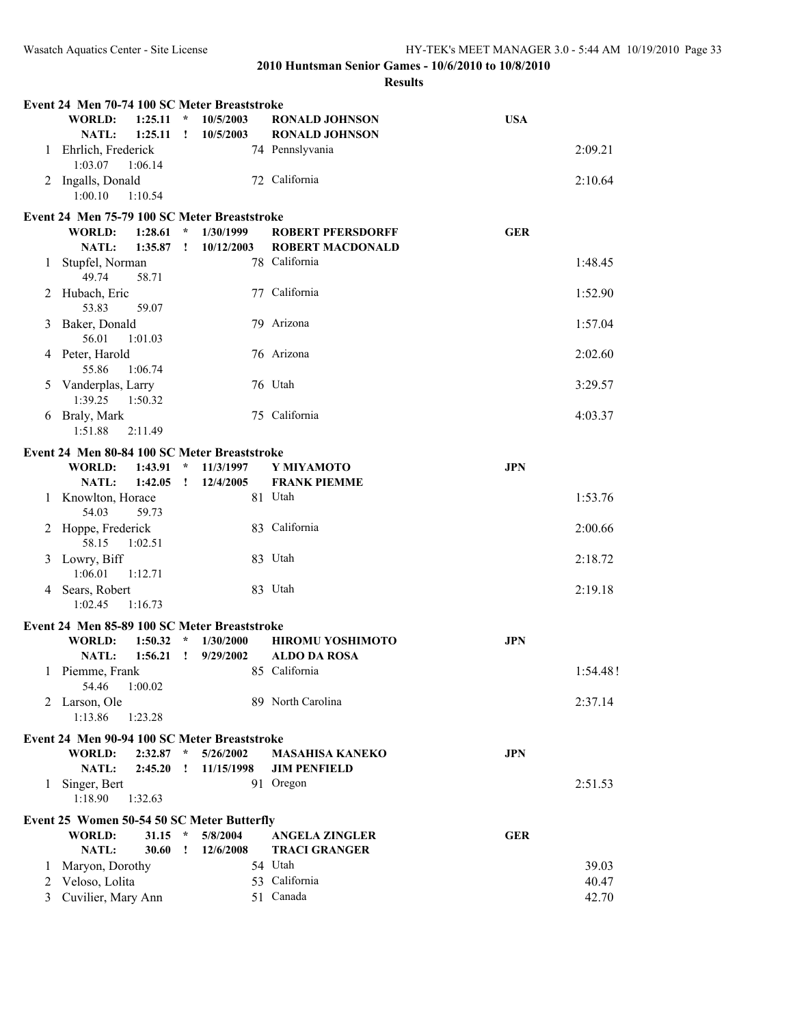|   | Event 24 Men 70-74 100 SC Meter Breaststroke        |              |                        |                                                |            |          |
|---|-----------------------------------------------------|--------------|------------------------|------------------------------------------------|------------|----------|
|   | <b>WORLD:</b><br>1:25.11<br><b>NATL:</b><br>1:25.11 | $\star$      | 10/5/2003<br>10/5/2003 | <b>RONALD JOHNSON</b><br><b>RONALD JOHNSON</b> | <b>USA</b> |          |
| 1 | Ehrlich, Frederick<br>1:03.07<br>1:06.14            |              |                        | 74 Pennslyvania                                |            | 2:09.21  |
| 2 | Ingalls, Donald<br>1:00.10<br>1:10.54               |              |                        | 72 California                                  |            | 2:10.64  |
|   | Event 24 Men 75-79 100 SC Meter Breaststroke        |              |                        |                                                |            |          |
|   | <b>WORLD:</b><br>1:28.61                            | $\star$      | 1/30/1999              | <b>ROBERT PFERSDORFF</b>                       | <b>GER</b> |          |
|   | <b>NATL:</b><br>1:35.87                             | $\mathbf{I}$ | 10/12/2003             | <b>ROBERT MACDONALD</b>                        |            |          |
| 1 | Stupfel, Norman<br>49.74<br>58.71                   |              |                        | 78 California                                  |            | 1:48.45  |
| 2 | Hubach, Eric<br>53.83<br>59.07                      |              |                        | 77 California                                  |            | 1:52.90  |
| 3 | Baker, Donald<br>56.01<br>1:01.03                   |              |                        | 79 Arizona                                     |            | 1:57.04  |
|   | 4 Peter, Harold<br>55.86<br>1:06.74                 |              |                        | 76 Arizona                                     |            | 2:02.60  |
| 5 | Vanderplas, Larry<br>1:39.25<br>1:50.32             |              |                        | 76 Utah                                        |            | 3:29.57  |
| 6 | Braly, Mark<br>1:51.88<br>2:11.49                   |              |                        | 75 California                                  |            | 4:03.37  |
|   | Event 24 Men 80-84 100 SC Meter Breaststroke        |              |                        |                                                |            |          |
|   | <b>WORLD:</b><br>1:43.91                            | $\star$      | 11/3/1997              | Y MIYAMOTO                                     | <b>JPN</b> |          |
|   | NATL:<br>1:42.05                                    | $\mathbf{I}$ | 12/4/2005              | <b>FRANK PIEMME</b>                            |            |          |
| 1 | Knowlton, Horace<br>54.03<br>59.73                  |              |                        | 81 Utah                                        |            | 1:53.76  |
| 2 | Hoppe, Frederick<br>58.15<br>1:02.51                |              |                        | 83 California                                  |            | 2:00.66  |
|   | 3 Lowry, Biff<br>1:06.01<br>1:12.71                 |              |                        | 83 Utah                                        |            | 2:18.72  |
| 4 | Sears, Robert<br>1:02.45<br>1:16.73                 |              |                        | 83 Utah                                        |            | 2:19.18  |
|   | Event 24 Men 85-89 100 SC Meter Breaststroke        |              |                        |                                                |            |          |
|   | 1:50.32<br><b>WORLD:</b>                            | $\star$      | 1/30/2000              | <b>HIROMU YOSHIMOTO</b>                        | <b>JPN</b> |          |
|   | NATL:<br>1:56.21                                    | $\mathbf{I}$ | 9/29/2002              | <b>ALDO DA ROSA</b>                            |            |          |
| 1 | Piemme, Frank<br>54.46<br>1:00.02                   |              |                        | 85 California                                  |            | 1:54.48! |
|   | 2 Larson, Ole<br>1:13.86<br>1:23.28                 |              |                        | 89 North Carolina                              |            | 2:37.14  |
|   | Event 24 Men 90-94 100 SC Meter Breaststroke        |              |                        |                                                |            |          |
|   | 2:32.87<br>WORLD:                                   | $\star$      | 5/26/2002              | <b>MASAHISA KANEKO</b>                         | <b>JPN</b> |          |
|   | NATL:<br>2:45.20                                    | Ţ.           | 11/15/1998             | <b>JIM PENFIELD</b>                            |            |          |
| 1 | Singer, Bert<br>1:18.90<br>1:32.63                  |              |                        | 91 Oregon                                      |            | 2:51.53  |
|   | Event 25 Women 50-54 50 SC Meter Butterfly          |              |                        |                                                |            |          |
|   | <b>WORLD:</b><br>31.15                              | $\star$      | 5/8/2004               | <b>ANGELA ZINGLER</b>                          | <b>GER</b> |          |
|   | NATL:<br>30.60                                      | $\mathbf{I}$ | 12/6/2008              | <b>TRACI GRANGER</b>                           |            |          |
| 1 | Maryon, Dorothy                                     |              |                        | 54 Utah                                        |            | 39.03    |
| 2 | Veloso, Lolita                                      |              |                        | 53 California                                  |            | 40.47    |
| 3 | Cuvilier, Mary Ann                                  |              |                        | 51 Canada                                      |            | 42.70    |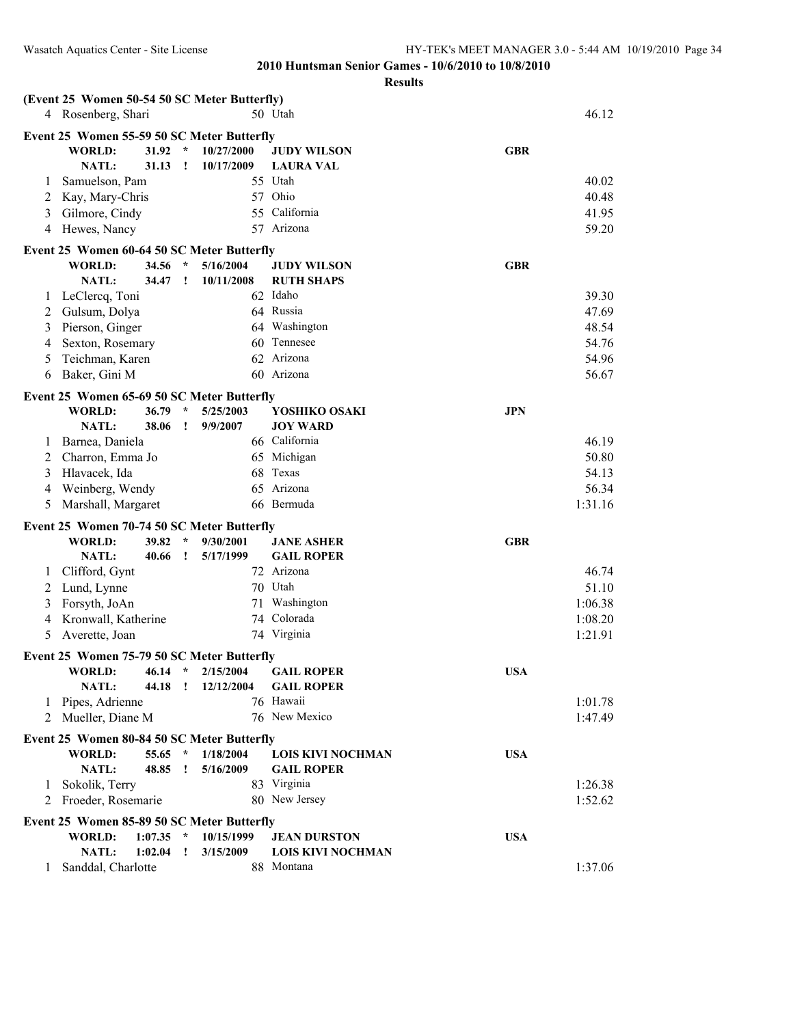| (Event 25 Women 50-54 50 SC Meter Butterfly) |                                                             |                |              |                       |            |                                     |            |         |  |
|----------------------------------------------|-------------------------------------------------------------|----------------|--------------|-----------------------|------------|-------------------------------------|------------|---------|--|
|                                              | 4 Rosenberg, Shari                                          |                |              |                       |            | 50 Utah                             |            | 46.12   |  |
|                                              | Event 25 Women 55-59 50 SC Meter Butterfly                  |                |              |                       |            |                                     |            |         |  |
|                                              | <b>WORLD:</b>                                               | 31.92          | $\pm$        | 10/27/2000            |            | <b>JUDY WILSON</b>                  | <b>GBR</b> |         |  |
|                                              | NATL:                                                       | 31.13          | $\mathbf{I}$ | 10/17/2009            |            | <b>LAURA VAL</b>                    |            |         |  |
| 1                                            | Samuelson, Pam                                              |                |              |                       |            | 55 Utah                             |            | 40.02   |  |
| 2                                            | Kay, Mary-Chris                                             |                |              |                       |            | 57 Ohio                             |            | 40.48   |  |
| 3                                            | Gilmore, Cindy                                              |                |              |                       |            | 55 California                       |            | 41.95   |  |
| 4                                            | Hewes, Nancy                                                |                |              |                       |            | 57 Arizona                          |            | 59.20   |  |
|                                              | Event 25 Women 60-64 50 SC Meter Butterfly                  |                |              |                       |            |                                     |            |         |  |
|                                              | <b>WORLD:</b>                                               | 34.56          | $\star$      | 5/16/2004             |            | <b>JUDY WILSON</b>                  | <b>GBR</b> |         |  |
|                                              | <b>NATL:</b>                                                | 34.47          | $\mathbf{I}$ | 10/11/2008            |            | <b>RUTH SHAPS</b>                   |            |         |  |
| 1                                            | LeClercq, Toni                                              |                |              |                       |            | 62 Idaho                            |            | 39.30   |  |
| 2                                            | Gulsum, Dolya                                               |                |              |                       |            | 64 Russia                           |            | 47.69   |  |
| 3                                            | Pierson, Ginger                                             |                |              |                       |            | 64 Washington                       |            | 48.54   |  |
| 4                                            | Sexton, Rosemary                                            |                |              |                       |            | 60 Tennesee                         |            | 54.76   |  |
| 5                                            | Teichman, Karen                                             |                |              |                       |            | 62 Arizona                          |            | 54.96   |  |
| 6                                            | Baker, Gini M                                               |                |              |                       |            | 60 Arizona                          |            | 56.67   |  |
|                                              |                                                             |                |              |                       |            |                                     |            |         |  |
|                                              | Event 25 Women 65-69 50 SC Meter Butterfly<br>WORLD:        |                | $\star$      |                       |            |                                     |            |         |  |
|                                              | <b>NATL:</b>                                                | 36.79<br>38.06 | $\mathbf{I}$ | 5/25/2003<br>9/9/2007 |            | YOSHIKO OSAKI<br><b>JOY WARD</b>    | <b>JPN</b> |         |  |
| 1                                            | Barnea, Daniela                                             |                |              |                       |            | 66 California                       |            | 46.19   |  |
| 2                                            | Charron, Emma Jo                                            |                |              |                       |            | 65 Michigan                         |            | 50.80   |  |
| 3                                            | Hlavacek, Ida                                               |                |              |                       |            | 68 Texas                            |            | 54.13   |  |
| 4                                            | Weinberg, Wendy                                             |                |              |                       |            | 65 Arizona                          |            | 56.34   |  |
|                                              | Marshall, Margaret<br>5                                     |                |              |                       | 66 Bermuda |                                     | 1:31.16    |         |  |
|                                              |                                                             |                |              |                       |            |                                     |            |         |  |
|                                              | Event 25 Women 70-74 50 SC Meter Butterfly                  |                |              |                       |            |                                     |            |         |  |
|                                              | <b>WORLD:</b>                                               | 39.82          |              | 9/30/2001             |            | <b>JANE ASHER</b>                   | <b>GBR</b> |         |  |
|                                              | NATL:                                                       | 40.66          | I.           | 5/17/1999             |            | <b>GAIL ROPER</b>                   |            |         |  |
| 1                                            | Clifford, Gynt                                              |                |              |                       |            | 72 Arizona                          |            | 46.74   |  |
| 2                                            | Lund, Lynne                                                 |                |              |                       |            | 70 Utah                             |            | 51.10   |  |
| 3                                            | Forsyth, JoAn                                               |                |              |                       |            | 71 Washington                       |            | 1:06.38 |  |
| 4                                            | Kronwall, Katherine                                         |                |              |                       |            | 74 Colorada                         |            | 1:08.20 |  |
| 5                                            | Averette, Joan                                              |                |              |                       |            | 74 Virginia                         |            | 1:21.91 |  |
|                                              | Event 25 Women 75-79 50 SC Meter Butterfly                  |                |              |                       |            |                                     |            |         |  |
|                                              |                                                             |                |              |                       |            | WORLD: 46.14 * 2/15/2004 GAIL ROPER | <b>USA</b> |         |  |
|                                              | NATL:                                                       | 44.18 !        |              | 12/12/2004            |            | <b>GAIL ROPER</b>                   |            |         |  |
| 1                                            | Pipes, Adrienne                                             |                |              |                       |            | 76 Hawaii                           |            | 1:01.78 |  |
| 2                                            | Mueller, Diane M                                            |                |              |                       |            | 76 New Mexico                       |            | 1:47.49 |  |
|                                              | Event 25 Women 80-84 50 SC Meter Butterfly                  |                |              |                       |            |                                     |            |         |  |
|                                              | <b>WORLD:</b>                                               | 55.65 *        |              | 1/18/2004             |            | <b>LOIS KIVI NOCHMAN</b>            | <b>USA</b> |         |  |
|                                              | <b>NATL:</b>                                                | 48.85          | $\mathbf{I}$ | 5/16/2009             |            | <b>GAIL ROPER</b>                   |            |         |  |
|                                              | 1 Sokolik, Terry                                            |                |              |                       |            | 83 Virginia                         |            | 1:26.38 |  |
|                                              | 2 Froeder, Rosemarie                                        |                |              |                       |            | 80 New Jersey                       |            | 1:52.62 |  |
|                                              |                                                             |                |              |                       |            |                                     |            |         |  |
|                                              | Event 25 Women 85-89 50 SC Meter Butterfly<br><b>WORLD:</b> | 1:07.35        | $\star$      | 10/15/1999            |            | <b>JEAN DURSTON</b>                 | <b>USA</b> |         |  |
|                                              | NATL:                                                       | 1:02.04        |              | 3/15/2009             |            | <b>LOIS KIVI NOCHMAN</b>            |            |         |  |
| 1                                            | Sanddal, Charlotte                                          |                |              |                       |            | 88 Montana                          |            | 1:37.06 |  |
|                                              |                                                             |                |              |                       |            |                                     |            |         |  |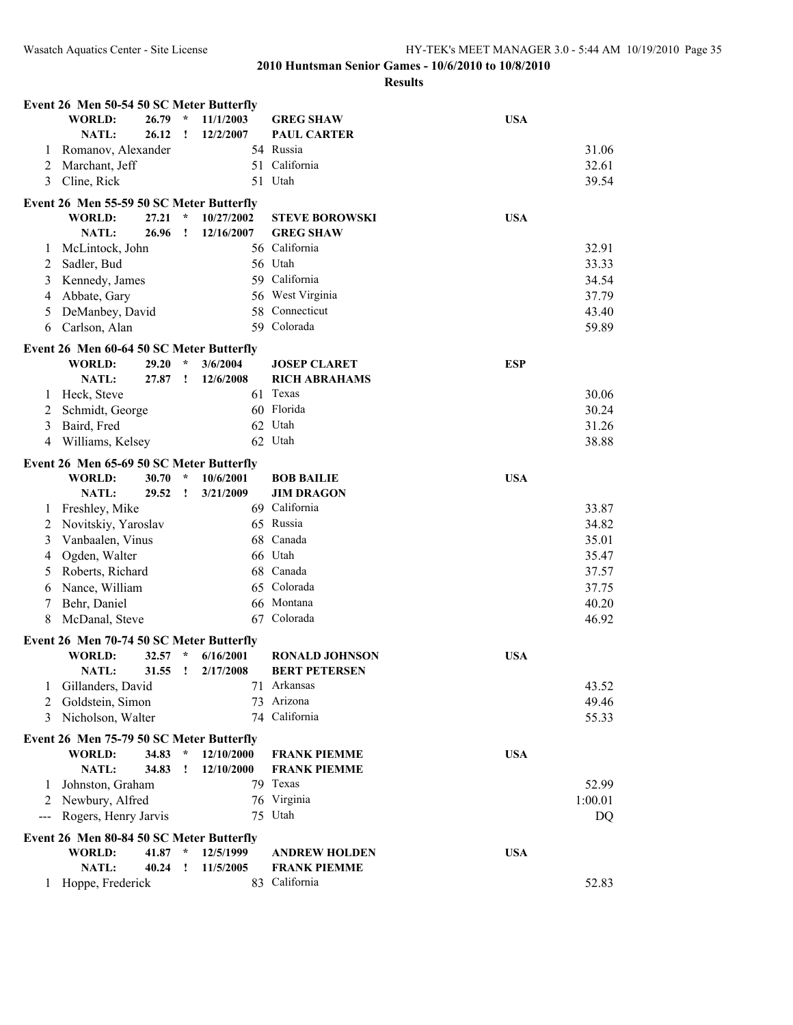|                                        | Event 26 Men 50-54 50 SC Meter Butterfly |       |              |            |                       |            |         |  |  |  |  |
|----------------------------------------|------------------------------------------|-------|--------------|------------|-----------------------|------------|---------|--|--|--|--|
|                                        | <b>WORLD:</b>                            | 26.79 | $\star$      | 11/1/2003  | <b>GREG SHAW</b>      | <b>USA</b> |         |  |  |  |  |
|                                        | NATL:                                    | 26.12 | $\cdot$      | 12/2/2007  | <b>PAUL CARTER</b>    |            |         |  |  |  |  |
| 1                                      | Romanov, Alexander                       |       |              |            | 54 Russia             |            | 31.06   |  |  |  |  |
| 2                                      | Marchant, Jeff                           |       |              |            | 51 California         |            | 32.61   |  |  |  |  |
| 3                                      | Cline, Rick                              |       |              |            | 51 Utah               |            | 39.54   |  |  |  |  |
|                                        | Event 26 Men 55-59 50 SC Meter Butterfly |       |              |            |                       |            |         |  |  |  |  |
|                                        | <b>WORLD:</b>                            | 27.21 | $\star$      | 10/27/2002 | <b>STEVE BOROWSKI</b> | <b>USA</b> |         |  |  |  |  |
|                                        | NATL:                                    | 26.96 | Ţ.           | 12/16/2007 | <b>GREG SHAW</b>      |            |         |  |  |  |  |
| 1                                      | McLintock, John                          |       |              |            | 56 California         |            | 32.91   |  |  |  |  |
| 2                                      | Sadler, Bud                              |       |              |            | 56 Utah               |            | 33.33   |  |  |  |  |
| 3                                      | Kennedy, James                           |       |              |            | 59 California         |            | 34.54   |  |  |  |  |
| 4                                      | Abbate, Gary                             |       |              |            | 56 West Virginia      |            | 37.79   |  |  |  |  |
| 5                                      | DeManbey, David                          |       |              |            | 58 Connecticut        |            | 43.40   |  |  |  |  |
| 6                                      | Carlson, Alan                            |       |              |            | 59 Colorada           |            | 59.89   |  |  |  |  |
|                                        |                                          |       |              |            |                       |            |         |  |  |  |  |
|                                        | Event 26 Men 60-64 50 SC Meter Butterfly |       |              |            |                       |            |         |  |  |  |  |
|                                        | <b>WORLD:</b>                            | 29.20 | $\star$      | 3/6/2004   | <b>JOSEP CLARET</b>   | <b>ESP</b> |         |  |  |  |  |
|                                        | NATL:                                    | 27.87 | $\cdot$      | 12/6/2008  | <b>RICH ABRAHAMS</b>  |            |         |  |  |  |  |
| 1                                      | Heck, Steve                              |       |              |            | 61 Texas              |            | 30.06   |  |  |  |  |
| 2                                      | Schmidt, George                          |       |              |            | 60 Florida            |            | 30.24   |  |  |  |  |
| 3                                      | Baird, Fred                              |       |              |            | 62 Utah               |            | 31.26   |  |  |  |  |
| 4                                      | Williams, Kelsey                         |       |              |            | 62 Utah               |            | 38.88   |  |  |  |  |
|                                        | Event 26 Men 65-69 50 SC Meter Butterfly |       |              |            |                       |            |         |  |  |  |  |
|                                        | <b>WORLD:</b>                            | 30.70 | $\star$      | 10/6/2001  | <b>BOB BAILIE</b>     | <b>USA</b> |         |  |  |  |  |
|                                        | NATL:                                    | 29.52 | $\mathbf{I}$ | 3/21/2009  | <b>JIM DRAGON</b>     |            |         |  |  |  |  |
| 1                                      | Freshley, Mike                           |       |              |            | 69 California         |            | 33.87   |  |  |  |  |
| 2                                      | Novitskiy, Yaroslav                      |       |              |            | 65 Russia             |            | 34.82   |  |  |  |  |
| 3                                      | Vanbaalen, Vinus                         |       |              |            | 68 Canada             |            | 35.01   |  |  |  |  |
| 4                                      | Ogden, Walter                            |       |              |            | 66 Utah               |            | 35.47   |  |  |  |  |
| 5                                      | Roberts, Richard                         |       |              |            | 68 Canada             |            | 37.57   |  |  |  |  |
| 6                                      | Nance, William                           |       |              |            | 65 Colorada           |            | 37.75   |  |  |  |  |
| 7                                      | Behr, Daniel                             |       |              |            | 66 Montana            |            | 40.20   |  |  |  |  |
| 8                                      | McDanal, Steve                           |       |              |            | 67 Colorada           |            | 46.92   |  |  |  |  |
|                                        | Event 26 Men 70-74 50 SC Meter Butterfly |       |              |            |                       |            |         |  |  |  |  |
|                                        | <b>WORLD:</b>                            | 32.57 | $\star$      | 6/16/2001  | <b>RONALD JOHNSON</b> | <b>USA</b> |         |  |  |  |  |
|                                        | <b>NATL:</b>                             | 31.55 | Ţ            | 2/17/2008  | <b>BERT PETERSEN</b>  |            |         |  |  |  |  |
| 1                                      | Gillanders, David                        |       |              |            | 71 Arkansas           |            | 43.52   |  |  |  |  |
| 2                                      | Goldstein, Simon                         |       |              |            | 73 Arizona            |            | 49.46   |  |  |  |  |
| 3                                      | Nicholson, Walter                        |       |              |            | 74 California         |            | 55.33   |  |  |  |  |
|                                        |                                          |       |              |            |                       |            |         |  |  |  |  |
|                                        | Event 26 Men 75-79 50 SC Meter Butterfly |       |              |            |                       |            |         |  |  |  |  |
|                                        | <b>WORLD:</b>                            | 34.83 | $\star$      | 12/10/2000 | <b>FRANK PIEMME</b>   | <b>USA</b> |         |  |  |  |  |
|                                        | NATL:                                    | 34.83 | Ţ            | 12/10/2000 | <b>FRANK PIEMME</b>   |            |         |  |  |  |  |
| 1                                      | Johnston, Graham                         |       |              |            | 79 Texas              |            | 52.99   |  |  |  |  |
| 2                                      | Newbury, Alfred                          |       |              |            | 76 Virginia           |            | 1:00.01 |  |  |  |  |
| $\scriptstyle\cdots\scriptstyle\cdots$ | Rogers, Henry Jarvis                     |       |              |            | 75 Utah               |            | DQ      |  |  |  |  |
|                                        | Event 26 Men 80-84 50 SC Meter Butterfly |       |              |            |                       |            |         |  |  |  |  |
|                                        | WORLD:                                   | 41.87 | $\ast$       | 12/5/1999  | <b>ANDREW HOLDEN</b>  | <b>USA</b> |         |  |  |  |  |
|                                        | NATL:                                    | 40.24 | $\mathbf{I}$ | 11/5/2005  | <b>FRANK PIEMME</b>   |            |         |  |  |  |  |
| 1                                      | Hoppe, Frederick                         |       |              |            | 83 California         |            | 52.83   |  |  |  |  |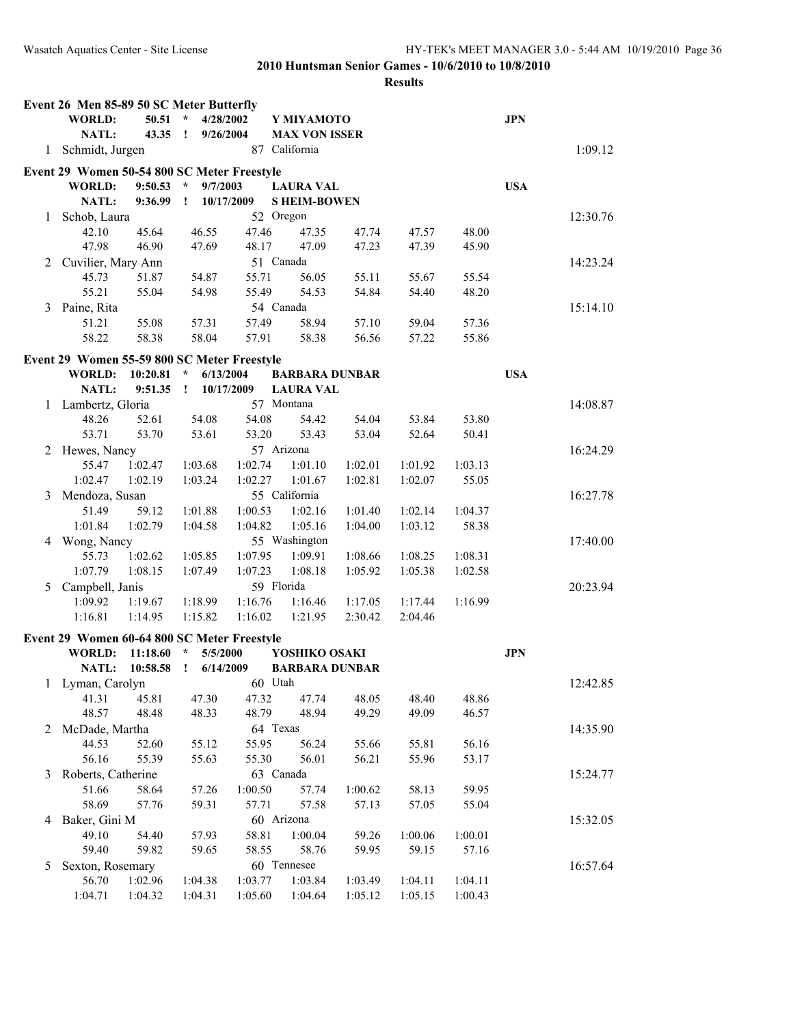|   | Event 26 Men 85-89 50 SC Meter Butterfly    |          |                      |            |                       |         |         |         |            |          |
|---|---------------------------------------------|----------|----------------------|------------|-----------------------|---------|---------|---------|------------|----------|
|   | <b>WORLD:</b>                               | 50.51    | $\star$<br>4/28/2002 |            | Y MIYAMOTO            |         |         |         | <b>JPN</b> |          |
|   | <b>NATL:</b>                                | 43.35 !  | 9/26/2004            |            | <b>MAX VON ISSER</b>  |         |         |         |            |          |
| 1 | Schmidt, Jurgen                             |          |                      |            | 87 California         |         |         |         |            | 1:09.12  |
|   | Event 29 Women 50-54 800 SC Meter Freestyle |          |                      |            |                       |         |         |         |            |          |
|   | <b>WORLD:</b>                               | 9:50.53  | $\star$<br>9/7/2003  |            | <b>LAURA VAL</b>      |         |         |         | <b>USA</b> |          |
|   | <b>NATL:</b>                                | 9:36.99  | $\mathbf{I}$         | 10/17/2009 | <b>SHEIM-BOWEN</b>    |         |         |         |            |          |
| 1 | Schob, Laura                                |          |                      |            | 52 Oregon             |         |         |         |            | 12:30.76 |
|   | 42.10                                       | 45.64    | 46.55                | 47.46      | 47.35                 | 47.74   | 47.57   | 48.00   |            |          |
|   | 47.98                                       | 46.90    | 47.69                | 48.17      | 47.09                 | 47.23   | 47.39   | 45.90   |            |          |
| 2 | Cuvilier, Mary Ann                          |          |                      |            | 51 Canada             |         |         |         |            | 14:23.24 |
|   | 45.73                                       | 51.87    | 54.87                | 55.71      | 56.05                 | 55.11   | 55.67   | 55.54   |            |          |
|   | 55.21                                       | 55.04    | 54.98                | 55.49      | 54.53                 | 54.84   | 54.40   | 48.20   |            |          |
| 3 | Paine, Rita                                 |          |                      |            | 54 Canada             |         |         |         |            | 15:14.10 |
|   | 51.21                                       | 55.08    | 57.31                | 57.49      | 58.94                 | 57.10   | 59.04   | 57.36   |            |          |
|   | 58.22                                       | 58.38    | 58.04                | 57.91      | 58.38                 | 56.56   | 57.22   | 55.86   |            |          |
|   | Event 29 Women 55-59 800 SC Meter Freestyle |          |                      |            |                       |         |         |         |            |          |
|   | <b>WORLD:</b>                               | 10:20.81 | 6/13/2004<br>$\star$ |            | <b>BARBARA DUNBAR</b> |         |         |         | <b>USA</b> |          |
|   | NATL:                                       | 9:51.35  | $\cdot$              | 10/17/2009 | <b>LAURA VAL</b>      |         |         |         |            |          |
| 1 | Lambertz, Gloria                            |          |                      |            | 57 Montana            |         |         |         |            | 14:08.87 |
|   | 48.26                                       | 52.61    | 54.08                | 54.08      | 54.42                 | 54.04   | 53.84   | 53.80   |            |          |
|   | 53.71                                       | 53.70    | 53.61                | 53.20      | 53.43                 | 53.04   | 52.64   | 50.41   |            |          |
| 2 | Hewes, Nancy                                |          |                      |            | 57 Arizona            |         |         |         |            | 16:24.29 |
|   | 55.47                                       | 1:02.47  | 1:03.68              | 1:02.74    | 1:01.10               | 1:02.01 | 1:01.92 | 1:03.13 |            |          |
|   | 1:02.47                                     | 1:02.19  | 1:03.24              | 1:02.27    | 1:01.67               | 1:02.81 | 1:02.07 | 55.05   |            |          |
| 3 | Mendoza, Susan                              |          |                      |            | 55 California         |         |         |         |            | 16:27.78 |
|   | 51.49                                       | 59.12    | 1:01.88              | 1:00.53    | 1:02.16               | 1:01.40 | 1:02.14 | 1:04.37 |            |          |
|   | 1:01.84                                     | 1:02.79  | 1:04.58              | 1:04.82    | 1:05.16               | 1:04.00 | 1:03.12 | 58.38   |            |          |
| 4 | Wong, Nancy                                 |          |                      |            | 55 Washington         |         |         |         |            | 17:40.00 |
|   | 55.73                                       | 1:02.62  | 1:05.85              | 1:07.95    | 1:09.91               | 1:08.66 | 1:08.25 | 1:08.31 |            |          |
|   | 1:07.79                                     | 1:08.15  | 1:07.49              | 1:07.23    | 1:08.18               | 1:05.92 | 1:05.38 | 1:02.58 |            |          |
| 5 | Campbell, Janis                             |          |                      |            | 59 Florida            |         |         |         |            | 20:23.94 |
|   | 1:09.92                                     | 1:19.67  | 1:18.99              | 1:16.76    | 1:16.46               | 1:17.05 | 1:17.44 | 1:16.99 |            |          |
|   | 1:16.81                                     | 1:14.95  | 1:15.82              | 1:16.02    | 1:21.95               | 2:30.42 | 2:04.46 |         |            |          |
|   | Event 29 Women 60-64 800 SC Meter Freestyle |          |                      |            |                       |         |         |         |            |          |
|   | <b>WORLD:</b>                               | 11:18.60 | 5/5/2000<br>$\star$  |            | YOSHIKO OSAKI         |         |         |         | <b>JPN</b> |          |
|   | NATL:                                       | 10:58.58 | $\cdot$<br>6/14/2009 |            | <b>BARBARA DUNBAR</b> |         |         |         |            |          |
| 1 | Lyman, Carolyn                              |          |                      |            | 60 Utah               |         |         |         |            | 12:42.85 |
|   | 41.31                                       | 45.81    | 47.30                | 47.32      | 47.74                 | 48.05   | 48.40   | 48.86   |            |          |
|   | 48.57                                       | 48.48    | 48.33                | 48.79      | 48.94                 | 49.29   | 49.09   | 46.57   |            |          |
| 2 | McDade, Martha                              |          |                      |            | 64 Texas              |         |         |         |            | 14:35.90 |
|   | 44.53                                       | 52.60    | 55.12                | 55.95      | 56.24                 | 55.66   | 55.81   | 56.16   |            |          |
|   | 56.16                                       | 55.39    | 55.63                | 55.30      | 56.01                 | 56.21   | 55.96   | 53.17   |            |          |
| 3 | Roberts, Catherine                          |          |                      |            | 63 Canada             |         |         |         |            | 15:24.77 |
|   | 51.66                                       | 58.64    | 57.26                | 1:00.50    | 57.74                 | 1:00.62 | 58.13   | 59.95   |            |          |
|   | 58.69                                       | 57.76    | 59.31                | 57.71      | 57.58                 | 57.13   | 57.05   | 55.04   |            |          |
| 4 | Baker, Gini M                               |          |                      |            | 60 Arizona            |         |         |         |            | 15:32.05 |
|   | 49.10                                       | 54.40    | 57.93                | 58.81      | 1:00.04               | 59.26   | 1:00.06 | 1:00.01 |            |          |
|   | 59.40                                       | 59.82    | 59.65                | 58.55      | 58.76                 | 59.95   | 59.15   | 57.16   |            |          |
| 5 | Sexton, Rosemary                            |          |                      |            | 60 Tennesee           |         |         |         |            | 16:57.64 |
|   | 56.70                                       | 1:02.96  | 1:04.38              | 1:03.77    | 1:03.84               | 1:03.49 | 1:04.11 | 1:04.11 |            |          |
|   | 1:04.71                                     | 1:04.32  | 1:04.31              | 1:05.60    | 1:04.64               | 1:05.12 | 1:05.15 | 1:00.43 |            |          |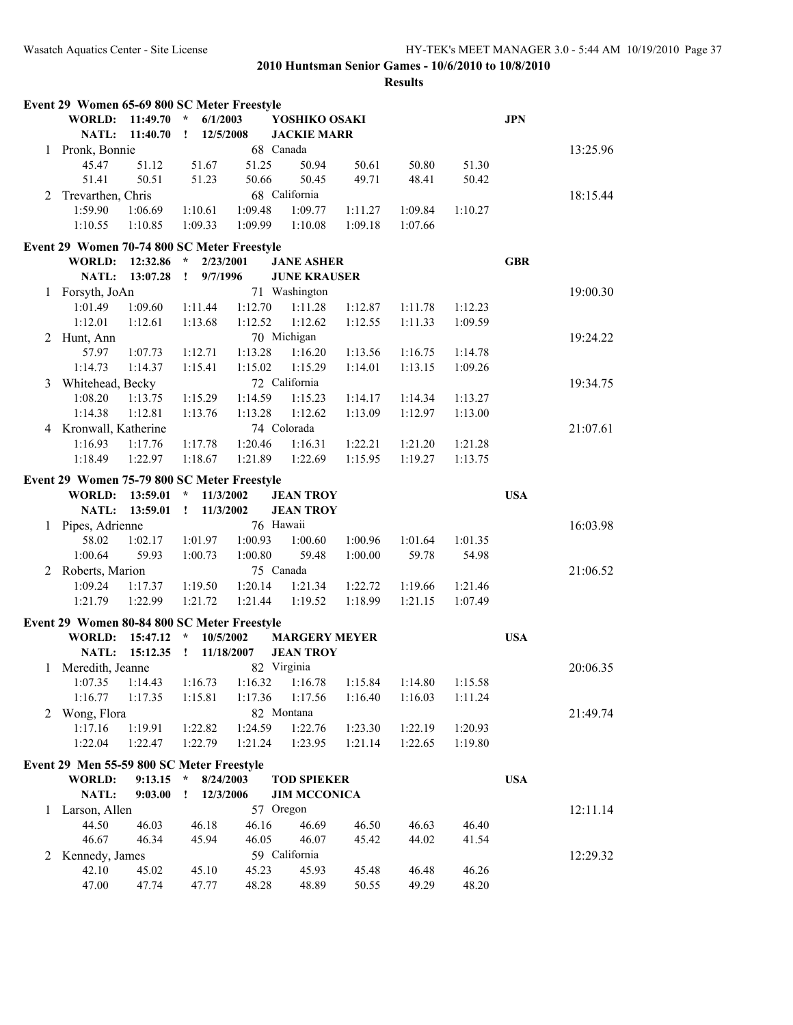|   | Event 29 Women 65-69 800 SC Meter Freestyle |          |                           |            |                      |         |         |         |            |          |
|---|---------------------------------------------|----------|---------------------------|------------|----------------------|---------|---------|---------|------------|----------|
|   | <b>WORLD:</b>                               | 11:49.70 | 6/1/2003<br>$\star$       |            | YOSHIKO OSAKI        |         |         |         | <b>JPN</b> |          |
|   | NATL:                                       | 11:40.70 | $\mathbf{I}$<br>12/5/2008 |            | <b>JACKIE MARR</b>   |         |         |         |            |          |
| 1 | Pronk, Bonnie                               |          |                           |            | 68 Canada            |         |         |         |            | 13:25.96 |
|   | 45.47                                       | 51.12    | 51.67                     | 51.25      | 50.94                | 50.61   | 50.80   | 51.30   |            |          |
|   | 51.41                                       | 50.51    | 51.23                     | 50.66      | 50.45                | 49.71   | 48.41   | 50.42   |            |          |
| 2 | Trevarthen, Chris                           |          |                           |            | 68 California        |         |         |         |            | 18:15.44 |
|   | 1:59.90                                     | 1:06.69  | 1:10.61                   | 1:09.48    | 1:09.77              | 1:11.27 | 1:09.84 | 1:10.27 |            |          |
|   | 1:10.55                                     | 1:10.85  | 1:09.33                   | 1:09.99    | 1:10.08              | 1:09.18 | 1:07.66 |         |            |          |
|   | Event 29 Women 70-74 800 SC Meter Freestyle |          |                           |            |                      |         |         |         |            |          |
|   | <b>WORLD:</b>                               | 12:32.86 | $\star$<br>2/23/2001      |            | <b>JANE ASHER</b>    |         |         |         | <b>GBR</b> |          |
|   | NATL:                                       | 13:07.28 | $\mathbf{r}$<br>9/7/1996  |            | <b>JUNE KRAUSER</b>  |         |         |         |            |          |
| 1 | Forsyth, JoAn                               |          |                           |            | 71 Washington        |         |         |         |            | 19:00.30 |
|   | 1:01.49                                     | 1:09.60  | 1:11.44                   | 1:12.70    | 1:11.28              | 1:12.87 | 1:11.78 | 1:12.23 |            |          |
|   | 1:12.01                                     | 1:12.61  | 1:13.68                   | 1:12.52    | 1:12.62              | 1:12.55 | 1:11.33 | 1:09.59 |            |          |
| 2 | Hunt, Ann                                   |          |                           |            | 70 Michigan          |         |         |         |            | 19:24.22 |
|   | 57.97                                       | 1:07.73  | 1:12.71                   | 1:13.28    | 1:16.20              | 1:13.56 | 1:16.75 | 1:14.78 |            |          |
|   | 1:14.73                                     | 1:14.37  | 1:15.41                   | 1:15.02    | 1:15.29              | 1:14.01 | 1:13.15 | 1:09.26 |            |          |
| 3 | Whitehead, Becky                            |          |                           |            | 72 California        |         |         |         |            | 19:34.75 |
|   | 1:08.20                                     | 1:13.75  | 1:15.29                   | 1:14.59    | 1:15.23              | 1:14.17 | 1:14.34 | 1:13.27 |            |          |
|   | 1:14.38                                     | 1:12.81  | 1:13.76                   | 1:13.28    | 1:12.62              | 1:13.09 | 1:12.97 | 1:13.00 |            |          |
|   | 4 Kronwall, Katherine                       |          |                           |            | 74 Colorada          |         |         |         |            | 21:07.61 |
|   | 1:16.93                                     | 1:17.76  | 1:17.78                   | 1:20.46    | 1:16.31              | 1:22.21 | 1:21.20 | 1:21.28 |            |          |
|   | 1:18.49                                     | 1:22.97  | 1:18.67                   | 1:21.89    | 1:22.69              | 1:15.95 | 1:19.27 | 1:13.75 |            |          |
|   |                                             |          |                           |            |                      |         |         |         |            |          |
|   | Event 29 Women 75-79 800 SC Meter Freestyle |          |                           |            |                      |         |         |         |            |          |
|   | <b>WORLD:</b>                               | 13:59.01 | $\star$<br>11/3/2002      |            | <b>JEAN TROY</b>     |         |         |         | <b>USA</b> |          |
|   | NATL:                                       | 13:59.01 | $\mathbf{I}$<br>11/3/2002 |            | <b>JEAN TROY</b>     |         |         |         |            |          |
| 1 | Pipes, Adrienne                             |          |                           |            | 76 Hawaii            |         |         |         |            | 16:03.98 |
|   | 58.02                                       | 1:02.17  | 1:01.97                   | 1:00.93    | 1:00.60              | 1:00.96 | 1:01.64 | 1:01.35 |            |          |
|   | 1:00.64                                     | 59.93    | 1:00.73                   | 1:00.80    | 59.48                | 1:00.00 | 59.78   | 54.98   |            |          |
|   | 2 Roberts, Marion                           |          |                           |            | 75 Canada            |         |         |         |            | 21:06.52 |
|   | 1:09.24                                     | 1:17.37  | 1:19.50                   | 1:20.14    | 1:21.34              | 1:22.72 | 1:19.66 | 1:21.46 |            |          |
|   | 1:21.79                                     | 1:22.99  | 1:21.72                   | 1:21.44    | 1:19.52              | 1:18.99 | 1:21.15 | 1:07.49 |            |          |
|   | Event 29 Women 80-84 800 SC Meter Freestyle |          |                           |            |                      |         |         |         |            |          |
|   | <b>WORLD:</b>                               | 15:47.12 | $\star$<br>10/5/2002      |            | <b>MARGERY MEYER</b> |         |         |         | <b>USA</b> |          |
|   | NATL:                                       | 15:12.35 | $\mathbf{I}$              | 11/18/2007 | <b>JEAN TROY</b>     |         |         |         |            |          |
| 1 | Meredith, Jeanne                            |          |                           |            | 82 Virginia          |         |         |         |            | 20:06.35 |
|   | 1:07.35                                     | 1:14.43  | 1:16.73                   | 1:16.32    | 1:16.78              | 1:15.84 | 1:14.80 | 1:15.58 |            |          |
|   | 1:16.77                                     | 1:17.35  | 1:15.81                   | 1:17.36    | 1:17.56              | 1:16.40 | 1:16.03 | 1:11.24 |            |          |
| 2 | Wong, Flora                                 |          |                           |            | 82 Montana           |         |         |         |            | 21:49.74 |
|   | 1:17.16                                     | 1:19.91  | 1:22.82                   | 1:24.59    | 1:22.76              | 1:23.30 | 1:22.19 | 1:20.93 |            |          |
|   | 1:22.04                                     | 1:22.47  | 1:22.79                   | 1:21.24    | 1:23.95              | 1:21.14 | 1:22.65 | 1:19.80 |            |          |
|   |                                             |          |                           |            |                      |         |         |         |            |          |
|   | Event 29 Men 55-59 800 SC Meter Freestyle   |          |                           |            |                      |         |         |         |            |          |
|   | <b>WORLD:</b>                               | 9:13.15  | $\star$<br>8/24/2003      |            | <b>TOD SPIEKER</b>   |         |         |         | <b>USA</b> |          |
|   | NATL:                                       | 9:03.00  | 12/3/2006<br>$\mathbf{I}$ |            | <b>JIM MCCONICA</b>  |         |         |         |            |          |
| 1 | Larson, Allen                               |          |                           |            | 57 Oregon            |         |         |         |            | 12:11.14 |
|   | 44.50                                       | 46.03    | 46.18                     | 46.16      | 46.69                | 46.50   | 46.63   | 46.40   |            |          |
|   | 46.67                                       | 46.34    | 45.94                     | 46.05      | 46.07                | 45.42   | 44.02   | 41.54   |            |          |
| 2 | Kennedy, James                              |          |                           |            | 59 California        |         |         |         |            | 12:29.32 |
|   | 42.10                                       | 45.02    | 45.10                     | 45.23      | 45.93                | 45.48   | 46.48   | 46.26   |            |          |
|   | 47.00                                       | 47.74    | 47.77                     | 48.28      | 48.89                | 50.55   | 49.29   | 48.20   |            |          |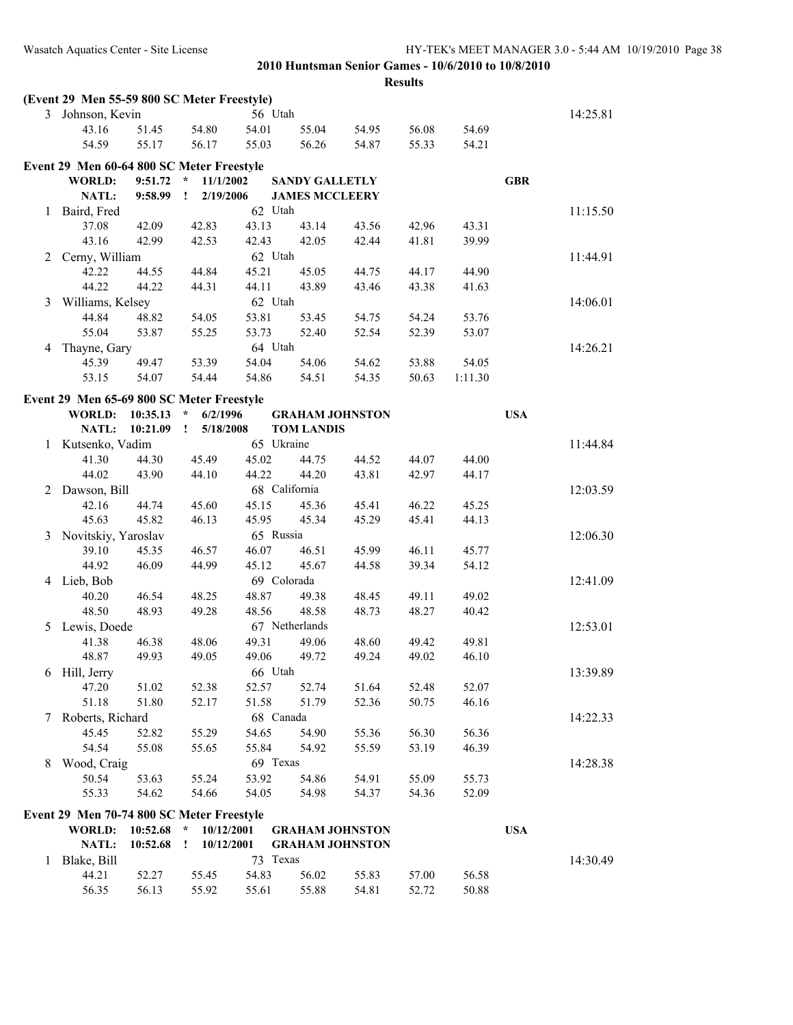|              | (Event 29 Men 55-59 800 SC Meter Freestyle) |          |                            |             |                        |       |                |         |            |          |
|--------------|---------------------------------------------|----------|----------------------------|-------------|------------------------|-------|----------------|---------|------------|----------|
|              | 3 Johnson, Kevin                            |          |                            | 56 Utah     |                        |       |                |         |            | 14:25.81 |
|              | 43.16                                       | 51.45    | 54.80                      | 54.01       | 55.04                  | 54.95 | 56.08          | 54.69   |            |          |
|              | 54.59                                       | 55.17    | 56.17                      | 55.03       | 56.26                  | 54.87 | 55.33          | 54.21   |            |          |
|              | Event 29 Men 60-64 800 SC Meter Freestyle   |          |                            |             |                        |       |                |         |            |          |
|              | <b>WORLD:</b>                               | 9:51.72  | 11/1/2002<br>$\star$       |             | <b>SANDY GALLETLY</b>  |       |                |         | <b>GBR</b> |          |
|              | NATL:                                       | 9:58.99  | Ţ<br>2/19/2006             |             | <b>JAMES MCCLEERY</b>  |       |                |         |            |          |
|              | Baird, Fred                                 |          |                            | 62 Utah     |                        |       |                |         |            | 11:15.50 |
| 1            | 37.08                                       | 42.09    | 42.83                      |             | 43.14                  |       | 42.96          | 43.31   |            |          |
|              |                                             |          |                            | 43.13       |                        | 43.56 |                |         |            |          |
|              | 43.16                                       | 42.99    | 42.53                      | 42.43       | 42.05                  | 42.44 | 41.81          | 39.99   |            |          |
| 2            | Cerny, William                              |          |                            | 62 Utah     |                        |       |                |         |            | 11:44.91 |
|              | 42.22                                       | 44.55    | 44.84                      | 45.21       | 45.05                  | 44.75 | 44.17          | 44.90   |            |          |
|              | 44.22                                       | 44.22    | 44.31                      | 44.11       | 43.89                  | 43.46 | 43.38          | 41.63   |            |          |
| 3            | Williams, Kelsey                            |          |                            | 62 Utah     |                        |       |                |         |            | 14:06.01 |
|              | 44.84                                       | 48.82    | 54.05                      | 53.81       | 53.45                  | 54.75 | 54.24          | 53.76   |            |          |
|              | 55.04                                       | 53.87    | 55.25                      | 53.73       | 52.40                  | 52.54 | 52.39          | 53.07   |            |          |
| 4            | Thayne, Gary                                |          |                            | 64 Utah     |                        |       |                |         |            | 14:26.21 |
|              | 45.39                                       | 49.47    | 53.39                      | 54.04       | 54.06                  | 54.62 | 53.88          | 54.05   |            |          |
|              | 53.15                                       | 54.07    | 54.44                      | 54.86       | 54.51                  | 54.35 | 50.63          | 1:11.30 |            |          |
|              | Event 29 Men 65-69 800 SC Meter Freestyle   |          |                            |             |                        |       |                |         |            |          |
|              | <b>WORLD:</b>                               | 10:35.13 | $\star$<br>6/2/1996        |             | <b>GRAHAM JOHNSTON</b> |       |                |         | <b>USA</b> |          |
|              | NATL:                                       | 10:21.09 | 5/18/2008<br>Ţ             |             | <b>TOM LANDIS</b>      |       |                |         |            |          |
| $\mathbf{1}$ | Kutsenko, Vadim                             |          |                            | 65 Ukraine  |                        |       |                |         |            | 11:44.84 |
|              | 41.30                                       | 44.30    | 45.49                      | 45.02       | 44.75                  | 44.52 | 44.07          | 44.00   |            |          |
|              | 44.02                                       | 43.90    | 44.10                      | 44.22       | 44.20                  | 43.81 | 42.97          | 44.17   |            |          |
| 2            | Dawson, Bill                                |          |                            |             | 68 California          |       |                |         |            | 12:03.59 |
|              | 42.16                                       | 44.74    | 45.60                      | 45.15       | 45.36                  | 45.41 | 46.22          | 45.25   |            |          |
|              | 45.63                                       | 45.82    | 46.13                      | 45.95       | 45.34                  | 45.29 | 45.41          | 44.13   |            |          |
| 3            | Novitskiy, Yaroslav                         |          |                            | 65 Russia   |                        |       |                |         |            | 12:06.30 |
|              | 39.10                                       | 45.35    | 46.57                      | 46.07       | 46.51                  | 45.99 | 46.11          | 45.77   |            |          |
|              | 44.92                                       | 46.09    | 44.99                      | 45.12       | 45.67                  | 44.58 | 39.34          | 54.12   |            |          |
| 4            | Lieb, Bob                                   |          |                            | 69 Colorada |                        |       |                |         |            | 12:41.09 |
|              | 40.20                                       | 46.54    | 48.25                      | 48.87       | 49.38                  | 48.45 | 49.11          | 49.02   |            |          |
|              | 48.50                                       | 48.93    | 49.28                      | 48.56       | 48.58                  | 48.73 | 48.27          | 40.42   |            |          |
| 5            | Lewis, Doede                                |          |                            |             | 67 Netherlands         |       |                |         |            | 12:53.01 |
|              | 41.38                                       | 46.38    | 48.06                      | 49.31       | 49.06                  | 48.60 |                | 49.81   |            |          |
|              | 48.87                                       | 49.93    | 49.05                      | 49.06       | 49.72                  | 49.24 | 49.42<br>49.02 | 46.10   |            |          |
|              |                                             |          |                            |             |                        |       |                |         |            |          |
|              | 6 Hill, Jerry                               |          |                            | 66 Utah     |                        |       |                |         |            | 13:39.89 |
|              | 47.20                                       | 51.02    | 52.38                      | 52.57       | 52.74                  | 51.64 | 52.48<br>50.75 | 52.07   |            |          |
|              | 51.18                                       | 51.80    | 52.17                      | 51.58       | 51.79                  | 52.36 |                | 46.16   |            |          |
| 7            | Roberts, Richard                            |          |                            | 68 Canada   |                        |       |                |         |            | 14:22.33 |
|              | 45.45                                       | 52.82    | 55.29                      | 54.65       | 54.90                  | 55.36 | 56.30          | 56.36   |            |          |
|              | 54.54                                       | 55.08    | 55.65                      | 55.84       | 54.92                  | 55.59 | 53.19          | 46.39   |            |          |
| 8            | Wood, Craig                                 |          |                            | 69 Texas    |                        |       |                |         |            | 14:28.38 |
|              | 50.54                                       | 53.63    | 55.24                      | 53.92       | 54.86                  | 54.91 | 55.09          | 55.73   |            |          |
|              | 55.33                                       | 54.62    | 54.66                      | 54.05       | 54.98                  | 54.37 | 54.36          | 52.09   |            |          |
|              | Event 29 Men 70-74 800 SC Meter Freestyle   |          |                            |             |                        |       |                |         |            |          |
|              | WORLD:                                      |          | $10:52.68$ * $10/12/2001$  |             | <b>GRAHAM JOHNSTON</b> |       |                |         | <b>USA</b> |          |
|              | NATL:                                       | 10:52.68 | 10/12/2001<br>$\mathbf{I}$ |             | <b>GRAHAM JOHNSTON</b> |       |                |         |            |          |
| 1            | Blake, Bill                                 |          |                            | 73 Texas    |                        |       |                |         |            | 14:30.49 |
|              | 44.21                                       | 52.27    | 55.45                      | 54.83       | 56.02                  | 55.83 | 57.00          | 56.58   |            |          |
|              | 56.35                                       | 56.13    | 55.92                      | 55.61       | 55.88                  | 54.81 | 52.72          | 50.88   |            |          |
|              |                                             |          |                            |             |                        |       |                |         |            |          |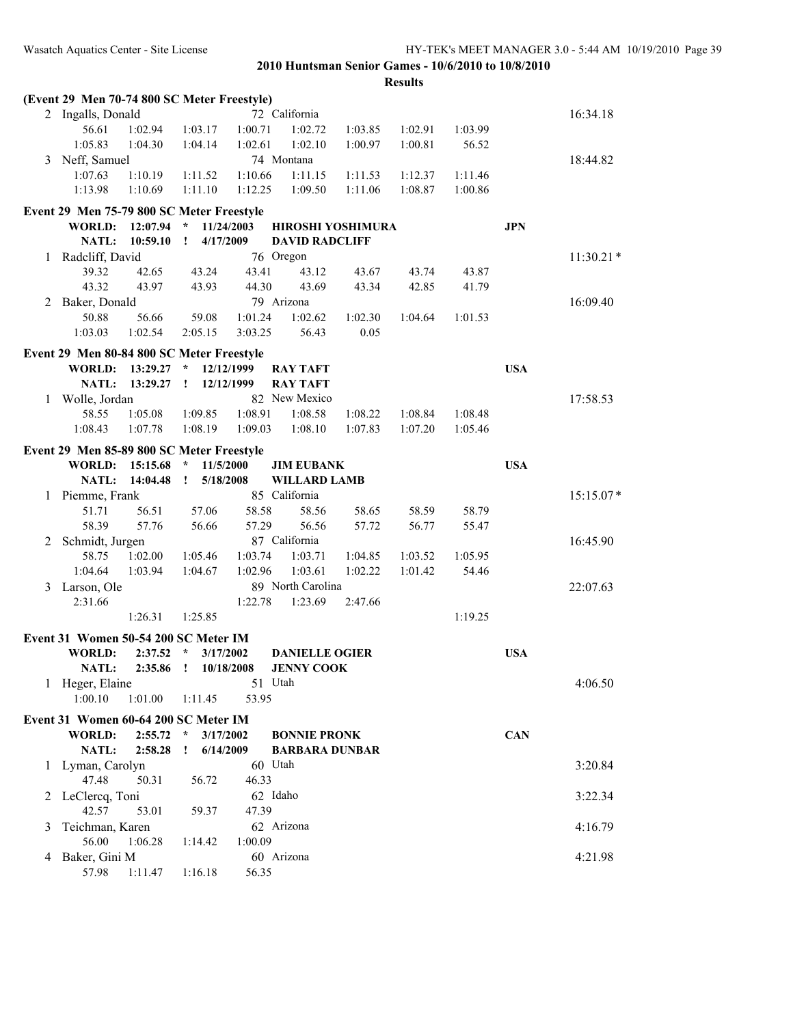Wasatch Aquatics Center - Site License HY-TEK's MEET MANAGER 3.0 - 5:44 AM 10/19/2010 Page 39

**2010 Huntsman Senior Games - 10/6/2010 to 10/8/2010**

|   | (Event 29 Men 70-74 800 SC Meter Freestyle)           |          |                           |            |                          |         |         |         |            |             |
|---|-------------------------------------------------------|----------|---------------------------|------------|--------------------------|---------|---------|---------|------------|-------------|
|   | 2 Ingalls, Donald                                     |          |                           |            | 72 California            |         |         |         |            | 16:34.18    |
|   | 56.61                                                 | 1:02.94  | 1:03.17                   | 1:00.71    | 1:02.72                  | 1:03.85 | 1:02.91 | 1:03.99 |            |             |
|   | 1:05.83                                               | 1:04.30  | 1:04.14                   | 1:02.61    | 1:02.10                  | 1:00.97 | 1:00.81 | 56.52   |            |             |
| 3 | Neff, Samuel                                          |          |                           |            | 74 Montana               |         |         |         |            | 18:44.82    |
|   | 1:07.63                                               | 1:10.19  | 1:11.52                   | 1:10.66    | 1:11.15                  | 1:11.53 | 1:12.37 | 1:11.46 |            |             |
|   | 1:13.98                                               | 1:10.69  | 1:11.10                   | 1:12.25    | 1:09.50                  | 1:11.06 | 1:08.87 | 1:00.86 |            |             |
|   | Event 29 Men 75-79 800 SC Meter Freestyle             |          |                           |            |                          |         |         |         |            |             |
|   | <b>WORLD:</b>                                         | 12:07.94 | $\star$                   | 11/24/2003 | <b>HIROSHI YOSHIMURA</b> |         |         |         | <b>JPN</b> |             |
|   | <b>NATL:</b>                                          | 10:59.10 | 4/17/2009<br>$\mathbf{I}$ |            | <b>DAVID RADCLIFF</b>    |         |         |         |            |             |
| 1 | Radcliff, David                                       |          |                           |            | 76 Oregon                |         |         |         |            | $11:30.21*$ |
|   | 39.32                                                 | 42.65    | 43.24                     | 43.41      | 43.12                    | 43.67   | 43.74   | 43.87   |            |             |
|   | 43.32                                                 | 43.97    | 43.93                     | 44.30      | 43.69                    | 43.34   | 42.85   | 41.79   |            |             |
| 2 | Baker, Donald                                         |          |                           |            | 79 Arizona               |         |         |         |            | 16:09.40    |
|   | 50.88                                                 | 56.66    | 59.08                     | 1:01.24    | 1:02.62                  | 1:02.30 | 1:04.64 | 1:01.53 |            |             |
|   | 1:03.03                                               | 1:02.54  | 2:05.15                   | 3:03.25    | 56.43                    | 0.05    |         |         |            |             |
|   |                                                       |          |                           |            |                          |         |         |         |            |             |
|   | Event 29 Men 80-84 800 SC Meter Freestyle             |          |                           |            |                          |         |         |         |            |             |
|   | <b>WORLD:</b>                                         | 13:29.27 | $\star$                   | 12/12/1999 | <b>RAY TAFT</b>          |         |         |         | <b>USA</b> |             |
|   | NATL:                                                 | 13:29.27 | $\mathbf{I}$              | 12/12/1999 | <b>RAY TAFT</b>          |         |         |         |            |             |
|   | 1 Wolle, Jordan                                       |          |                           |            | 82 New Mexico            |         |         |         |            | 17:58.53    |
|   | 58.55                                                 | 1:05.08  | 1:09.85                   | 1:08.91    | 1:08.58                  | 1:08.22 | 1:08.84 | 1:08.48 |            |             |
|   | 1:08.43                                               | 1:07.78  | 1:08.19                   | 1:09.03    | 1:08.10                  | 1:07.83 | 1:07.20 | 1:05.46 |            |             |
|   | Event 29 Men 85-89 800 SC Meter Freestyle             |          |                           |            |                          |         |         |         |            |             |
|   | <b>WORLD:</b>                                         | 15:15.68 | $*$ 11/5/2000             |            | <b>JIM EUBANK</b>        |         |         |         | <b>USA</b> |             |
|   | NATL:                                                 | 14:04.48 | $\mathbf{I}$<br>5/18/2008 |            | <b>WILLARD LAMB</b>      |         |         |         |            |             |
|   | 1 Piemme, Frank                                       |          |                           |            | 85 California            |         |         |         |            | 15:15.07*   |
|   | 51.71                                                 | 56.51    | 57.06                     | 58.58      | 58.56                    | 58.65   | 58.59   | 58.79   |            |             |
|   | 58.39                                                 | 57.76    | 56.66                     | 57.29      | 56.56                    | 57.72   | 56.77   | 55.47   |            |             |
| 2 | Schmidt, Jurgen                                       |          |                           |            | 87 California            |         |         |         |            | 16:45.90    |
|   | 58.75                                                 | 1:02.00  | 1:05.46                   | 1:03.74    | 1:03.71                  | 1:04.85 | 1:03.52 | 1:05.95 |            |             |
|   | 1:04.64                                               | 1:03.94  | 1:04.67                   | 1:02.96    | 1:03.61                  | 1:02.22 | 1:01.42 | 54.46   |            |             |
| 3 | Larson, Ole                                           |          |                           |            | 89 North Carolina        |         |         |         |            | 22:07.63    |
|   | 2:31.66                                               |          |                           | 1:22.78    | 1:23.69                  | 2:47.66 |         |         |            |             |
|   |                                                       | 1:26.31  | 1:25.85                   |            |                          |         |         | 1:19.25 |            |             |
|   |                                                       |          |                           |            |                          |         |         |         |            |             |
|   | Event 31 Women 50-54 200 SC Meter IM<br><b>WORLD:</b> | 2:37.52  | $\star$<br>3/17/2002      |            | <b>DANIELLE OGIER</b>    |         |         |         | <b>USA</b> |             |
|   | NATL:                                                 |          | $\mathbf{I}$              | 10/18/2008 | <b>JENNY COOK</b>        |         |         |         |            |             |
|   |                                                       | 2:35.86  |                           | 51 Utah    |                          |         |         |         |            |             |
|   | 1 Heger, Elaine<br>1:00.10                            | 1:01.00  |                           |            |                          |         |         |         |            | 4:06.50     |
|   |                                                       |          | 1:11.45                   | 53.95      |                          |         |         |         |            |             |
|   | Event 31 Women 60-64 200 SC Meter IM                  |          |                           |            |                          |         |         |         |            |             |
|   | <b>WORLD:</b>                                         | 2:55.72  | $\star$<br>3/17/2002      |            | <b>BONNIE PRONK</b>      |         |         |         | <b>CAN</b> |             |
|   | NATL:                                                 | 2:58.28  | 6/14/2009<br>Ţ.           |            | <b>BARBARA DUNBAR</b>    |         |         |         |            |             |
| 1 | Lyman, Carolyn                                        |          |                           | 60 Utah    |                          |         |         |         |            | 3:20.84     |
|   | 47.48                                                 | 50.31    | 56.72                     | 46.33      |                          |         |         |         |            |             |
| 2 | LeClercq, Toni                                        |          |                           | 62 Idaho   |                          |         |         |         |            | 3:22.34     |
|   | 42.57                                                 | 53.01    | 59.37                     | 47.39      |                          |         |         |         |            |             |
| 3 | Teichman, Karen                                       |          |                           |            | 62 Arizona               |         |         |         |            | 4:16.79     |
|   | 56.00                                                 | 1:06.28  | 1:14.42                   | 1:00.09    |                          |         |         |         |            |             |
| 4 | Baker, Gini M                                         |          |                           |            | 60 Arizona               |         |         |         |            | 4:21.98     |
|   | 57.98                                                 | 1:11.47  | 1:16.18                   | 56.35      |                          |         |         |         |            |             |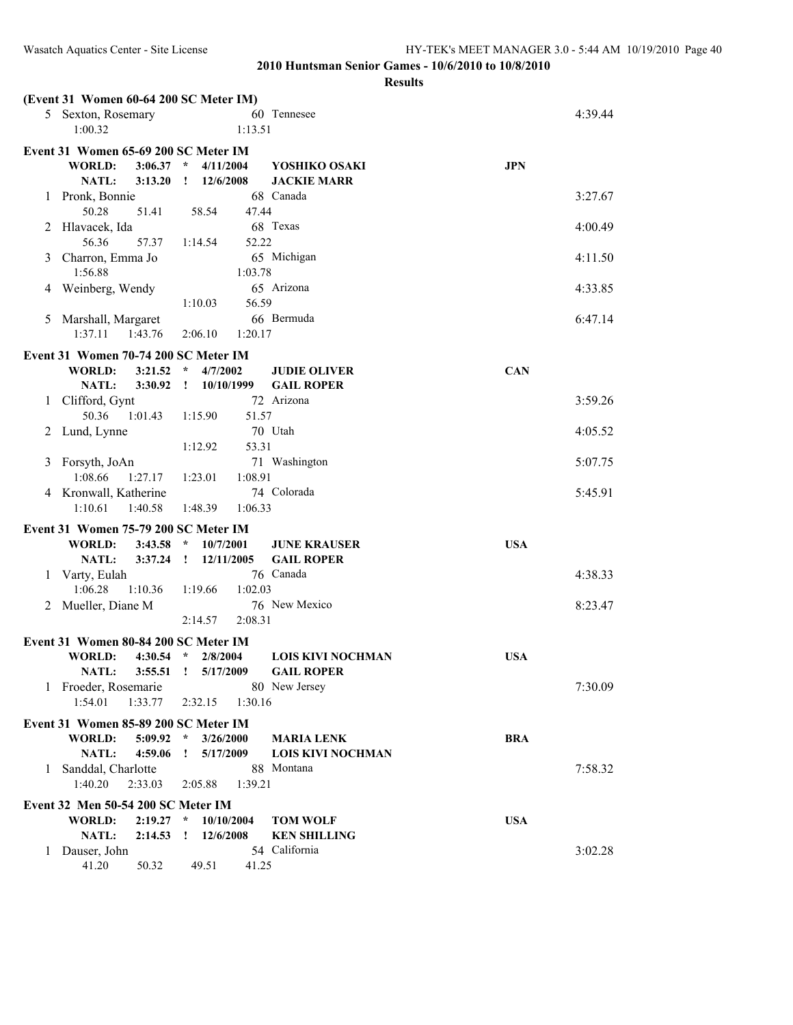|   | (Event 31 Women 60-64 200 SC Meter IM)                           |                                        |                                               |            |         |
|---|------------------------------------------------------------------|----------------------------------------|-----------------------------------------------|------------|---------|
|   | 5 Sexton, Rosemary                                               |                                        | 60 Tennesee                                   |            | 4:39.44 |
|   | 1:00.32                                                          | 1:13.51                                |                                               |            |         |
|   | Event 31 Women 65-69 200 SC Meter IM                             |                                        |                                               |            |         |
|   | WORLD:<br>3:06.37                                                | $\star$<br>4/11/2004                   | YOSHIKO OSAKI                                 | <b>JPN</b> |         |
|   | NATL:<br>3:13.20                                                 | 12/6/2008<br>$\mathbf{I}$              | <b>JACKIE MARR</b><br>68 Canada               |            |         |
| 1 | Pronk, Bonnie<br>50.28<br>51.41                                  | 58.54<br>47.44                         |                                               |            | 3:27.67 |
| 2 | Hlavacek, Ida                                                    |                                        | 68 Texas                                      |            | 4:00.49 |
|   | 56.36<br>57.37                                                   | 1:14.54<br>52.22                       |                                               |            |         |
| 3 | Charron, Emma Jo                                                 |                                        | 65 Michigan                                   |            | 4:11.50 |
|   | 1:56.88                                                          | 1:03.78                                |                                               |            |         |
| 4 | Weinberg, Wendy                                                  |                                        | 65 Arizona                                    |            | 4:33.85 |
|   |                                                                  | 56.59<br>1:10.03                       | 66 Bermuda                                    |            | 6:47.14 |
| 5 | Marshall, Margaret<br>1:37.11<br>1:43.76                         | 1:20.17<br>2:06.10                     |                                               |            |         |
|   |                                                                  |                                        |                                               |            |         |
|   | Event 31 Women 70-74 200 SC Meter IM<br><b>WORLD:</b><br>3:21.52 | 4/7/2002<br>$\star$                    | <b>JUDIE OLIVER</b>                           | <b>CAN</b> |         |
|   | <b>NATL:</b><br>3:30.92                                          | 10/10/1999<br>$\mathbf{I}$             | <b>GAIL ROPER</b>                             |            |         |
| 1 | Clifford, Gynt                                                   |                                        | 72 Arizona                                    |            | 3:59.26 |
|   | 50.36<br>1:01.43                                                 | 1:15.90<br>51.57                       |                                               |            |         |
|   | 2 Lund, Lynne                                                    |                                        | 70 Utah                                       |            | 4:05.52 |
|   |                                                                  | 1:12.92<br>53.31                       |                                               |            |         |
| 3 | Forsyth, JoAn                                                    |                                        | 71 Washington                                 |            | 5:07.75 |
|   | 1:08.66<br>1:27.17<br>4 Kronwall, Katherine                      | 1:23.01<br>1:08.91                     | 74 Colorada                                   |            | 5:45.91 |
|   | 1:10.61<br>1:40.58                                               | 1:48.39<br>1:06.33                     |                                               |            |         |
|   |                                                                  |                                        |                                               |            |         |
|   | Event 31 Women 75-79 200 SC Meter IM<br><b>WORLD:</b><br>3:43.58 | $\star$<br>10/7/2001                   | <b>JUNE KRAUSER</b>                           | <b>USA</b> |         |
|   | NATL:<br>3:37.24                                                 | $\mathbf{I}$<br>12/11/2005             | <b>GAIL ROPER</b>                             |            |         |
| 1 | Varty, Eulah                                                     |                                        | 76 Canada                                     |            | 4:38.33 |
|   | 1:06.28<br>1:10.36                                               | 1:02.03<br>1:19.66                     |                                               |            |         |
| 2 | Mueller, Diane M                                                 |                                        | 76 New Mexico                                 |            | 8:23.47 |
|   |                                                                  | 2:08.31<br>2:14.57                     |                                               |            |         |
|   | Event 31 Women 80-84 200 SC Meter IM                             |                                        |                                               |            |         |
|   | <b>WORLD:</b><br>$4:30.54$ *                                     | 2/8/2004                               | <b>LOIS KIVI NOCHMAN</b>                      | <b>USA</b> |         |
|   | NATL:<br>3:55.51                                                 | $\mathbf{I}$<br>5/17/2009              | <b>GAIL ROPER</b>                             |            |         |
|   | 1 Froeder, Rosemarie<br>1:54.01<br>1:33.77                       | 2:32.15                                | 80 New Jersey                                 |            | 7:30.09 |
|   |                                                                  | 1:30.16                                |                                               |            |         |
|   | Event 31 Women 85-89 200 SC Meter IM                             |                                        |                                               |            |         |
|   | <b>WORLD:</b><br>5:09.92<br>NATL:<br>4:59.06                     | $\star$<br>3/26/2000<br>5/17/2009<br>Ţ | <b>MARIA LENK</b><br><b>LOIS KIVI NOCHMAN</b> | <b>BRA</b> |         |
| 1 | Sanddal, Charlotte                                               |                                        | 88 Montana                                    |            | 7:58.32 |
|   | 1:40.20<br>2:33.03                                               | 2:05.88<br>1:39.21                     |                                               |            |         |
|   | Event 32 Men 50-54 200 SC Meter IM                               |                                        |                                               |            |         |
|   | <b>WORLD:</b><br>2:19.27                                         | $\star$<br>10/10/2004                  | <b>TOM WOLF</b>                               | <b>USA</b> |         |
|   | NATL:<br>2:14.53                                                 | 12/6/2008<br>Ţ.                        | <b>KEN SHILLING</b>                           |            |         |
| 1 | Dauser, John                                                     |                                        | 54 California                                 |            | 3:02.28 |
|   | 41.20<br>50.32                                                   | 49.51<br>41.25                         |                                               |            |         |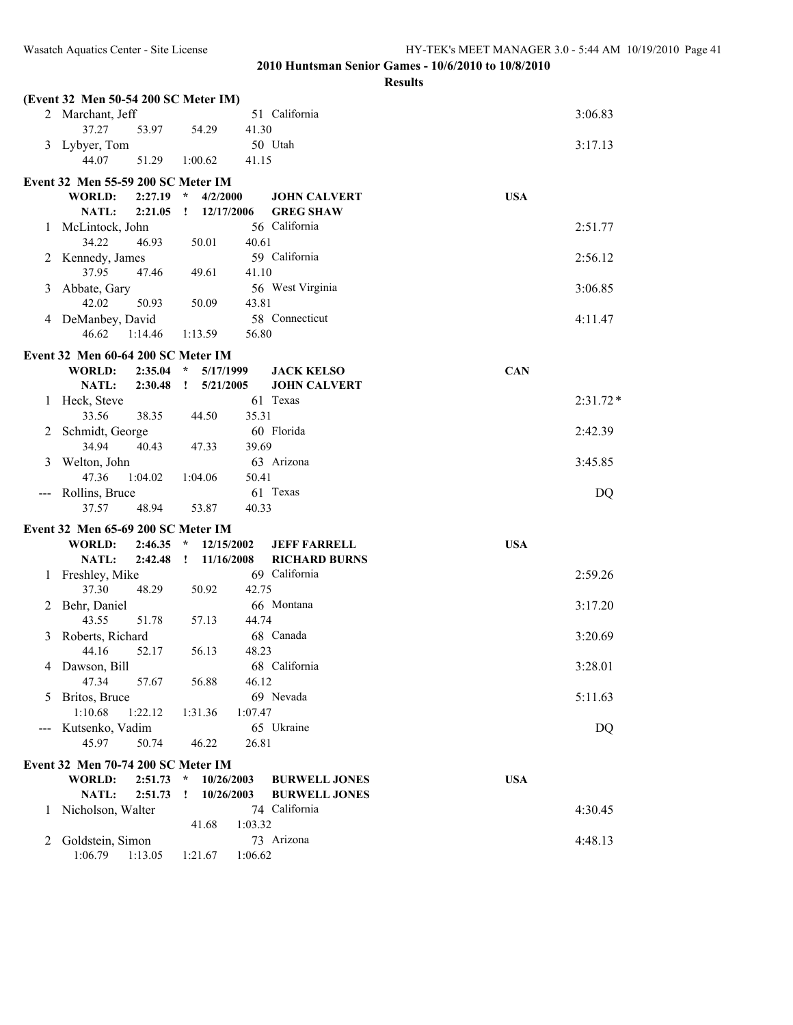|     | (Event 32 Men 50-54 200 SC Meter IM)      |         |              |                    |       |                      |            |            |
|-----|-------------------------------------------|---------|--------------|--------------------|-------|----------------------|------------|------------|
|     | 2 Marchant, Jeff                          |         |              |                    |       | 51 California        |            | 3:06.83    |
|     | 37.27                                     | 53.97   |              | 54.29              | 41.30 |                      |            |            |
| 3   | Lybyer, Tom                               |         |              |                    |       | 50 Utah              |            | 3:17.13    |
|     | 44.07                                     | 51.29   |              | 1:00.62            | 41.15 |                      |            |            |
|     | Event 32 Men 55-59 200 SC Meter IM        |         |              |                    |       |                      |            |            |
|     | <b>WORLD:</b>                             | 2:27.19 | $\star$      | 4/2/2000           |       | <b>JOHN CALVERT</b>  | <b>USA</b> |            |
|     | NATL:                                     | 2:21.05 | 1            | 12/17/2006         |       | <b>GREG SHAW</b>     |            |            |
| 1   | McLintock, John                           |         |              |                    |       | 56 California        |            | 2:51.77    |
|     | 34.22                                     | 46.93   |              | 50.01              | 40.61 |                      |            |            |
| 2   | Kennedy, James<br>37.95                   | 47.46   |              | 49.61              | 41.10 | 59 California        |            | 2:56.12    |
| 3   | Abbate, Gary                              |         |              |                    |       | 56 West Virginia     |            | 3:06.85    |
|     | 42.02                                     | 50.93   |              | 50.09              | 43.81 |                      |            |            |
|     | 4 DeManbey, David                         |         |              |                    |       | 58 Connecticut       |            | 4:11.47    |
|     | 46.62                                     | 1:14.46 |              | 1:13.59            | 56.80 |                      |            |            |
|     | Event 32 Men 60-64 200 SC Meter IM        |         |              |                    |       |                      |            |            |
|     | <b>WORLD:</b>                             | 2:35.04 | $\star$      | 5/17/1999          |       | <b>JACK KELSO</b>    | <b>CAN</b> |            |
|     | NATL:                                     | 2:30.48 | $\mathbf{I}$ | 5/21/2005          |       | <b>JOHN CALVERT</b>  |            |            |
| 1   | Heck, Steve                               |         |              |                    |       | 61 Texas             |            | $2:31.72*$ |
|     | 33.56                                     | 38.35   |              | 44.50              | 35.31 |                      |            |            |
| 2   | Schmidt, George                           |         |              |                    |       | 60 Florida           |            | 2:42.39    |
|     | 34.94                                     | 40.43   |              | 47.33              | 39.69 |                      |            |            |
| 3   | Welton, John<br>47.36                     | 1:04.02 |              | 1:04.06            | 50.41 | 63 Arizona           |            | 3:45.85    |
| --- | Rollins, Bruce                            |         |              |                    |       | 61 Texas             |            | DQ         |
|     | 37.57                                     | 48.94   |              | 53.87              | 40.33 |                      |            |            |
|     | Event 32 Men 65-69 200 SC Meter IM        |         |              |                    |       |                      |            |            |
|     | <b>WORLD:</b>                             | 2:46.35 | $\star$      | 12/15/2002         |       | <b>JEFF FARRELL</b>  | <b>USA</b> |            |
|     | NATL:                                     | 2:42.48 | $\mathbf{I}$ | 11/16/2008         |       | <b>RICHARD BURNS</b> |            |            |
| 1   | Freshley, Mike                            |         |              |                    |       | 69 California        |            | 2:59.26    |
|     | 37.30                                     | 48.29   |              | 50.92              | 42.75 |                      |            |            |
| 2   | Behr, Daniel                              |         |              |                    |       | 66 Montana           |            | 3:17.20    |
|     | 43.55                                     | 51.78   |              | 57.13              | 44.74 |                      |            |            |
| 3   | Roberts, Richard<br>44.16                 | 52.17   |              | 56.13              | 48.23 | 68 Canada            |            | 3:20.69    |
|     | 4 Dawson, Bill                            |         |              |                    |       | 68 California        |            | 3:28.01    |
|     | 47.34                                     | 57.67   |              | 56.88              | 46.12 |                      |            |            |
| 5   | Britos, Bruce                             |         |              |                    |       | 69 Nevada            |            | 5:11.63    |
|     | 1:10.68                                   | 1:22.12 |              | 1:31.36<br>1:07.47 |       |                      |            |            |
|     | Kutsenko, Vadim                           |         |              |                    |       | 65 Ukraine           |            | DQ         |
|     | 45.97                                     | 50.74   |              | 46.22              | 26.81 |                      |            |            |
|     | <b>Event 32 Men 70-74 200 SC Meter IM</b> |         |              |                    |       |                      |            |            |
|     | WORLD:                                    | 2:51.73 | $\star$      | 10/26/2003         |       | <b>BURWELL JONES</b> | <b>USA</b> |            |
|     | NATL:                                     | 2:51.73 | I            | 10/26/2003         |       | <b>BURWELL JONES</b> |            |            |
| 1   | Nicholson, Walter                         |         |              | 1:03.32            |       | 74 California        |            | 4:30.45    |
| 2   | Goldstein, Simon                          |         |              | 41.68              |       | 73 Arizona           |            | 4:48.13    |
|     | 1:06.79                                   | 1:13.05 |              | 1:06.62<br>1:21.67 |       |                      |            |            |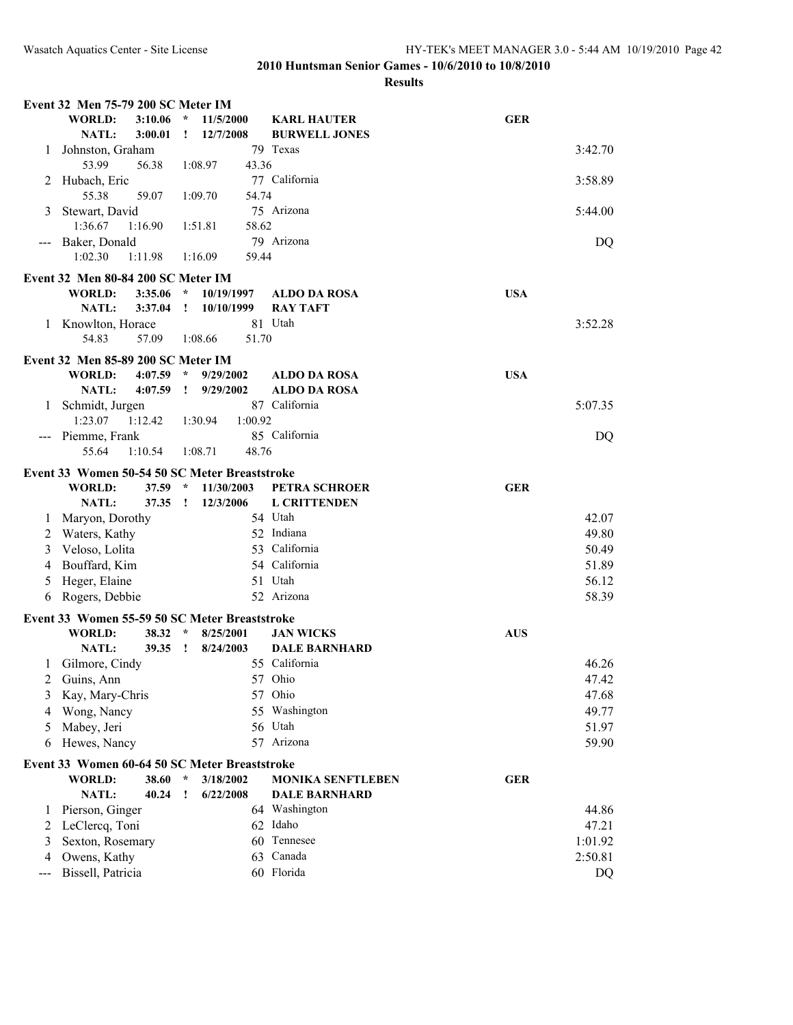|              | Event 32 Men 75-79 200 SC Meter IM                  |                                         |                                            |            |         |
|--------------|-----------------------------------------------------|-----------------------------------------|--------------------------------------------|------------|---------|
|              | <b>WORLD:</b><br>3:10.06<br><b>NATL:</b><br>3:00.01 | 11/5/2000<br>$\star$<br>12/7/2008<br>Ţ. | <b>KARL HAUTER</b><br><b>BURWELL JONES</b> | <b>GER</b> |         |
| 1            | Johnston, Graham                                    |                                         | 79 Texas                                   |            | 3:42.70 |
|              | 53.99<br>56.38                                      | 1:08.97<br>43.36                        |                                            |            |         |
| 2            | Hubach, Eric<br>55.38<br>59.07                      | 1:09.70<br>54.74                        | 77 California                              |            | 3:58.89 |
| 3            | Stewart, David                                      |                                         | 75 Arizona                                 |            | 5:44.00 |
|              | 1:36.67<br>1:16.90                                  | 1:51.81<br>58.62                        |                                            |            |         |
|              | Baker, Donald                                       |                                         | 79 Arizona                                 |            | DQ      |
|              | 1:02.30<br>1:11.98                                  | 1:16.09<br>59.44                        |                                            |            |         |
|              | Event 32 Men 80-84 200 SC Meter IM                  |                                         |                                            |            |         |
|              | <b>WORLD:</b><br>3:35.06                            | $\star$<br>10/19/1997                   | <b>ALDO DA ROSA</b>                        | <b>USA</b> |         |
|              | NATL:<br>3:37.04                                    | $\mathbf{I}$<br>10/10/1999              | <b>RAY TAFT</b>                            |            |         |
| 1            | Knowlton, Horace                                    |                                         | 81 Utah                                    |            | 3:52.28 |
|              | 54.83<br>57.09                                      | 1:08.66<br>51.70                        |                                            |            |         |
|              | Event 32 Men 85-89 200 SC Meter IM                  |                                         |                                            |            |         |
|              | WORLD:<br>4:07.59                                   | $\star$<br>9/29/2002                    | <b>ALDO DA ROSA</b>                        | <b>USA</b> |         |
|              | NATL:<br>4:07.59                                    | 9/29/2002<br>$\mathbf{I}$               | <b>ALDO DA ROSA</b>                        |            |         |
| $\mathbf{1}$ | Schmidt, Jurgen                                     |                                         | 87 California                              |            | 5:07.35 |
|              | 1:23.07<br>1:12.42                                  | 1:30.94<br>1:00.92                      |                                            |            |         |
|              | --- Piemme, Frank                                   |                                         | 85 California                              |            | DQ      |
|              | 55.64<br>1:10.54                                    | 48.76<br>1:08.71                        |                                            |            |         |
|              | Event 33 Women 50-54 50 SC Meter Breaststroke       |                                         |                                            |            |         |
|              | WORLD:<br>37.59                                     | $\star$<br>11/30/2003                   | PETRA SCHROER                              | <b>GER</b> |         |
|              | <b>NATL:</b><br>37.35                               | $\mathbf{I}$<br>12/3/2006               | <b>L CRITTENDEN</b>                        |            |         |
| 1            | Maryon, Dorothy                                     |                                         | 54 Utah                                    |            | 42.07   |
| 2            | Waters, Kathy                                       |                                         | 52 Indiana                                 |            | 49.80   |
| 3            | Veloso, Lolita                                      |                                         | 53 California                              |            | 50.49   |
| 4            | Bouffard, Kim                                       |                                         | 54 California                              |            | 51.89   |
| 5            | Heger, Elaine                                       |                                         | 51 Utah                                    |            | 56.12   |
| 6            | Rogers, Debbie                                      |                                         | 52 Arizona                                 |            | 58.39   |
|              | Event 33 Women 55-59 50 SC Meter Breaststroke       |                                         |                                            |            |         |
|              | WORLD:<br>$38.32$ *                                 | 8/25/2001                               | <b>JAN WICKS</b>                           | <b>AUS</b> |         |
|              | NATL:<br>39.35                                      | $\mathbf{r}$<br>8/24/2003               | <b>DALE BARNHARD</b>                       |            |         |
| 1            | Gilmore, Cindy                                      |                                         | 55 California                              |            | 46.26   |
|              | 2 Guins, Ann                                        |                                         | 57 Ohio                                    |            | 47.42   |
| 3            | Kay, Mary-Chris                                     |                                         | 57 Ohio                                    |            | 47.68   |
| 4            | Wong, Nancy                                         |                                         | 55 Washington                              |            | 49.77   |
| 5            | Mabey, Jeri                                         |                                         | 56 Utah                                    |            | 51.97   |
| 6            | Hewes, Nancy                                        |                                         | 57 Arizona                                 |            | 59.90   |
|              | Event 33 Women 60-64 50 SC Meter Breaststroke       |                                         |                                            |            |         |
|              | <b>WORLD:</b><br>38.60                              | $\star$<br>3/18/2002                    | <b>MONIKA SENFTLEBEN</b>                   | <b>GER</b> |         |
|              | NATL:<br>40.24                                      | 6/22/2008<br>Ţ                          | <b>DALE BARNHARD</b>                       |            |         |
| 1            | Pierson, Ginger                                     |                                         | 64 Washington                              |            | 44.86   |
| 2            | LeClercq, Toni                                      |                                         | 62 Idaho                                   |            | 47.21   |
| 3            | Sexton, Rosemary                                    |                                         | 60 Tennesee                                |            | 1:01.92 |
| 4            | Owens, Kathy                                        |                                         | 63 Canada                                  |            | 2:50.81 |
| ---          | Bissell, Patricia                                   |                                         | 60 Florida                                 |            | DQ      |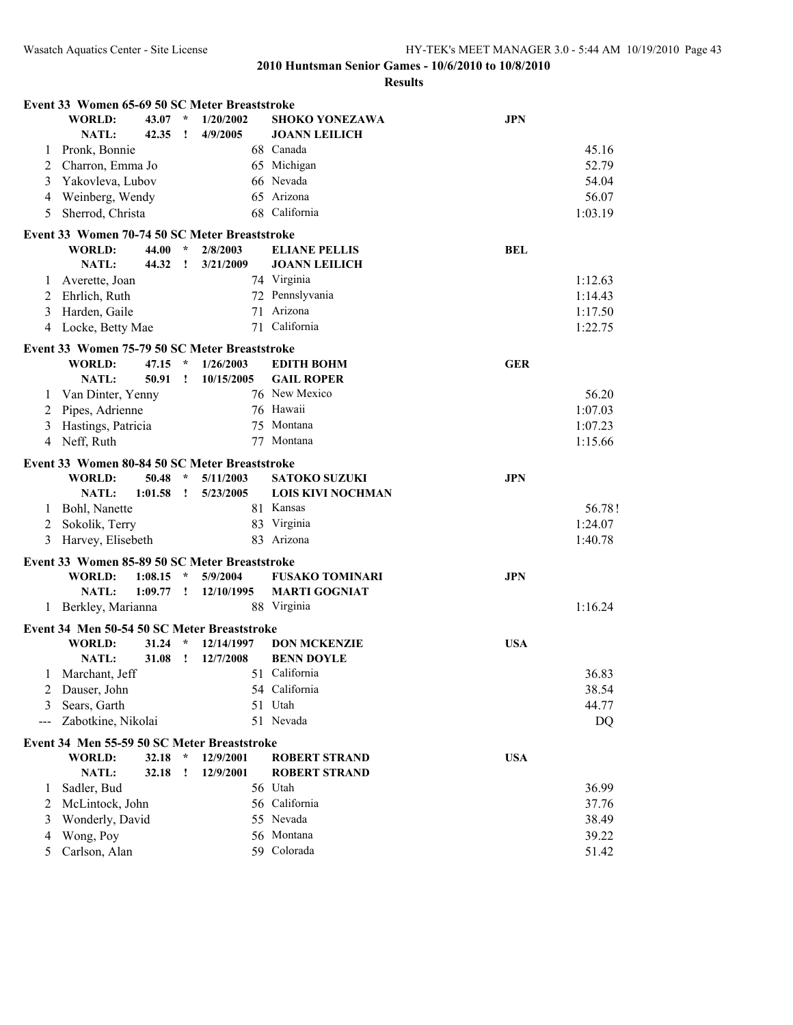|     | Event 33 Women 65-69 50 SC Meter Breaststroke |         |              |            |                          |            |         |
|-----|-----------------------------------------------|---------|--------------|------------|--------------------------|------------|---------|
|     | <b>WORLD:</b>                                 | 43.07   | $\star$      | 1/20/2002  | <b>SHOKO YONEZAWA</b>    | <b>JPN</b> |         |
|     | NATL:                                         | 42.35   | ÷            | 4/9/2005   | <b>JOANN LEILICH</b>     |            |         |
| 1   | Pronk, Bonnie                                 |         |              |            | 68 Canada                |            | 45.16   |
| 2   | Charron, Emma Jo                              |         |              |            | 65 Michigan              |            | 52.79   |
| 3   | Yakovleva, Lubov                              |         |              |            | 66 Nevada                |            | 54.04   |
| 4   | Weinberg, Wendy                               |         |              |            | 65 Arizona               |            | 56.07   |
| 5   | Sherrod, Christa                              |         |              |            | 68 California            |            | 1:03.19 |
|     | Event 33 Women 70-74 50 SC Meter Breaststroke |         |              |            |                          |            |         |
|     | WORLD:                                        | 44.00   | $\star$      | 2/8/2003   | <b>ELIANE PELLIS</b>     | <b>BEL</b> |         |
|     | <b>NATL:</b>                                  | 44.32   | $\mathbf{I}$ | 3/21/2009  | <b>JOANN LEILICH</b>     |            |         |
| 1   | Averette, Joan                                |         |              |            | 74 Virginia              |            | 1:12.63 |
| 2   | Ehrlich, Ruth                                 |         |              |            | 72 Pennslyvania          |            | 1:14.43 |
|     | Harden, Gaile                                 |         |              |            | 71 Arizona               |            |         |
| 3   |                                               |         |              |            | 71 California            |            | 1:17.50 |
| 4   | Locke, Betty Mae                              |         |              |            |                          |            | 1:22.75 |
|     | Event 33 Women 75-79 50 SC Meter Breaststroke |         |              |            |                          |            |         |
|     | <b>WORLD:</b>                                 | 47.15   | $\star$      | 1/26/2003  | <b>EDITH BOHM</b>        | <b>GER</b> |         |
|     | NATL:                                         | 50.91   | $\mathbf{I}$ | 10/15/2005 | <b>GAIL ROPER</b>        |            |         |
| 1   | Van Dinter, Yenny                             |         |              |            | 76 New Mexico            |            | 56.20   |
| 2   | Pipes, Adrienne                               |         |              |            | 76 Hawaii                |            | 1:07.03 |
| 3   | Hastings, Patricia                            |         |              |            | 75 Montana               |            | 1:07.23 |
| 4   | Neff, Ruth                                    |         |              | 77         | Montana                  |            | 1:15.66 |
|     | Event 33 Women 80-84 50 SC Meter Breaststroke |         |              |            |                          |            |         |
|     | <b>WORLD:</b>                                 | 50.48   | $\star$      | 5/11/2003  | <b>SATOKO SUZUKI</b>     | <b>JPN</b> |         |
|     | NATL:                                         | 1:01.58 | $\mathbf{I}$ | 5/23/2005  | <b>LOIS KIVI NOCHMAN</b> |            |         |
| 1   | Bohl, Nanette                                 |         |              |            | 81 Kansas                |            | 56.78!  |
| 2   | Sokolik, Terry                                |         |              |            | 83 Virginia              |            | 1:24.07 |
| 3   | Harvey, Elisebeth                             |         |              |            | 83 Arizona               |            | 1:40.78 |
|     |                                               |         |              |            |                          |            |         |
|     | Event 33 Women 85-89 50 SC Meter Breaststroke |         |              |            |                          |            |         |
|     | <b>WORLD:</b>                                 | 1:08.15 | $\star$      | 5/9/2004   | <b>FUSAKO TOMINARI</b>   | <b>JPN</b> |         |
|     | <b>NATL:</b>                                  | 1:09.77 | $\mathbf{r}$ | 12/10/1995 | <b>MARTI GOGNIAT</b>     |            |         |
|     | 1 Berkley, Marianna                           |         |              |            | 88 Virginia              |            | 1:16.24 |
|     | Event 34 Men 50-54 50 SC Meter Breaststroke   |         |              |            |                          |            |         |
|     | <b>WORLD:</b>                                 | 31.24   | $\star$      | 12/14/1997 | <b>DON MCKENZIE</b>      | <b>USA</b> |         |
|     | <b>NATL:</b>                                  | 31.08   | $\mathbf{I}$ | 12/7/2008  | <b>BENN DOYLE</b>        |            |         |
| 1   | Marchant, Jeff                                |         |              |            | 51 California            |            | 36.83   |
| 2   | Dauser, John                                  |         |              |            | 54 California            |            | 38.54   |
| 3   | Sears, Garth                                  |         |              |            | 51 Utah                  |            | 44.77   |
| --- | Zabotkine, Nikolai                            |         |              |            | 51 Nevada                |            | DQ      |
|     |                                               |         |              |            |                          |            |         |
|     | Event 34 Men 55-59 50 SC Meter Breaststroke   |         |              |            |                          |            |         |
|     | WORLD:                                        | 32.18   | $\star$      | 12/9/2001  | <b>ROBERT STRAND</b>     | <b>USA</b> |         |
|     | NATL:                                         | 32.18   | Ţ            | 12/9/2001  | <b>ROBERT STRAND</b>     |            |         |
| 1   | Sadler, Bud                                   |         |              |            | 56 Utah                  |            | 36.99   |
| 2   | McLintock, John                               |         |              |            | 56 California            |            | 37.76   |
| 3   | Wonderly, David                               |         |              |            | 55 Nevada                |            | 38.49   |
| 4   | Wong, Poy                                     |         |              |            | 56 Montana               |            | 39.22   |
| 5   | Carlson, Alan                                 |         |              |            | 59 Colorada              |            | 51.42   |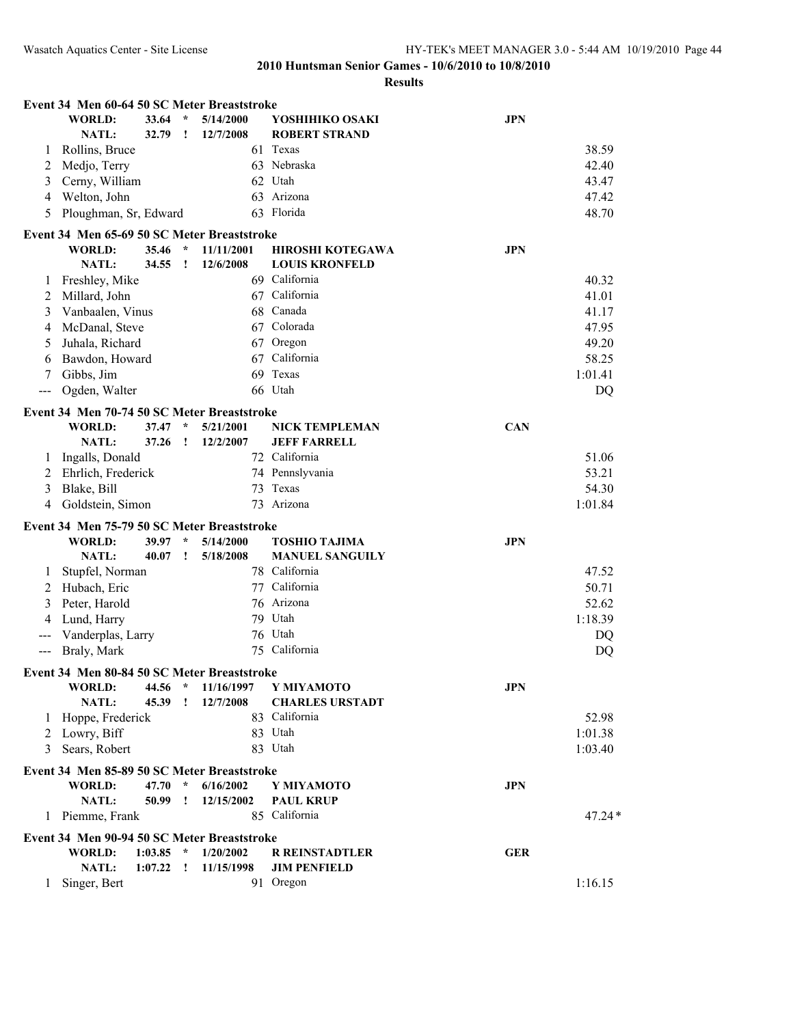|              | Event 34 Men 60-64 50 SC Meter Breaststroke |         |               |            |                         |            |          |
|--------------|---------------------------------------------|---------|---------------|------------|-------------------------|------------|----------|
|              | <b>WORLD:</b>                               | 33.64   | $\star$       | 5/14/2000  | YOSHIHIKO OSAKI         | <b>JPN</b> |          |
|              | NATL:                                       | 32.79   | Ţ             | 12/7/2008  | <b>ROBERT STRAND</b>    |            |          |
| 1            | Rollins, Bruce                              |         |               |            | 61 Texas                |            | 38.59    |
| 2            | Medjo, Terry                                |         |               |            | 63 Nebraska             |            | 42.40    |
| 3            | Cerny, William                              |         |               |            | 62 Utah                 |            | 43.47    |
| 4            | Welton, John                                |         |               |            | 63 Arizona              |            | 47.42    |
| 5            | Ploughman, Sr, Edward                       |         |               |            | 63 Florida              |            | 48.70    |
|              | Event 34 Men 65-69 50 SC Meter Breaststroke |         |               |            |                         |            |          |
|              | <b>WORLD:</b>                               | 35.46   | $\star$       | 11/11/2001 | <b>HIROSHI KOTEGAWA</b> | <b>JPN</b> |          |
|              | NATL:                                       | 34.55   | T             | 12/6/2008  | <b>LOUIS KRONFELD</b>   |            |          |
| 1            | Freshley, Mike                              |         |               |            | 69 California           |            | 40.32    |
| 2            | Millard, John                               |         |               |            | 67 California           |            | 41.01    |
| 3            | Vanbaalen, Vinus                            |         |               | 68         | Canada                  |            | 41.17    |
| 4            | McDanal, Steve                              |         |               |            | 67 Colorada             |            | 47.95    |
| 5            | Juhala, Richard                             |         |               |            | 67 Oregon               |            | 49.20    |
| 6            | Bawdon, Howard                              |         |               | 67         | California              |            | 58.25    |
| 7            |                                             |         |               | 69         | Texas                   |            |          |
|              | Gibbs, Jim<br>Ogden, Walter                 |         |               |            | 66 Utah                 |            | 1:01.41  |
| ---          |                                             |         |               |            |                         |            | DQ       |
|              | Event 34 Men 70-74 50 SC Meter Breaststroke |         |               |            |                         |            |          |
|              | <b>WORLD:</b>                               | 37.47   | $\star$       | 5/21/2001  | <b>NICK TEMPLEMAN</b>   | <b>CAN</b> |          |
|              | NATL:                                       | 37.26   | Ţ             | 12/2/2007  | <b>JEFF FARRELL</b>     |            |          |
| 1            | Ingalls, Donald                             |         |               |            | 72 California           |            | 51.06    |
| 2            | Ehrlich, Frederick                          |         |               |            | 74 Pennslyvania         |            | 53.21    |
| 3            | Blake, Bill                                 |         |               |            | 73 Texas                |            | 54.30    |
| 4            | Goldstein, Simon                            |         |               | 73         | Arizona                 |            | 1:01.84  |
|              | Event 34 Men 75-79 50 SC Meter Breaststroke |         |               |            |                         |            |          |
|              | <b>WORLD:</b>                               | 39.97   | $\star$       | 5/14/2000  | <b>TOSHIO TAJIMA</b>    | <b>JPN</b> |          |
|              | NATL:                                       | 40.07   | Ţ             | 5/18/2008  | <b>MANUEL SANGUILY</b>  |            |          |
| 1            | Stupfel, Norman                             |         |               |            | 78 California           |            | 47.52    |
| 2            | Hubach, Eric                                |         |               |            | 77 California           |            | 50.71    |
| 3            | Peter, Harold                               |         |               |            | 76 Arizona              |            | 52.62    |
| 4            | Lund, Harry                                 |         |               |            | 79 Utah                 |            | 1:18.39  |
|              | Vanderplas, Larry                           |         |               |            | 76 Utah                 |            | DQ       |
| $---$        | Braly, Mark                                 |         |               |            | 75 California           |            | DQ       |
|              |                                             |         |               |            |                         |            |          |
|              | Event 34 Men 80-84 50 SC Meter Breaststroke |         |               |            |                         |            |          |
|              | <b>WORLD:</b>                               | 44.56   | $\mathcal{R}$ | 11/16/1997 | Y MIYAMOTO              | <b>JPN</b> |          |
|              | NATL:                                       | 45.39   | $\mathbf{I}$  | 12/7/2008  | <b>CHARLES URSTADT</b>  |            |          |
| $\mathbf{I}$ | Hoppe, Frederick                            |         |               |            | 83 California           |            | 52.98    |
| 2            | Lowry, Biff                                 |         |               |            | 83 Utah                 |            | 1:01.38  |
| 3            | Sears, Robert                               |         |               |            | 83 Utah                 |            | 1:03.40  |
|              | Event 34 Men 85-89 50 SC Meter Breaststroke |         |               |            |                         |            |          |
|              | <b>WORLD:</b>                               | 47.70   | $\star$       | 6/16/2002  | Y MIYAMOTO              | <b>JPN</b> |          |
|              | NATL:                                       | 50.99   | $\cdot$       | 12/15/2002 | <b>PAUL KRUP</b>        |            |          |
| 1            | Piemme, Frank                               |         |               |            | 85 California           |            | $47.24*$ |
|              | Event 34 Men 90-94 50 SC Meter Breaststroke |         |               |            |                         |            |          |
|              | <b>WORLD:</b>                               | 1:03.85 | $\star$       | 1/20/2002  | <b>R REINSTADTLER</b>   | <b>GER</b> |          |
|              | NATL:                                       | 1:07.22 | $\cdot$       | 11/15/1998 | <b>JIM PENFIELD</b>     |            |          |
| 1            | Singer, Bert                                |         |               |            | 91 Oregon               |            | 1:16.15  |
|              |                                             |         |               |            |                         |            |          |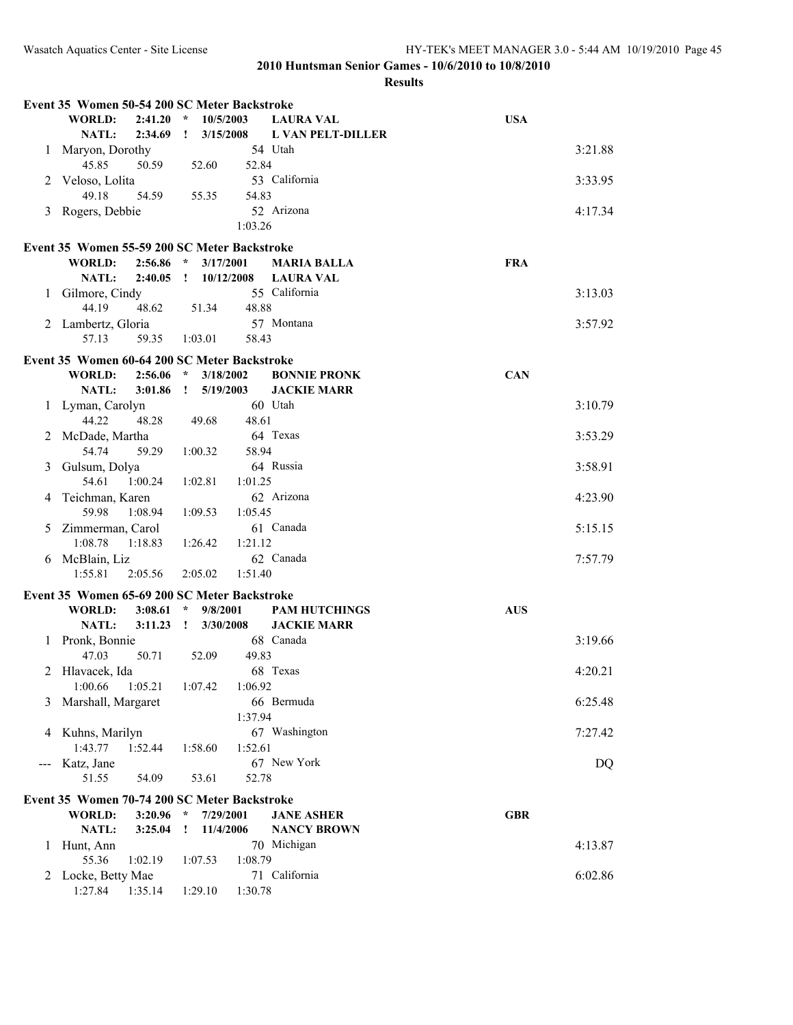|   | Event 35 Women 50-54 200 SC Meter Backstroke |                            |                                 |            |
|---|----------------------------------------------|----------------------------|---------------------------------|------------|
|   | <b>WORLD:</b><br>2:41.20                     | $\star$<br>10/5/2003       | <b>LAURA VAL</b>                | <b>USA</b> |
|   | NATL:<br>2:34.69                             | $\mathbf{r}$<br>3/15/2008  | <b>L VAN PELT-DILLER</b>        |            |
| 1 | Maryon, Dorothy<br>45.85<br>50.59            | 52.60<br>52.84             | 54 Utah                         | 3:21.88    |
| 2 | Veloso, Lolita<br>49.18<br>54.59             | 55.35<br>54.83             | 53 California                   | 3:33.95    |
| 3 | Rogers, Debbie                               |                            | 52 Arizona                      | 4:17.34    |
|   |                                              | 1:03.26                    |                                 |            |
|   | Event 35 Women 55-59 200 SC Meter Backstroke |                            |                                 |            |
|   | <b>WORLD:</b><br>2:56.86                     | $\star$<br>3/17/2001       | <b>MARIA BALLA</b>              | <b>FRA</b> |
|   | NATL:<br>2:40.05                             | $\mathbf{I}$<br>10/12/2008 | <b>LAURA VAL</b>                |            |
|   | 1 Gilmore, Cindy                             |                            | 55 California                   | 3:13.03    |
|   | 44.19<br>48.62                               | 48.88<br>51.34             |                                 |            |
|   | 2 Lambertz, Gloria                           |                            | 57 Montana                      | 3:57.92    |
|   | 57.13<br>59.35                               | 58.43<br>1:03.01           |                                 |            |
|   |                                              |                            |                                 |            |
|   | Event 35 Women 60-64 200 SC Meter Backstroke |                            |                                 |            |
|   | <b>WORLD:</b><br>2:56.06                     | $\star$<br>3/18/2002       | <b>BONNIE PRONK</b>             | <b>CAN</b> |
|   | NATL:<br>3:01.86                             | $\mathbf{r}$<br>5/19/2003  | <b>JACKIE MARR</b><br>60 Utah   |            |
|   | 1 Lyman, Carolyn<br>44.22<br>48.28           | 48.61                      |                                 | 3:10.79    |
|   |                                              | 49.68                      | 64 Texas                        |            |
| 2 | McDade, Martha<br>54.74<br>59.29             | 58.94<br>1:00.32           |                                 | 3:53.29    |
| 3 | Gulsum, Dolya                                |                            | 64 Russia                       | 3:58.91    |
|   | 54.61<br>1:00.24                             | 1:02.81<br>1:01.25         |                                 |            |
|   | 4 Teichman, Karen                            |                            | 62 Arizona                      | 4:23.90    |
|   | 59.98<br>1:08.94                             | 1:09.53<br>1:05.45         |                                 |            |
| 5 | Zimmerman, Carol                             |                            | 61 Canada                       | 5:15.15    |
|   | 1:08.78<br>1:18.83                           | 1:21.12<br>1:26.42         |                                 |            |
|   | 6 McBlain, Liz                               |                            | 62 Canada                       | 7:57.79    |
|   | 1:55.81<br>2:05.56                           | 2:05.02<br>1:51.40         |                                 |            |
|   |                                              |                            |                                 |            |
|   | Event 35 Women 65-69 200 SC Meter Backstroke |                            |                                 |            |
|   | 3:08.61<br><b>WORLD:</b>                     | 9/8/2001<br>$\star$        | <b>PAM HUTCHINGS</b>            | <b>AUS</b> |
|   | NATL:<br>3:11.23                             | 3/30/2008<br>$\mathbf{I}$  | <b>JACKIE MARR</b><br>68 Canada | 3:19.66    |
| 1 | Pronk, Bonnie<br>47.03<br>50.71              | 52.09<br>49.83             |                                 |            |
| 2 | Hlavacek, Ida                                |                            | 68 Texas                        | 4:20.21    |
|   | 1:00.66<br>1:05.21                           | 1:07.42<br>1:06.92         |                                 |            |
| 3 | Marshall, Margaret                           |                            | 66 Bermuda                      | 6:25.48    |
|   |                                              | 1:37.94                    |                                 |            |
| 4 | Kuhns, Marilyn                               |                            | 67 Washington                   | 7:27.42    |
|   | 1:43.77<br>1:52.44                           | 1:58.60<br>1:52.61         |                                 |            |
|   | Katz, Jane                                   |                            | 67 New York                     | DQ         |
|   | 51.55<br>54.09                               | 53.61<br>52.78             |                                 |            |
|   | Event 35 Women 70-74 200 SC Meter Backstroke |                            |                                 |            |
|   | <b>WORLD:</b><br>3:20.96                     | $\star$<br>7/29/2001       | <b>JANE ASHER</b>               | <b>GBR</b> |
|   | NATL:<br>3:25.04                             | 11/4/2006<br><u>!</u>      | <b>NANCY BROWN</b>              |            |
| 1 | Hunt, Ann                                    |                            | 70 Michigan                     | 4:13.87    |
|   | 55.36<br>1:02.19                             | 1:08.79<br>1:07.53         |                                 |            |
| 2 | Locke, Betty Mae                             |                            | 71 California                   | 6:02.86    |
|   | 1:27.84<br>1:35.14                           | 1:29.10<br>1:30.78         |                                 |            |
|   |                                              |                            |                                 |            |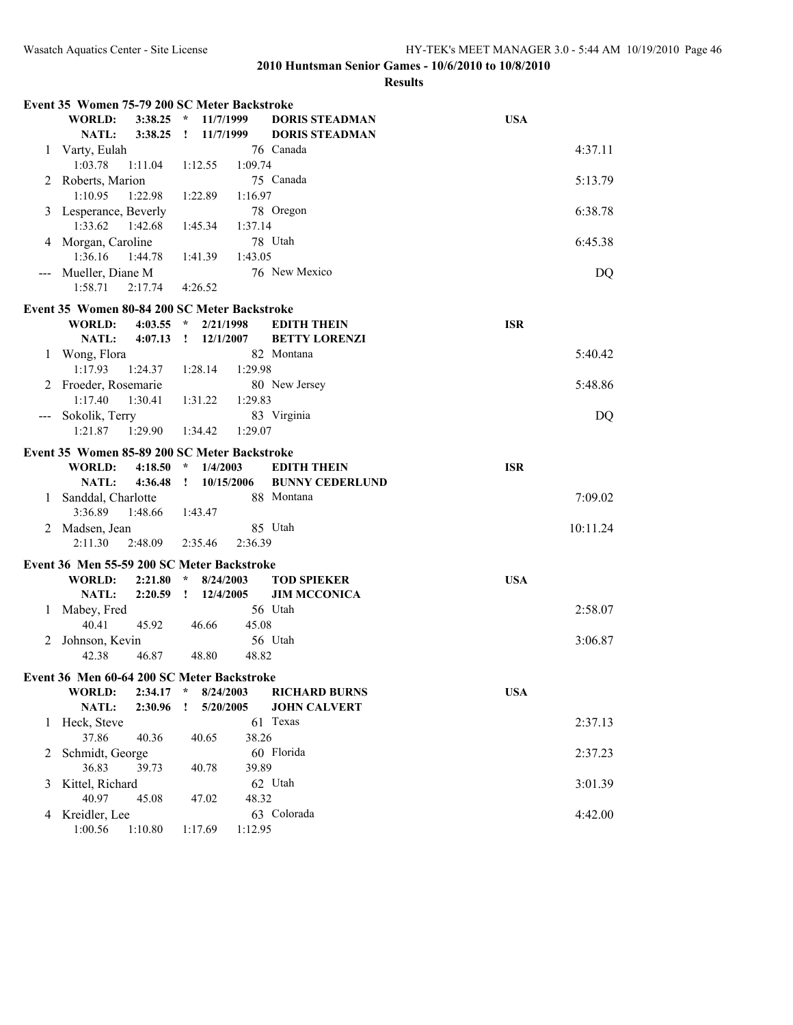| <b>USA</b><br><b>WORLD:</b><br>3:38.25<br>$\star$<br>11/7/1999<br><b>DORIS STEADMAN</b><br><b>NATL:</b><br>3:38.25<br>11/7/1999<br><b>DORIS STEADMAN</b><br>$\mathbf{I}$<br>76 Canada<br>4:37.11<br>Varty, Eulah<br>1<br>1:09.74<br>1:03.78<br>1:11.04<br>1:12.55<br>75 Canada<br>2 Roberts, Marion<br>5:13.79<br>1:10.95<br>1:22.98<br>1:22.89<br>1:16.97<br>6:38.78<br>78 Oregon<br>Lesperance, Beverly<br>3<br>1:33.62<br>1:42.68<br>1:45.34<br>1:37.14<br>6:45.38<br>4 Morgan, Caroline<br>78 Utah<br>1:36.16<br>1:44.78<br>1:41.39<br>1:43.05<br>76 New Mexico<br>Mueller, Diane M<br>DQ<br>1:58.71<br>2:17.74<br>4:26.52<br>Event 35 Women 80-84 200 SC Meter Backstroke<br><b>ISR</b><br><b>WORLD:</b><br>4:03.55<br>* $2/21/1998$<br><b>EDITH THEIN</b><br>NATL:<br>4:07.13<br>$\mathbf{I}$<br>12/1/2007<br><b>BETTY LORENZI</b><br>82 Montana<br>5:40.42<br>Wong, Flora<br>1<br>1:17.93<br>1:24.37<br>1:28.14<br>1:29.98<br>5:48.86<br>Froeder, Rosemarie<br>80 New Jersey<br>1:17.40<br>1:30.41<br>1:29.83<br>1:31.22<br>83 Virginia<br>DQ<br>Sokolik, Terry<br>1:21.87<br>1:29.90<br>1:29.07<br>1:34.42<br>Event 35 Women 85-89 200 SC Meter Backstroke<br><b>ISR</b><br><b>WORLD:</b><br>4:18.50<br>$\star$<br>1/4/2003<br><b>EDITH THEIN</b><br>NATL:<br>4:36.48<br>10/15/2006<br><b>BUNNY CEDERLUND</b><br>$\mathbf{I}$<br>Sanddal, Charlotte<br>88 Montana<br>7:09.02<br>1<br>3:36.89<br>1:48.66<br>1:43.47<br>Madsen, Jean<br>85 Utah<br>10:11.24<br>2<br>2:11.30<br>2:48.09<br>2:35.46<br>2:36.39<br>Event 36 Men 55-59 200 SC Meter Backstroke<br><b>USA</b><br><b>WORLD:</b><br>2:21.80<br>$\star$<br>8/24/2003<br><b>TOD SPIEKER</b><br>NATL:<br>2:20.59<br>$\mathbf{I}$<br>12/4/2005<br><b>JIM MCCONICA</b><br>56 Utah<br>Mabey, Fred<br>2:58.07<br>1<br>45.92<br>40.41<br>45.08<br>46.66<br>3:06.87<br>56 Utah<br>Johnson, Kevin<br>2<br>46.87<br>42.38<br>48.80<br>48.82<br>Event 36 Men 60-64 200 SC Meter Backstroke<br><b>USA</b><br>WORLD:<br>2:34.17<br>8/24/2003<br>$\star$<br><b>RICHARD BURNS</b><br>NATL:<br>2:30.96<br><b>JOHN CALVERT</b><br>5/20/2005<br>Ι.<br>Heck, Steve<br>61 Texas<br>2:37.13<br>1<br>37.86<br>40.36<br>38.26<br>40.65<br>60 Florida<br>Schmidt, George<br>2:37.23<br>2<br>36.83<br>39.89<br>39.73<br>40.78<br>Kittel, Richard<br>62 Utah<br>3:01.39<br>3<br>40.97<br>48.32<br>45.08<br>47.02<br>Kreidler, Lee<br>63 Colorada<br>4:42.00<br>4<br>1:00.56<br>1:10.80<br>1:12.95<br>1:17.69 | Event 35 Women 75-79 200 SC Meter Backstroke |  |  |  |  |
|--------------------------------------------------------------------------------------------------------------------------------------------------------------------------------------------------------------------------------------------------------------------------------------------------------------------------------------------------------------------------------------------------------------------------------------------------------------------------------------------------------------------------------------------------------------------------------------------------------------------------------------------------------------------------------------------------------------------------------------------------------------------------------------------------------------------------------------------------------------------------------------------------------------------------------------------------------------------------------------------------------------------------------------------------------------------------------------------------------------------------------------------------------------------------------------------------------------------------------------------------------------------------------------------------------------------------------------------------------------------------------------------------------------------------------------------------------------------------------------------------------------------------------------------------------------------------------------------------------------------------------------------------------------------------------------------------------------------------------------------------------------------------------------------------------------------------------------------------------------------------------------------------------------------------------------------------------------------------------------------------------------------------------------------------------------------------------------------------------------------------------------------------------------------------------------------------------------------------------------------------------------------------------------------------------------------------------------------------------------------------------------------------------------------------------------------------|----------------------------------------------|--|--|--|--|
|                                                                                                                                                                                                                                                                                                                                                                                                                                                                                                                                                                                                                                                                                                                                                                                                                                                                                                                                                                                                                                                                                                                                                                                                                                                                                                                                                                                                                                                                                                                                                                                                                                                                                                                                                                                                                                                                                                                                                                                                                                                                                                                                                                                                                                                                                                                                                                                                                                                  |                                              |  |  |  |  |
|                                                                                                                                                                                                                                                                                                                                                                                                                                                                                                                                                                                                                                                                                                                                                                                                                                                                                                                                                                                                                                                                                                                                                                                                                                                                                                                                                                                                                                                                                                                                                                                                                                                                                                                                                                                                                                                                                                                                                                                                                                                                                                                                                                                                                                                                                                                                                                                                                                                  |                                              |  |  |  |  |
|                                                                                                                                                                                                                                                                                                                                                                                                                                                                                                                                                                                                                                                                                                                                                                                                                                                                                                                                                                                                                                                                                                                                                                                                                                                                                                                                                                                                                                                                                                                                                                                                                                                                                                                                                                                                                                                                                                                                                                                                                                                                                                                                                                                                                                                                                                                                                                                                                                                  |                                              |  |  |  |  |
|                                                                                                                                                                                                                                                                                                                                                                                                                                                                                                                                                                                                                                                                                                                                                                                                                                                                                                                                                                                                                                                                                                                                                                                                                                                                                                                                                                                                                                                                                                                                                                                                                                                                                                                                                                                                                                                                                                                                                                                                                                                                                                                                                                                                                                                                                                                                                                                                                                                  |                                              |  |  |  |  |
|                                                                                                                                                                                                                                                                                                                                                                                                                                                                                                                                                                                                                                                                                                                                                                                                                                                                                                                                                                                                                                                                                                                                                                                                                                                                                                                                                                                                                                                                                                                                                                                                                                                                                                                                                                                                                                                                                                                                                                                                                                                                                                                                                                                                                                                                                                                                                                                                                                                  |                                              |  |  |  |  |
|                                                                                                                                                                                                                                                                                                                                                                                                                                                                                                                                                                                                                                                                                                                                                                                                                                                                                                                                                                                                                                                                                                                                                                                                                                                                                                                                                                                                                                                                                                                                                                                                                                                                                                                                                                                                                                                                                                                                                                                                                                                                                                                                                                                                                                                                                                                                                                                                                                                  |                                              |  |  |  |  |
|                                                                                                                                                                                                                                                                                                                                                                                                                                                                                                                                                                                                                                                                                                                                                                                                                                                                                                                                                                                                                                                                                                                                                                                                                                                                                                                                                                                                                                                                                                                                                                                                                                                                                                                                                                                                                                                                                                                                                                                                                                                                                                                                                                                                                                                                                                                                                                                                                                                  |                                              |  |  |  |  |
|                                                                                                                                                                                                                                                                                                                                                                                                                                                                                                                                                                                                                                                                                                                                                                                                                                                                                                                                                                                                                                                                                                                                                                                                                                                                                                                                                                                                                                                                                                                                                                                                                                                                                                                                                                                                                                                                                                                                                                                                                                                                                                                                                                                                                                                                                                                                                                                                                                                  |                                              |  |  |  |  |
|                                                                                                                                                                                                                                                                                                                                                                                                                                                                                                                                                                                                                                                                                                                                                                                                                                                                                                                                                                                                                                                                                                                                                                                                                                                                                                                                                                                                                                                                                                                                                                                                                                                                                                                                                                                                                                                                                                                                                                                                                                                                                                                                                                                                                                                                                                                                                                                                                                                  |                                              |  |  |  |  |
|                                                                                                                                                                                                                                                                                                                                                                                                                                                                                                                                                                                                                                                                                                                                                                                                                                                                                                                                                                                                                                                                                                                                                                                                                                                                                                                                                                                                                                                                                                                                                                                                                                                                                                                                                                                                                                                                                                                                                                                                                                                                                                                                                                                                                                                                                                                                                                                                                                                  |                                              |  |  |  |  |
|                                                                                                                                                                                                                                                                                                                                                                                                                                                                                                                                                                                                                                                                                                                                                                                                                                                                                                                                                                                                                                                                                                                                                                                                                                                                                                                                                                                                                                                                                                                                                                                                                                                                                                                                                                                                                                                                                                                                                                                                                                                                                                                                                                                                                                                                                                                                                                                                                                                  |                                              |  |  |  |  |
|                                                                                                                                                                                                                                                                                                                                                                                                                                                                                                                                                                                                                                                                                                                                                                                                                                                                                                                                                                                                                                                                                                                                                                                                                                                                                                                                                                                                                                                                                                                                                                                                                                                                                                                                                                                                                                                                                                                                                                                                                                                                                                                                                                                                                                                                                                                                                                                                                                                  |                                              |  |  |  |  |
|                                                                                                                                                                                                                                                                                                                                                                                                                                                                                                                                                                                                                                                                                                                                                                                                                                                                                                                                                                                                                                                                                                                                                                                                                                                                                                                                                                                                                                                                                                                                                                                                                                                                                                                                                                                                                                                                                                                                                                                                                                                                                                                                                                                                                                                                                                                                                                                                                                                  |                                              |  |  |  |  |
|                                                                                                                                                                                                                                                                                                                                                                                                                                                                                                                                                                                                                                                                                                                                                                                                                                                                                                                                                                                                                                                                                                                                                                                                                                                                                                                                                                                                                                                                                                                                                                                                                                                                                                                                                                                                                                                                                                                                                                                                                                                                                                                                                                                                                                                                                                                                                                                                                                                  |                                              |  |  |  |  |
|                                                                                                                                                                                                                                                                                                                                                                                                                                                                                                                                                                                                                                                                                                                                                                                                                                                                                                                                                                                                                                                                                                                                                                                                                                                                                                                                                                                                                                                                                                                                                                                                                                                                                                                                                                                                                                                                                                                                                                                                                                                                                                                                                                                                                                                                                                                                                                                                                                                  |                                              |  |  |  |  |
|                                                                                                                                                                                                                                                                                                                                                                                                                                                                                                                                                                                                                                                                                                                                                                                                                                                                                                                                                                                                                                                                                                                                                                                                                                                                                                                                                                                                                                                                                                                                                                                                                                                                                                                                                                                                                                                                                                                                                                                                                                                                                                                                                                                                                                                                                                                                                                                                                                                  |                                              |  |  |  |  |
|                                                                                                                                                                                                                                                                                                                                                                                                                                                                                                                                                                                                                                                                                                                                                                                                                                                                                                                                                                                                                                                                                                                                                                                                                                                                                                                                                                                                                                                                                                                                                                                                                                                                                                                                                                                                                                                                                                                                                                                                                                                                                                                                                                                                                                                                                                                                                                                                                                                  |                                              |  |  |  |  |
|                                                                                                                                                                                                                                                                                                                                                                                                                                                                                                                                                                                                                                                                                                                                                                                                                                                                                                                                                                                                                                                                                                                                                                                                                                                                                                                                                                                                                                                                                                                                                                                                                                                                                                                                                                                                                                                                                                                                                                                                                                                                                                                                                                                                                                                                                                                                                                                                                                                  |                                              |  |  |  |  |
|                                                                                                                                                                                                                                                                                                                                                                                                                                                                                                                                                                                                                                                                                                                                                                                                                                                                                                                                                                                                                                                                                                                                                                                                                                                                                                                                                                                                                                                                                                                                                                                                                                                                                                                                                                                                                                                                                                                                                                                                                                                                                                                                                                                                                                                                                                                                                                                                                                                  |                                              |  |  |  |  |
|                                                                                                                                                                                                                                                                                                                                                                                                                                                                                                                                                                                                                                                                                                                                                                                                                                                                                                                                                                                                                                                                                                                                                                                                                                                                                                                                                                                                                                                                                                                                                                                                                                                                                                                                                                                                                                                                                                                                                                                                                                                                                                                                                                                                                                                                                                                                                                                                                                                  |                                              |  |  |  |  |
|                                                                                                                                                                                                                                                                                                                                                                                                                                                                                                                                                                                                                                                                                                                                                                                                                                                                                                                                                                                                                                                                                                                                                                                                                                                                                                                                                                                                                                                                                                                                                                                                                                                                                                                                                                                                                                                                                                                                                                                                                                                                                                                                                                                                                                                                                                                                                                                                                                                  |                                              |  |  |  |  |
|                                                                                                                                                                                                                                                                                                                                                                                                                                                                                                                                                                                                                                                                                                                                                                                                                                                                                                                                                                                                                                                                                                                                                                                                                                                                                                                                                                                                                                                                                                                                                                                                                                                                                                                                                                                                                                                                                                                                                                                                                                                                                                                                                                                                                                                                                                                                                                                                                                                  |                                              |  |  |  |  |
|                                                                                                                                                                                                                                                                                                                                                                                                                                                                                                                                                                                                                                                                                                                                                                                                                                                                                                                                                                                                                                                                                                                                                                                                                                                                                                                                                                                                                                                                                                                                                                                                                                                                                                                                                                                                                                                                                                                                                                                                                                                                                                                                                                                                                                                                                                                                                                                                                                                  |                                              |  |  |  |  |
|                                                                                                                                                                                                                                                                                                                                                                                                                                                                                                                                                                                                                                                                                                                                                                                                                                                                                                                                                                                                                                                                                                                                                                                                                                                                                                                                                                                                                                                                                                                                                                                                                                                                                                                                                                                                                                                                                                                                                                                                                                                                                                                                                                                                                                                                                                                                                                                                                                                  |                                              |  |  |  |  |
|                                                                                                                                                                                                                                                                                                                                                                                                                                                                                                                                                                                                                                                                                                                                                                                                                                                                                                                                                                                                                                                                                                                                                                                                                                                                                                                                                                                                                                                                                                                                                                                                                                                                                                                                                                                                                                                                                                                                                                                                                                                                                                                                                                                                                                                                                                                                                                                                                                                  |                                              |  |  |  |  |
|                                                                                                                                                                                                                                                                                                                                                                                                                                                                                                                                                                                                                                                                                                                                                                                                                                                                                                                                                                                                                                                                                                                                                                                                                                                                                                                                                                                                                                                                                                                                                                                                                                                                                                                                                                                                                                                                                                                                                                                                                                                                                                                                                                                                                                                                                                                                                                                                                                                  |                                              |  |  |  |  |
|                                                                                                                                                                                                                                                                                                                                                                                                                                                                                                                                                                                                                                                                                                                                                                                                                                                                                                                                                                                                                                                                                                                                                                                                                                                                                                                                                                                                                                                                                                                                                                                                                                                                                                                                                                                                                                                                                                                                                                                                                                                                                                                                                                                                                                                                                                                                                                                                                                                  |                                              |  |  |  |  |
|                                                                                                                                                                                                                                                                                                                                                                                                                                                                                                                                                                                                                                                                                                                                                                                                                                                                                                                                                                                                                                                                                                                                                                                                                                                                                                                                                                                                                                                                                                                                                                                                                                                                                                                                                                                                                                                                                                                                                                                                                                                                                                                                                                                                                                                                                                                                                                                                                                                  |                                              |  |  |  |  |
|                                                                                                                                                                                                                                                                                                                                                                                                                                                                                                                                                                                                                                                                                                                                                                                                                                                                                                                                                                                                                                                                                                                                                                                                                                                                                                                                                                                                                                                                                                                                                                                                                                                                                                                                                                                                                                                                                                                                                                                                                                                                                                                                                                                                                                                                                                                                                                                                                                                  |                                              |  |  |  |  |
|                                                                                                                                                                                                                                                                                                                                                                                                                                                                                                                                                                                                                                                                                                                                                                                                                                                                                                                                                                                                                                                                                                                                                                                                                                                                                                                                                                                                                                                                                                                                                                                                                                                                                                                                                                                                                                                                                                                                                                                                                                                                                                                                                                                                                                                                                                                                                                                                                                                  |                                              |  |  |  |  |
|                                                                                                                                                                                                                                                                                                                                                                                                                                                                                                                                                                                                                                                                                                                                                                                                                                                                                                                                                                                                                                                                                                                                                                                                                                                                                                                                                                                                                                                                                                                                                                                                                                                                                                                                                                                                                                                                                                                                                                                                                                                                                                                                                                                                                                                                                                                                                                                                                                                  |                                              |  |  |  |  |
|                                                                                                                                                                                                                                                                                                                                                                                                                                                                                                                                                                                                                                                                                                                                                                                                                                                                                                                                                                                                                                                                                                                                                                                                                                                                                                                                                                                                                                                                                                                                                                                                                                                                                                                                                                                                                                                                                                                                                                                                                                                                                                                                                                                                                                                                                                                                                                                                                                                  |                                              |  |  |  |  |
|                                                                                                                                                                                                                                                                                                                                                                                                                                                                                                                                                                                                                                                                                                                                                                                                                                                                                                                                                                                                                                                                                                                                                                                                                                                                                                                                                                                                                                                                                                                                                                                                                                                                                                                                                                                                                                                                                                                                                                                                                                                                                                                                                                                                                                                                                                                                                                                                                                                  |                                              |  |  |  |  |
|                                                                                                                                                                                                                                                                                                                                                                                                                                                                                                                                                                                                                                                                                                                                                                                                                                                                                                                                                                                                                                                                                                                                                                                                                                                                                                                                                                                                                                                                                                                                                                                                                                                                                                                                                                                                                                                                                                                                                                                                                                                                                                                                                                                                                                                                                                                                                                                                                                                  |                                              |  |  |  |  |
|                                                                                                                                                                                                                                                                                                                                                                                                                                                                                                                                                                                                                                                                                                                                                                                                                                                                                                                                                                                                                                                                                                                                                                                                                                                                                                                                                                                                                                                                                                                                                                                                                                                                                                                                                                                                                                                                                                                                                                                                                                                                                                                                                                                                                                                                                                                                                                                                                                                  |                                              |  |  |  |  |
|                                                                                                                                                                                                                                                                                                                                                                                                                                                                                                                                                                                                                                                                                                                                                                                                                                                                                                                                                                                                                                                                                                                                                                                                                                                                                                                                                                                                                                                                                                                                                                                                                                                                                                                                                                                                                                                                                                                                                                                                                                                                                                                                                                                                                                                                                                                                                                                                                                                  |                                              |  |  |  |  |
|                                                                                                                                                                                                                                                                                                                                                                                                                                                                                                                                                                                                                                                                                                                                                                                                                                                                                                                                                                                                                                                                                                                                                                                                                                                                                                                                                                                                                                                                                                                                                                                                                                                                                                                                                                                                                                                                                                                                                                                                                                                                                                                                                                                                                                                                                                                                                                                                                                                  |                                              |  |  |  |  |
|                                                                                                                                                                                                                                                                                                                                                                                                                                                                                                                                                                                                                                                                                                                                                                                                                                                                                                                                                                                                                                                                                                                                                                                                                                                                                                                                                                                                                                                                                                                                                                                                                                                                                                                                                                                                                                                                                                                                                                                                                                                                                                                                                                                                                                                                                                                                                                                                                                                  |                                              |  |  |  |  |
|                                                                                                                                                                                                                                                                                                                                                                                                                                                                                                                                                                                                                                                                                                                                                                                                                                                                                                                                                                                                                                                                                                                                                                                                                                                                                                                                                                                                                                                                                                                                                                                                                                                                                                                                                                                                                                                                                                                                                                                                                                                                                                                                                                                                                                                                                                                                                                                                                                                  |                                              |  |  |  |  |
|                                                                                                                                                                                                                                                                                                                                                                                                                                                                                                                                                                                                                                                                                                                                                                                                                                                                                                                                                                                                                                                                                                                                                                                                                                                                                                                                                                                                                                                                                                                                                                                                                                                                                                                                                                                                                                                                                                                                                                                                                                                                                                                                                                                                                                                                                                                                                                                                                                                  |                                              |  |  |  |  |
|                                                                                                                                                                                                                                                                                                                                                                                                                                                                                                                                                                                                                                                                                                                                                                                                                                                                                                                                                                                                                                                                                                                                                                                                                                                                                                                                                                                                                                                                                                                                                                                                                                                                                                                                                                                                                                                                                                                                                                                                                                                                                                                                                                                                                                                                                                                                                                                                                                                  |                                              |  |  |  |  |
|                                                                                                                                                                                                                                                                                                                                                                                                                                                                                                                                                                                                                                                                                                                                                                                                                                                                                                                                                                                                                                                                                                                                                                                                                                                                                                                                                                                                                                                                                                                                                                                                                                                                                                                                                                                                                                                                                                                                                                                                                                                                                                                                                                                                                                                                                                                                                                                                                                                  |                                              |  |  |  |  |
|                                                                                                                                                                                                                                                                                                                                                                                                                                                                                                                                                                                                                                                                                                                                                                                                                                                                                                                                                                                                                                                                                                                                                                                                                                                                                                                                                                                                                                                                                                                                                                                                                                                                                                                                                                                                                                                                                                                                                                                                                                                                                                                                                                                                                                                                                                                                                                                                                                                  |                                              |  |  |  |  |
|                                                                                                                                                                                                                                                                                                                                                                                                                                                                                                                                                                                                                                                                                                                                                                                                                                                                                                                                                                                                                                                                                                                                                                                                                                                                                                                                                                                                                                                                                                                                                                                                                                                                                                                                                                                                                                                                                                                                                                                                                                                                                                                                                                                                                                                                                                                                                                                                                                                  |                                              |  |  |  |  |
|                                                                                                                                                                                                                                                                                                                                                                                                                                                                                                                                                                                                                                                                                                                                                                                                                                                                                                                                                                                                                                                                                                                                                                                                                                                                                                                                                                                                                                                                                                                                                                                                                                                                                                                                                                                                                                                                                                                                                                                                                                                                                                                                                                                                                                                                                                                                                                                                                                                  |                                              |  |  |  |  |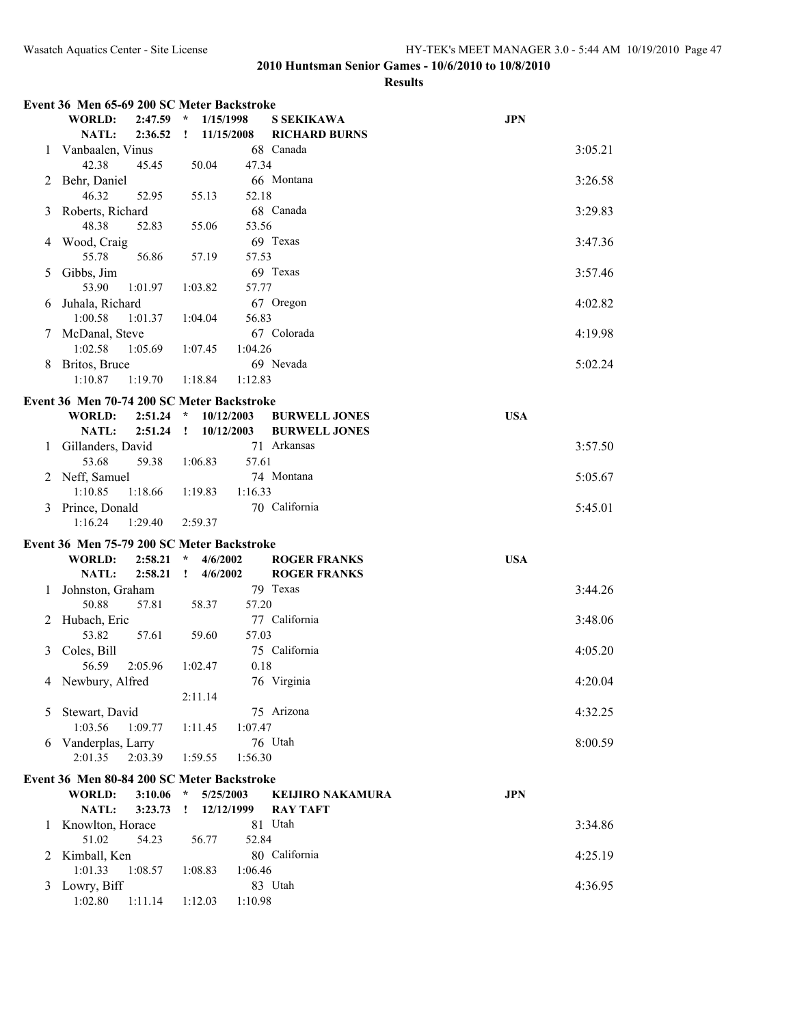|   | Event 36 Men 65-69 200 SC Meter Backstroke |                            |                         |            |
|---|--------------------------------------------|----------------------------|-------------------------|------------|
|   | <b>WORLD:</b><br>2:47.59                   | $\star$<br>1/15/1998       | <b>S SEKIKAWA</b>       | <b>JPN</b> |
|   | NATL:<br>2:36.52                           | 11/15/2008<br>$\mathbf{I}$ | <b>RICHARD BURNS</b>    |            |
| 1 | Vanbaalen, Vinus                           |                            | 68 Canada               | 3:05.21    |
|   | 42.38<br>45.45                             | 50.04<br>47.34             |                         |            |
| 2 | Behr, Daniel                               |                            | 66 Montana              | 3:26.58    |
|   | 46.32<br>52.95                             | 52.18<br>55.13             |                         |            |
| 3 | Roberts, Richard                           |                            | 68 Canada               | 3:29.83    |
|   | 48.38<br>52.83                             | 53.56<br>55.06             |                         |            |
|   | 4 Wood, Craig                              |                            | 69 Texas                | 3:47.36    |
|   | 55.78<br>56.86                             | 57.53<br>57.19             |                         |            |
| 5 | Gibbs, Jim                                 |                            | 69 Texas                | 3:57.46    |
|   | 53.90<br>1:01.97                           | 57.77<br>1:03.82           |                         |            |
| 6 | Juhala, Richard                            |                            | 67 Oregon               | 4:02.82    |
|   | 1:00.58<br>1:01.37                         | 56.83<br>1:04.04           |                         |            |
|   |                                            |                            | 67 Colorada             |            |
| 7 | McDanal, Steve                             |                            |                         | 4:19.98    |
|   | 1:02.58<br>1:05.69                         | 1:04.26<br>1:07.45         |                         |            |
| 8 | Britos, Bruce                              |                            | 69 Nevada               | 5:02.24    |
|   | 1:10.87<br>1:19.70                         | 1:18.84<br>1:12.83         |                         |            |
|   | Event 36 Men 70-74 200 SC Meter Backstroke |                            |                         |            |
|   | <b>WORLD:</b><br>2:51.24                   | * $10/12/2003$             | <b>BURWELL JONES</b>    | <b>USA</b> |
|   | NATL:<br>2:51.24                           | $\mathbf{I}$<br>10/12/2003 | <b>BURWELL JONES</b>    |            |
| 1 | Gillanders, David                          |                            | 71 Arkansas             | 3:57.50    |
|   | 53.68<br>59.38                             | 57.61<br>1:06.83           |                         |            |
|   | 2 Neff, Samuel                             |                            | 74 Montana              | 5:05.67    |
|   | 1:10.85<br>1:18.66                         | 1:16.33<br>1:19.83         |                         |            |
| 3 | Prince, Donald                             |                            | 70 California           | 5:45.01    |
|   | 1:16.24<br>1:29.40                         | 2:59.37                    |                         |            |
|   |                                            |                            |                         |            |
|   | Event 36 Men 75-79 200 SC Meter Backstroke |                            |                         |            |
|   | <b>WORLD:</b><br>2:58.21                   | $\star$<br>4/6/2002        | <b>ROGER FRANKS</b>     | <b>USA</b> |
|   | 2:58.21<br>NATL:                           | 4/6/2002<br>$\mathbf{r}$   | <b>ROGER FRANKS</b>     |            |
| 1 | Johnston, Graham                           |                            | 79 Texas                | 3:44.26    |
|   | 50.88<br>57.81                             | 58.37<br>57.20             |                         |            |
| 2 | Hubach, Eric                               |                            | 77 California           | 3:48.06    |
|   | 53.82<br>57.61                             | 57.03<br>59.60             |                         |            |
| 3 | Coles, Bill                                |                            | 75 California           | 4:05.20    |
|   | 56.59<br>2:05.96                           | 0.18<br>1:02.47            |                         |            |
|   | 4 Newbury, Alfred                          |                            | 76 Virginia             | 4:20.04    |
|   |                                            | 2:11.14                    |                         |            |
| 5 | Stewart, David                             |                            | 75 Arizona              | 4:32.25    |
|   | 1:03.56<br>1:09.77                         | 1:07.47<br>1:11.45         |                         |            |
|   | 6 Vanderplas, Larry                        |                            | 76 Utah                 | 8:00.59    |
|   | 2:01.35<br>2:03.39                         | 1:59.55<br>1:56.30         |                         |            |
|   | Event 36 Men 80-84 200 SC Meter Backstroke |                            |                         |            |
|   | <b>WORLD:</b><br>3:10.06                   | $\star$<br>5/25/2003       | <b>KEIJIRO NAKAMURA</b> | <b>JPN</b> |
|   | <b>NATL:</b><br>3:23.73                    | 12/12/1999<br>$\mathbf{I}$ | <b>RAY TAFT</b>         |            |
| 1 | Knowlton, Horace                           |                            | 81 Utah                 | 3:34.86    |
|   | 51.02<br>54.23                             | 56.77<br>52.84             |                         |            |
|   | 2 Kimball, Ken                             |                            | 80 California           | 4:25.19    |
|   | 1:01.33<br>1:08.57                         | 1:08.83<br>1:06.46         |                         |            |
|   | 3 Lowry, Biff                              |                            | 83 Utah                 | 4:36.95    |
|   | 1:02.80<br>1:11.14                         | 1:12.03<br>1:10.98         |                         |            |
|   |                                            |                            |                         |            |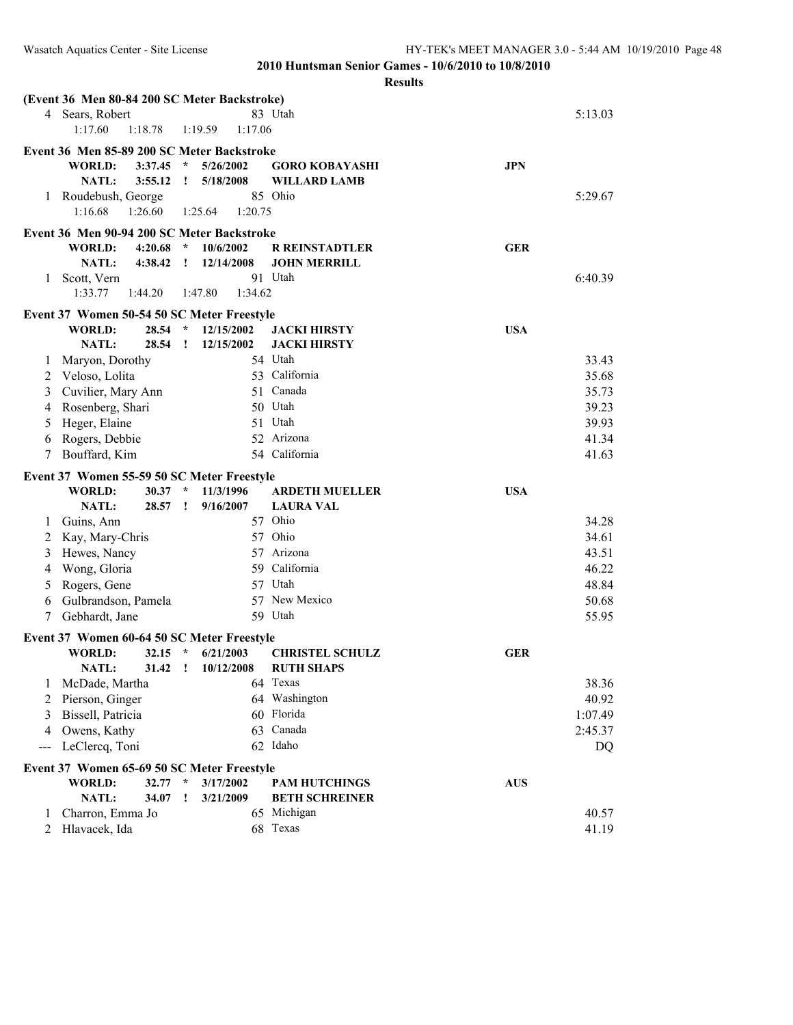|       | (Event 36 Men 80-84 200 SC Meter Backstroke) |         |              |                    |                         |            |                |
|-------|----------------------------------------------|---------|--------------|--------------------|-------------------------|------------|----------------|
|       | 4 Sears, Robert                              |         |              |                    | 83 Utah                 |            | 5:13.03        |
|       | 1:17.60                                      | 1:18.78 |              | 1:19.59<br>1:17.06 |                         |            |                |
|       | Event 36 Men 85-89 200 SC Meter Backstroke   |         |              |                    |                         |            |                |
|       | <b>WORLD:</b>                                | 3:37.45 | $\star$      | 5/26/2002          | <b>GORO KOBAYASHI</b>   | <b>JPN</b> |                |
|       | NATL:                                        | 3:55.12 | $\mathbf{I}$ | 5/18/2008          | WILLARD LAMB            |            |                |
| 1     | Roudebush, George                            |         |              |                    | 85 Ohio                 |            | 5:29.67        |
|       | 1:16.68                                      | 1:26.60 |              | 1:20.75<br>1:25.64 |                         |            |                |
|       |                                              |         |              |                    |                         |            |                |
|       | Event 36 Men 90-94 200 SC Meter Backstroke   |         |              |                    |                         |            |                |
|       | <b>WORLD:</b>                                | 4:20.68 | $\star$      | 10/6/2002          | <b>R REINSTADTLER</b>   | <b>GER</b> |                |
|       | <b>NATL:</b>                                 | 4:38.42 | $\mathbf{I}$ | 12/14/2008         | <b>JOHN MERRILL</b>     |            |                |
| 1     | Scott, Vern                                  |         |              |                    | 91 Utah                 |            | 6:40.39        |
|       | 1:33.77                                      | 1:44.20 |              | 1:34.62<br>1:47.80 |                         |            |                |
|       | Event 37 Women 50-54 50 SC Meter Freestyle   |         |              |                    |                         |            |                |
|       | <b>WORLD:</b>                                | 28.54   | $\star$      | 12/15/2002         | <b>JACKI HIRSTY</b>     | <b>USA</b> |                |
|       | <b>NATL:</b>                                 | 28.54   | $\mathbf{I}$ | 12/15/2002         | <b>JACKI HIRSTY</b>     |            |                |
| 1     | Maryon, Dorothy                              |         |              |                    | 54 Utah                 |            | 33.43          |
| 2     | Veloso, Lolita                               |         |              |                    | 53 California           |            | 35.68          |
| 3     | Cuvilier, Mary Ann                           |         |              |                    | 51 Canada               |            | 35.73          |
| 4     | Rosenberg, Shari                             |         |              |                    | 50 Utah                 |            | 39.23          |
| 5     | Heger, Elaine                                |         |              |                    | 51 Utah                 |            | 39.93          |
| 6     | Rogers, Debbie                               |         |              |                    | 52 Arizona              |            | 41.34          |
| 7     | Bouffard, Kim                                |         |              |                    | 54 California           |            | 41.63          |
|       |                                              |         |              |                    |                         |            |                |
|       |                                              |         |              |                    |                         |            |                |
|       | Event 37 Women 55-59 50 SC Meter Freestyle   |         |              |                    |                         |            |                |
|       | <b>WORLD:</b>                                | 30.37   | $\star$      | 11/3/1996          | <b>ARDETH MUELLER</b>   | <b>USA</b> |                |
|       | <b>NATL:</b>                                 | 28.57   | $\mathbf{r}$ | 9/16/2007          | <b>LAURA VAL</b>        |            |                |
| 1     | Guins, Ann                                   |         |              |                    | 57 Ohio                 |            | 34.28          |
| 2     | Kay, Mary-Chris                              |         |              |                    | 57 Ohio                 |            | 34.61          |
| 3     | Hewes, Nancy                                 |         |              |                    | 57 Arizona              |            | 43.51          |
| 4     | Wong, Gloria                                 |         |              |                    | 59 California           |            | 46.22          |
| 5     | Rogers, Gene                                 |         |              |                    | 57 Utah                 |            | 48.84          |
| 6     | Gulbrandson, Pamela                          |         |              |                    | 57 New Mexico           |            | 50.68          |
| 7     | Gebhardt, Jane                               |         |              |                    | 59 Utah                 |            | 55.95          |
|       |                                              |         |              |                    |                         |            |                |
|       | Event 37 Women 60-64 50 SC Meter Freestyle   |         | $\star$      |                    |                         |            |                |
|       | <b>WORLD:</b>                                | 32.15   | $\mathbf{I}$ | 6/21/2003          | <b>CHRISTEL SCHULZ</b>  | <b>GER</b> |                |
|       | <b>NATL:</b>                                 | 31.42   |              | 10/12/2008         | <b>RUTH SHAPS</b>       |            |                |
| 1     | McDade, Martha                               |         |              |                    | 64 Texas                |            | 38.36          |
| 2     | Pierson, Ginger                              |         |              |                    | 64 Washington           |            | 40.92          |
| 3     | Bissell, Patricia                            |         |              |                    | 60 Florida              |            | 1:07.49        |
| 4     | Owens, Kathy                                 |         |              |                    | 63 Canada               |            | 2:45.37        |
| $---$ | LeClercq, Toni                               |         |              |                    | 62 Idaho                |            | DQ             |
|       | Event 37 Women 65-69 50 SC Meter Freestyle   |         |              |                    |                         |            |                |
|       | <b>WORLD:</b>                                | 32.77   | $\star$      | 3/17/2002          | <b>PAM HUTCHINGS</b>    | <b>AUS</b> |                |
|       | NATL:                                        | 34.07   | ı            | 3/21/2009          | <b>BETH SCHREINER</b>   |            |                |
| 1     | Charron, Emma Jo<br>Hlavacek, Ida            |         |              |                    | 65 Michigan<br>68 Texas |            | 40.57<br>41.19 |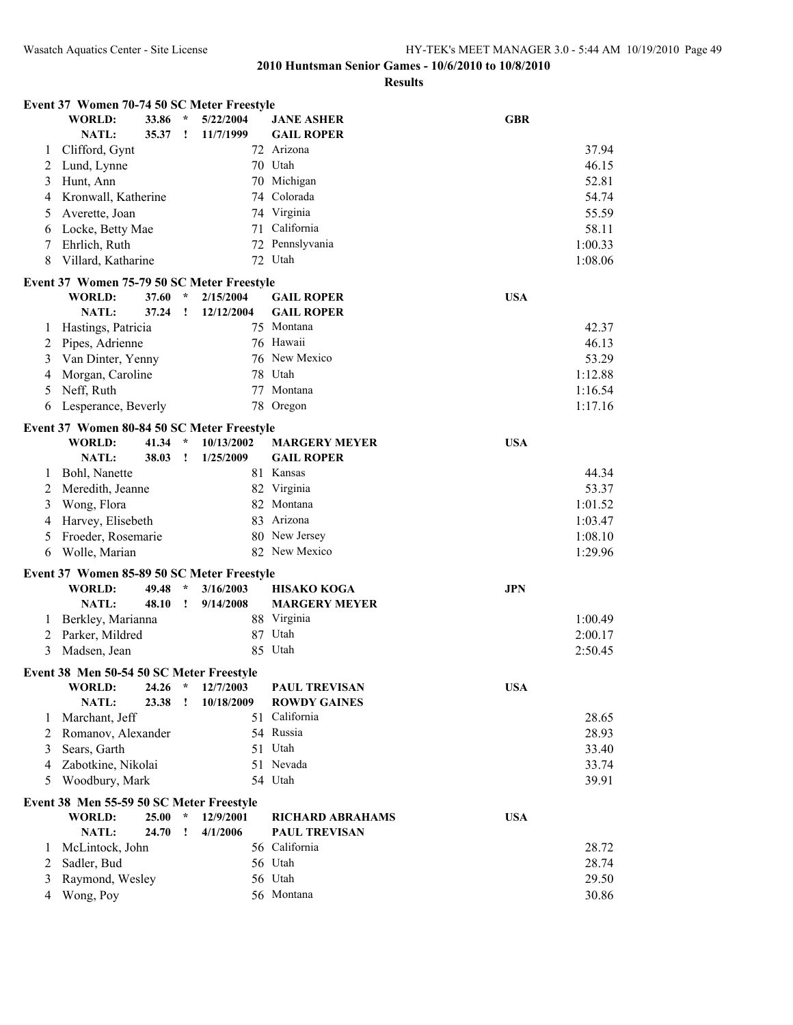|   | Event 37 Women 70-74 50 SC Meter Freestyle |                |                         |                        |                                        |            |
|---|--------------------------------------------|----------------|-------------------------|------------------------|----------------------------------------|------------|
|   | <b>WORLD:</b><br>NATL:                     | 33.86<br>35.37 | $\star$<br>$\mathbf{I}$ | 5/22/2004<br>11/7/1999 | <b>JANE ASHER</b><br><b>GAIL ROPER</b> | <b>GBR</b> |
| 1 | Clifford, Gynt                             |                |                         |                        | 72 Arizona                             | 37.94      |
| 2 | Lund, Lynne                                |                |                         |                        | 70 Utah                                | 46.15      |
| 3 | Hunt, Ann                                  |                |                         |                        | 70 Michigan                            | 52.81      |
| 4 | Kronwall, Katherine                        |                |                         |                        | 74 Colorada                            | 54.74      |
| 5 | Averette, Joan                             |                |                         |                        | 74 Virginia                            | 55.59      |
| 6 | Locke, Betty Mae                           |                |                         |                        | 71 California                          | 58.11      |
| 7 | Ehrlich, Ruth                              |                |                         |                        | 72 Pennslyvania                        | 1:00.33    |
| 8 | Villard, Katharine                         |                |                         |                        | 72 Utah                                | 1:08.06    |
|   | Event 37 Women 75-79 50 SC Meter Freestyle |                |                         |                        |                                        |            |
|   | <b>WORLD:</b>                              | 37.60          | $\star$                 | 2/15/2004              | <b>GAIL ROPER</b>                      | <b>USA</b> |
|   | <b>NATL:</b>                               | 37.24          | T                       | 12/12/2004             | <b>GAIL ROPER</b>                      |            |
| 1 | Hastings, Patricia                         |                |                         |                        | 75 Montana                             | 42.37      |
| 2 | Pipes, Adrienne                            |                |                         |                        | 76 Hawaii                              | 46.13      |
| 3 | Van Dinter, Yenny                          |                |                         |                        | 76 New Mexico                          | 53.29      |
| 4 | Morgan, Caroline                           |                |                         |                        | 78 Utah                                | 1:12.88    |
| 5 | Neff, Ruth                                 |                |                         |                        | 77 Montana                             | 1:16.54    |
| 6 | Lesperance, Beverly                        |                |                         |                        | 78 Oregon                              | 1:17.16    |
|   | Event 37 Women 80-84 50 SC Meter Freestyle |                |                         |                        |                                        |            |
|   | <b>WORLD:</b>                              | 41.34          |                         | 10/13/2002             | <b>MARGERY MEYER</b>                   | <b>USA</b> |
|   | NATL:                                      | 38.03          | $\mathbf{I}$            | 1/25/2009              | <b>GAIL ROPER</b>                      |            |
| 1 | Bohl, Nanette                              |                |                         |                        | 81 Kansas                              | 44.34      |
| 2 | Meredith, Jeanne                           |                |                         |                        | 82 Virginia                            | 53.37      |
| 3 | Wong, Flora                                |                |                         |                        | 82 Montana                             | 1:01.52    |
| 4 | Harvey, Elisebeth                          |                |                         |                        | 83 Arizona                             | 1:03.47    |
| 5 | Froeder, Rosemarie                         |                |                         |                        | 80 New Jersey                          | 1:08.10    |
| 6 | Wolle, Marian                              |                |                         |                        | 82 New Mexico                          | 1:29.96    |
|   | Event 37 Women 85-89 50 SC Meter Freestyle |                |                         |                        |                                        |            |
|   | <b>WORLD:</b>                              | 49.48          | $\star$                 | 3/16/2003              | <b>HISAKO KOGA</b>                     | <b>JPN</b> |
|   | <b>NATL:</b>                               | 48.10          | Ţ                       | 9/14/2008              | <b>MARGERY MEYER</b>                   |            |
| 1 | Berkley, Marianna                          |                |                         |                        | 88 Virginia                            | 1:00.49    |
| 2 | Parker, Mildred                            |                |                         |                        | 87 Utah                                | 2:00.17    |
| 3 | Madsen, Jean                               |                |                         |                        | 85 Utah                                | 2:50.45    |
|   | Event 38 Men 50-54 50 SC Meter Freestyle   |                |                         |                        |                                        |            |
|   | <b>WORLD:</b>                              | 24.26          | $\star$                 | 12/7/2003              | <b>PAUL TREVISAN</b>                   | <b>USA</b> |
|   | NATL:                                      | 23.38          | $\mathbf{I}$            | 10/18/2009             | <b>ROWDY GAINES</b>                    |            |
| 1 | Marchant, Jeff                             |                |                         |                        | 51 California                          | 28.65      |
| 2 | Romanov, Alexander                         |                |                         |                        | 54 Russia                              | 28.93      |
| 3 | Sears, Garth                               |                |                         |                        | 51 Utah                                | 33.40      |
| 4 | Zabotkine, Nikolai                         |                |                         |                        | 51 Nevada                              | 33.74      |
| 5 | Woodbury, Mark                             |                |                         |                        | 54 Utah                                | 39.91      |
|   | Event 38 Men 55-59 50 SC Meter Freestyle   |                |                         |                        |                                        |            |
|   | <b>WORLD:</b>                              | 25.00          | $\star$                 | 12/9/2001              | <b>RICHARD ABRAHAMS</b>                | <b>USA</b> |
|   | <b>NATL:</b>                               | 24.70          | 1                       | 4/1/2006               | <b>PAUL TREVISAN</b>                   |            |
| 1 | McLintock, John                            |                |                         |                        | 56 California                          | 28.72      |
| 2 | Sadler, Bud                                |                |                         |                        | 56 Utah                                | 28.74      |
| 3 | Raymond, Wesley                            |                |                         |                        | 56 Utah                                | 29.50      |
| 4 | Wong, Poy                                  |                |                         |                        | 56 Montana                             | 30.86      |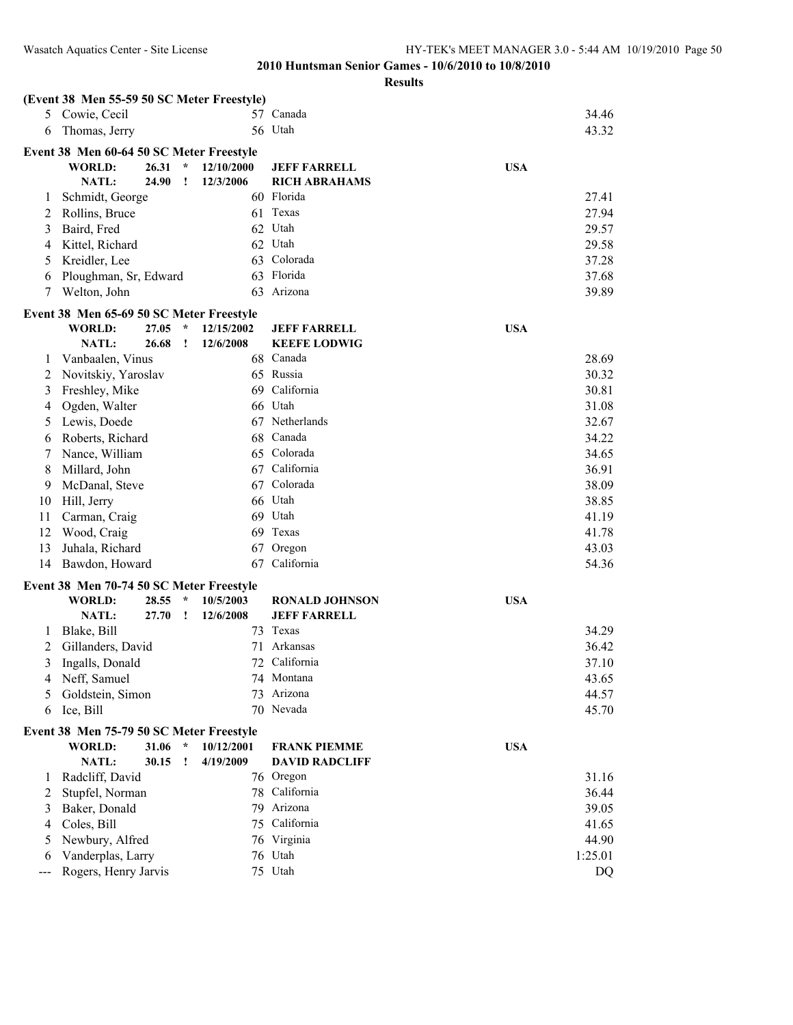| 57 Canada<br>5 Cowie, Cecil<br>34.46<br>56 Utah<br>43.32<br>Thomas, Jerry<br>6<br>Event 38 Men 60-64 50 SC Meter Freestyle<br><b>WORLD:</b><br>26.31<br>$\star$<br>12/10/2000<br><b>JEFF FARRELL</b><br><b>USA</b><br>NATL:<br>24.90<br>12/3/2006<br><b>RICH ABRAHAMS</b><br>Ţ<br>Schmidt, George<br>60 Florida<br>27.41<br>1<br>61 Texas<br>27.94<br>Rollins, Bruce<br>2<br>62 Utah<br>29.57<br>3<br>Baird, Fred<br>62 Utah<br>29.58<br>Kittel, Richard<br>4<br>63 Colorada<br>Kreidler, Lee<br>37.28<br>5<br>63 Florida<br>Ploughman, Sr, Edward<br>37.68<br>6<br>Arizona<br>Welton, John<br>7<br>63<br>39.89<br>Event 38 Men 65-69 50 SC Meter Freestyle<br><b>WORLD:</b><br>27.05<br>$\star$<br>12/15/2002<br><b>USA</b><br><b>JEFF FARRELL</b><br><b>NATL:</b><br>26.68<br>12/6/2008<br><b>KEEFE LODWIG</b><br>Ţ<br>28.69<br>Vanbaalen, Vinus<br>68 Canada<br>1<br>65 Russia<br>30.32<br>Novitskiy, Yaroslav<br>2<br>69 California<br>30.81<br>3<br>Freshley, Mike<br>66 Utah<br>31.08<br>Ogden, Walter<br>4<br>67 Netherlands<br>Lewis, Doede<br>32.67<br>5<br>Canada<br>Roberts, Richard<br>68<br>34.22<br>6<br>Colorada<br>Nance, William<br>65<br>34.65<br>7<br>California<br>Millard, John<br>67<br>36.91<br>8<br>Colorada<br>38.09<br>McDanal, Steve<br>67<br>9<br>66 Utah<br>Hill, Jerry<br>38.85<br>10<br>69 Utah<br>Carman, Craig<br>41.19<br>11<br>Wood, Craig<br>Texas<br>41.78<br>12<br>69<br>Juhala, Richard<br>Oregon<br>43.03<br>67<br>13<br>California<br>54.36<br>Bawdon, Howard<br>67<br>14<br>Event 38 Men 70-74 50 SC Meter Freestyle<br><b>WORLD:</b><br>28.55<br><b>USA</b><br>10/5/2003<br><b>RONALD JOHNSON</b><br>NATL:<br>27.70<br>12/6/2008<br><b>JEFF FARRELL</b><br>1<br>73 Texas<br>34.29<br>Blake, Bill<br>1<br>Arkansas<br>36.42<br>Gillanders, David<br>71<br>2<br>72<br>California<br>3<br>Ingalls, Donald<br>37.10<br>Neff, Samuel<br>74 Montana<br>43.65<br>4<br>73 Arizona<br>Goldstein, Simon<br>44.57<br>5<br>70 Nevada<br>Ice, Bill<br>45.70<br>6<br>Event 38 Men 75-79 50 SC Meter Freestyle<br>31.06<br><b>WORLD:</b><br>$\star$<br>10/12/2001<br><b>FRANK PIEMME</b><br><b>USA</b><br>NATL:<br>30.15<br>4/19/2009<br><b>DAVID RADCLIFF</b><br>!<br>31.16<br>Radcliff, David<br>76 Oregon<br>1<br>78 California<br>36.44<br>Stupfel, Norman<br>2<br>Baker, Donald<br>79 Arizona<br>39.05<br>3<br>75 California<br>Coles, Bill<br>41.65<br>4<br>Newbury, Alfred<br>76 Virginia<br>44.90<br>5<br>Vanderplas, Larry<br>76 Utah<br>1:25.01<br>6<br>75 Utah |     | (Event 38 Men 55-59 50 SC Meter Freestyle) |  |  |    |  |
|-------------------------------------------------------------------------------------------------------------------------------------------------------------------------------------------------------------------------------------------------------------------------------------------------------------------------------------------------------------------------------------------------------------------------------------------------------------------------------------------------------------------------------------------------------------------------------------------------------------------------------------------------------------------------------------------------------------------------------------------------------------------------------------------------------------------------------------------------------------------------------------------------------------------------------------------------------------------------------------------------------------------------------------------------------------------------------------------------------------------------------------------------------------------------------------------------------------------------------------------------------------------------------------------------------------------------------------------------------------------------------------------------------------------------------------------------------------------------------------------------------------------------------------------------------------------------------------------------------------------------------------------------------------------------------------------------------------------------------------------------------------------------------------------------------------------------------------------------------------------------------------------------------------------------------------------------------------------------------------------------------------------------------------------------------------------------------------------------------------------------------------------------------------------------------------------------------------------------------------------------------------------------------------------------------------------------------------------------------------------------------------------------------------------------------------------------------------------------------------------------------|-----|--------------------------------------------|--|--|----|--|
|                                                                                                                                                                                                                                                                                                                                                                                                                                                                                                                                                                                                                                                                                                                                                                                                                                                                                                                                                                                                                                                                                                                                                                                                                                                                                                                                                                                                                                                                                                                                                                                                                                                                                                                                                                                                                                                                                                                                                                                                                                                                                                                                                                                                                                                                                                                                                                                                                                                                                                       |     |                                            |  |  |    |  |
|                                                                                                                                                                                                                                                                                                                                                                                                                                                                                                                                                                                                                                                                                                                                                                                                                                                                                                                                                                                                                                                                                                                                                                                                                                                                                                                                                                                                                                                                                                                                                                                                                                                                                                                                                                                                                                                                                                                                                                                                                                                                                                                                                                                                                                                                                                                                                                                                                                                                                                       |     |                                            |  |  |    |  |
|                                                                                                                                                                                                                                                                                                                                                                                                                                                                                                                                                                                                                                                                                                                                                                                                                                                                                                                                                                                                                                                                                                                                                                                                                                                                                                                                                                                                                                                                                                                                                                                                                                                                                                                                                                                                                                                                                                                                                                                                                                                                                                                                                                                                                                                                                                                                                                                                                                                                                                       |     |                                            |  |  |    |  |
|                                                                                                                                                                                                                                                                                                                                                                                                                                                                                                                                                                                                                                                                                                                                                                                                                                                                                                                                                                                                                                                                                                                                                                                                                                                                                                                                                                                                                                                                                                                                                                                                                                                                                                                                                                                                                                                                                                                                                                                                                                                                                                                                                                                                                                                                                                                                                                                                                                                                                                       |     |                                            |  |  |    |  |
|                                                                                                                                                                                                                                                                                                                                                                                                                                                                                                                                                                                                                                                                                                                                                                                                                                                                                                                                                                                                                                                                                                                                                                                                                                                                                                                                                                                                                                                                                                                                                                                                                                                                                                                                                                                                                                                                                                                                                                                                                                                                                                                                                                                                                                                                                                                                                                                                                                                                                                       |     |                                            |  |  |    |  |
|                                                                                                                                                                                                                                                                                                                                                                                                                                                                                                                                                                                                                                                                                                                                                                                                                                                                                                                                                                                                                                                                                                                                                                                                                                                                                                                                                                                                                                                                                                                                                                                                                                                                                                                                                                                                                                                                                                                                                                                                                                                                                                                                                                                                                                                                                                                                                                                                                                                                                                       |     |                                            |  |  |    |  |
|                                                                                                                                                                                                                                                                                                                                                                                                                                                                                                                                                                                                                                                                                                                                                                                                                                                                                                                                                                                                                                                                                                                                                                                                                                                                                                                                                                                                                                                                                                                                                                                                                                                                                                                                                                                                                                                                                                                                                                                                                                                                                                                                                                                                                                                                                                                                                                                                                                                                                                       |     |                                            |  |  |    |  |
|                                                                                                                                                                                                                                                                                                                                                                                                                                                                                                                                                                                                                                                                                                                                                                                                                                                                                                                                                                                                                                                                                                                                                                                                                                                                                                                                                                                                                                                                                                                                                                                                                                                                                                                                                                                                                                                                                                                                                                                                                                                                                                                                                                                                                                                                                                                                                                                                                                                                                                       |     |                                            |  |  |    |  |
|                                                                                                                                                                                                                                                                                                                                                                                                                                                                                                                                                                                                                                                                                                                                                                                                                                                                                                                                                                                                                                                                                                                                                                                                                                                                                                                                                                                                                                                                                                                                                                                                                                                                                                                                                                                                                                                                                                                                                                                                                                                                                                                                                                                                                                                                                                                                                                                                                                                                                                       |     |                                            |  |  |    |  |
|                                                                                                                                                                                                                                                                                                                                                                                                                                                                                                                                                                                                                                                                                                                                                                                                                                                                                                                                                                                                                                                                                                                                                                                                                                                                                                                                                                                                                                                                                                                                                                                                                                                                                                                                                                                                                                                                                                                                                                                                                                                                                                                                                                                                                                                                                                                                                                                                                                                                                                       |     |                                            |  |  |    |  |
|                                                                                                                                                                                                                                                                                                                                                                                                                                                                                                                                                                                                                                                                                                                                                                                                                                                                                                                                                                                                                                                                                                                                                                                                                                                                                                                                                                                                                                                                                                                                                                                                                                                                                                                                                                                                                                                                                                                                                                                                                                                                                                                                                                                                                                                                                                                                                                                                                                                                                                       |     |                                            |  |  |    |  |
|                                                                                                                                                                                                                                                                                                                                                                                                                                                                                                                                                                                                                                                                                                                                                                                                                                                                                                                                                                                                                                                                                                                                                                                                                                                                                                                                                                                                                                                                                                                                                                                                                                                                                                                                                                                                                                                                                                                                                                                                                                                                                                                                                                                                                                                                                                                                                                                                                                                                                                       |     |                                            |  |  |    |  |
|                                                                                                                                                                                                                                                                                                                                                                                                                                                                                                                                                                                                                                                                                                                                                                                                                                                                                                                                                                                                                                                                                                                                                                                                                                                                                                                                                                                                                                                                                                                                                                                                                                                                                                                                                                                                                                                                                                                                                                                                                                                                                                                                                                                                                                                                                                                                                                                                                                                                                                       |     |                                            |  |  |    |  |
|                                                                                                                                                                                                                                                                                                                                                                                                                                                                                                                                                                                                                                                                                                                                                                                                                                                                                                                                                                                                                                                                                                                                                                                                                                                                                                                                                                                                                                                                                                                                                                                                                                                                                                                                                                                                                                                                                                                                                                                                                                                                                                                                                                                                                                                                                                                                                                                                                                                                                                       |     |                                            |  |  |    |  |
|                                                                                                                                                                                                                                                                                                                                                                                                                                                                                                                                                                                                                                                                                                                                                                                                                                                                                                                                                                                                                                                                                                                                                                                                                                                                                                                                                                                                                                                                                                                                                                                                                                                                                                                                                                                                                                                                                                                                                                                                                                                                                                                                                                                                                                                                                                                                                                                                                                                                                                       |     |                                            |  |  |    |  |
|                                                                                                                                                                                                                                                                                                                                                                                                                                                                                                                                                                                                                                                                                                                                                                                                                                                                                                                                                                                                                                                                                                                                                                                                                                                                                                                                                                                                                                                                                                                                                                                                                                                                                                                                                                                                                                                                                                                                                                                                                                                                                                                                                                                                                                                                                                                                                                                                                                                                                                       |     |                                            |  |  |    |  |
|                                                                                                                                                                                                                                                                                                                                                                                                                                                                                                                                                                                                                                                                                                                                                                                                                                                                                                                                                                                                                                                                                                                                                                                                                                                                                                                                                                                                                                                                                                                                                                                                                                                                                                                                                                                                                                                                                                                                                                                                                                                                                                                                                                                                                                                                                                                                                                                                                                                                                                       |     |                                            |  |  |    |  |
|                                                                                                                                                                                                                                                                                                                                                                                                                                                                                                                                                                                                                                                                                                                                                                                                                                                                                                                                                                                                                                                                                                                                                                                                                                                                                                                                                                                                                                                                                                                                                                                                                                                                                                                                                                                                                                                                                                                                                                                                                                                                                                                                                                                                                                                                                                                                                                                                                                                                                                       |     |                                            |  |  |    |  |
|                                                                                                                                                                                                                                                                                                                                                                                                                                                                                                                                                                                                                                                                                                                                                                                                                                                                                                                                                                                                                                                                                                                                                                                                                                                                                                                                                                                                                                                                                                                                                                                                                                                                                                                                                                                                                                                                                                                                                                                                                                                                                                                                                                                                                                                                                                                                                                                                                                                                                                       |     |                                            |  |  |    |  |
|                                                                                                                                                                                                                                                                                                                                                                                                                                                                                                                                                                                                                                                                                                                                                                                                                                                                                                                                                                                                                                                                                                                                                                                                                                                                                                                                                                                                                                                                                                                                                                                                                                                                                                                                                                                                                                                                                                                                                                                                                                                                                                                                                                                                                                                                                                                                                                                                                                                                                                       |     |                                            |  |  |    |  |
|                                                                                                                                                                                                                                                                                                                                                                                                                                                                                                                                                                                                                                                                                                                                                                                                                                                                                                                                                                                                                                                                                                                                                                                                                                                                                                                                                                                                                                                                                                                                                                                                                                                                                                                                                                                                                                                                                                                                                                                                                                                                                                                                                                                                                                                                                                                                                                                                                                                                                                       |     |                                            |  |  |    |  |
|                                                                                                                                                                                                                                                                                                                                                                                                                                                                                                                                                                                                                                                                                                                                                                                                                                                                                                                                                                                                                                                                                                                                                                                                                                                                                                                                                                                                                                                                                                                                                                                                                                                                                                                                                                                                                                                                                                                                                                                                                                                                                                                                                                                                                                                                                                                                                                                                                                                                                                       |     |                                            |  |  |    |  |
|                                                                                                                                                                                                                                                                                                                                                                                                                                                                                                                                                                                                                                                                                                                                                                                                                                                                                                                                                                                                                                                                                                                                                                                                                                                                                                                                                                                                                                                                                                                                                                                                                                                                                                                                                                                                                                                                                                                                                                                                                                                                                                                                                                                                                                                                                                                                                                                                                                                                                                       |     |                                            |  |  |    |  |
|                                                                                                                                                                                                                                                                                                                                                                                                                                                                                                                                                                                                                                                                                                                                                                                                                                                                                                                                                                                                                                                                                                                                                                                                                                                                                                                                                                                                                                                                                                                                                                                                                                                                                                                                                                                                                                                                                                                                                                                                                                                                                                                                                                                                                                                                                                                                                                                                                                                                                                       |     |                                            |  |  |    |  |
|                                                                                                                                                                                                                                                                                                                                                                                                                                                                                                                                                                                                                                                                                                                                                                                                                                                                                                                                                                                                                                                                                                                                                                                                                                                                                                                                                                                                                                                                                                                                                                                                                                                                                                                                                                                                                                                                                                                                                                                                                                                                                                                                                                                                                                                                                                                                                                                                                                                                                                       |     |                                            |  |  |    |  |
|                                                                                                                                                                                                                                                                                                                                                                                                                                                                                                                                                                                                                                                                                                                                                                                                                                                                                                                                                                                                                                                                                                                                                                                                                                                                                                                                                                                                                                                                                                                                                                                                                                                                                                                                                                                                                                                                                                                                                                                                                                                                                                                                                                                                                                                                                                                                                                                                                                                                                                       |     |                                            |  |  |    |  |
|                                                                                                                                                                                                                                                                                                                                                                                                                                                                                                                                                                                                                                                                                                                                                                                                                                                                                                                                                                                                                                                                                                                                                                                                                                                                                                                                                                                                                                                                                                                                                                                                                                                                                                                                                                                                                                                                                                                                                                                                                                                                                                                                                                                                                                                                                                                                                                                                                                                                                                       |     |                                            |  |  |    |  |
|                                                                                                                                                                                                                                                                                                                                                                                                                                                                                                                                                                                                                                                                                                                                                                                                                                                                                                                                                                                                                                                                                                                                                                                                                                                                                                                                                                                                                                                                                                                                                                                                                                                                                                                                                                                                                                                                                                                                                                                                                                                                                                                                                                                                                                                                                                                                                                                                                                                                                                       |     |                                            |  |  |    |  |
|                                                                                                                                                                                                                                                                                                                                                                                                                                                                                                                                                                                                                                                                                                                                                                                                                                                                                                                                                                                                                                                                                                                                                                                                                                                                                                                                                                                                                                                                                                                                                                                                                                                                                                                                                                                                                                                                                                                                                                                                                                                                                                                                                                                                                                                                                                                                                                                                                                                                                                       |     |                                            |  |  |    |  |
|                                                                                                                                                                                                                                                                                                                                                                                                                                                                                                                                                                                                                                                                                                                                                                                                                                                                                                                                                                                                                                                                                                                                                                                                                                                                                                                                                                                                                                                                                                                                                                                                                                                                                                                                                                                                                                                                                                                                                                                                                                                                                                                                                                                                                                                                                                                                                                                                                                                                                                       |     |                                            |  |  |    |  |
|                                                                                                                                                                                                                                                                                                                                                                                                                                                                                                                                                                                                                                                                                                                                                                                                                                                                                                                                                                                                                                                                                                                                                                                                                                                                                                                                                                                                                                                                                                                                                                                                                                                                                                                                                                                                                                                                                                                                                                                                                                                                                                                                                                                                                                                                                                                                                                                                                                                                                                       |     |                                            |  |  |    |  |
|                                                                                                                                                                                                                                                                                                                                                                                                                                                                                                                                                                                                                                                                                                                                                                                                                                                                                                                                                                                                                                                                                                                                                                                                                                                                                                                                                                                                                                                                                                                                                                                                                                                                                                                                                                                                                                                                                                                                                                                                                                                                                                                                                                                                                                                                                                                                                                                                                                                                                                       |     |                                            |  |  |    |  |
|                                                                                                                                                                                                                                                                                                                                                                                                                                                                                                                                                                                                                                                                                                                                                                                                                                                                                                                                                                                                                                                                                                                                                                                                                                                                                                                                                                                                                                                                                                                                                                                                                                                                                                                                                                                                                                                                                                                                                                                                                                                                                                                                                                                                                                                                                                                                                                                                                                                                                                       |     |                                            |  |  |    |  |
|                                                                                                                                                                                                                                                                                                                                                                                                                                                                                                                                                                                                                                                                                                                                                                                                                                                                                                                                                                                                                                                                                                                                                                                                                                                                                                                                                                                                                                                                                                                                                                                                                                                                                                                                                                                                                                                                                                                                                                                                                                                                                                                                                                                                                                                                                                                                                                                                                                                                                                       |     |                                            |  |  |    |  |
|                                                                                                                                                                                                                                                                                                                                                                                                                                                                                                                                                                                                                                                                                                                                                                                                                                                                                                                                                                                                                                                                                                                                                                                                                                                                                                                                                                                                                                                                                                                                                                                                                                                                                                                                                                                                                                                                                                                                                                                                                                                                                                                                                                                                                                                                                                                                                                                                                                                                                                       |     |                                            |  |  |    |  |
|                                                                                                                                                                                                                                                                                                                                                                                                                                                                                                                                                                                                                                                                                                                                                                                                                                                                                                                                                                                                                                                                                                                                                                                                                                                                                                                                                                                                                                                                                                                                                                                                                                                                                                                                                                                                                                                                                                                                                                                                                                                                                                                                                                                                                                                                                                                                                                                                                                                                                                       |     |                                            |  |  |    |  |
|                                                                                                                                                                                                                                                                                                                                                                                                                                                                                                                                                                                                                                                                                                                                                                                                                                                                                                                                                                                                                                                                                                                                                                                                                                                                                                                                                                                                                                                                                                                                                                                                                                                                                                                                                                                                                                                                                                                                                                                                                                                                                                                                                                                                                                                                                                                                                                                                                                                                                                       |     |                                            |  |  |    |  |
|                                                                                                                                                                                                                                                                                                                                                                                                                                                                                                                                                                                                                                                                                                                                                                                                                                                                                                                                                                                                                                                                                                                                                                                                                                                                                                                                                                                                                                                                                                                                                                                                                                                                                                                                                                                                                                                                                                                                                                                                                                                                                                                                                                                                                                                                                                                                                                                                                                                                                                       |     |                                            |  |  |    |  |
|                                                                                                                                                                                                                                                                                                                                                                                                                                                                                                                                                                                                                                                                                                                                                                                                                                                                                                                                                                                                                                                                                                                                                                                                                                                                                                                                                                                                                                                                                                                                                                                                                                                                                                                                                                                                                                                                                                                                                                                                                                                                                                                                                                                                                                                                                                                                                                                                                                                                                                       |     |                                            |  |  |    |  |
|                                                                                                                                                                                                                                                                                                                                                                                                                                                                                                                                                                                                                                                                                                                                                                                                                                                                                                                                                                                                                                                                                                                                                                                                                                                                                                                                                                                                                                                                                                                                                                                                                                                                                                                                                                                                                                                                                                                                                                                                                                                                                                                                                                                                                                                                                                                                                                                                                                                                                                       |     |                                            |  |  |    |  |
|                                                                                                                                                                                                                                                                                                                                                                                                                                                                                                                                                                                                                                                                                                                                                                                                                                                                                                                                                                                                                                                                                                                                                                                                                                                                                                                                                                                                                                                                                                                                                                                                                                                                                                                                                                                                                                                                                                                                                                                                                                                                                                                                                                                                                                                                                                                                                                                                                                                                                                       |     |                                            |  |  |    |  |
|                                                                                                                                                                                                                                                                                                                                                                                                                                                                                                                                                                                                                                                                                                                                                                                                                                                                                                                                                                                                                                                                                                                                                                                                                                                                                                                                                                                                                                                                                                                                                                                                                                                                                                                                                                                                                                                                                                                                                                                                                                                                                                                                                                                                                                                                                                                                                                                                                                                                                                       |     |                                            |  |  |    |  |
|                                                                                                                                                                                                                                                                                                                                                                                                                                                                                                                                                                                                                                                                                                                                                                                                                                                                                                                                                                                                                                                                                                                                                                                                                                                                                                                                                                                                                                                                                                                                                                                                                                                                                                                                                                                                                                                                                                                                                                                                                                                                                                                                                                                                                                                                                                                                                                                                                                                                                                       |     |                                            |  |  |    |  |
|                                                                                                                                                                                                                                                                                                                                                                                                                                                                                                                                                                                                                                                                                                                                                                                                                                                                                                                                                                                                                                                                                                                                                                                                                                                                                                                                                                                                                                                                                                                                                                                                                                                                                                                                                                                                                                                                                                                                                                                                                                                                                                                                                                                                                                                                                                                                                                                                                                                                                                       |     |                                            |  |  |    |  |
|                                                                                                                                                                                                                                                                                                                                                                                                                                                                                                                                                                                                                                                                                                                                                                                                                                                                                                                                                                                                                                                                                                                                                                                                                                                                                                                                                                                                                                                                                                                                                                                                                                                                                                                                                                                                                                                                                                                                                                                                                                                                                                                                                                                                                                                                                                                                                                                                                                                                                                       |     |                                            |  |  |    |  |
|                                                                                                                                                                                                                                                                                                                                                                                                                                                                                                                                                                                                                                                                                                                                                                                                                                                                                                                                                                                                                                                                                                                                                                                                                                                                                                                                                                                                                                                                                                                                                                                                                                                                                                                                                                                                                                                                                                                                                                                                                                                                                                                                                                                                                                                                                                                                                                                                                                                                                                       |     |                                            |  |  |    |  |
|                                                                                                                                                                                                                                                                                                                                                                                                                                                                                                                                                                                                                                                                                                                                                                                                                                                                                                                                                                                                                                                                                                                                                                                                                                                                                                                                                                                                                                                                                                                                                                                                                                                                                                                                                                                                                                                                                                                                                                                                                                                                                                                                                                                                                                                                                                                                                                                                                                                                                                       |     |                                            |  |  |    |  |
|                                                                                                                                                                                                                                                                                                                                                                                                                                                                                                                                                                                                                                                                                                                                                                                                                                                                                                                                                                                                                                                                                                                                                                                                                                                                                                                                                                                                                                                                                                                                                                                                                                                                                                                                                                                                                                                                                                                                                                                                                                                                                                                                                                                                                                                                                                                                                                                                                                                                                                       | --- | Rogers, Henry Jarvis                       |  |  | DQ |  |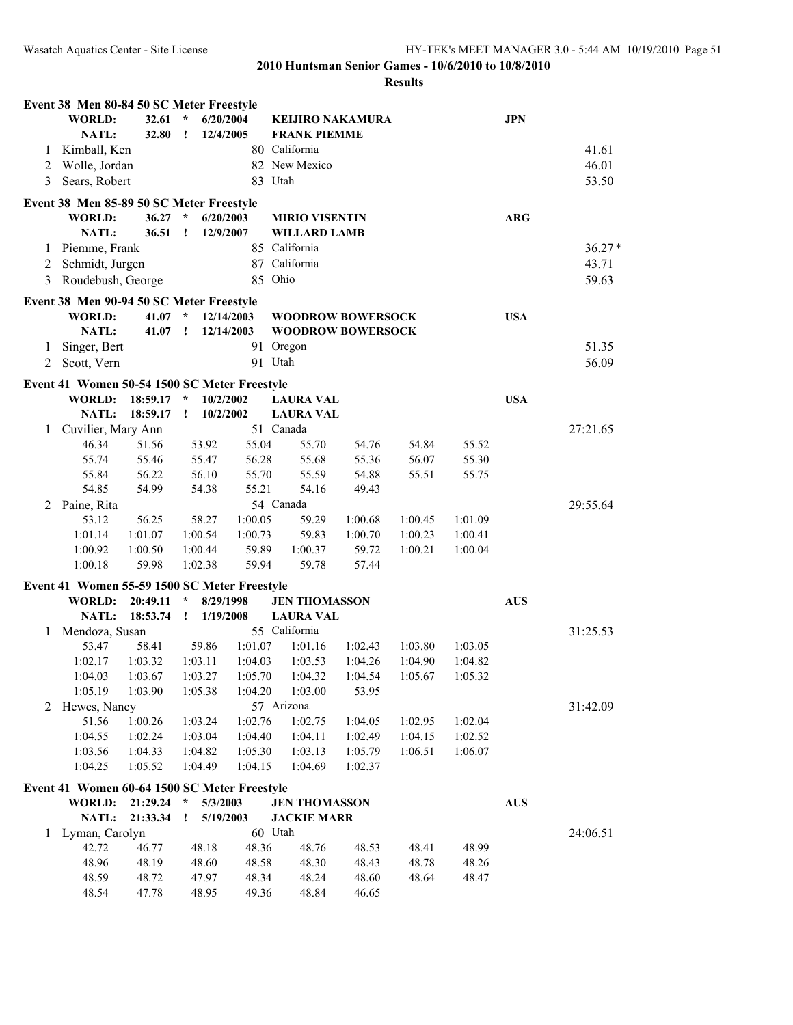|                | Event 38 Men 80-84 50 SC Meter Freestyle     |           |               |            |                          |         |         |         |            |          |
|----------------|----------------------------------------------|-----------|---------------|------------|--------------------------|---------|---------|---------|------------|----------|
|                | <b>WORLD:</b>                                | 32.61     | $\star$       | 6/20/2004  | <b>KEIJIRO NAKAMURA</b>  |         |         |         | <b>JPN</b> |          |
|                | NATL:                                        | 32.80     | $\cdot$       | 12/4/2005  | <b>FRANK PIEMME</b>      |         |         |         |            |          |
| 1              | Kimball, Ken                                 |           |               |            | 80 California            |         |         |         |            | 41.61    |
| $\overline{2}$ | Wolle, Jordan                                |           |               |            | 82 New Mexico            |         |         |         |            | 46.01    |
| 3              | Sears, Robert                                |           |               |            | 83 Utah                  |         |         |         |            | 53.50    |
|                | Event 38 Men 85-89 50 SC Meter Freestyle     |           |               |            |                          |         |         |         |            |          |
|                | <b>WORLD:</b>                                | 36.27     | $\mathcal{R}$ | 6/20/2003  | <b>MIRIO VISENTIN</b>    |         |         |         | <b>ARG</b> |          |
|                | <b>NATL:</b>                                 | 36.51     | $\cdot$       | 12/9/2007  | <b>WILLARD LAMB</b>      |         |         |         |            |          |
| 1              | Piemme, Frank                                |           |               |            | 85 California            |         |         |         |            | $36.27*$ |
| 2              | Schmidt, Jurgen                              |           |               |            | 87 California            |         |         |         |            | 43.71    |
| 3              | Roudebush, George                            |           |               |            | 85 Ohio                  |         |         |         |            | 59.63    |
|                | Event 38 Men 90-94 50 SC Meter Freestyle     |           |               |            |                          |         |         |         |            |          |
|                | <b>WORLD:</b>                                | 41.07 $*$ |               | 12/14/2003 | <b>WOODROW BOWERSOCK</b> |         |         |         | <b>USA</b> |          |
|                | NATL:                                        | 41.07     | $\mathbf{I}$  | 12/14/2003 | <b>WOODROW BOWERSOCK</b> |         |         |         |            |          |
| 1              | Singer, Bert                                 |           |               |            | 91 Oregon                |         |         |         |            | 51.35    |
| 2              | Scott, Vern                                  |           |               |            | 91 Utah                  |         |         |         |            | 56.09    |
|                | Event 41 Women 50-54 1500 SC Meter Freestyle |           |               |            |                          |         |         |         |            |          |
|                | <b>WORLD:</b>                                | 18:59.17  | $\star$       | 10/2/2002  | <b>LAURA VAL</b>         |         |         |         | <b>USA</b> |          |
|                | <b>NATL:</b>                                 | 18:59.17  | $\mathbf{I}$  | 10/2/2002  | <b>LAURA VAL</b>         |         |         |         |            |          |
| 1              | Cuvilier, Mary Ann                           |           |               |            | 51 Canada                |         |         |         |            | 27:21.65 |
|                | 46.34                                        | 51.56     | 53.92         | 55.04      | 55.70                    | 54.76   | 54.84   | 55.52   |            |          |
|                | 55.74                                        | 55.46     | 55.47         | 56.28      | 55.68                    | 55.36   | 56.07   | 55.30   |            |          |
|                | 55.84                                        | 56.22     | 56.10         | 55.70      | 55.59                    | 54.88   | 55.51   | 55.75   |            |          |
|                | 54.85                                        | 54.99     | 54.38         | 55.21      | 54.16                    | 49.43   |         |         |            |          |
| 2              | Paine, Rita                                  |           |               |            | 54 Canada                |         |         |         |            | 29:55.64 |
|                | 53.12                                        | 56.25     | 58.27         | 1:00.05    | 59.29                    | 1:00.68 | 1:00.45 | 1:01.09 |            |          |
|                | 1:01.14                                      | 1:01.07   | 1:00.54       | 1:00.73    | 59.83                    | 1:00.70 | 1:00.23 | 1:00.41 |            |          |
|                | 1:00.92                                      | 1:00.50   | 1:00.44       | 59.89      | 1:00.37                  | 59.72   | 1:00.21 | 1:00.04 |            |          |
|                | 1:00.18                                      | 59.98     | 1:02.38       | 59.94      | 59.78                    | 57.44   |         |         |            |          |
|                | Event 41 Women 55-59 1500 SC Meter Freestyle |           |               |            |                          |         |         |         |            |          |
|                | <b>WORLD:</b>                                | 20:49.11  | $\star$       | 8/29/1998  | <b>JEN THOMASSON</b>     |         |         |         | <b>AUS</b> |          |
|                | <b>NATL:</b>                                 | 18:53.74  | $\mathbf{I}$  | 1/19/2008  | <b>LAURA VAL</b>         |         |         |         |            |          |
| 1              | Mendoza, Susan                               |           |               |            | 55 California            |         |         |         |            | 31:25.53 |
|                | 53.47                                        | 58.41     | 59.86         | 1:01.07    | 1:01.16                  | 1:02.43 | 1:03.80 | 1:03.05 |            |          |
|                | 1:02.17                                      | 1:03.32   | 1:03.11       | 1:04.03    | 1:03.53                  | 1:04.26 | 1:04.90 | 1:04.82 |            |          |
|                | 1:04.03                                      | 1:03.67   | 1:03.27       | 1:05.70    | 1:04.32                  | 1:04.54 | 1:05.67 | 1:05.32 |            |          |
|                | 1:05.19                                      | 1:03.90   | 1:05.38       | 1:04.20    | 1:03.00                  | 53.95   |         |         |            |          |
| 2              | Hewes, Nancy                                 |           |               |            | 57 Arizona               |         |         |         |            | 31:42.09 |
|                | 51.56                                        | 1:00.26   | 1:03.24       | 1:02.76    | 1:02.75                  | 1:04.05 | 1:02.95 | 1:02.04 |            |          |
|                | 1:04.55                                      | 1:02.24   | 1:03.04       | 1:04.40    | 1:04.11                  | 1:02.49 | 1:04.15 | 1:02.52 |            |          |
|                | 1:03.56                                      | 1:04.33   | 1:04.82       | 1:05.30    | 1:03.13                  | 1:05.79 | 1:06.51 | 1:06.07 |            |          |
|                | 1:04.25                                      | 1:05.52   | 1:04.49       | 1:04.15    | 1:04.69                  | 1:02.37 |         |         |            |          |
|                | Event 41 Women 60-64 1500 SC Meter Freestyle |           |               |            |                          |         |         |         |            |          |
|                | <b>WORLD:</b>                                | 21:29.24  | $\star$       | 5/3/2003   | <b>JEN THOMASSON</b>     |         |         |         | <b>AUS</b> |          |
|                | NATL:                                        | 21:33.34  | I.            | 5/19/2003  | <b>JACKIE MARR</b>       |         |         |         |            |          |
| 1              | Lyman, Carolyn                               |           |               |            | 60 Utah                  |         |         |         |            | 24:06.51 |
|                | 42.72                                        | 46.77     | 48.18         | 48.36      | 48.76                    | 48.53   | 48.41   | 48.99   |            |          |
|                | 48.96                                        | 48.19     | 48.60         | 48.58      | 48.30                    | 48.43   | 48.78   | 48.26   |            |          |
|                | 48.59                                        | 48.72     | 47.97         | 48.34      | 48.24                    | 48.60   | 48.64   | 48.47   |            |          |
|                | 48.54                                        | 47.78     | 48.95         | 49.36      | 48.84                    | 46.65   |         |         |            |          |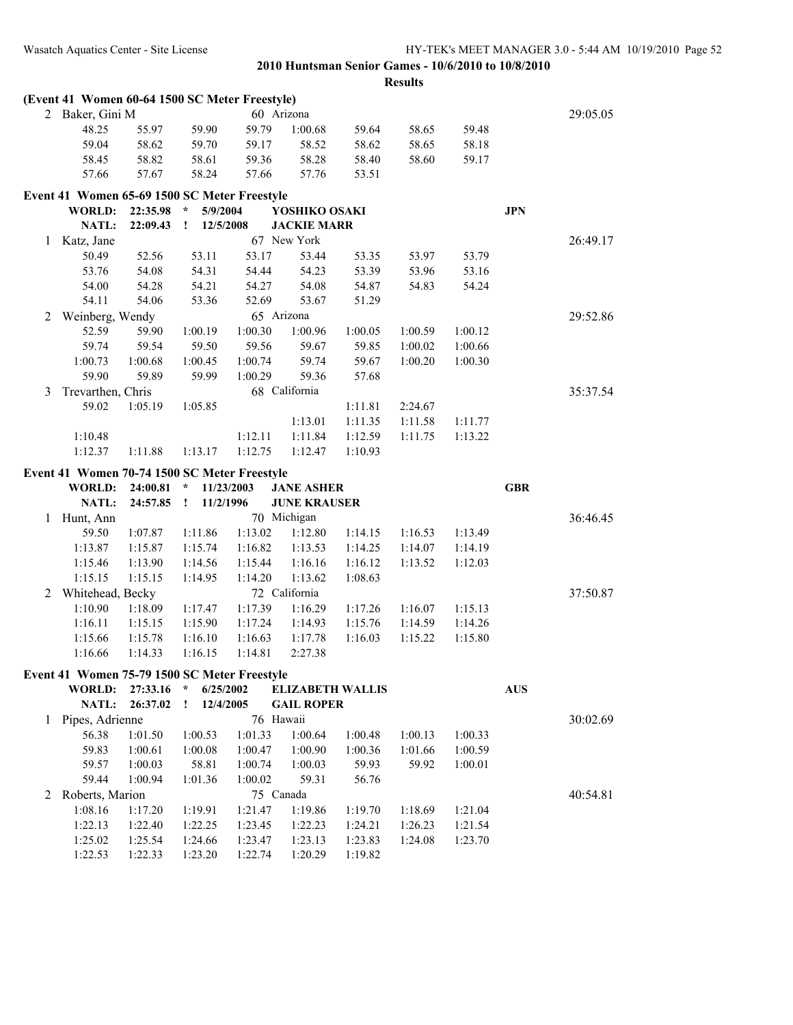|   | (Event 41 Women 60-64 1500 SC Meter Freestyle) |                    |                           |                    |                     |                         |         |         |            |          |
|---|------------------------------------------------|--------------------|---------------------------|--------------------|---------------------|-------------------------|---------|---------|------------|----------|
|   | 2 Baker, Gini M                                |                    |                           |                    | 60 Arizona          |                         |         |         |            | 29:05.05 |
|   | 48.25                                          | 55.97              | 59.90                     | 59.79              | 1:00.68             | 59.64                   | 58.65   | 59.48   |            |          |
|   | 59.04                                          | 58.62              | 59.70                     | 59.17              | 58.52               | 58.62                   | 58.65   | 58.18   |            |          |
|   | 58.45                                          | 58.82              | 58.61                     | 59.36              | 58.28               | 58.40                   | 58.60   | 59.17   |            |          |
|   | 57.66                                          | 57.67              | 58.24                     | 57.66              | 57.76               | 53.51                   |         |         |            |          |
|   | Event 41 Women 65-69 1500 SC Meter Freestyle   |                    |                           |                    |                     |                         |         |         |            |          |
|   | <b>WORLD:</b>                                  | 22:35.98           | $\star$<br>5/9/2004       |                    | YOSHIKO OSAKI       |                         |         |         | <b>JPN</b> |          |
|   | <b>NATL:</b>                                   | 22:09.43           | $\mathbf{I}$<br>12/5/2008 |                    | <b>JACKIE MARR</b>  |                         |         |         |            |          |
| 1 | Katz, Jane                                     |                    |                           |                    | 67 New York         |                         |         |         |            | 26:49.17 |
|   | 50.49                                          | 52.56              | 53.11                     | 53.17              | 53.44               | 53.35                   | 53.97   | 53.79   |            |          |
|   | 53.76                                          | 54.08              | 54.31                     | 54.44              | 54.23               | 53.39                   | 53.96   | 53.16   |            |          |
|   | 54.00                                          | 54.28              | 54.21                     | 54.27              | 54.08               | 54.87                   | 54.83   | 54.24   |            |          |
|   | 54.11                                          | 54.06              | 53.36                     | 52.69              | 53.67               | 51.29                   |         |         |            |          |
| 2 | Weinberg, Wendy                                |                    |                           |                    | 65 Arizona          |                         |         |         |            | 29:52.86 |
|   | 52.59                                          | 59.90              | 1:00.19                   | 1:00.30            | 1:00.96             | 1:00.05                 | 1:00.59 | 1:00.12 |            |          |
|   | 59.74                                          | 59.54              | 59.50                     | 59.56              | 59.67               | 59.85                   | 1:00.02 | 1:00.66 |            |          |
|   | 1:00.73                                        | 1:00.68            | 1:00.45                   | 1:00.74            | 59.74               | 59.67                   | 1:00.20 | 1:00.30 |            |          |
|   | 59.90                                          | 59.89              | 59.99                     | 1:00.29            | 59.36               | 57.68                   |         |         |            |          |
| 3 | Trevarthen, Chris                              |                    |                           |                    | 68 California       |                         |         |         |            | 35:37.54 |
|   | 59.02                                          | 1:05.19            | 1:05.85                   |                    |                     | 1:11.81                 | 2:24.67 |         |            |          |
|   |                                                |                    |                           |                    | 1:13.01             | 1:11.35                 | 1:11.58 | 1:11.77 |            |          |
|   | 1:10.48                                        |                    |                           | 1:12.11            | 1:11.84             | 1:12.59                 | 1:11.75 | 1:13.22 |            |          |
|   | 1:12.37                                        | 1:11.88            | 1:13.17                   | 1:12.75            | 1:12.47             | 1:10.93                 |         |         |            |          |
|   |                                                |                    |                           |                    |                     |                         |         |         |            |          |
|   |                                                |                    |                           |                    |                     |                         |         |         |            |          |
|   | Event 41 Women 70-74 1500 SC Meter Freestyle   |                    |                           |                    |                     |                         |         |         |            |          |
|   | <b>WORLD:</b>                                  | 24:00.81           | $\star$                   | 11/23/2003         | <b>JANE ASHER</b>   |                         |         |         | <b>GBR</b> |          |
|   | NATL:                                          | 24:57.85           | 11/2/1996<br>$\mathbf{I}$ |                    | <b>JUNE KRAUSER</b> |                         |         |         |            |          |
| 1 | Hunt, Ann                                      |                    |                           |                    | 70 Michigan         |                         |         |         |            | 36:46.45 |
|   | 59.50                                          | 1:07.87            | 1:11.86                   | 1:13.02            | 1:12.80             | 1:14.15                 | 1:16.53 | 1:13.49 |            |          |
|   | 1:13.87                                        | 1:15.87            | 1:15.74                   | 1:16.82            | 1:13.53             | 1:14.25                 | 1:14.07 | 1:14.19 |            |          |
|   | 1:15.46                                        | 1:13.90            | 1:14.56                   | 1:15.44            | 1:16.16             | 1:16.12                 | 1:13.52 | 1:12.03 |            |          |
|   | 1:15.15                                        | 1:15.15            | 1:14.95                   | 1:14.20            | 1:13.62             | 1:08.63                 |         |         |            |          |
| 2 | Whitehead, Becky                               |                    |                           |                    | 72 California       |                         |         |         |            | 37:50.87 |
|   | 1:10.90                                        | 1:18.09            | 1:17.47                   | 1:17.39            | 1:16.29             | 1:17.26                 | 1:16.07 | 1:15.13 |            |          |
|   | 1:16.11                                        | 1:15.15            | 1:15.90                   | 1:17.24            | 1:14.93             | 1:15.76                 | 1:14.59 | 1:14.26 |            |          |
|   | 1:15.66                                        | 1:15.78            | 1:16.10                   | 1:16.63            | 1:17.78             | 1:16.03                 | 1:15.22 | 1:15.80 |            |          |
|   | 1:16.66                                        | 1:14.33            | 1:16.15                   | 1:14.81            | 2:27.38             |                         |         |         |            |          |
|   | Event 41 Women 75-79 1500 SC Meter Freestyle   |                    |                           |                    |                     |                         |         |         |            |          |
|   | <b>WORLD:</b>                                  | 27:33.16           | $\star$<br>6/25/2002      |                    |                     | <b>ELIZABETH WALLIS</b> |         |         | <b>AUS</b> |          |
|   | NATL:                                          | 26:37.02           | 12/4/2005<br>Ţ.           |                    | <b>GAIL ROPER</b>   |                         |         |         |            |          |
| 1 | Pipes, Adrienne                                |                    |                           | 76 Hawaii          |                     |                         |         |         |            | 30:02.69 |
|   | 56.38                                          | 1:01.50            | 1:00.53                   | 1:01.33            | 1:00.64             | 1:00.48                 | 1:00.13 | 1:00.33 |            |          |
|   | 59.83                                          | 1:00.61            | 1:00.08                   | 1:00.47            | 1:00.90             | 1:00.36                 | 1:01.66 | 1:00.59 |            |          |
|   | 59.57                                          | 1:00.03            | 58.81                     | 1:00.74            | 1:00.03             | 59.93                   | 59.92   | 1:00.01 |            |          |
|   | 59.44                                          | 1:00.94            | 1:01.36                   | 1:00.02            | 59.31               | 56.76                   |         |         |            |          |
| 2 | Roberts, Marion                                |                    |                           | 75 Canada          |                     |                         |         |         |            | 40:54.81 |
|   | 1:08.16                                        | 1:17.20            | 1:19.91                   | 1:21.47            | 1:19.86             | 1:19.70                 | 1:18.69 | 1:21.04 |            |          |
|   | 1:22.13                                        | 1:22.40            | 1:22.25                   | 1:23.45            | 1:22.23             | 1:24.21                 | 1:26.23 | 1:21.54 |            |          |
|   | 1:25.02<br>1:22.53                             | 1:25.54<br>1:22.33 | 1:24.66<br>1:23.20        | 1:23.47<br>1:22.74 | 1:23.13<br>1:20.29  | 1:23.83<br>1:19.82      | 1:24.08 | 1:23.70 |            |          |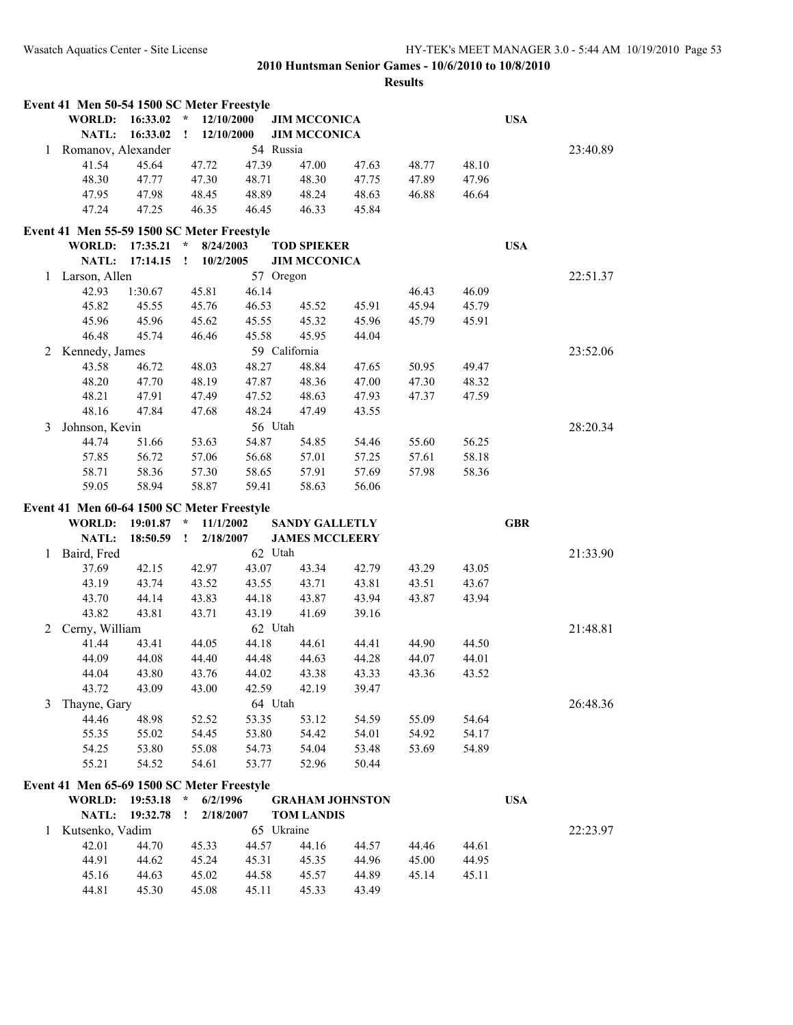|   | Event 41 Men 50-54 1500 SC Meter Freestyle |              |                             |            |                        |       |       |       |            |          |
|---|--------------------------------------------|--------------|-----------------------------|------------|------------------------|-------|-------|-------|------------|----------|
|   | <b>WORLD:</b>                              | 16:33.02     | 12/10/2000<br>$\mathcal{R}$ |            | <b>JIM MCCONICA</b>    |       |       |       | <b>USA</b> |          |
|   | NATL:                                      | 16:33.02     | 12/10/2000<br>$\mathbf{I}$  |            | <b>JIM MCCONICA</b>    |       |       |       |            |          |
| 1 | Romanov, Alexander                         |              |                             | 54 Russia  |                        |       |       |       |            | 23:40.89 |
|   | 41.54                                      | 45.64        | 47.72                       | 47.39      | 47.00                  | 47.63 | 48.77 | 48.10 |            |          |
|   | 48.30                                      | 47.77        | 47.30                       | 48.71      | 48.30                  | 47.75 | 47.89 | 47.96 |            |          |
|   | 47.95                                      | 47.98        | 48.45                       | 48.89      | 48.24                  | 48.63 | 46.88 | 46.64 |            |          |
|   | 47.24                                      | 47.25        | 46.35                       | 46.45      | 46.33                  | 45.84 |       |       |            |          |
|   | Event 41 Men 55-59 1500 SC Meter Freestyle |              |                             |            |                        |       |       |       |            |          |
|   | <b>WORLD:</b>                              | 17:35.21     | $\star$<br>8/24/2003        |            | <b>TOD SPIEKER</b>     |       |       |       | <b>USA</b> |          |
|   | NATL:                                      | 17:14.15     | 10/2/2005<br>$\mathbf{I}$   |            | <b>JIM MCCONICA</b>    |       |       |       |            |          |
| 1 | Larson, Allen                              |              |                             | 57 Oregon  |                        |       |       |       |            | 22:51.37 |
|   | 42.93                                      | 1:30.67      | 45.81                       | 46.14      |                        |       | 46.43 | 46.09 |            |          |
|   | 45.82                                      | 45.55        | 45.76                       | 46.53      | 45.52                  | 45.91 | 45.94 | 45.79 |            |          |
|   | 45.96                                      | 45.96        | 45.62                       | 45.55      | 45.32                  | 45.96 | 45.79 | 45.91 |            |          |
|   | 46.48                                      | 45.74        | 46.46                       | 45.58      | 45.95                  | 44.04 |       |       |            |          |
| 2 | Kennedy, James                             |              |                             |            | 59 California          |       |       |       |            | 23:52.06 |
|   | 43.58                                      | 46.72        | 48.03                       | 48.27      | 48.84                  | 47.65 | 50.95 | 49.47 |            |          |
|   | 48.20                                      | 47.70        | 48.19                       | 47.87      | 48.36                  | 47.00 | 47.30 | 48.32 |            |          |
|   | 48.21                                      | 47.91        | 47.49                       | 47.52      | 48.63                  | 47.93 | 47.37 | 47.59 |            |          |
|   | 48.16                                      | 47.84        | 47.68                       | 48.24      | 47.49                  | 43.55 |       |       |            |          |
| 3 | Johnson, Kevin                             |              |                             | 56 Utah    |                        |       |       |       |            | 28:20.34 |
|   | 44.74                                      | 51.66        | 53.63                       | 54.87      | 54.85                  | 54.46 | 55.60 | 56.25 |            |          |
|   | 57.85                                      | 56.72        | 57.06                       | 56.68      | 57.01                  | 57.25 | 57.61 | 58.18 |            |          |
|   | 58.71                                      | 58.36        | 57.30                       | 58.65      | 57.91                  | 57.69 | 57.98 | 58.36 |            |          |
|   | 59.05                                      | 58.94        | 58.87                       | 59.41      | 58.63                  | 56.06 |       |       |            |          |
|   | Event 41 Men 60-64 1500 SC Meter Freestyle |              |                             |            |                        |       |       |       |            |          |
|   | WORLD:                                     | $19:01.87$ * | 11/1/2002                   |            | <b>SANDY GALLETLY</b>  |       |       |       | <b>GBR</b> |          |
|   | NATL:                                      | 18:50.59     | 2/18/2007<br>$\mathbf{I}$   |            | <b>JAMES MCCLEERY</b>  |       |       |       |            |          |
| 1 | Baird, Fred                                |              |                             | 62 Utah    |                        |       |       |       |            | 21:33.90 |
|   | 37.69                                      | 42.15        | 42.97                       | 43.07      | 43.34                  | 42.79 | 43.29 | 43.05 |            |          |
|   | 43.19                                      | 43.74        | 43.52                       | 43.55      | 43.71                  | 43.81 | 43.51 | 43.67 |            |          |
|   | 43.70                                      | 44.14        | 43.83                       | 44.18      | 43.87                  | 43.94 | 43.87 | 43.94 |            |          |
|   | 43.82                                      | 43.81        | 43.71                       | 43.19      | 41.69                  | 39.16 |       |       |            |          |
| 2 | Cerny, William                             |              |                             | 62 Utah    |                        |       |       |       |            | 21:48.81 |
|   | 41.44                                      | 43.41        | 44.05                       | 44.18      | 44.61                  | 44.41 | 44.90 | 44.50 |            |          |
|   | 44.09                                      | 44.08        | 44.40                       | 44.48      | 44.63                  | 44.28 | 44.07 | 44.01 |            |          |
|   | 44.04                                      | 43.80        | 43.76                       | 44.02      | 43.38                  | 43.33 | 43.36 | 43.52 |            |          |
|   | 43.72                                      | 43.09        | 43.00                       | 42.59      | 42.19                  | 39.47 |       |       |            |          |
| 3 | Thayne, Gary                               |              |                             | 64 Utah    |                        |       |       |       |            | 26:48.36 |
|   | 44.46                                      | 48.98        | 52.52                       | 53.35      | 53.12                  | 54.59 | 55.09 | 54.64 |            |          |
|   | 55.35                                      | 55.02        | 54.45                       | 53.80      | 54.42                  | 54.01 | 54.92 | 54.17 |            |          |
|   | 54.25                                      | 53.80        | 55.08                       | 54.73      | 54.04                  | 53.48 | 53.69 | 54.89 |            |          |
|   | 55.21                                      | 54.52        | 54.61                       | 53.77      | 52.96                  | 50.44 |       |       |            |          |
|   |                                            |              |                             |            |                        |       |       |       |            |          |
|   | Event 41 Men 65-69 1500 SC Meter Freestyle |              |                             |            |                        |       |       |       |            |          |
|   | <b>WORLD:</b>                              | 19:53.18 *   | 6/2/1996                    |            | <b>GRAHAM JOHNSTON</b> |       |       |       | <b>USA</b> |          |
|   | <b>NATL:</b>                               | 19:32.78     | 2/18/2007<br>÷              |            | <b>TOM LANDIS</b>      |       |       |       |            |          |
| 1 | Kutsenko, Vadim                            |              |                             | 65 Ukraine |                        |       |       |       |            | 22:23.97 |
|   | 42.01                                      | 44.70        | 45.33                       | 44.57      | 44.16                  | 44.57 | 44.46 | 44.61 |            |          |
|   | 44.91                                      | 44.62        | 45.24                       | 45.31      | 45.35                  | 44.96 | 45.00 | 44.95 |            |          |
|   | 45.16                                      | 44.63        | 45.02                       | 44.58      | 45.57                  | 44.89 | 45.14 | 45.11 |            |          |
|   | 44.81                                      | 45.30        | 45.08                       | 45.11      | 45.33                  | 43.49 |       |       |            |          |
|   |                                            |              |                             |            |                        |       |       |       |            |          |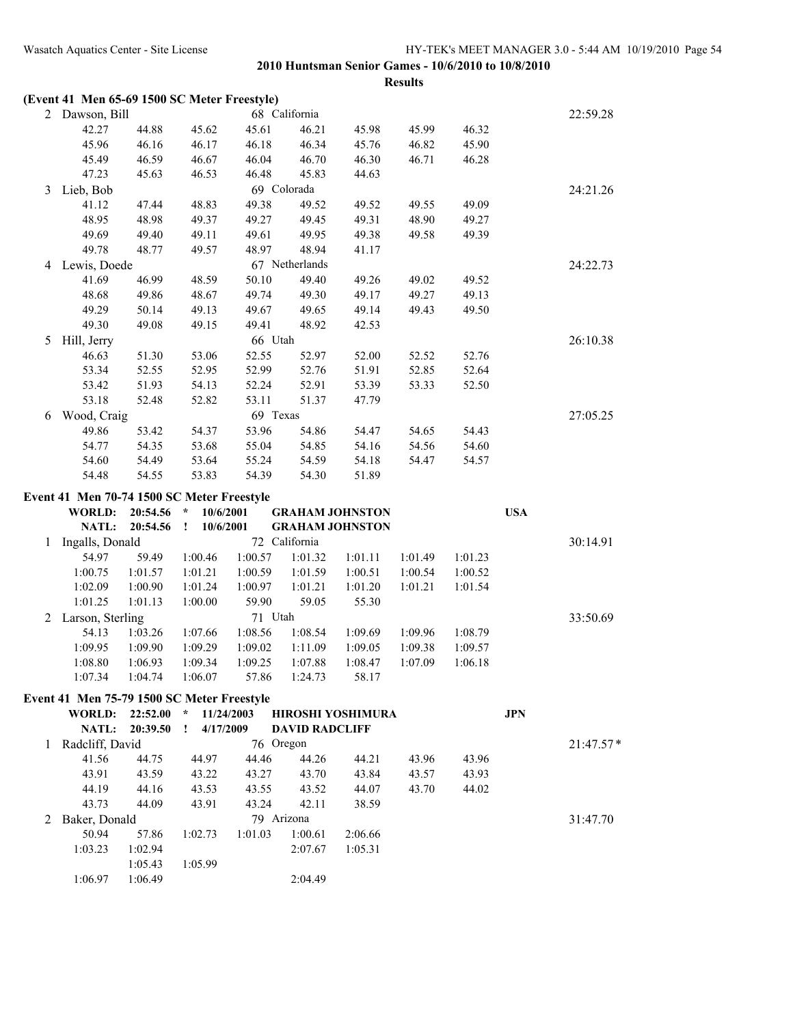|   | (Event 41 Men 65-69 1500 SC Meter Freestyle) |          |                      |            |                       |                        |         |         |            |             |
|---|----------------------------------------------|----------|----------------------|------------|-----------------------|------------------------|---------|---------|------------|-------------|
|   | 2 Dawson, Bill                               |          |                      |            | 68 California         |                        |         |         |            | 22:59.28    |
|   | 42.27                                        | 44.88    | 45.62                | 45.61      | 46.21                 | 45.98                  | 45.99   | 46.32   |            |             |
|   | 45.96                                        | 46.16    | 46.17                | 46.18      | 46.34                 | 45.76                  | 46.82   | 45.90   |            |             |
|   | 45.49                                        | 46.59    | 46.67                | 46.04      | 46.70                 | 46.30                  | 46.71   | 46.28   |            |             |
|   | 47.23                                        | 45.63    | 46.53                | 46.48      | 45.83                 | 44.63                  |         |         |            |             |
| 3 | Lieb, Bob                                    |          |                      |            | 69 Colorada           |                        |         |         |            | 24:21.26    |
|   | 41.12                                        | 47.44    | 48.83                | 49.38      | 49.52                 | 49.52                  | 49.55   | 49.09   |            |             |
|   | 48.95                                        | 48.98    | 49.37                | 49.27      | 49.45                 | 49.31                  | 48.90   | 49.27   |            |             |
|   | 49.69                                        | 49.40    | 49.11                | 49.61      | 49.95                 | 49.38                  | 49.58   | 49.39   |            |             |
|   | 49.78                                        | 48.77    | 49.57                | 48.97      | 48.94                 | 41.17                  |         |         |            |             |
|   |                                              |          |                      |            | 67 Netherlands        |                        |         |         |            |             |
| 4 | Lewis, Doede                                 |          |                      |            |                       |                        |         |         |            | 24:22.73    |
|   | 41.69                                        | 46.99    | 48.59                | 50.10      | 49.40                 | 49.26                  | 49.02   | 49.52   |            |             |
|   | 48.68                                        | 49.86    | 48.67                | 49.74      | 49.30                 | 49.17                  | 49.27   | 49.13   |            |             |
|   | 49.29                                        | 50.14    | 49.13                | 49.67      | 49.65                 | 49.14                  | 49.43   | 49.50   |            |             |
|   | 49.30                                        | 49.08    | 49.15                | 49.41      | 48.92                 | 42.53                  |         |         |            |             |
| 5 | Hill, Jerry                                  |          |                      | 66 Utah    |                       |                        |         |         |            | 26:10.38    |
|   | 46.63                                        | 51.30    | 53.06                | 52.55      | 52.97                 | 52.00                  | 52.52   | 52.76   |            |             |
|   | 53.34                                        | 52.55    | 52.95                | 52.99      | 52.76                 | 51.91                  | 52.85   | 52.64   |            |             |
|   | 53.42                                        | 51.93    | 54.13                | 52.24      | 52.91                 | 53.39                  | 53.33   | 52.50   |            |             |
|   | 53.18                                        | 52.48    | 52.82                | 53.11      | 51.37                 | 47.79                  |         |         |            |             |
| 6 | Wood, Craig                                  |          |                      | 69 Texas   |                       |                        |         |         |            | 27:05.25    |
|   | 49.86                                        | 53.42    | 54.37                | 53.96      | 54.86                 | 54.47                  | 54.65   | 54.43   |            |             |
|   | 54.77                                        | 54.35    | 53.68                | 55.04      | 54.85                 | 54.16                  | 54.56   | 54.60   |            |             |
|   | 54.60                                        | 54.49    | 53.64                | 55.24      | 54.59                 | 54.18                  | 54.47   | 54.57   |            |             |
|   | 54.48                                        | 54.55    | 53.83                | 54.39      | 54.30                 | 51.89                  |         |         |            |             |
|   | Event 41 Men 70-74 1500 SC Meter Freestyle   |          |                      |            |                       |                        |         |         |            |             |
|   | <b>WORLD:</b>                                | 20:54.56 | $\star$<br>10/6/2001 |            |                       | <b>GRAHAM JOHNSTON</b> |         |         | <b>USA</b> |             |
|   |                                              |          | $\mathbf{I}$         |            |                       |                        |         |         |            |             |
|   | NATL:                                        | 20:54.56 | 10/6/2001            |            | 72 California         | <b>GRAHAM JOHNSTON</b> |         |         |            | 30:14.91    |
| 1 | Ingalls, Donald                              |          |                      |            |                       |                        |         |         |            |             |
|   | 54.97                                        | 59.49    | 1:00.46              | 1:00.57    | 1:01.32               | 1:01.11                | 1:01.49 | 1:01.23 |            |             |
|   | 1:00.75                                      | 1:01.57  | 1:01.21              | 1:00.59    | 1:01.59               | 1:00.51                | 1:00.54 | 1:00.52 |            |             |
|   | 1:02.09                                      | 1:00.90  | 1:01.24              | 1:00.97    | 1:01.21               | 1:01.20                | 1:01.21 | 1:01.54 |            |             |
|   | 1:01.25                                      | 1:01.13  | 1:00.00              | 59.90      | 59.05                 | 55.30                  |         |         |            |             |
| 2 | Larson, Sterling                             |          |                      | 71 Utah    |                       |                        |         |         |            | 33:50.69    |
|   | 54.13                                        | 1:03.26  | 1:07.66              | 1:08.56    | 1:08.54               | 1:09.69                | 1:09.96 | 1:08.79 |            |             |
|   | 1:09.95                                      | 1:09.90  | 1:09.29              | 1:09.02    | 1:11.09               | 1:09.05                | 1:09.38 | 1:09.57 |            |             |
|   | 1:08.80                                      | 1:06.93  | 1:09.34              | 1:09.25    | 1:07.88               | 1:08.47                | 1:07.09 | 1:06.18 |            |             |
|   | 1:07.34                                      | 1:04.74  | 1:06.07              | 57.86      | 1:24.73               | 58.17                  |         |         |            |             |
|   | Event 41 Men 75-79 1500 SC Meter Freestyle   |          |                      |            |                       |                        |         |         |            |             |
|   | <b>WORLD:</b>                                | 22:52.00 | $\star$              | 11/24/2003 |                       | HIROSHI YOSHIMURA      |         |         | <b>JPN</b> |             |
|   | NATL:                                        | 20:39.50 | 4/17/2009<br>Ţ       |            | <b>DAVID RADCLIFF</b> |                        |         |         |            |             |
| 1 | Radcliff, David                              |          |                      | 76 Oregon  |                       |                        |         |         |            | $21:47.57*$ |
|   | 41.56                                        | 44.75    | 44.97                | 44.46      | 44.26                 | 44.21                  | 43.96   | 43.96   |            |             |
|   | 43.91                                        | 43.59    | 43.22                | 43.27      | 43.70                 | 43.84                  | 43.57   | 43.93   |            |             |
|   | 44.19                                        | 44.16    | 43.53                | 43.55      | 43.52                 | 44.07                  | 43.70   | 44.02   |            |             |
|   | 43.73                                        | 44.09    | 43.91                | 43.24      | 42.11                 | 38.59                  |         |         |            |             |
| 2 | Baker, Donald                                |          |                      | 79 Arizona |                       |                        |         |         |            | 31:47.70    |
|   | 50.94                                        | 57.86    | 1:02.73              | 1:01.03    | 1:00.61               | 2:06.66                |         |         |            |             |
|   | 1:03.23                                      |          |                      |            |                       |                        |         |         |            |             |
|   |                                              | 1:02.94  |                      |            | 2:07.67               | 1:05.31                |         |         |            |             |
|   | 1:06.97                                      | 1:05.43  | 1:05.99              |            | 2:04.49               |                        |         |         |            |             |
|   |                                              | 1:06.49  |                      |            |                       |                        |         |         |            |             |